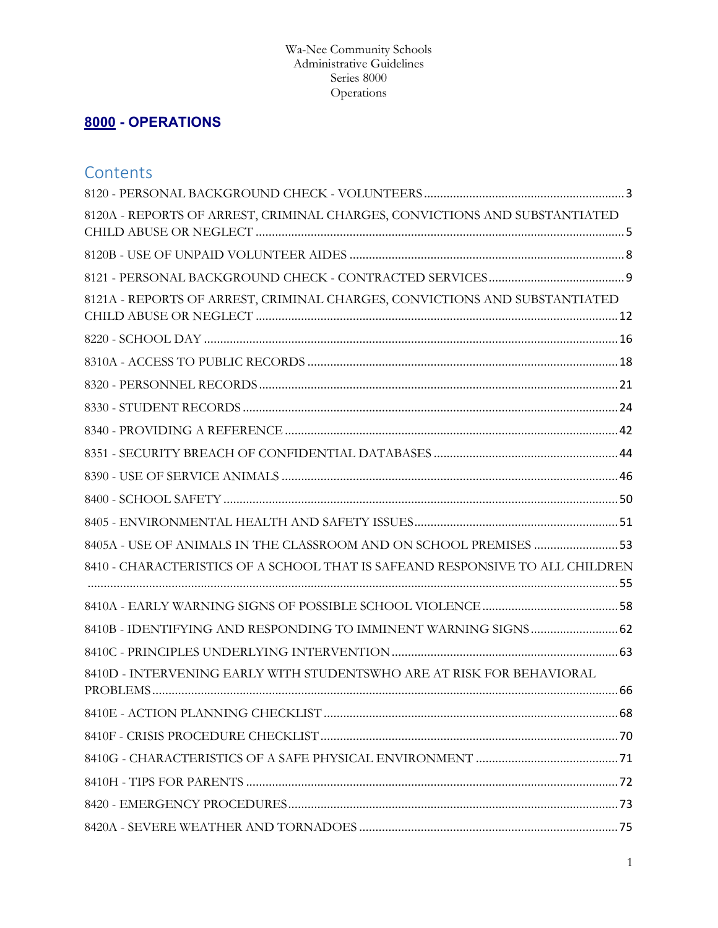# **[8000](http://www.neola.com/wanee-in/policies/po8000.htm) - OPERATIONS**

# **Contents**

| 8120A - REPORTS OF ARREST, CRIMINAL CHARGES, CONVICTIONS AND SUBSTANTIATED    |  |
|-------------------------------------------------------------------------------|--|
|                                                                               |  |
|                                                                               |  |
| 8121A - REPORTS OF ARREST, CRIMINAL CHARGES, CONVICTIONS AND SUBSTANTIATED    |  |
|                                                                               |  |
|                                                                               |  |
|                                                                               |  |
|                                                                               |  |
|                                                                               |  |
|                                                                               |  |
|                                                                               |  |
|                                                                               |  |
|                                                                               |  |
| 8405A - USE OF ANIMALS IN THE CLASSROOM AND ON SCHOOL PREMISES  53            |  |
| 8410 - CHARACTERISTICS OF A SCHOOL THAT IS SAFEAND RESPONSIVE TO ALL CHILDREN |  |
|                                                                               |  |
| 8410B - IDENTIFYING AND RESPONDING TO IMMINENT WARNING SIGNS 62               |  |
|                                                                               |  |
| 8410D - INTERVENING EARLY WITH STUDENTSWHO ARE AT RISK FOR BEHAVIORAL         |  |
|                                                                               |  |
|                                                                               |  |
|                                                                               |  |
|                                                                               |  |
|                                                                               |  |
|                                                                               |  |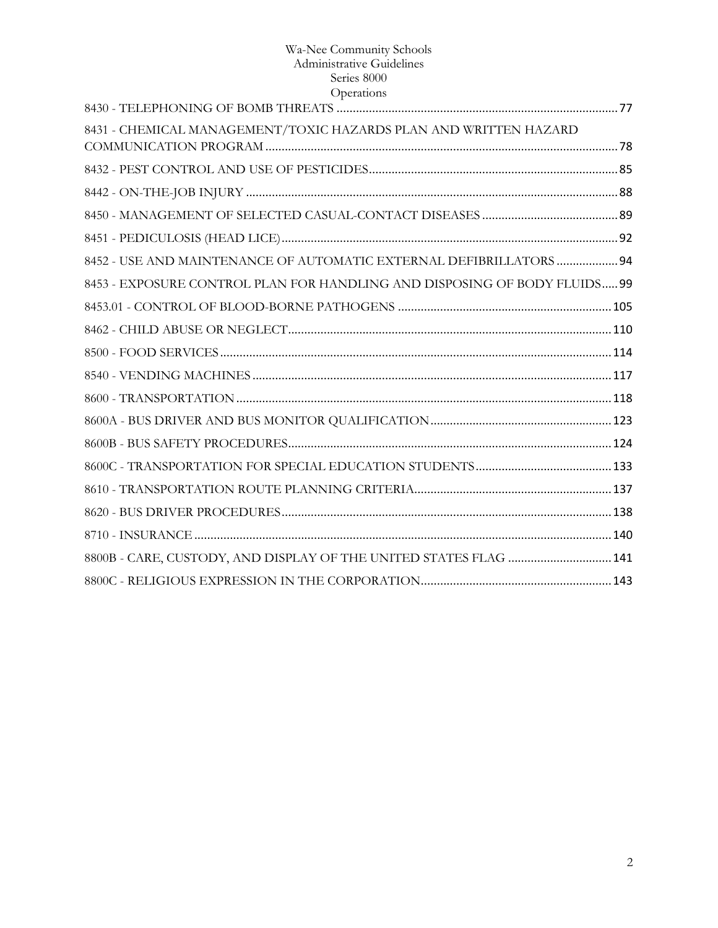| 8431 - CHEMICAL MANAGEMENT/TOXIC HAZARDS PLAN AND WRITTEN HAZARD          |  |
|---------------------------------------------------------------------------|--|
|                                                                           |  |
|                                                                           |  |
|                                                                           |  |
|                                                                           |  |
|                                                                           |  |
| 8452 - USE AND MAINTENANCE OF AUTOMATIC EXTERNAL DEFIBRILLATORS  94       |  |
| 8453 - EXPOSURE CONTROL PLAN FOR HANDLING AND DISPOSING OF BODY FLUIDS 99 |  |
|                                                                           |  |
|                                                                           |  |
|                                                                           |  |
|                                                                           |  |
|                                                                           |  |
|                                                                           |  |
|                                                                           |  |
|                                                                           |  |
|                                                                           |  |
|                                                                           |  |
|                                                                           |  |
| 8800B - CARE, CUSTODY, AND DISPLAY OF THE UNITED STATES FLAG  141         |  |
|                                                                           |  |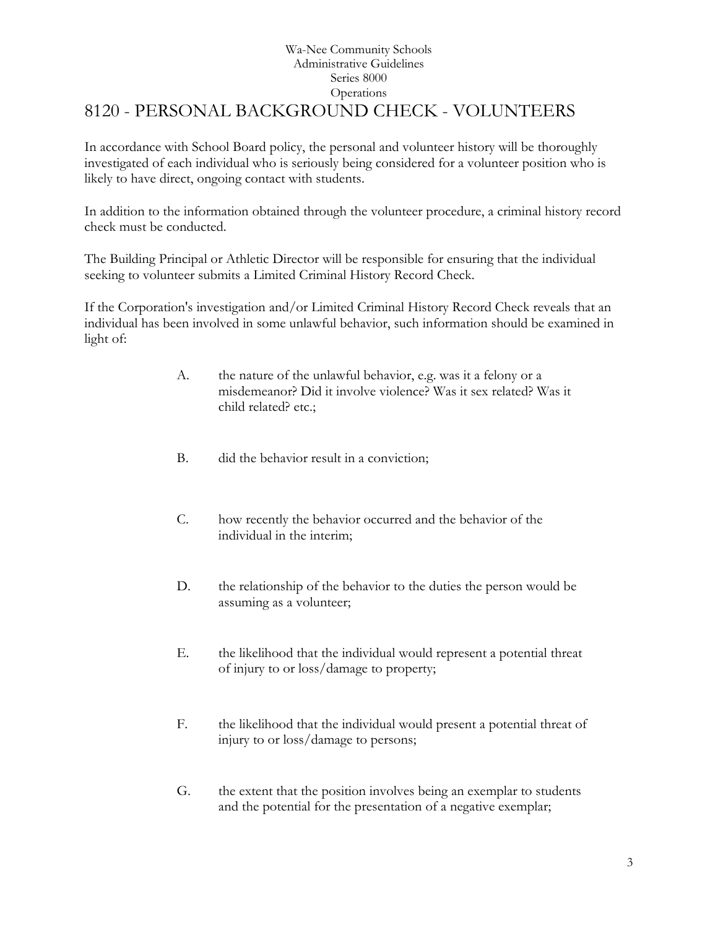#### Wa-Nee Community Schools Administrative Guidelines Series 8000 **Operations** [8120](http://www.neola.com/wanee-in/search/policies/po8120.htm) - PERSONAL BACKGROUND CHECK - VOLUNTEERS

<span id="page-2-0"></span>In accordance with School Board policy, the personal and volunteer history will be thoroughly investigated of each individual who is seriously being considered for a volunteer position who is likely to have direct, ongoing contact with students.

In addition to the information obtained through the volunteer procedure, a criminal history record check must be conducted.

The Building Principal or Athletic Director will be responsible for ensuring that the individual seeking to volunteer submits a Limited Criminal History Record Check.

If the Corporation's investigation and/or Limited Criminal History Record Check reveals that an individual has been involved in some unlawful behavior, such information should be examined in light of:

- A. the nature of the unlawful behavior, e.g. was it a felony or a misdemeanor? Did it involve violence? Was it sex related? Was it child related? etc.;
- B. did the behavior result in a conviction;
- C. how recently the behavior occurred and the behavior of the individual in the interim;
- D. the relationship of the behavior to the duties the person would be assuming as a volunteer;
- E. the likelihood that the individual would represent a potential threat of injury to or loss/damage to property;
- F. the likelihood that the individual would present a potential threat of injury to or loss/damage to persons;
- G. the extent that the position involves being an exemplar to students and the potential for the presentation of a negative exemplar;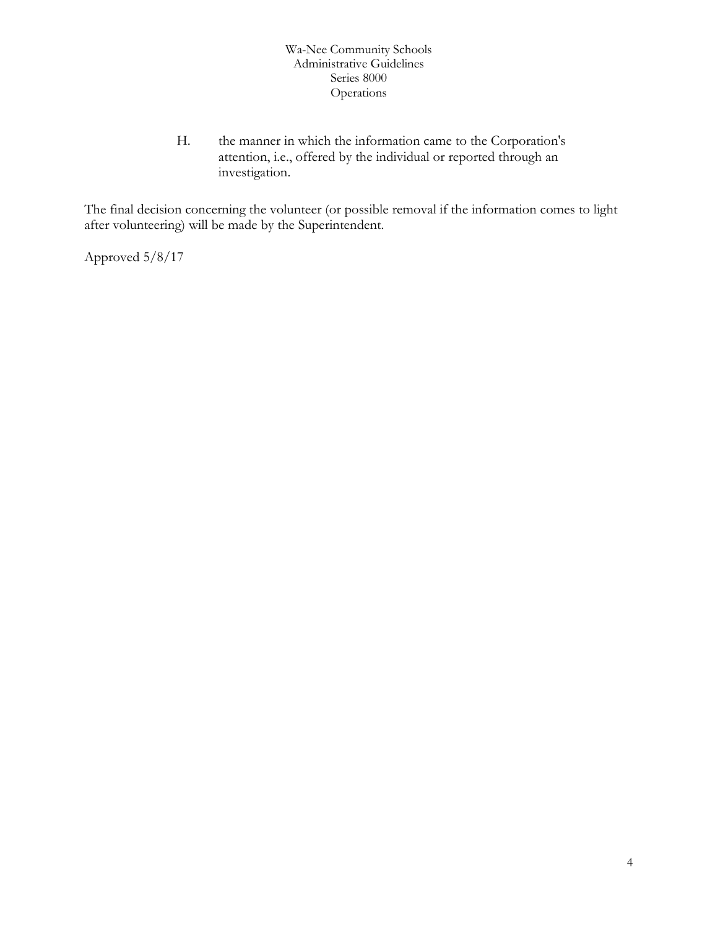H. the manner in which the information came to the Corporation's attention, i.e., offered by the individual or reported through an investigation.

The final decision concerning the volunteer (or possible removal if the information comes to light after volunteering) will be made by the Superintendent.

Approved 5/8/17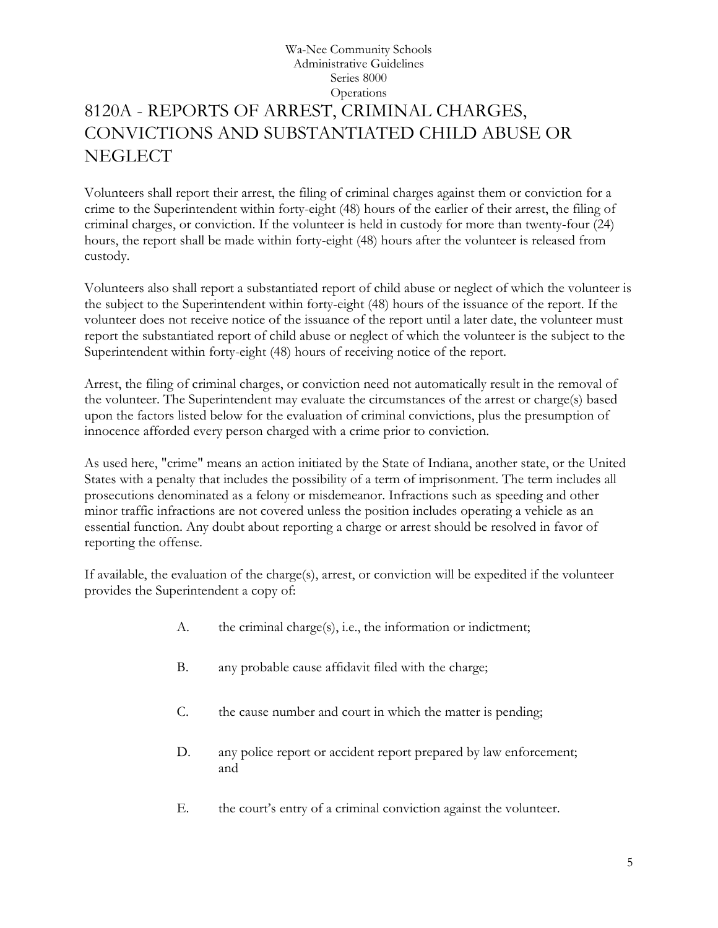# <span id="page-4-0"></span>Wa-Nee Community Schools Administrative Guidelines Series 8000 **Operations** 8120A - REPORTS OF ARREST, CRIMINAL CHARGES, CONVICTIONS AND SUBSTANTIATED CHILD ABUSE OR **NEGLECT**

Volunteers shall report their arrest, the filing of criminal charges against them or conviction for a crime to the Superintendent within forty-eight (48) hours of the earlier of their arrest, the filing of criminal charges, or conviction. If the volunteer is held in custody for more than twenty-four (24) hours, the report shall be made within forty-eight (48) hours after the volunteer is released from custody.

Volunteers also shall report a substantiated report of child abuse or neglect of which the volunteer is the subject to the Superintendent within forty-eight (48) hours of the issuance of the report. If the volunteer does not receive notice of the issuance of the report until a later date, the volunteer must report the substantiated report of child abuse or neglect of which the volunteer is the subject to the Superintendent within forty-eight (48) hours of receiving notice of the report.

Arrest, the filing of criminal charges, or conviction need not automatically result in the removal of the volunteer. The Superintendent may evaluate the circumstances of the arrest or charge(s) based upon the factors listed below for the evaluation of criminal convictions, plus the presumption of innocence afforded every person charged with a crime prior to conviction.

As used here, "crime" means an action initiated by the State of Indiana, another state, or the United States with a penalty that includes the possibility of a term of imprisonment. The term includes all prosecutions denominated as a felony or misdemeanor. Infractions such as speeding and other minor traffic infractions are not covered unless the position includes operating a vehicle as an essential function. Any doubt about reporting a charge or arrest should be resolved in favor of reporting the offense.

If available, the evaluation of the charge(s), arrest, or conviction will be expedited if the volunteer provides the Superintendent a copy of:

- A. the criminal charge(s), i.e., the information or indictment;
- B. any probable cause affidavit filed with the charge;
- C. the cause number and court in which the matter is pending;
- D. any police report or accident report prepared by law enforcement; and
- E. the court's entry of a criminal conviction against the volunteer.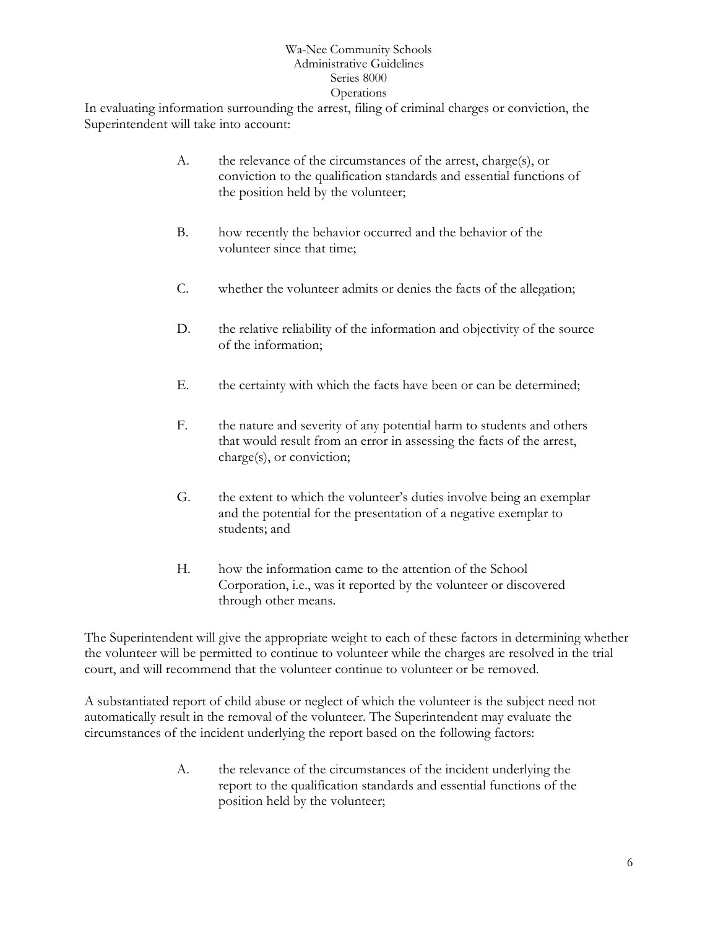In evaluating information surrounding the arrest, filing of criminal charges or conviction, the Superintendent will take into account:

- A. the relevance of the circumstances of the arrest, charge(s), or conviction to the qualification standards and essential functions of the position held by the volunteer;
- B. how recently the behavior occurred and the behavior of the volunteer since that time;
- C. whether the volunteer admits or denies the facts of the allegation;
- D. the relative reliability of the information and objectivity of the source of the information;
- E. the certainty with which the facts have been or can be determined;
- F. the nature and severity of any potential harm to students and others that would result from an error in assessing the facts of the arrest, charge(s), or conviction;
- G. the extent to which the volunteer's duties involve being an exemplar and the potential for the presentation of a negative exemplar to students; and
- H. how the information came to the attention of the School Corporation, i.e., was it reported by the volunteer or discovered through other means.

The Superintendent will give the appropriate weight to each of these factors in determining whether the volunteer will be permitted to continue to volunteer while the charges are resolved in the trial court, and will recommend that the volunteer continue to volunteer or be removed.

A substantiated report of child abuse or neglect of which the volunteer is the subject need not automatically result in the removal of the volunteer. The Superintendent may evaluate the circumstances of the incident underlying the report based on the following factors:

> A. the relevance of the circumstances of the incident underlying the report to the qualification standards and essential functions of the position held by the volunteer;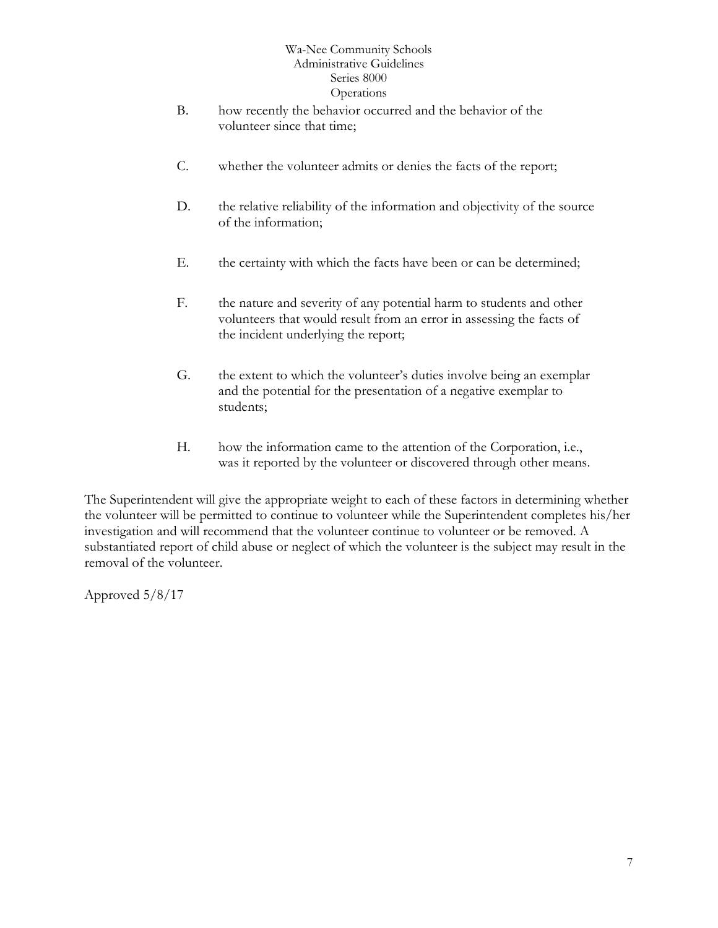- B. how recently the behavior occurred and the behavior of the volunteer since that time;
- C. whether the volunteer admits or denies the facts of the report;
- D. the relative reliability of the information and objectivity of the source of the information;
- E. the certainty with which the facts have been or can be determined;
- F. the nature and severity of any potential harm to students and other volunteers that would result from an error in assessing the facts of the incident underlying the report;
- G. the extent to which the volunteer's duties involve being an exemplar and the potential for the presentation of a negative exemplar to students;
- H. how the information came to the attention of the Corporation, i.e., was it reported by the volunteer or discovered through other means.

The Superintendent will give the appropriate weight to each of these factors in determining whether the volunteer will be permitted to continue to volunteer while the Superintendent completes his/her investigation and will recommend that the volunteer continue to volunteer or be removed. A substantiated report of child abuse or neglect of which the volunteer is the subject may result in the removal of the volunteer.

Approved 5/8/17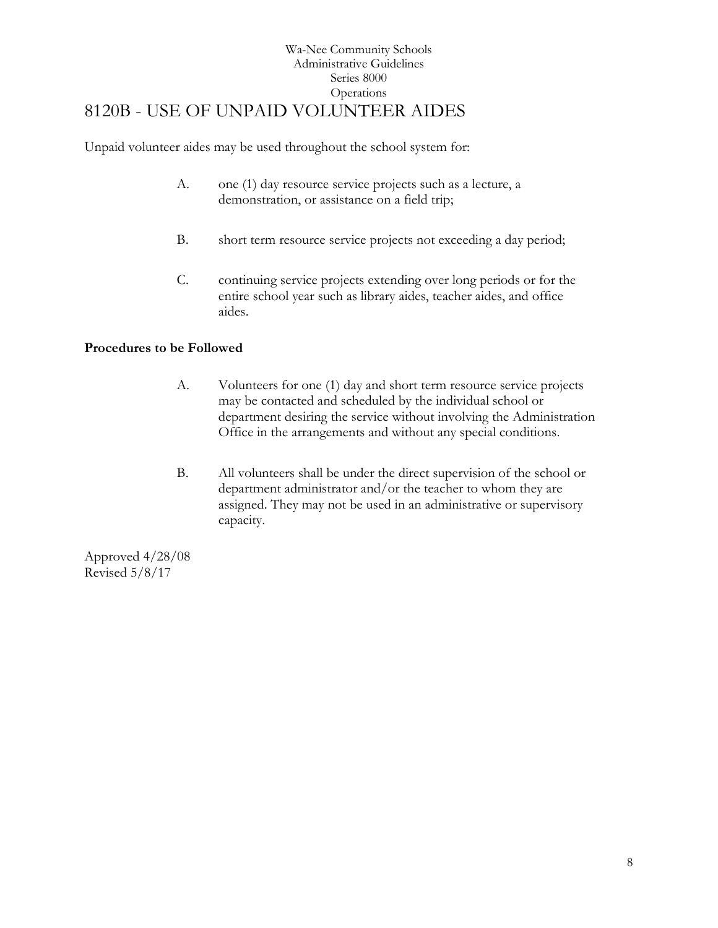#### Wa-Nee Community Schools Administrative Guidelines Series 8000 **Operations** 8120B - USE OF UNPAID VOLUNTEER AIDES

<span id="page-7-0"></span>Unpaid volunteer aides may be used throughout the school system for:

- A. one (1) day resource service projects such as a lecture, a demonstration, or assistance on a field trip;
- B. short term resource service projects not exceeding a day period;
- C. continuing service projects extending over long periods or for the entire school year such as library aides, teacher aides, and office aides.

#### **Procedures to be Followed**

- A. Volunteers for one (1) day and short term resource service projects may be contacted and scheduled by the individual school or department desiring the service without involving the Administration Office in the arrangements and without any special conditions.
- B. All volunteers shall be under the direct supervision of the school or department administrator and/or the teacher to whom they are assigned. They may not be used in an administrative or supervisory capacity.

Approved 4/28/08 Revised 5/8/17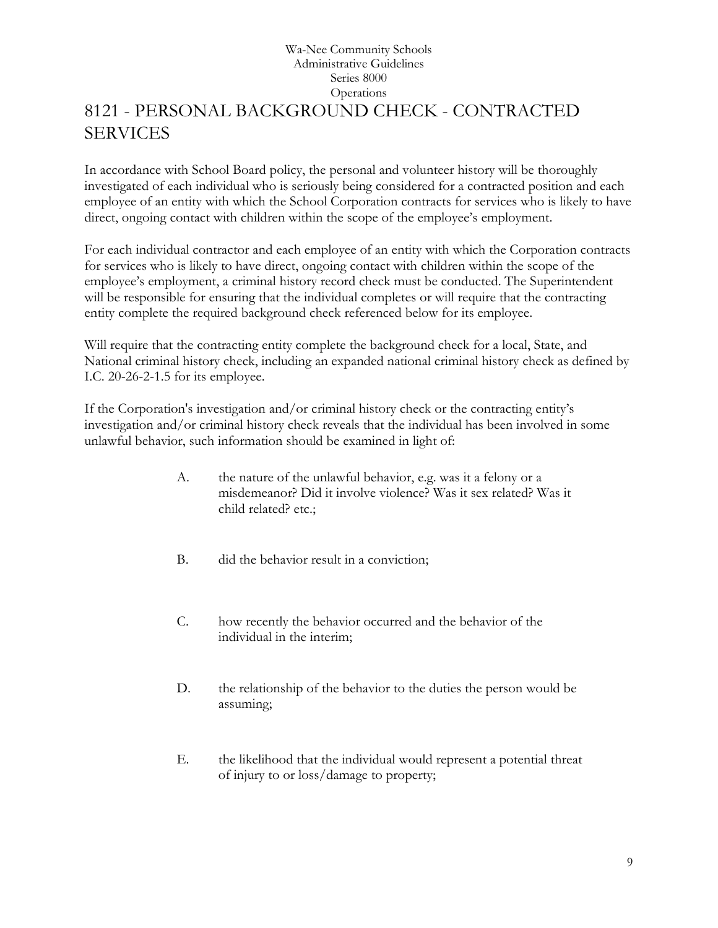## <span id="page-8-0"></span>Wa-Nee Community Schools Administrative Guidelines Series 8000 **Operations** [8121](http://www.neola.com/wanee-in/search/policies/po8121.htm) - PERSONAL BACKGROUND CHECK - CONTRACTED SERVICES

In accordance with School Board policy, the personal and volunteer history will be thoroughly investigated of each individual who is seriously being considered for a contracted position and each employee of an entity with which the School Corporation contracts for services who is likely to have direct, ongoing contact with children within the scope of the employee's employment.

For each individual contractor and each employee of an entity with which the Corporation contracts for services who is likely to have direct, ongoing contact with children within the scope of the employee's employment, a criminal history record check must be conducted. The Superintendent will be responsible for ensuring that the individual completes or will require that the contracting entity complete the required background check referenced below for its employee.

Will require that the contracting entity complete the background check for a local, State, and National criminal history check, including an expanded national criminal history check as defined by I.C. 20-26-2-1.5 for its employee.

If the Corporation's investigation and/or criminal history check or the contracting entity's investigation and/or criminal history check reveals that the individual has been involved in some unlawful behavior, such information should be examined in light of:

- A. the nature of the unlawful behavior, e.g. was it a felony or a misdemeanor? Did it involve violence? Was it sex related? Was it child related? etc.;
- B. did the behavior result in a conviction;
- C. how recently the behavior occurred and the behavior of the individual in the interim;
- D. the relationship of the behavior to the duties the person would be assuming;
- E. the likelihood that the individual would represent a potential threat of injury to or loss/damage to property;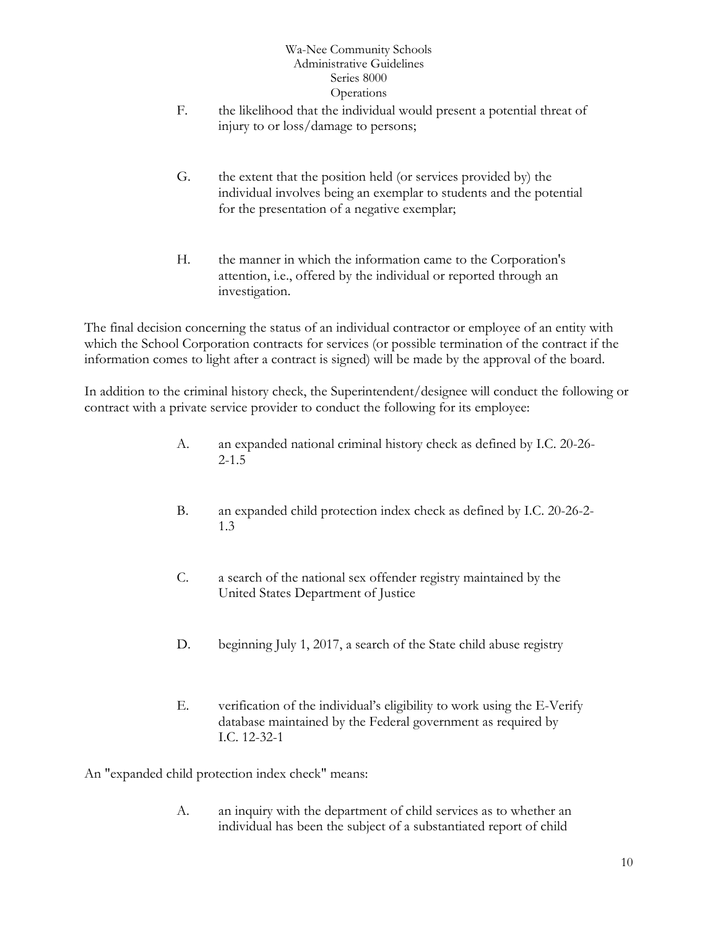- F. the likelihood that the individual would present a potential threat of injury to or loss/damage to persons;
- G. the extent that the position held (or services provided by) the individual involves being an exemplar to students and the potential for the presentation of a negative exemplar;
- H. the manner in which the information came to the Corporation's attention, i.e., offered by the individual or reported through an investigation.

The final decision concerning the status of an individual contractor or employee of an entity with which the School Corporation contracts for services (or possible termination of the contract if the information comes to light after a contract is signed) will be made by the approval of the board.

In addition to the criminal history check, the Superintendent/designee will conduct the following or contract with a private service provider to conduct the following for its employee:

- A. an expanded national criminal history check as defined by I.C. 20-26- 2-1.5
- B. an expanded child protection index check as defined by I.C. 20-26-2- 1.3
- C. a search of the national sex offender registry maintained by the United States Department of Justice
- D. beginning July 1, 2017, a search of the State child abuse registry
- E. verification of the individual's eligibility to work using the E-Verify database maintained by the Federal government as required by I.C. 12-32-1

An "expanded child protection index check" means:

A. an inquiry with the department of child services as to whether an individual has been the subject of a substantiated report of child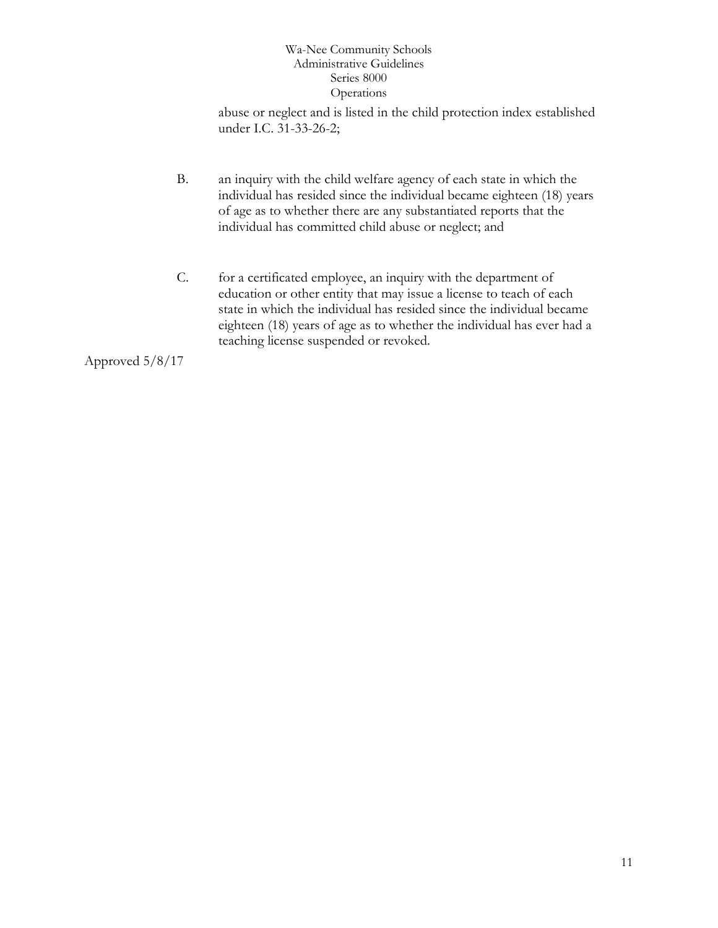abuse or neglect and is listed in the child protection index established under I.C. 31-33-26-2;

- B. an inquiry with the child welfare agency of each state in which the individual has resided since the individual became eighteen (18) years of age as to whether there are any substantiated reports that the individual has committed child abuse or neglect; and
- C. for a certificated employee, an inquiry with the department of education or other entity that may issue a license to teach of each state in which the individual has resided since the individual became eighteen (18) years of age as to whether the individual has ever had a teaching license suspended or revoked.

Approved 5/8/17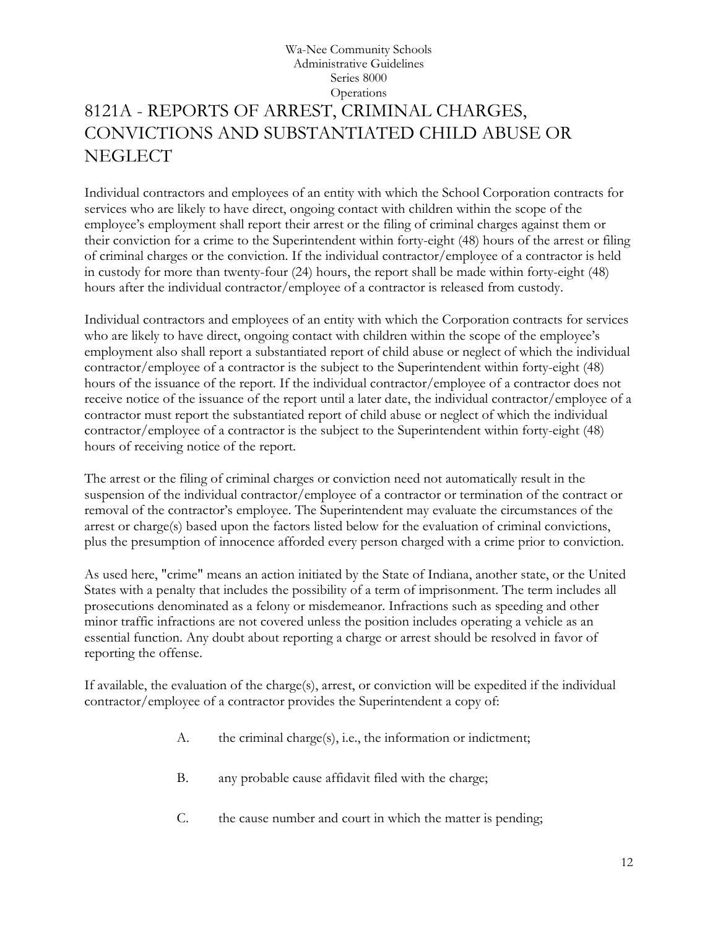# <span id="page-11-0"></span>Wa-Nee Community Schools Administrative Guidelines Series 8000 Operations 8121A - REPORTS OF ARREST, CRIMINAL CHARGES, CONVICTIONS AND SUBSTANTIATED CHILD ABUSE OR **NEGLECT**

Individual contractors and employees of an entity with which the School Corporation contracts for services who are likely to have direct, ongoing contact with children within the scope of the employee's employment shall report their arrest or the filing of criminal charges against them or their conviction for a crime to the Superintendent within forty-eight (48) hours of the arrest or filing of criminal charges or the conviction. If the individual contractor/employee of a contractor is held in custody for more than twenty-four (24) hours, the report shall be made within forty-eight (48) hours after the individual contractor/employee of a contractor is released from custody.

Individual contractors and employees of an entity with which the Corporation contracts for services who are likely to have direct, ongoing contact with children within the scope of the employee's employment also shall report a substantiated report of child abuse or neglect of which the individual contractor/employee of a contractor is the subject to the Superintendent within forty-eight (48) hours of the issuance of the report. If the individual contractor/employee of a contractor does not receive notice of the issuance of the report until a later date, the individual contractor/employee of a contractor must report the substantiated report of child abuse or neglect of which the individual contractor/employee of a contractor is the subject to the Superintendent within forty-eight (48) hours of receiving notice of the report.

The arrest or the filing of criminal charges or conviction need not automatically result in the suspension of the individual contractor/employee of a contractor or termination of the contract or removal of the contractor's employee. The Superintendent may evaluate the circumstances of the arrest or charge(s) based upon the factors listed below for the evaluation of criminal convictions, plus the presumption of innocence afforded every person charged with a crime prior to conviction.

As used here, "crime" means an action initiated by the State of Indiana, another state, or the United States with a penalty that includes the possibility of a term of imprisonment. The term includes all prosecutions denominated as a felony or misdemeanor. Infractions such as speeding and other minor traffic infractions are not covered unless the position includes operating a vehicle as an essential function. Any doubt about reporting a charge or arrest should be resolved in favor of reporting the offense.

If available, the evaluation of the charge(s), arrest, or conviction will be expedited if the individual contractor/employee of a contractor provides the Superintendent a copy of:

- A. the criminal charge(s), i.e., the information or indictment;
- B. any probable cause affidavit filed with the charge;
- C. the cause number and court in which the matter is pending;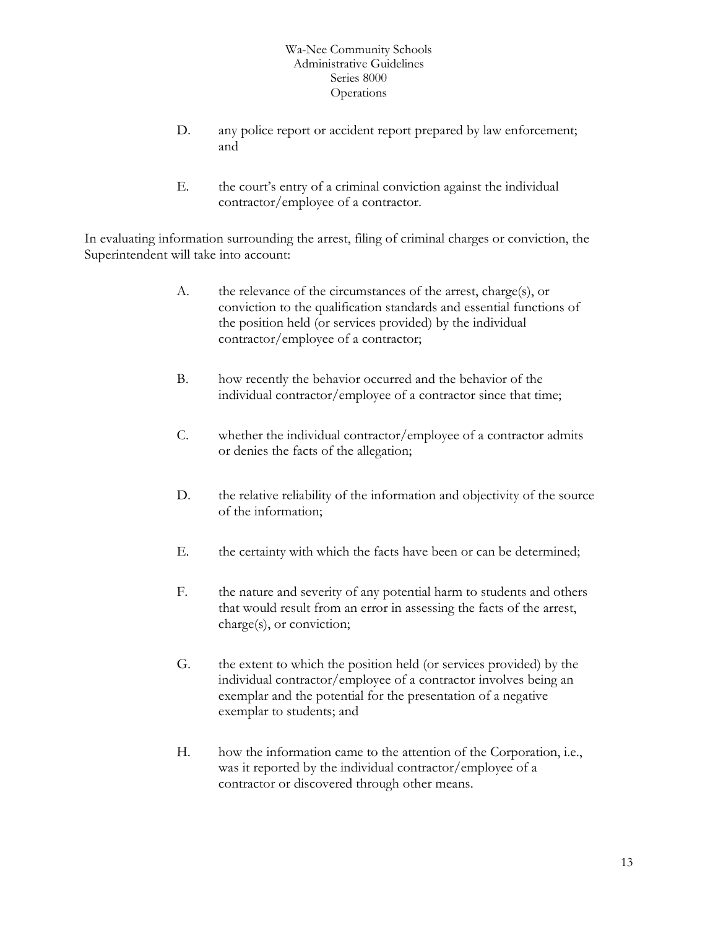- D. any police report or accident report prepared by law enforcement; and
- E. the court's entry of a criminal conviction against the individual contractor/employee of a contractor.

In evaluating information surrounding the arrest, filing of criminal charges or conviction, the Superintendent will take into account:

- A. the relevance of the circumstances of the arrest, charge(s), or conviction to the qualification standards and essential functions of the position held (or services provided) by the individual contractor/employee of a contractor;
- B. how recently the behavior occurred and the behavior of the individual contractor/employee of a contractor since that time;
- C. whether the individual contractor/employee of a contractor admits or denies the facts of the allegation;
- D. the relative reliability of the information and objectivity of the source of the information;
- E. the certainty with which the facts have been or can be determined;
- F. the nature and severity of any potential harm to students and others that would result from an error in assessing the facts of the arrest, charge(s), or conviction;
- G. the extent to which the position held (or services provided) by the individual contractor/employee of a contractor involves being an exemplar and the potential for the presentation of a negative exemplar to students; and
- H. how the information came to the attention of the Corporation, i.e., was it reported by the individual contractor/employee of a contractor or discovered through other means.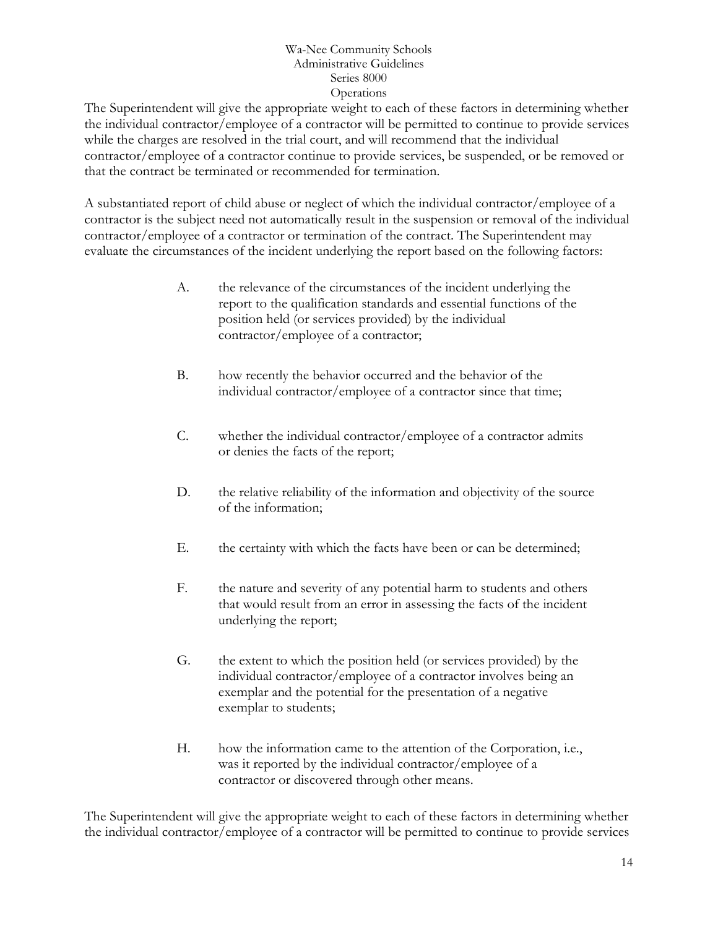The Superintendent will give the appropriate weight to each of these factors in determining whether the individual contractor/employee of a contractor will be permitted to continue to provide services while the charges are resolved in the trial court, and will recommend that the individual contractor/employee of a contractor continue to provide services, be suspended, or be removed or that the contract be terminated or recommended for termination.

A substantiated report of child abuse or neglect of which the individual contractor/employee of a contractor is the subject need not automatically result in the suspension or removal of the individual contractor/employee of a contractor or termination of the contract. The Superintendent may evaluate the circumstances of the incident underlying the report based on the following factors:

- A. the relevance of the circumstances of the incident underlying the report to the qualification standards and essential functions of the position held (or services provided) by the individual contractor/employee of a contractor;
- B. how recently the behavior occurred and the behavior of the individual contractor/employee of a contractor since that time;
- C. whether the individual contractor/employee of a contractor admits or denies the facts of the report;
- D. the relative reliability of the information and objectivity of the source of the information;
- E. the certainty with which the facts have been or can be determined;
- F. the nature and severity of any potential harm to students and others that would result from an error in assessing the facts of the incident underlying the report;
- G. the extent to which the position held (or services provided) by the individual contractor/employee of a contractor involves being an exemplar and the potential for the presentation of a negative exemplar to students;
- H. how the information came to the attention of the Corporation, i.e., was it reported by the individual contractor/employee of a contractor or discovered through other means.

The Superintendent will give the appropriate weight to each of these factors in determining whether the individual contractor/employee of a contractor will be permitted to continue to provide services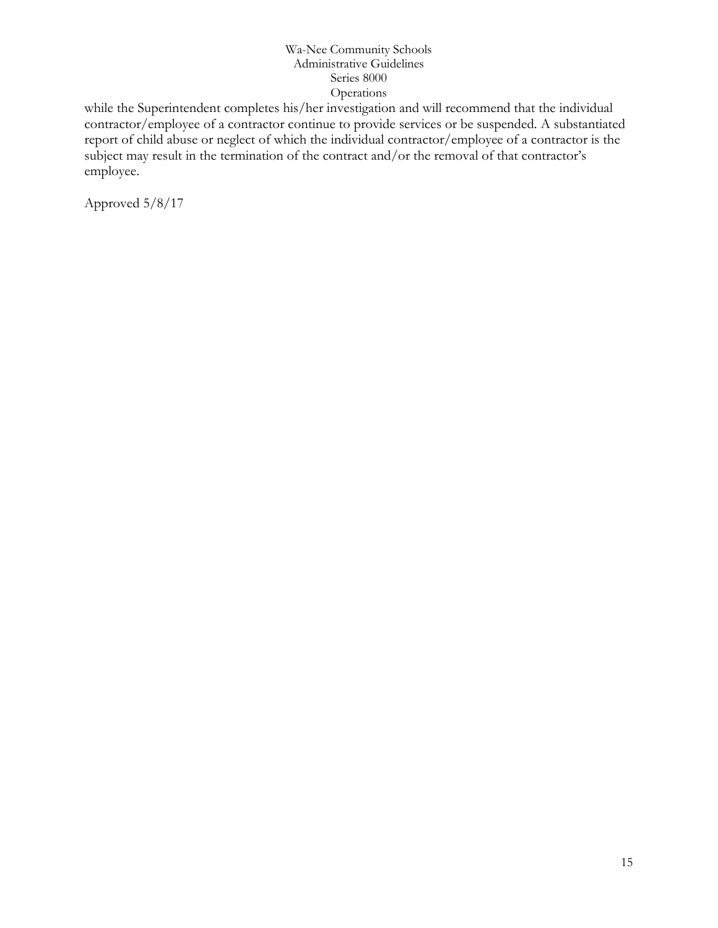while the Superintendent completes his/her investigation and will recommend that the individual contractor/employee of a contractor continue to provide services or be suspended. A substantiated report of child abuse or neglect of which the individual contractor/employee of a contractor is the subject may result in the termination of the contract and/or the removal of that contractor's employee.

Approved 5/8/17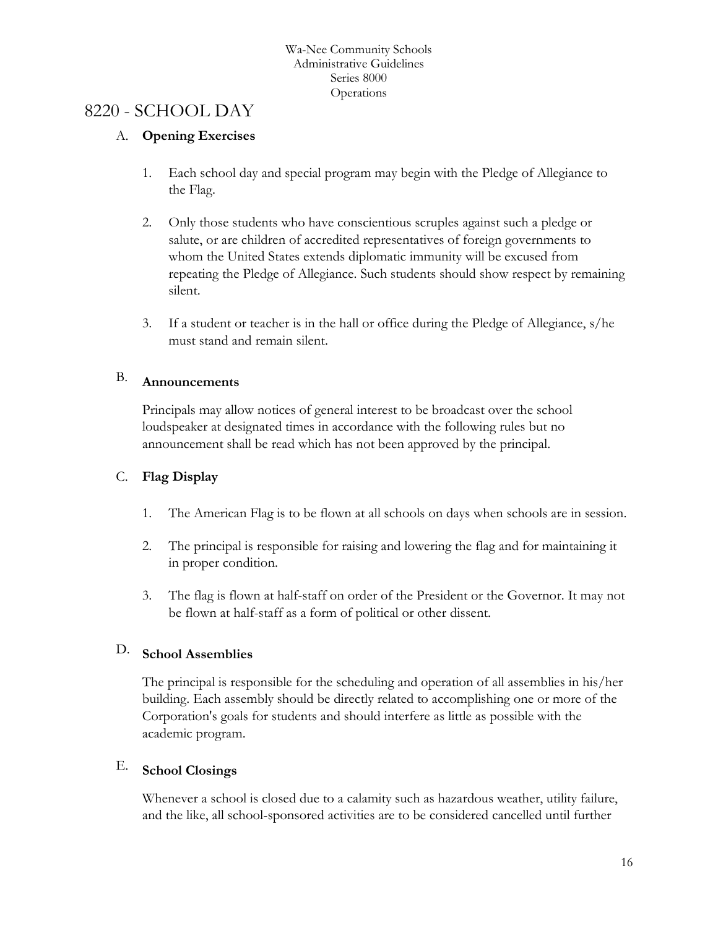# <span id="page-15-0"></span>[8220](http://www.neola.com/wanee-in/search/policies/po8220.htm) - SCHOOL DAY

## A. **Opening Exercises**

- 1. Each school day and special program may begin with the Pledge of Allegiance to the Flag.
- 2. Only those students who have conscientious scruples against such a pledge or salute, or are children of accredited representatives of foreign governments to whom the United States extends diplomatic immunity will be excused from repeating the Pledge of Allegiance. Such students should show respect by remaining silent.
- 3. If a student or teacher is in the hall or office during the Pledge of Allegiance, s/he must stand and remain silent.

# B. **Announcements**

Principals may allow notices of general interest to be broadcast over the school loudspeaker at designated times in accordance with the following rules but no announcement shall be read which has not been approved by the principal.

### C. **Flag Display**

- 1. The American Flag is to be flown at all schools on days when schools are in session.
- 2. The principal is responsible for raising and lowering the flag and for maintaining it in proper condition.
- 3. The flag is flown at half-staff on order of the President or the Governor. It may not be flown at half-staff as a form of political or other dissent.

## D. **School Assemblies**

The principal is responsible for the scheduling and operation of all assemblies in his/her building. Each assembly should be directly related to accomplishing one or more of the Corporation's goals for students and should interfere as little as possible with the academic program.

# E. **School Closings**

Whenever a school is closed due to a calamity such as hazardous weather, utility failure, and the like, all school-sponsored activities are to be considered cancelled until further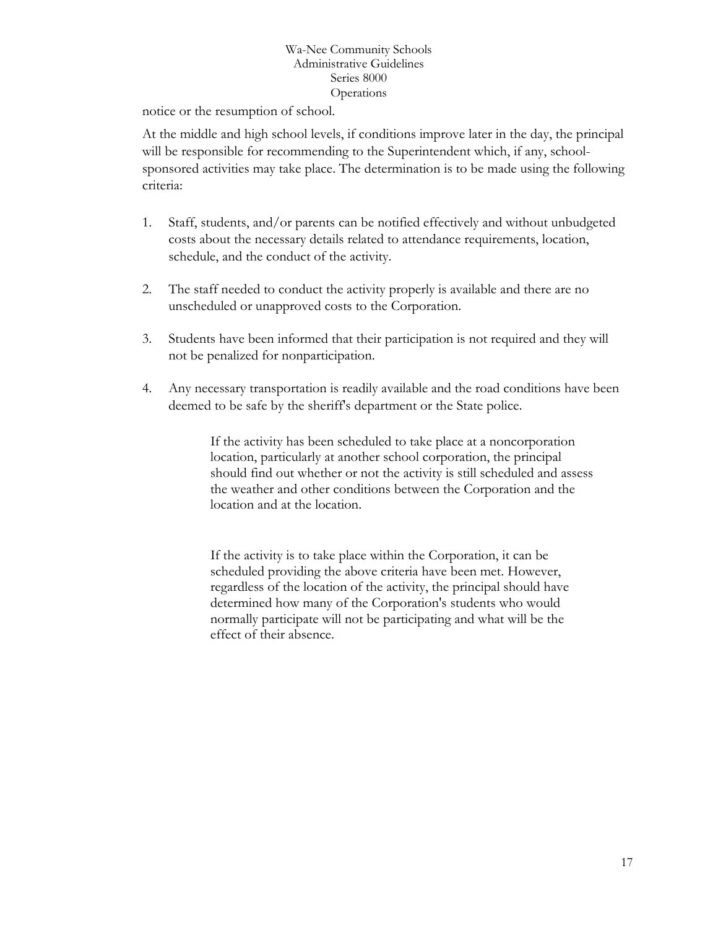notice or the resumption of school.

At the middle and high school levels, if conditions improve later in the day, the principal will be responsible for recommending to the Superintendent which, if any, schoolsponsored activities may take place. The determination is to be made using the following criteria:

- 1. Staff, students, and/or parents can be notified effectively and without unbudgeted costs about the necessary details related to attendance requirements, location, schedule, and the conduct of the activity.
- 2. The staff needed to conduct the activity properly is available and there are no unscheduled or unapproved costs to the Corporation.
- 3. Students have been informed that their participation is not required and they will not be penalized for nonparticipation.
- 4. Any necessary transportation is readily available and the road conditions have been deemed to be safe by the sheriff's department or the State police.

If the activity has been scheduled to take place at a noncorporation location, particularly at another school corporation, the principal should find out whether or not the activity is still scheduled and assess the weather and other conditions between the Corporation and the location and at the location.

If the activity is to take place within the Corporation, it can be scheduled providing the above criteria have been met. However, regardless of the location of the activity, the principal should have determined how many of the Corporation's students who would normally participate will not be participating and what will be the effect of their absence.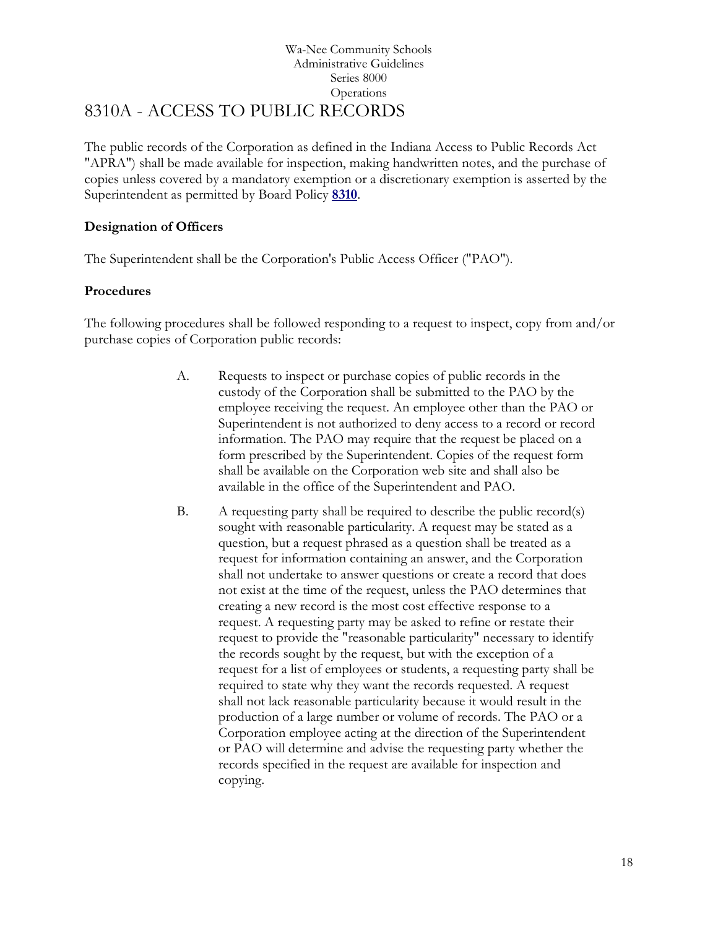#### Wa-Nee Community Schools Administrative Guidelines Series 8000 **Operations** 8310A - ACCESS TO PUBLIC RECORDS

<span id="page-17-0"></span>The public records of the Corporation as defined in the Indiana Access to Public Records Act "APRA") shall be made available for inspection, making handwritten notes, and the purchase of copies unless covered by a mandatory exemption or a discretionary exemption is asserted by the Superintendent as permitted by Board Policy **[8310](http://www.neola.com/wanee-in/search/policies/po8310.htm)**.

### **Designation of Officers**

The Superintendent shall be the Corporation's Public Access Officer ("PAO").

#### **Procedures**

The following procedures shall be followed responding to a request to inspect, copy from and/or purchase copies of Corporation public records:

- A. Requests to inspect or purchase copies of public records in the custody of the Corporation shall be submitted to the PAO by the employee receiving the request. An employee other than the PAO or Superintendent is not authorized to deny access to a record or record information. The PAO may require that the request be placed on a form prescribed by the Superintendent. Copies of the request form shall be available on the Corporation web site and shall also be available in the office of the Superintendent and PAO.
- B. A requesting party shall be required to describe the public record(s) sought with reasonable particularity. A request may be stated as a question, but a request phrased as a question shall be treated as a request for information containing an answer, and the Corporation shall not undertake to answer questions or create a record that does not exist at the time of the request, unless the PAO determines that creating a new record is the most cost effective response to a request. A requesting party may be asked to refine or restate their request to provide the "reasonable particularity" necessary to identify the records sought by the request, but with the exception of a request for a list of employees or students, a requesting party shall be required to state why they want the records requested. A request shall not lack reasonable particularity because it would result in the production of a large number or volume of records. The PAO or a Corporation employee acting at the direction of the Superintendent or PAO will determine and advise the requesting party whether the records specified in the request are available for inspection and copying.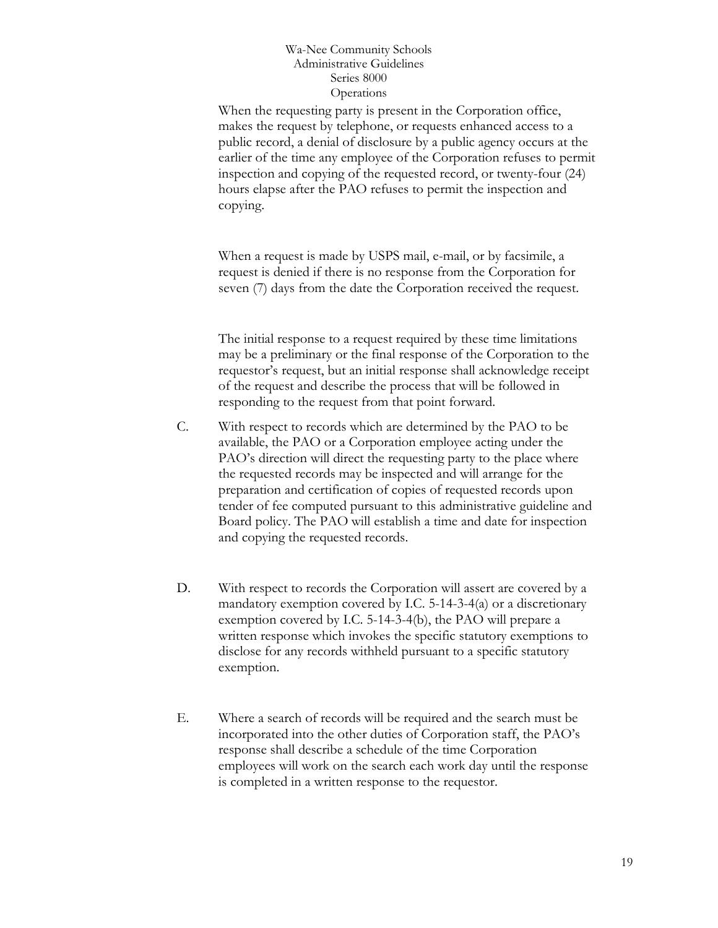When the requesting party is present in the Corporation office, makes the request by telephone, or requests enhanced access to a public record, a denial of disclosure by a public agency occurs at the earlier of the time any employee of the Corporation refuses to permit inspection and copying of the requested record, or twenty-four (24) hours elapse after the PAO refuses to permit the inspection and copying.

When a request is made by USPS mail, e-mail, or by facsimile, a request is denied if there is no response from the Corporation for seven (7) days from the date the Corporation received the request.

The initial response to a request required by these time limitations may be a preliminary or the final response of the Corporation to the requestor's request, but an initial response shall acknowledge receipt of the request and describe the process that will be followed in responding to the request from that point forward.

- C. With respect to records which are determined by the PAO to be available, the PAO or a Corporation employee acting under the PAO's direction will direct the requesting party to the place where the requested records may be inspected and will arrange for the preparation and certification of copies of requested records upon tender of fee computed pursuant to this administrative guideline and Board policy. The PAO will establish a time and date for inspection and copying the requested records.
- D. With respect to records the Corporation will assert are covered by a mandatory exemption covered by I.C. 5-14-3-4(a) or a discretionary exemption covered by I.C. 5-14-3-4(b), the PAO will prepare a written response which invokes the specific statutory exemptions to disclose for any records withheld pursuant to a specific statutory exemption.
- E. Where a search of records will be required and the search must be incorporated into the other duties of Corporation staff, the PAO's response shall describe a schedule of the time Corporation employees will work on the search each work day until the response is completed in a written response to the requestor.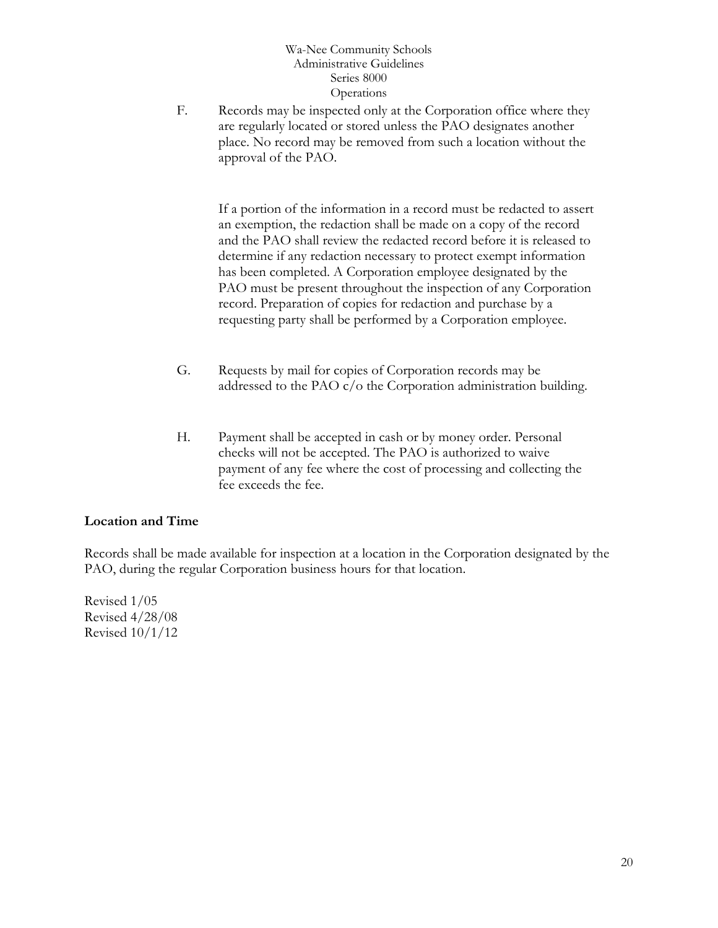F. Records may be inspected only at the Corporation office where they are regularly located or stored unless the PAO designates another place. No record may be removed from such a location without the approval of the PAO.

> If a portion of the information in a record must be redacted to assert an exemption, the redaction shall be made on a copy of the record and the PAO shall review the redacted record before it is released to determine if any redaction necessary to protect exempt information has been completed. A Corporation employee designated by the PAO must be present throughout the inspection of any Corporation record. Preparation of copies for redaction and purchase by a requesting party shall be performed by a Corporation employee.

- G. Requests by mail for copies of Corporation records may be addressed to the PAO c/o the Corporation administration building.
- H. Payment shall be accepted in cash or by money order. Personal checks will not be accepted. The PAO is authorized to waive payment of any fee where the cost of processing and collecting the fee exceeds the fee.

#### **Location and Time**

Records shall be made available for inspection at a location in the Corporation designated by the PAO, during the regular Corporation business hours for that location.

Revised 1/05 Revised 4/28/08 Revised 10/1/12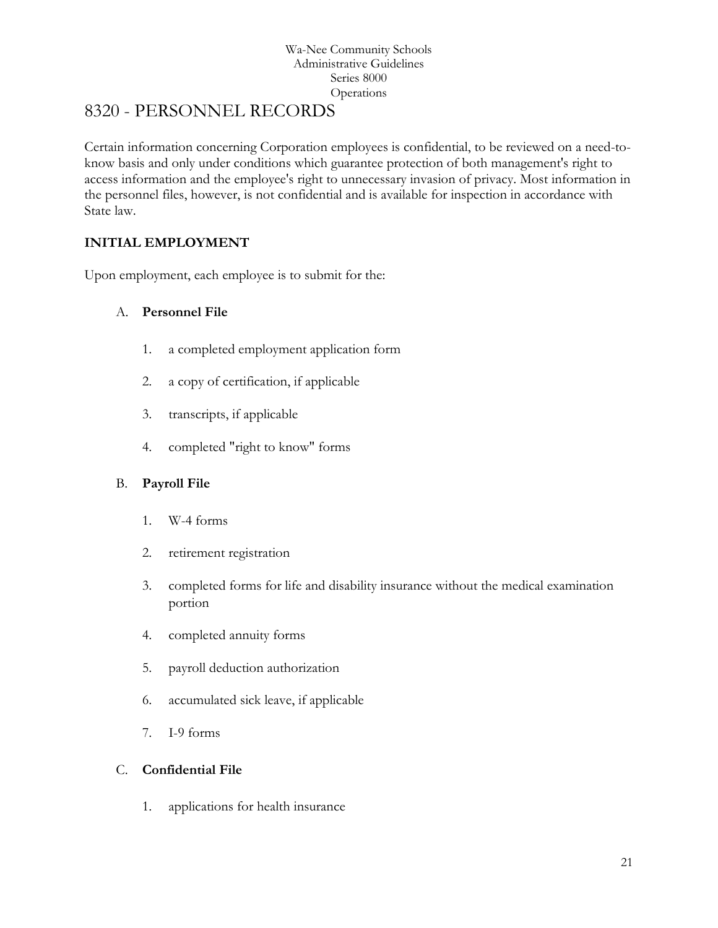# <span id="page-20-0"></span>[8320](http://www.neola.com/wanee-in/search/policies/po8320.htm) - PERSONNEL RECORDS

Certain information concerning Corporation employees is confidential, to be reviewed on a need-toknow basis and only under conditions which guarantee protection of both management's right to access information and the employee's right to unnecessary invasion of privacy. Most information in the personnel files, however, is not confidential and is available for inspection in accordance with State law.

## **INITIAL EMPLOYMENT**

Upon employment, each employee is to submit for the:

### A. **Personnel File**

- 1. a completed employment application form
- 2. a copy of certification, if applicable
- 3. transcripts, if applicable
- 4. completed "right to know" forms

#### B. **Payroll File**

- 1. W-4 forms
- 2. retirement registration
- 3. completed forms for life and disability insurance without the medical examination portion
- 4. completed annuity forms
- 5. payroll deduction authorization
- 6. accumulated sick leave, if applicable
- 7. I-9 forms

### C. **Confidential File**

1. applications for health insurance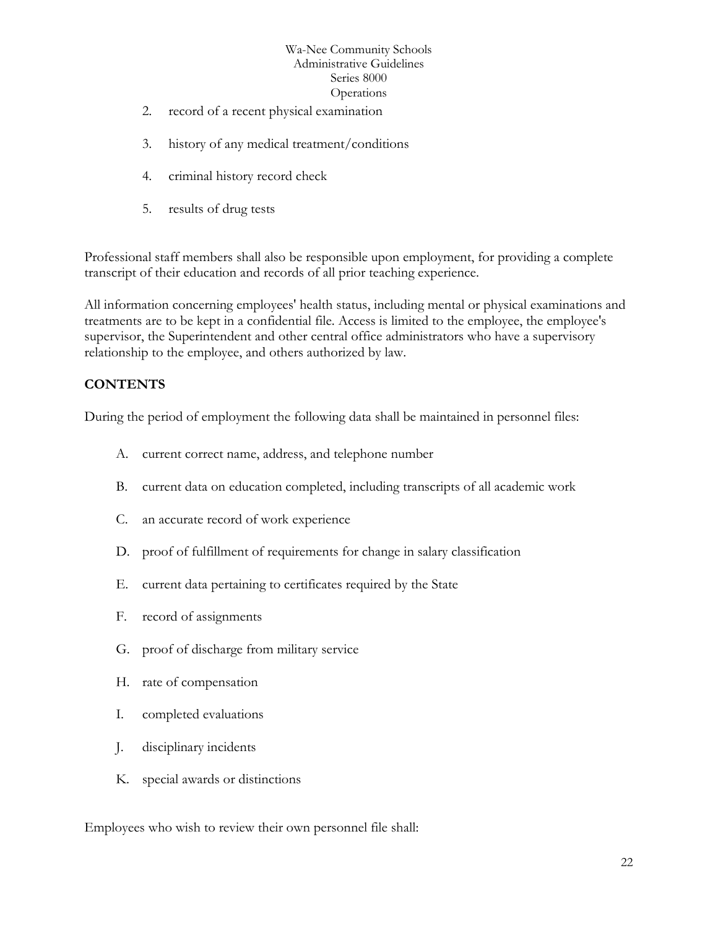- 2. record of a recent physical examination
- 3. history of any medical treatment/conditions
- 4. criminal history record check
- 5. results of drug tests

Professional staff members shall also be responsible upon employment, for providing a complete transcript of their education and records of all prior teaching experience.

All information concerning employees' health status, including mental or physical examinations and treatments are to be kept in a confidential file. Access is limited to the employee, the employee's supervisor, the Superintendent and other central office administrators who have a supervisory relationship to the employee, and others authorized by law.

#### **CONTENTS**

During the period of employment the following data shall be maintained in personnel files:

- A. current correct name, address, and telephone number
- B. current data on education completed, including transcripts of all academic work
- C. an accurate record of work experience
- D. proof of fulfillment of requirements for change in salary classification
- E. current data pertaining to certificates required by the State
- F. record of assignments
- G. proof of discharge from military service
- H. rate of compensation
- I. completed evaluations
- J. disciplinary incidents
- K. special awards or distinctions

Employees who wish to review their own personnel file shall: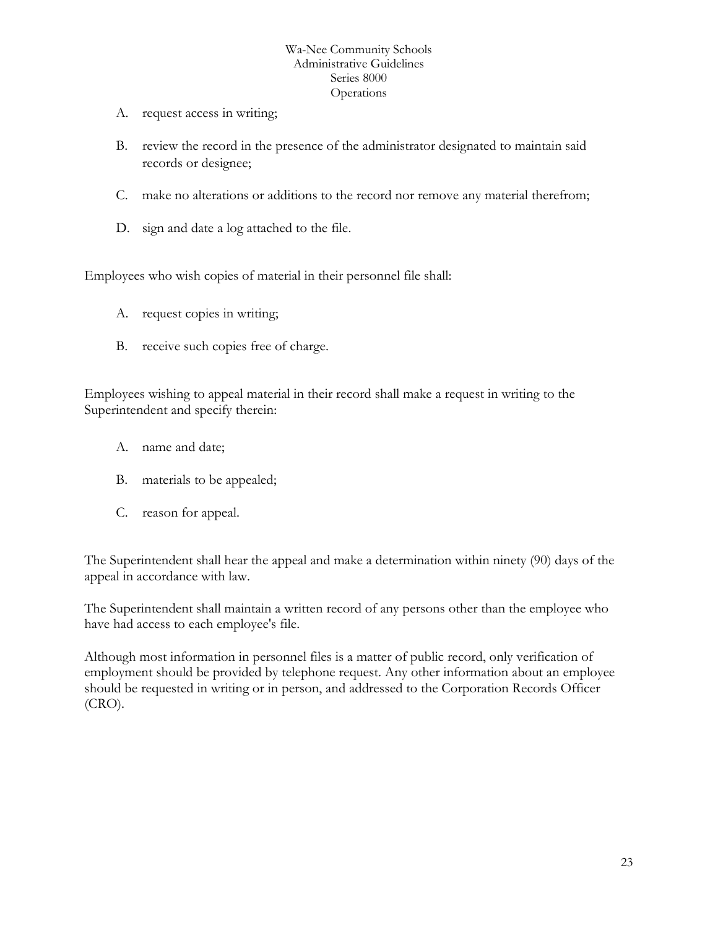- A. request access in writing;
- B. review the record in the presence of the administrator designated to maintain said records or designee;
- C. make no alterations or additions to the record nor remove any material therefrom;
- D. sign and date a log attached to the file.

Employees who wish copies of material in their personnel file shall:

- A. request copies in writing;
- B. receive such copies free of charge.

Employees wishing to appeal material in their record shall make a request in writing to the Superintendent and specify therein:

- A. name and date;
- B. materials to be appealed;
- C. reason for appeal.

The Superintendent shall hear the appeal and make a determination within ninety (90) days of the appeal in accordance with law.

The Superintendent shall maintain a written record of any persons other than the employee who have had access to each employee's file.

Although most information in personnel files is a matter of public record, only verification of employment should be provided by telephone request. Any other information about an employee should be requested in writing or in person, and addressed to the Corporation Records Officer (CRO).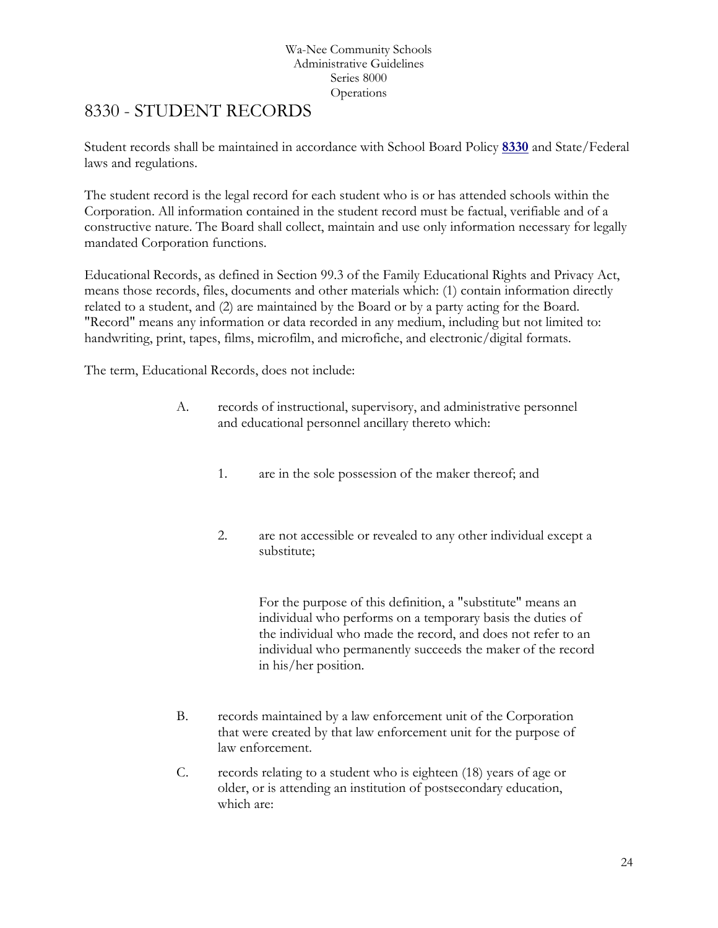# <span id="page-23-0"></span>[8330](http://www.neola.com/wanee-in/search/policies/po8330.htm) - STUDENT RECORDS

Student records shall be maintained in accordance with School Board Policy **[8330](http://www.neola.com/wanee-in/search/policies/po8330.htm)** and State/Federal laws and regulations.

The student record is the legal record for each student who is or has attended schools within the Corporation. All information contained in the student record must be factual, verifiable and of a constructive nature. The Board shall collect, maintain and use only information necessary for legally mandated Corporation functions.

Educational Records, as defined in Section 99.3 of the Family Educational Rights and Privacy Act, means those records, files, documents and other materials which: (1) contain information directly related to a student, and (2) are maintained by the Board or by a party acting for the Board. "Record" means any information or data recorded in any medium, including but not limited to: handwriting, print, tapes, films, microfilm, and microfiche, and electronic/digital formats.

The term, Educational Records, does not include:

- A. records of instructional, supervisory, and administrative personnel and educational personnel ancillary thereto which:
	- 1. are in the sole possession of the maker thereof; and
	- 2. are not accessible or revealed to any other individual except a substitute;

For the purpose of this definition, a "substitute" means an individual who performs on a temporary basis the duties of the individual who made the record, and does not refer to an individual who permanently succeeds the maker of the record in his/her position.

- B. records maintained by a law enforcement unit of the Corporation that were created by that law enforcement unit for the purpose of law enforcement.
- C. records relating to a student who is eighteen (18) years of age or older, or is attending an institution of postsecondary education, which are: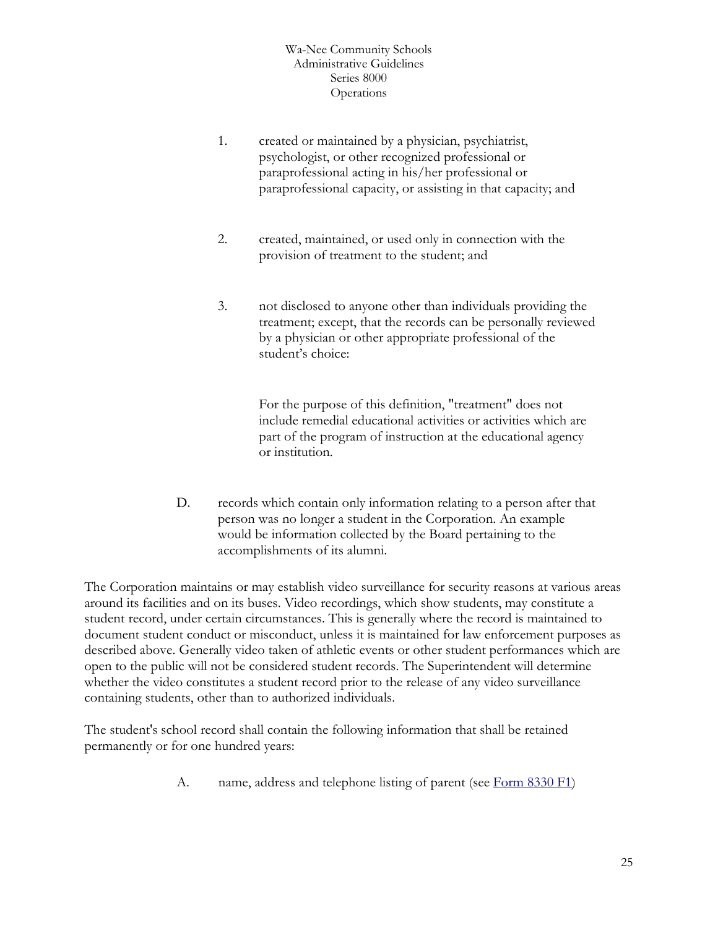- 1. created or maintained by a physician, psychiatrist, psychologist, or other recognized professional or paraprofessional acting in his/her professional or paraprofessional capacity, or assisting in that capacity; and
- 2. created, maintained, or used only in connection with the provision of treatment to the student; and
- 3. not disclosed to anyone other than individuals providing the treatment; except, that the records can be personally reviewed by a physician or other appropriate professional of the student's choice:

For the purpose of this definition, "treatment" does not include remedial educational activities or activities which are part of the program of instruction at the educational agency or institution.

D. records which contain only information relating to a person after that person was no longer a student in the Corporation. An example would be information collected by the Board pertaining to the accomplishments of its alumni.

The Corporation maintains or may establish video surveillance for security reasons at various areas around its facilities and on its buses. Video recordings, which show students, may constitute a student record, under certain circumstances. This is generally where the record is maintained to document student conduct or misconduct, unless it is maintained for law enforcement purposes as described above. Generally video taken of athletic events or other student performances which are open to the public will not be considered student records. The Superintendent will determine whether the video constitutes a student record prior to the release of any video surveillance containing students, other than to authorized individuals.

The student's school record shall contain the following information that shall be retained permanently or for one hundred years:

A. name, address and telephone listing of parent (see [Form 8330 F1\)](http://www.neola.com/wanee-in/search/forms/fm8330F1.pdf)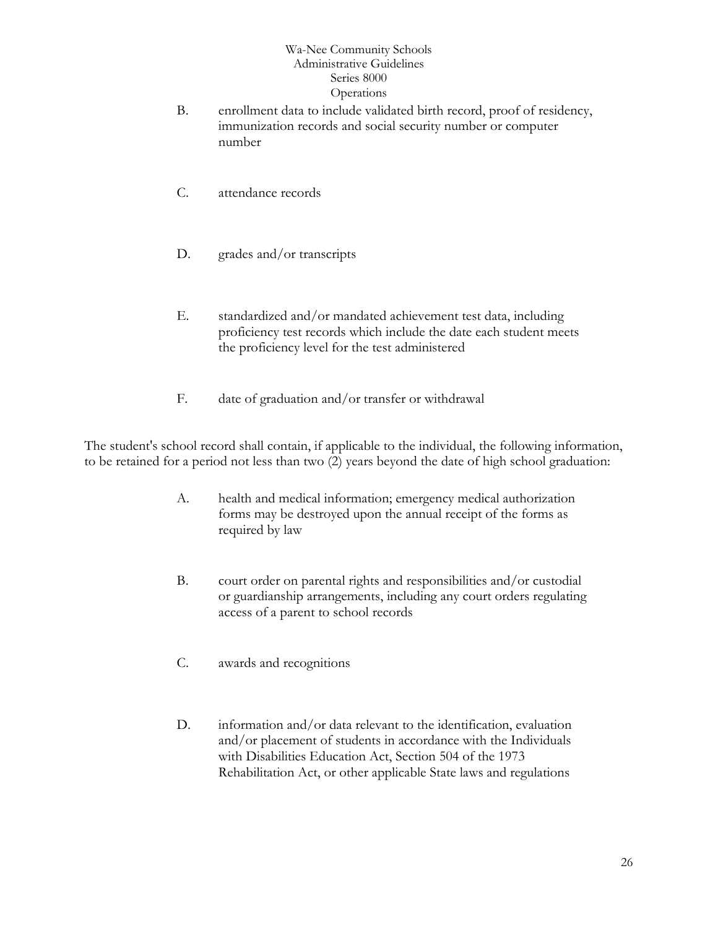- B. enrollment data to include validated birth record, proof of residency, immunization records and social security number or computer number
- C. attendance records
- D. grades and/or transcripts
- E. standardized and/or mandated achievement test data, including proficiency test records which include the date each student meets the proficiency level for the test administered
- F. date of graduation and/or transfer or withdrawal

The student's school record shall contain, if applicable to the individual, the following information, to be retained for a period not less than two (2) years beyond the date of high school graduation:

- A. health and medical information; emergency medical authorization forms may be destroyed upon the annual receipt of the forms as required by law
- B. court order on parental rights and responsibilities and/or custodial or guardianship arrangements, including any court orders regulating access of a parent to school records
- C. awards and recognitions
- D. information and/or data relevant to the identification, evaluation and/or placement of students in accordance with the Individuals with Disabilities Education Act, Section 504 of the 1973 Rehabilitation Act, or other applicable State laws and regulations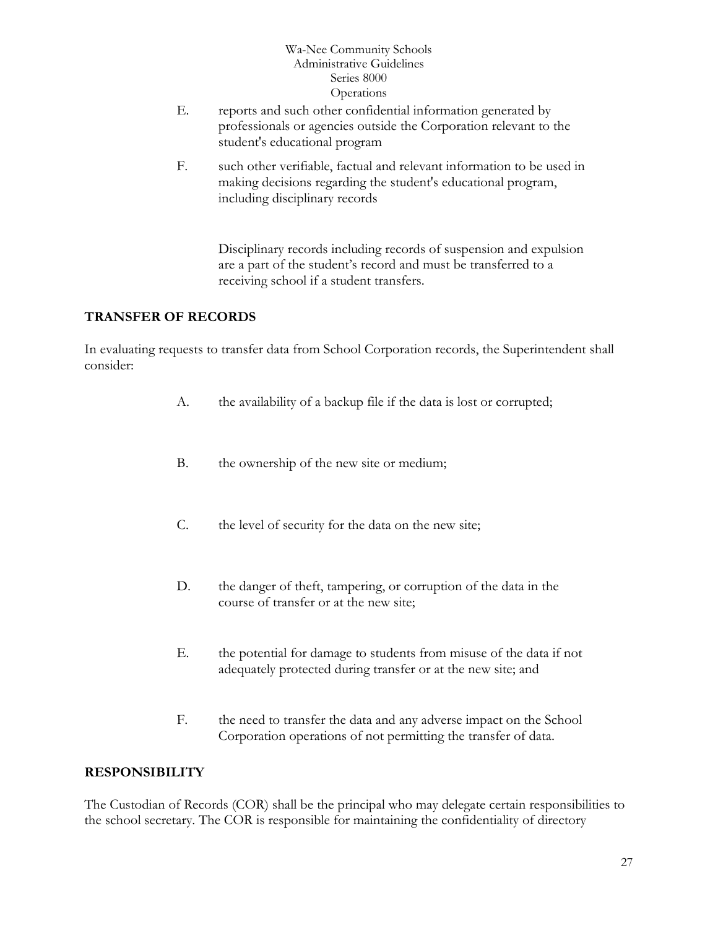- E. reports and such other confidential information generated by professionals or agencies outside the Corporation relevant to the student's educational program
- F. such other verifiable, factual and relevant information to be used in making decisions regarding the student's educational program, including disciplinary records

Disciplinary records including records of suspension and expulsion are a part of the student's record and must be transferred to a receiving school if a student transfers.

#### **TRANSFER OF RECORDS**

In evaluating requests to transfer data from School Corporation records, the Superintendent shall consider:

- A. the availability of a backup file if the data is lost or corrupted;
- B. the ownership of the new site or medium;
- C. the level of security for the data on the new site;
- D. the danger of theft, tampering, or corruption of the data in the course of transfer or at the new site;
- E. the potential for damage to students from misuse of the data if not adequately protected during transfer or at the new site; and
- F. the need to transfer the data and any adverse impact on the School Corporation operations of not permitting the transfer of data.

#### **RESPONSIBILITY**

The Custodian of Records (COR) shall be the principal who may delegate certain responsibilities to the school secretary. The COR is responsible for maintaining the confidentiality of directory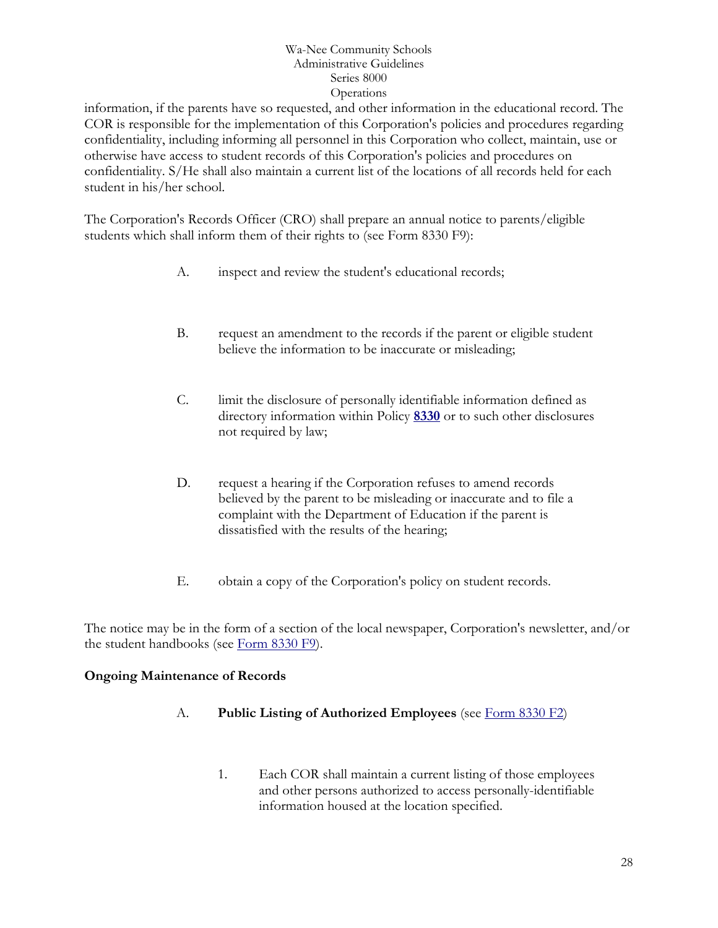information, if the parents have so requested, and other information in the educational record. The COR is responsible for the implementation of this Corporation's policies and procedures regarding confidentiality, including informing all personnel in this Corporation who collect, maintain, use or otherwise have access to student records of this Corporation's policies and procedures on confidentiality. S/He shall also maintain a current list of the locations of all records held for each student in his/her school.

The Corporation's Records Officer (CRO) shall prepare an annual notice to parents/eligible students which shall inform them of their rights to (see Form 8330 F9):

- A. inspect and review the student's educational records;
- B. request an amendment to the records if the parent or eligible student believe the information to be inaccurate or misleading;
- C. limit the disclosure of personally identifiable information defined as directory information within Policy **[8330](http://www.neola.com/wanee-in/search/policies/po8330.htm)** or to such other disclosures not required by law;
- D. request a hearing if the Corporation refuses to amend records believed by the parent to be misleading or inaccurate and to file a complaint with the Department of Education if the parent is dissatisfied with the results of the hearing;
- E. obtain a copy of the Corporation's policy on student records.

The notice may be in the form of a section of the local newspaper, Corporation's newsletter, and/or the student handbooks (see [Form 8330 F9\)](http://www.neola.com/wanee-in/search/forms/fm8330F9.pdf).

#### **Ongoing Maintenance of Records**

- A. **Public Listing of Authorized Employees** (see [Form 8330 F2\)](http://www.neola.com/wanee-in/search/forms/fm8330F2.pdf)
	- 1. Each COR shall maintain a current listing of those employees and other persons authorized to access personally-identifiable information housed at the location specified.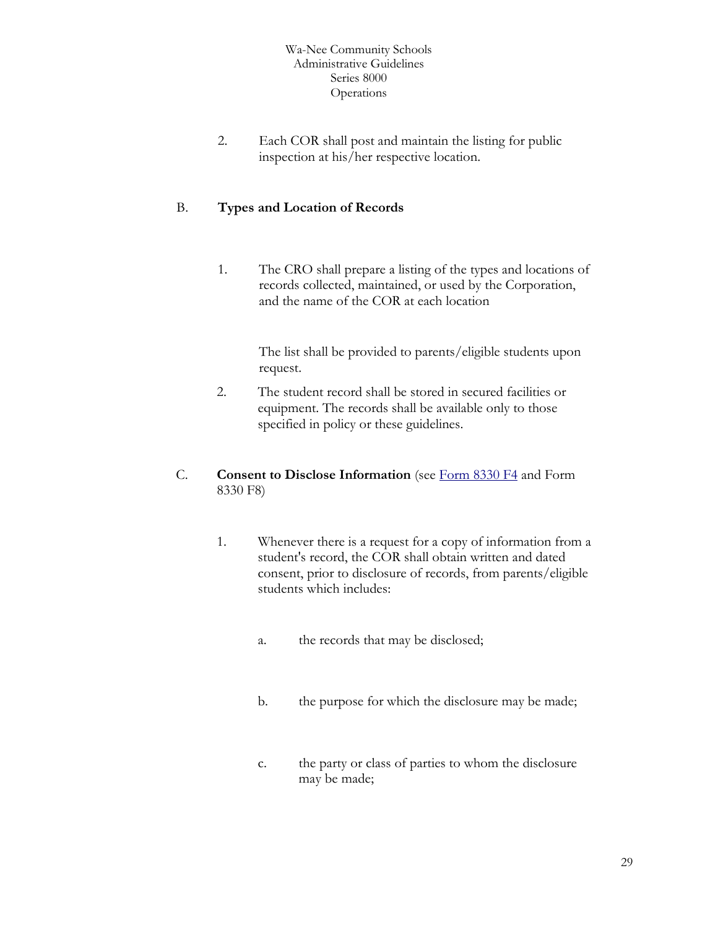2. Each COR shall post and maintain the listing for public inspection at his/her respective location.

#### B. **Types and Location of Records**

1. The CRO shall prepare a listing of the types and locations of records collected, maintained, or used by the Corporation, and the name of the COR at each location

> The list shall be provided to parents/eligible students upon request.

- 2. The student record shall be stored in secured facilities or equipment. The records shall be available only to those specified in policy or these guidelines.
- C. **Consent to Disclose Information** (see [Form 8330 F4](http://www.neola.com/wanee-in/search/forms/fm8330F4.pdf) and Form 8330 F8)
	- 1. Whenever there is a request for a copy of information from a student's record, the COR shall obtain written and dated consent, prior to disclosure of records, from parents/eligible students which includes:
		- a. the records that may be disclosed;
		- b. the purpose for which the disclosure may be made;
		- c. the party or class of parties to whom the disclosure may be made;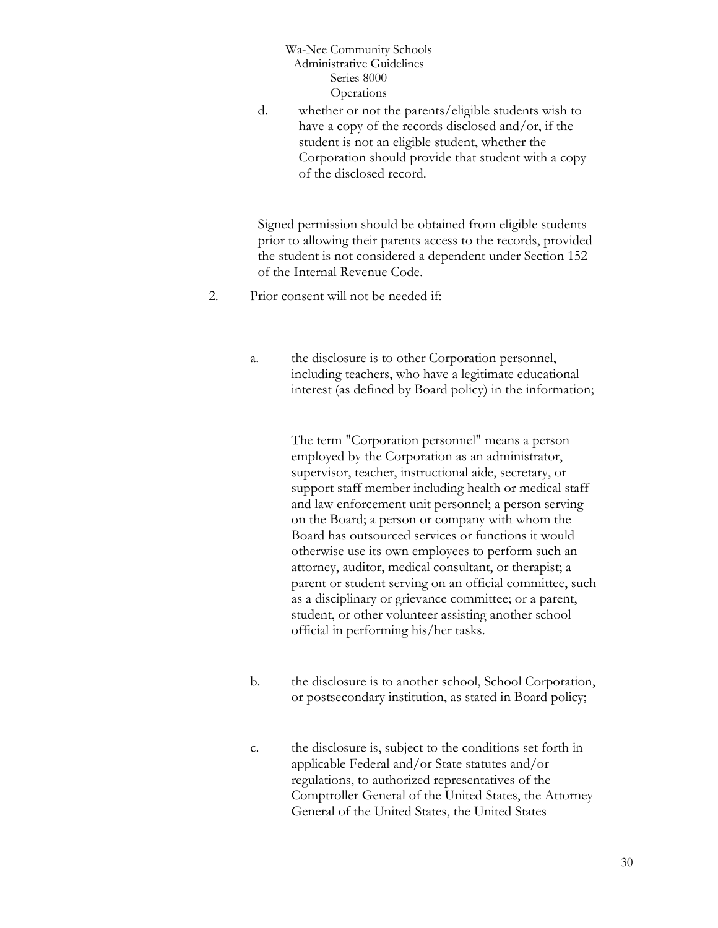d. whether or not the parents/eligible students wish to have a copy of the records disclosed and/or, if the student is not an eligible student, whether the Corporation should provide that student with a copy of the disclosed record.

Signed permission should be obtained from eligible students prior to allowing their parents access to the records, provided the student is not considered a dependent under Section 152 of the Internal Revenue Code.

- 2. Prior consent will not be needed if:
	- a. the disclosure is to other Corporation personnel, including teachers, who have a legitimate educational interest (as defined by Board policy) in the information;

The term "Corporation personnel" means a person employed by the Corporation as an administrator, supervisor, teacher, instructional aide, secretary, or support staff member including health or medical staff and law enforcement unit personnel; a person serving on the Board; a person or company with whom the Board has outsourced services or functions it would otherwise use its own employees to perform such an attorney, auditor, medical consultant, or therapist; a parent or student serving on an official committee, such as a disciplinary or grievance committee; or a parent, student, or other volunteer assisting another school official in performing his/her tasks.

- b. the disclosure is to another school, School Corporation, or postsecondary institution, as stated in Board policy;
- c. the disclosure is, subject to the conditions set forth in applicable Federal and/or State statutes and/or regulations, to authorized representatives of the Comptroller General of the United States, the Attorney General of the United States, the United States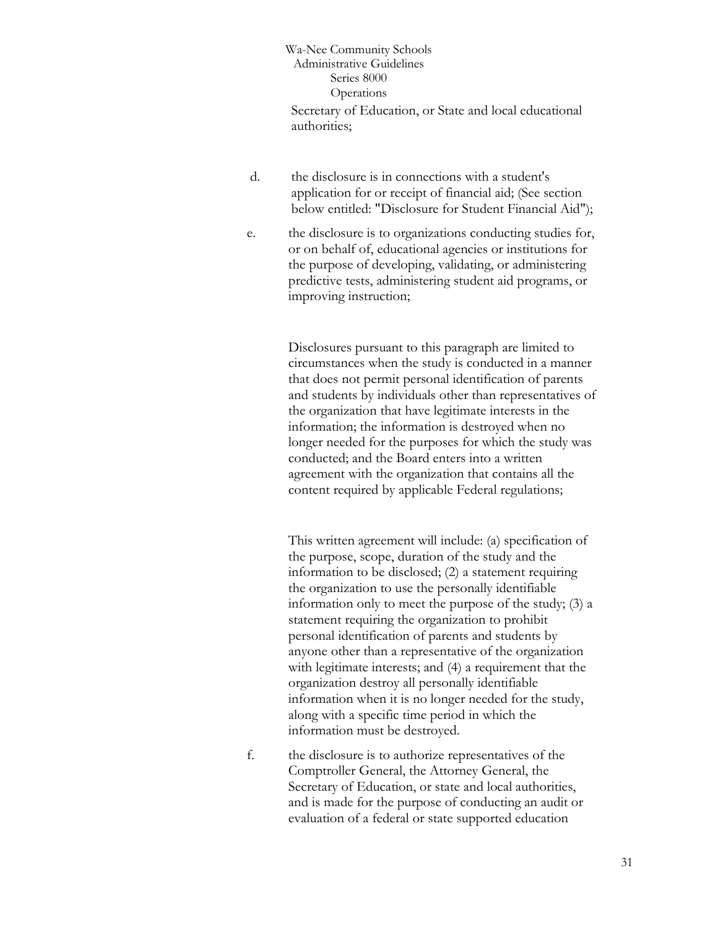Wa-Nee Community Schools Administrative Guidelines Series 8000 **Operations** Secretary of Education, or State and local educational authorities;

- d. the disclosure is in connections with a student's application for or receipt of financial aid; (See section below entitled: "Disclosure for Student Financial Aid");
- e. the disclosure is to organizations conducting studies for, or on behalf of, educational agencies or institutions for the purpose of developing, validating, or administering predictive tests, administering student aid programs, or improving instruction;

Disclosures pursuant to this paragraph are limited to circumstances when the study is conducted in a manner that does not permit personal identification of parents and students by individuals other than representatives of the organization that have legitimate interests in the information; the information is destroyed when no longer needed for the purposes for which the study was conducted; and the Board enters into a written agreement with the organization that contains all the content required by applicable Federal regulations;

This written agreement will include: (a) specification of the purpose, scope, duration of the study and the information to be disclosed; (2) a statement requiring the organization to use the personally identifiable information only to meet the purpose of the study; (3) a statement requiring the organization to prohibit personal identification of parents and students by anyone other than a representative of the organization with legitimate interests; and (4) a requirement that the organization destroy all personally identifiable information when it is no longer needed for the study, along with a specific time period in which the information must be destroyed.

f. the disclosure is to authorize representatives of the Comptroller General, the Attorney General, the Secretary of Education, or state and local authorities, and is made for the purpose of conducting an audit or evaluation of a federal or state supported education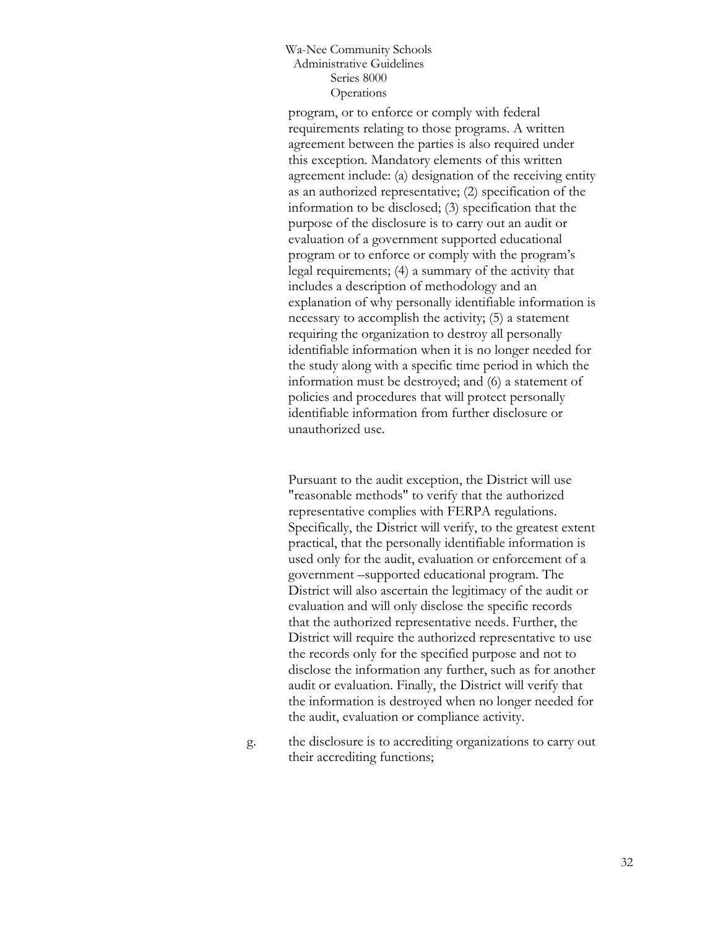program, or to enforce or comply with federal requirements relating to those programs. A written agreement between the parties is also required under this exception. Mandatory elements of this written agreement include: (a) designation of the receiving entity as an authorized representative; (2) specification of the information to be disclosed; (3) specification that the purpose of the disclosure is to carry out an audit or evaluation of a government supported educational program or to enforce or comply with the program's legal requirements; (4) a summary of the activity that includes a description of methodology and an explanation of why personally identifiable information is necessary to accomplish the activity; (5) a statement requiring the organization to destroy all personally identifiable information when it is no longer needed for the study along with a specific time period in which the information must be destroyed; and (6) a statement of policies and procedures that will protect personally identifiable information from further disclosure or unauthorized use.

Pursuant to the audit exception, the District will use "reasonable methods" to verify that the authorized representative complies with FERPA regulations. Specifically, the District will verify, to the greatest extent practical, that the personally identifiable information is used only for the audit, evaluation or enforcement of a government –supported educational program. The District will also ascertain the legitimacy of the audit or evaluation and will only disclose the specific records that the authorized representative needs. Further, the District will require the authorized representative to use the records only for the specified purpose and not to disclose the information any further, such as for another audit or evaluation. Finally, the District will verify that the information is destroyed when no longer needed for the audit, evaluation or compliance activity.

g. the disclosure is to accrediting organizations to carry out their accrediting functions;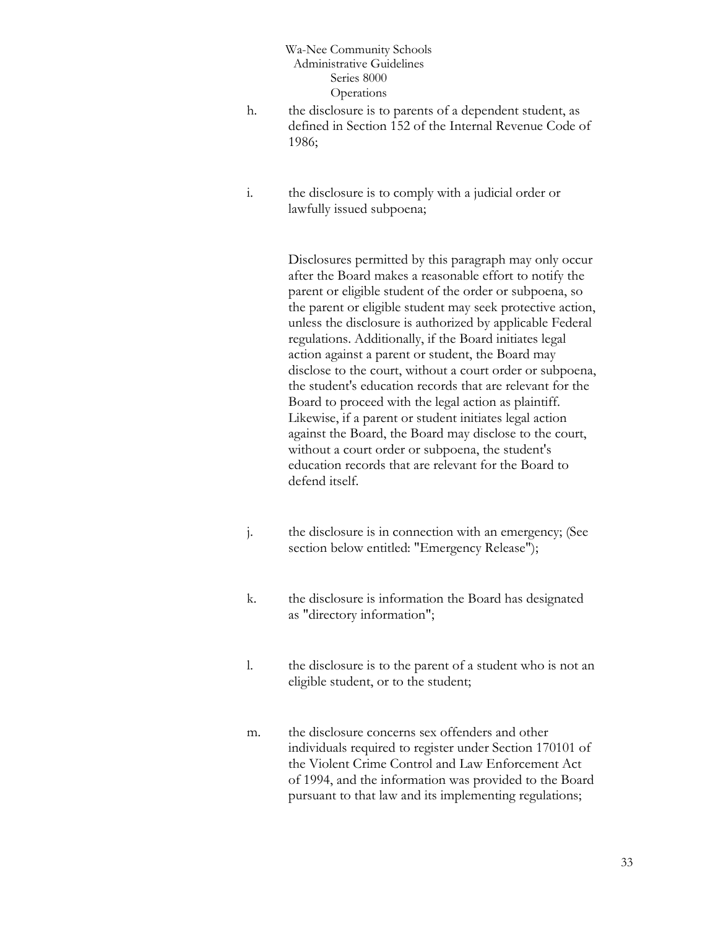- h. the disclosure is to parents of a dependent student, as defined in Section 152 of the Internal Revenue Code of 1986;
- i. the disclosure is to comply with a judicial order or lawfully issued subpoena;

Disclosures permitted by this paragraph may only occur after the Board makes a reasonable effort to notify the parent or eligible student of the order or subpoena, so the parent or eligible student may seek protective action, unless the disclosure is authorized by applicable Federal regulations. Additionally, if the Board initiates legal action against a parent or student, the Board may disclose to the court, without a court order or subpoena, the student's education records that are relevant for the Board to proceed with the legal action as plaintiff. Likewise, if a parent or student initiates legal action against the Board, the Board may disclose to the court, without a court order or subpoena, the student's education records that are relevant for the Board to defend itself.

- j. the disclosure is in connection with an emergency; (See section below entitled: "Emergency Release");
- k. the disclosure is information the Board has designated as "directory information";
- l. the disclosure is to the parent of a student who is not an eligible student, or to the student;
- m. the disclosure concerns sex offenders and other individuals required to register under Section 170101 of the Violent Crime Control and Law Enforcement Act of 1994, and the information was provided to the Board pursuant to that law and its implementing regulations;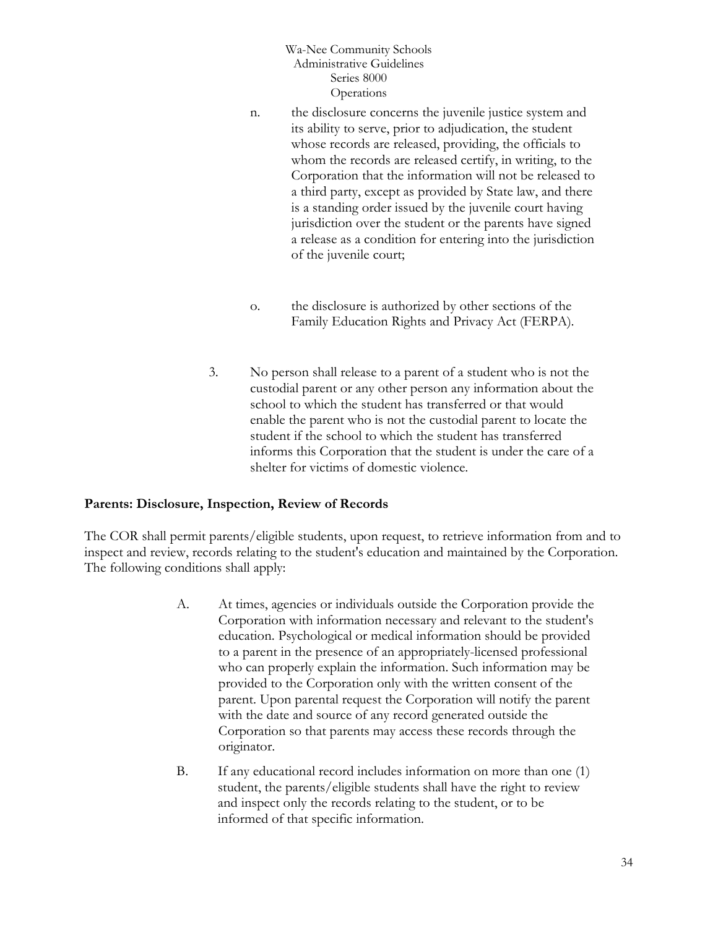- n. the disclosure concerns the juvenile justice system and its ability to serve, prior to adjudication, the student whose records are released, providing, the officials to whom the records are released certify, in writing, to the Corporation that the information will not be released to a third party, except as provided by State law, and there is a standing order issued by the juvenile court having jurisdiction over the student or the parents have signed a release as a condition for entering into the jurisdiction of the juvenile court;
- o. the disclosure is authorized by other sections of the Family Education Rights and Privacy Act (FERPA).
- 3. No person shall release to a parent of a student who is not the custodial parent or any other person any information about the school to which the student has transferred or that would enable the parent who is not the custodial parent to locate the student if the school to which the student has transferred informs this Corporation that the student is under the care of a shelter for victims of domestic violence.

### **Parents: Disclosure, Inspection, Review of Records**

The COR shall permit parents/eligible students, upon request, to retrieve information from and to inspect and review, records relating to the student's education and maintained by the Corporation. The following conditions shall apply:

- A. At times, agencies or individuals outside the Corporation provide the Corporation with information necessary and relevant to the student's education. Psychological or medical information should be provided to a parent in the presence of an appropriately-licensed professional who can properly explain the information. Such information may be provided to the Corporation only with the written consent of the parent. Upon parental request the Corporation will notify the parent with the date and source of any record generated outside the Corporation so that parents may access these records through the originator.
- B. If any educational record includes information on more than one (1) student, the parents/eligible students shall have the right to review and inspect only the records relating to the student, or to be informed of that specific information.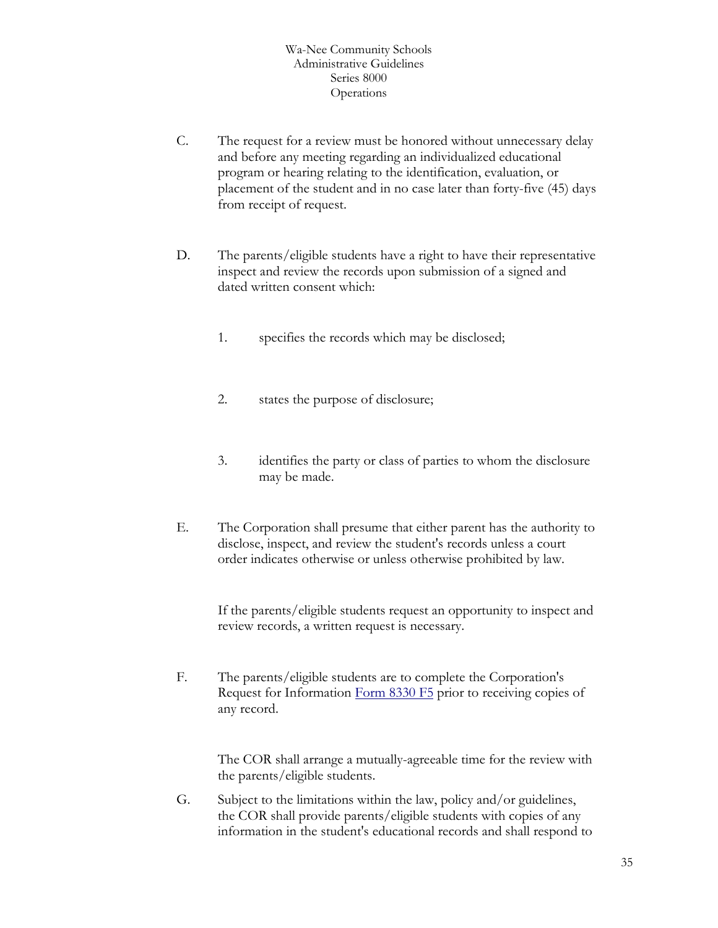- C. The request for a review must be honored without unnecessary delay and before any meeting regarding an individualized educational program or hearing relating to the identification, evaluation, or placement of the student and in no case later than forty-five (45) days from receipt of request.
- D. The parents/eligible students have a right to have their representative inspect and review the records upon submission of a signed and dated written consent which:
	- 1. specifies the records which may be disclosed;
	- 2. states the purpose of disclosure;
	- 3. identifies the party or class of parties to whom the disclosure may be made.
- E. The Corporation shall presume that either parent has the authority to disclose, inspect, and review the student's records unless a court order indicates otherwise or unless otherwise prohibited by law.

If the parents/eligible students request an opportunity to inspect and review records, a written request is necessary.

F. The parents/eligible students are to complete the Corporation's Request for Information [Form 8330 F5](http://www.neola.com/wanee-in/search/forms/fm8330F5.pdf) prior to receiving copies of any record.

> The COR shall arrange a mutually-agreeable time for the review with the parents/eligible students.

G. Subject to the limitations within the law, policy and/or guidelines, the COR shall provide parents/eligible students with copies of any information in the student's educational records and shall respond to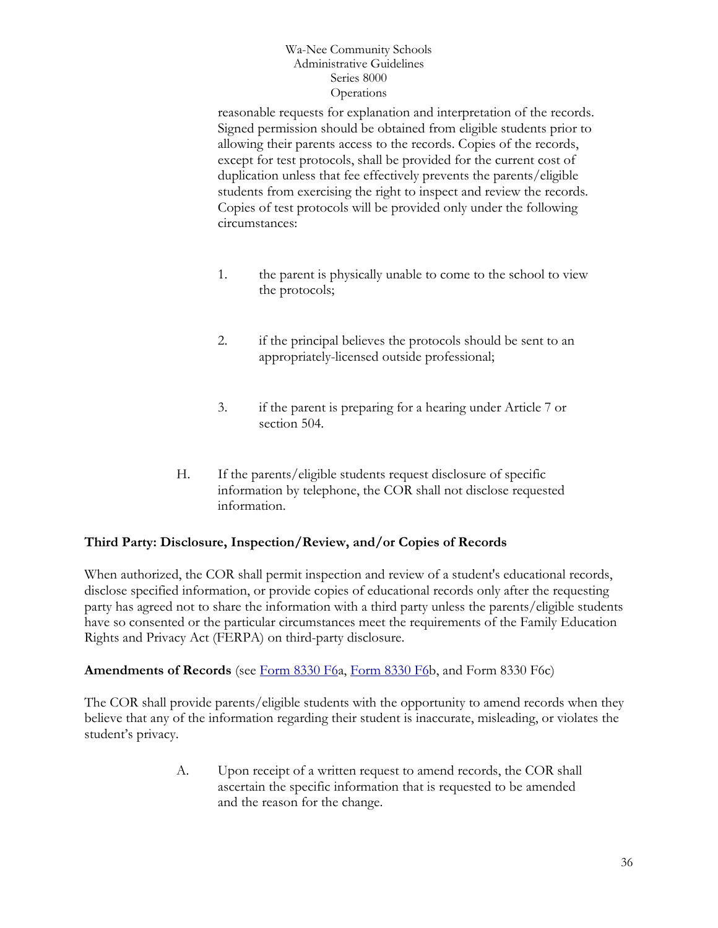reasonable requests for explanation and interpretation of the records. Signed permission should be obtained from eligible students prior to allowing their parents access to the records. Copies of the records, except for test protocols, shall be provided for the current cost of duplication unless that fee effectively prevents the parents/eligible students from exercising the right to inspect and review the records. Copies of test protocols will be provided only under the following circumstances:

- 1. the parent is physically unable to come to the school to view the protocols;
- 2. if the principal believes the protocols should be sent to an appropriately-licensed outside professional;
- 3. if the parent is preparing for a hearing under Article 7 or section 504.
- H. If the parents/eligible students request disclosure of specific information by telephone, the COR shall not disclose requested information.

### **Third Party: Disclosure, Inspection/Review, and/or Copies of Records**

When authorized, the COR shall permit inspection and review of a student's educational records, disclose specified information, or provide copies of educational records only after the requesting party has agreed not to share the information with a third party unless the parents/eligible students have so consented or the particular circumstances meet the requirements of the Family Education Rights and Privacy Act (FERPA) on third-party disclosure.

#### **Amendments of Records** (see [Form 8330 F6a](http://www.neola.com/wanee-in/search/forms/fm8330F6.pdf), [Form 8330 F6b](http://www.neola.com/wanee-in/search/forms/fm8330F6.pdf), and Form 8330 F6c)

The COR shall provide parents/eligible students with the opportunity to amend records when they believe that any of the information regarding their student is inaccurate, misleading, or violates the student's privacy.

> A. Upon receipt of a written request to amend records, the COR shall ascertain the specific information that is requested to be amended and the reason for the change.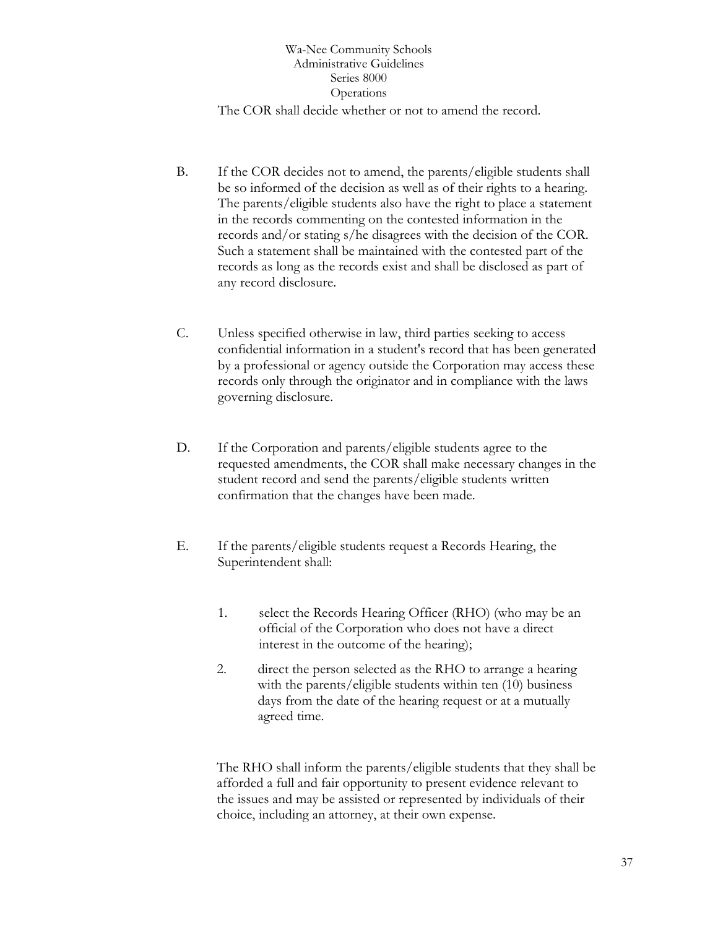The COR shall decide whether or not to amend the record.

- B. If the COR decides not to amend, the parents/eligible students shall be so informed of the decision as well as of their rights to a hearing. The parents/eligible students also have the right to place a statement in the records commenting on the contested information in the records and/or stating s/he disagrees with the decision of the COR. Such a statement shall be maintained with the contested part of the records as long as the records exist and shall be disclosed as part of any record disclosure.
- C. Unless specified otherwise in law, third parties seeking to access confidential information in a student's record that has been generated by a professional or agency outside the Corporation may access these records only through the originator and in compliance with the laws governing disclosure.
- D. If the Corporation and parents/eligible students agree to the requested amendments, the COR shall make necessary changes in the student record and send the parents/eligible students written confirmation that the changes have been made.
- E. If the parents/eligible students request a Records Hearing, the Superintendent shall:
	- 1. select the Records Hearing Officer (RHO) (who may be an official of the Corporation who does not have a direct interest in the outcome of the hearing);
	- 2. direct the person selected as the RHO to arrange a hearing with the parents/eligible students within ten (10) business days from the date of the hearing request or at a mutually agreed time.

The RHO shall inform the parents/eligible students that they shall be afforded a full and fair opportunity to present evidence relevant to the issues and may be assisted or represented by individuals of their choice, including an attorney, at their own expense.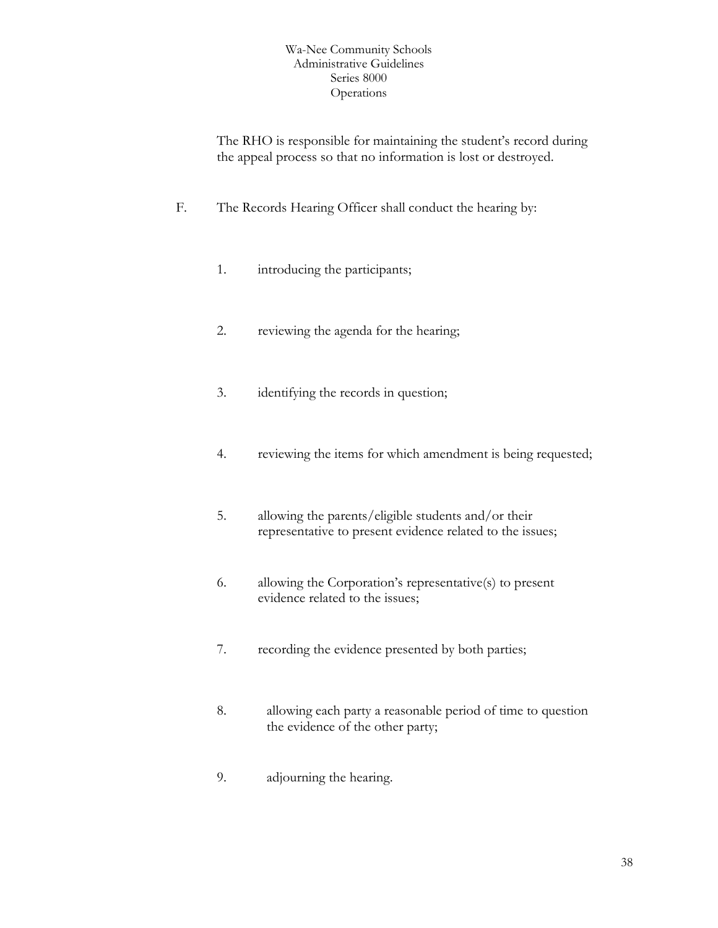The RHO is responsible for maintaining the student's record during the appeal process so that no information is lost or destroyed.

- F. The Records Hearing Officer shall conduct the hearing by:
	- 1. introducing the participants;
	- 2. reviewing the agenda for the hearing;
	- 3. identifying the records in question;
	- 4. reviewing the items for which amendment is being requested;
	- 5. allowing the parents/eligible students and/or their representative to present evidence related to the issues;
	- 6. allowing the Corporation's representative(s) to present evidence related to the issues;
	- 7. recording the evidence presented by both parties;
	- 8. allowing each party a reasonable period of time to question the evidence of the other party;
	- 9. adjourning the hearing.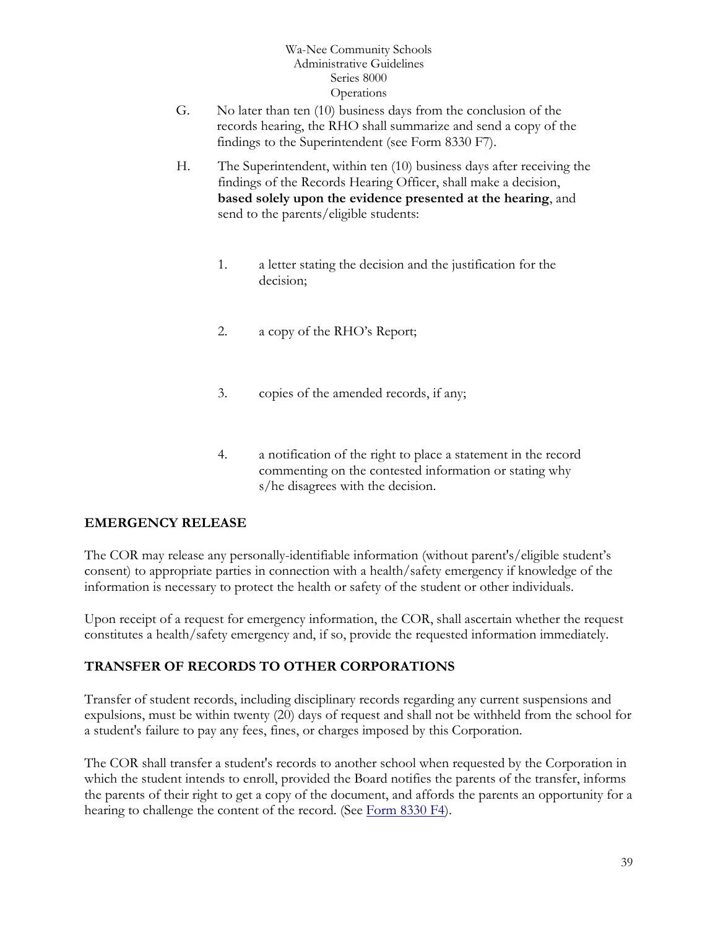- G. No later than ten (10) business days from the conclusion of the records hearing, the RHO shall summarize and send a copy of the findings to the Superintendent (see Form 8330 F7).
- H. The Superintendent, within ten (10) business days after receiving the findings of the Records Hearing Officer, shall make a decision, **based solely upon the evidence presented at the hearing**, and send to the parents/eligible students:
	- 1. a letter stating the decision and the justification for the decision;
	- 2. a copy of the RHO's Report;
	- 3. copies of the amended records, if any;
	- 4. a notification of the right to place a statement in the record commenting on the contested information or stating why s/he disagrees with the decision.

# **EMERGENCY RELEASE**

The COR may release any personally-identifiable information (without parent's/eligible student's consent) to appropriate parties in connection with a health/safety emergency if knowledge of the information is necessary to protect the health or safety of the student or other individuals.

Upon receipt of a request for emergency information, the COR, shall ascertain whether the request constitutes a health/safety emergency and, if so, provide the requested information immediately.

# **TRANSFER OF RECORDS TO OTHER CORPORATIONS**

Transfer of student records, including disciplinary records regarding any current suspensions and expulsions, must be within twenty (20) days of request and shall not be withheld from the school for a student's failure to pay any fees, fines, or charges imposed by this Corporation.

The COR shall transfer a student's records to another school when requested by the Corporation in which the student intends to enroll, provided the Board notifies the parents of the transfer, informs the parents of their right to get a copy of the document, and affords the parents an opportunity for a hearing to challenge the content of the record. (See [Form 8330 F4\)](http://www.neola.com/wanee-in/search/forms/fm8330F4.pdf).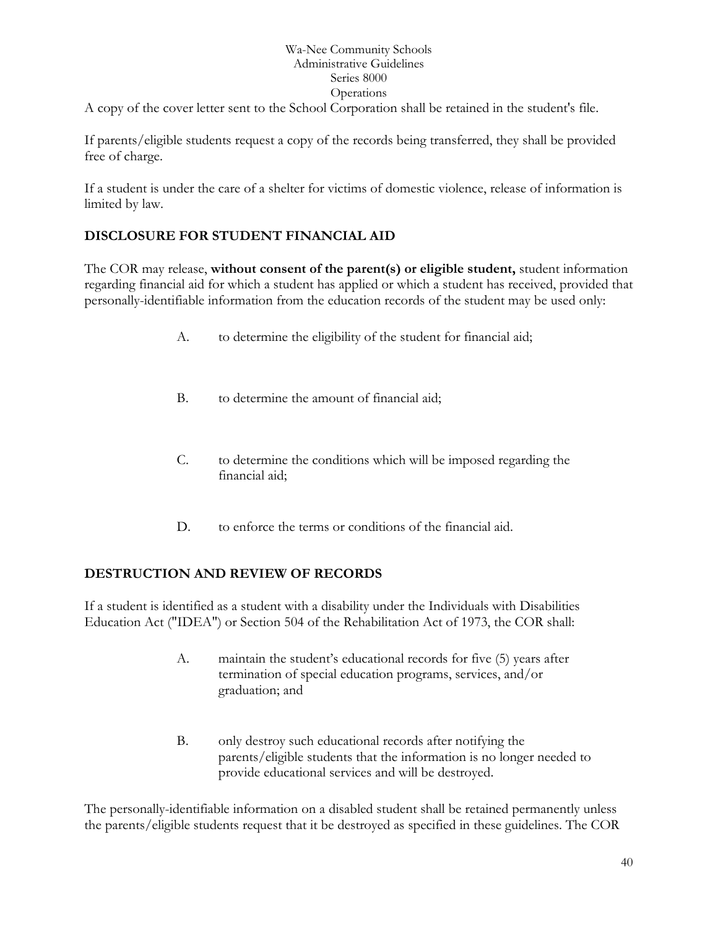A copy of the cover letter sent to the School Corporation shall be retained in the student's file.

If parents/eligible students request a copy of the records being transferred, they shall be provided free of charge.

If a student is under the care of a shelter for victims of domestic violence, release of information is limited by law.

# **DISCLOSURE FOR STUDENT FINANCIAL AID**

The COR may release, **without consent of the parent(s) or eligible student,** student information regarding financial aid for which a student has applied or which a student has received, provided that personally-identifiable information from the education records of the student may be used only:

- A. to determine the eligibility of the student for financial aid;
- B. to determine the amount of financial aid;
- C. to determine the conditions which will be imposed regarding the financial aid;
- D. to enforce the terms or conditions of the financial aid.

# **DESTRUCTION AND REVIEW OF RECORDS**

If a student is identified as a student with a disability under the Individuals with Disabilities Education Act ("IDEA") or Section 504 of the Rehabilitation Act of 1973, the COR shall:

- A. maintain the student's educational records for five (5) years after termination of special education programs, services, and/or graduation; and
- B. only destroy such educational records after notifying the parents/eligible students that the information is no longer needed to provide educational services and will be destroyed.

The personally-identifiable information on a disabled student shall be retained permanently unless the parents/eligible students request that it be destroyed as specified in these guidelines. The COR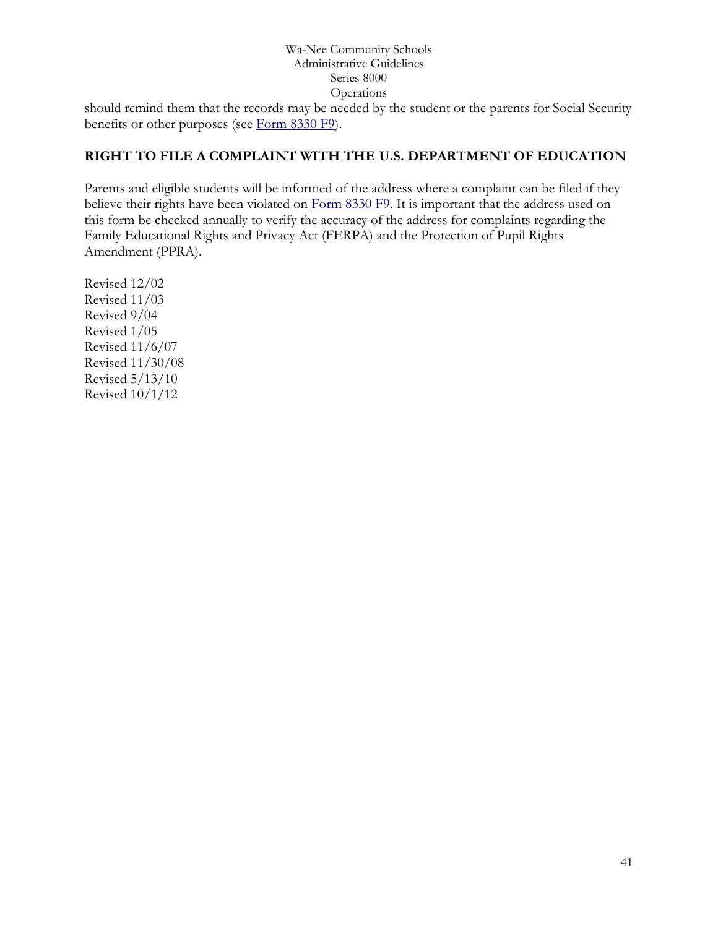should remind them that the records may be needed by the student or the parents for Social Security benefits or other purposes (see [Form 8330 F9\)](http://www.neola.com/wanee-in/search/forms/fm8330F9.pdf).

# **RIGHT TO FILE A COMPLAINT WITH THE U.S. DEPARTMENT OF EDUCATION**

Parents and eligible students will be informed of the address where a complaint can be filed if they believe their rights have been violated on [Form 8330 F9.](http://www.neola.com/wanee-in/search/forms/fm8330F9.pdf) It is important that the address used on this form be checked annually to verify the accuracy of the address for complaints regarding the Family Educational Rights and Privacy Act (FERPA) and the Protection of Pupil Rights Amendment (PPRA).

Revised 12/02 Revised 11/03 Revised 9/04 Revised 1/05 Revised 11/6/07 Revised 11/30/08 Revised 5/13/10 Revised 10/1/12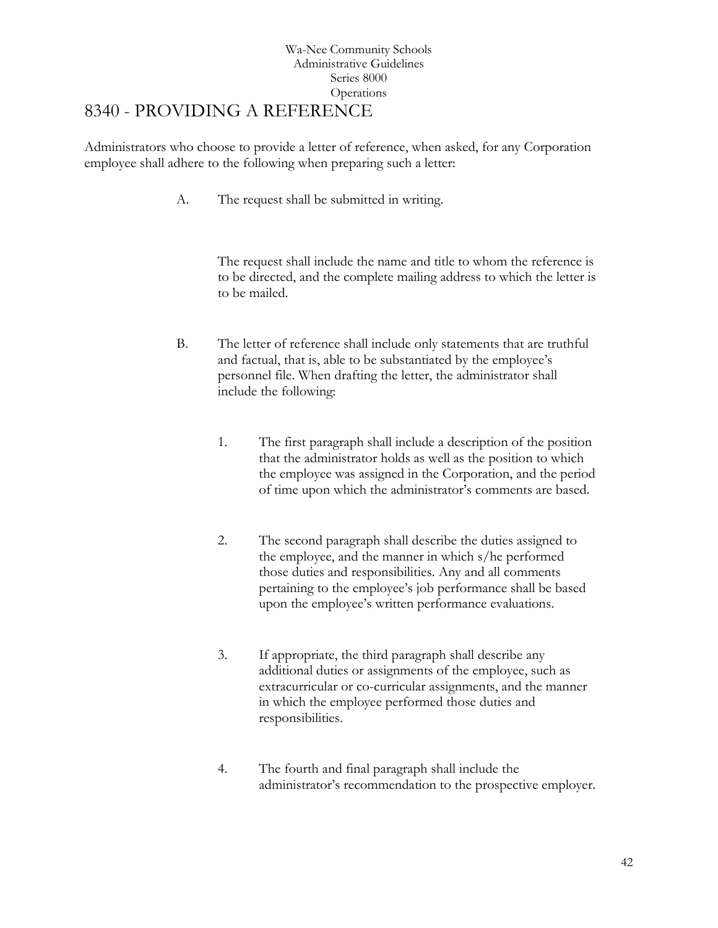#### Wa-Nee Community Schools Administrative Guidelines Series 8000 **Operations** [8340](http://www.neola.com/wanee-in/search/policies/po8340.htm) - PROVIDING A REFERENCE

Administrators who choose to provide a letter of reference, when asked, for any Corporation employee shall adhere to the following when preparing such a letter:

A. The request shall be submitted in writing.

The request shall include the name and title to whom the reference is to be directed, and the complete mailing address to which the letter is to be mailed.

- B. The letter of reference shall include only statements that are truthful and factual, that is, able to be substantiated by the employee's personnel file. When drafting the letter, the administrator shall include the following:
	- 1. The first paragraph shall include a description of the position that the administrator holds as well as the position to which the employee was assigned in the Corporation, and the period of time upon which the administrator's comments are based.
	- 2. The second paragraph shall describe the duties assigned to the employee, and the manner in which s/he performed those duties and responsibilities. Any and all comments pertaining to the employee's job performance shall be based upon the employee's written performance evaluations.
	- 3. If appropriate, the third paragraph shall describe any additional duties or assignments of the employee, such as extracurricular or co-curricular assignments, and the manner in which the employee performed those duties and responsibilities.
	- 4. The fourth and final paragraph shall include the administrator's recommendation to the prospective employer.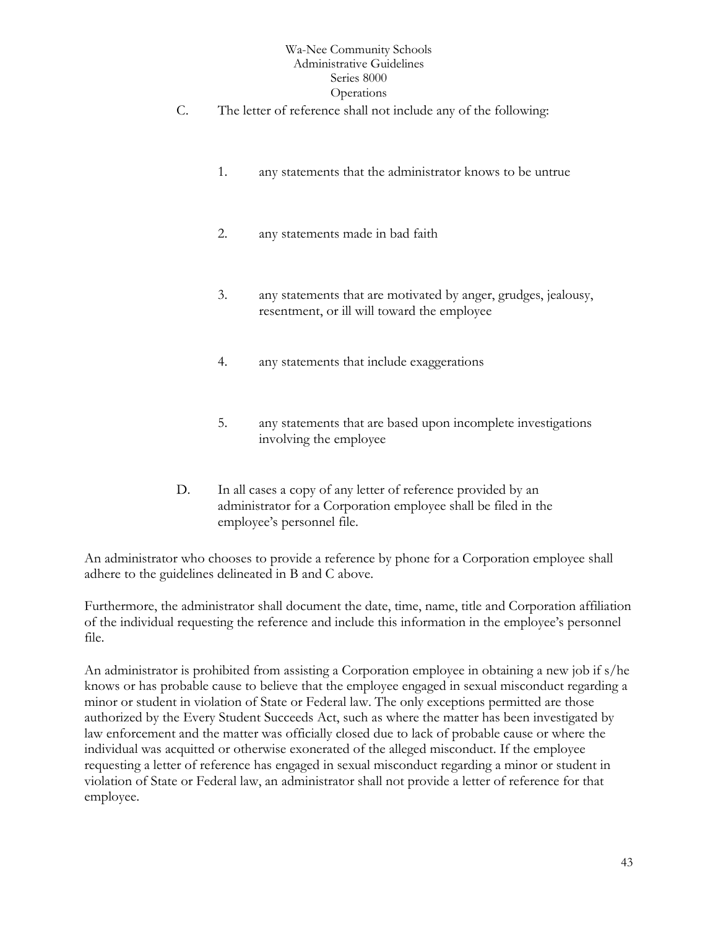- C. The letter of reference shall not include any of the following:
	- 1. any statements that the administrator knows to be untrue
	- 2. any statements made in bad faith
	- 3. any statements that are motivated by anger, grudges, jealousy, resentment, or ill will toward the employee
	- 4. any statements that include exaggerations
	- 5. any statements that are based upon incomplete investigations involving the employee
- D. In all cases a copy of any letter of reference provided by an administrator for a Corporation employee shall be filed in the employee's personnel file.

An administrator who chooses to provide a reference by phone for a Corporation employee shall adhere to the guidelines delineated in B and C above.

Furthermore, the administrator shall document the date, time, name, title and Corporation affiliation of the individual requesting the reference and include this information in the employee's personnel file.

An administrator is prohibited from assisting a Corporation employee in obtaining a new job if s/he knows or has probable cause to believe that the employee engaged in sexual misconduct regarding a minor or student in violation of State or Federal law. The only exceptions permitted are those authorized by the Every Student Succeeds Act, such as where the matter has been investigated by law enforcement and the matter was officially closed due to lack of probable cause or where the individual was acquitted or otherwise exonerated of the alleged misconduct. If the employee requesting a letter of reference has engaged in sexual misconduct regarding a minor or student in violation of State or Federal law, an administrator shall not provide a letter of reference for that employee.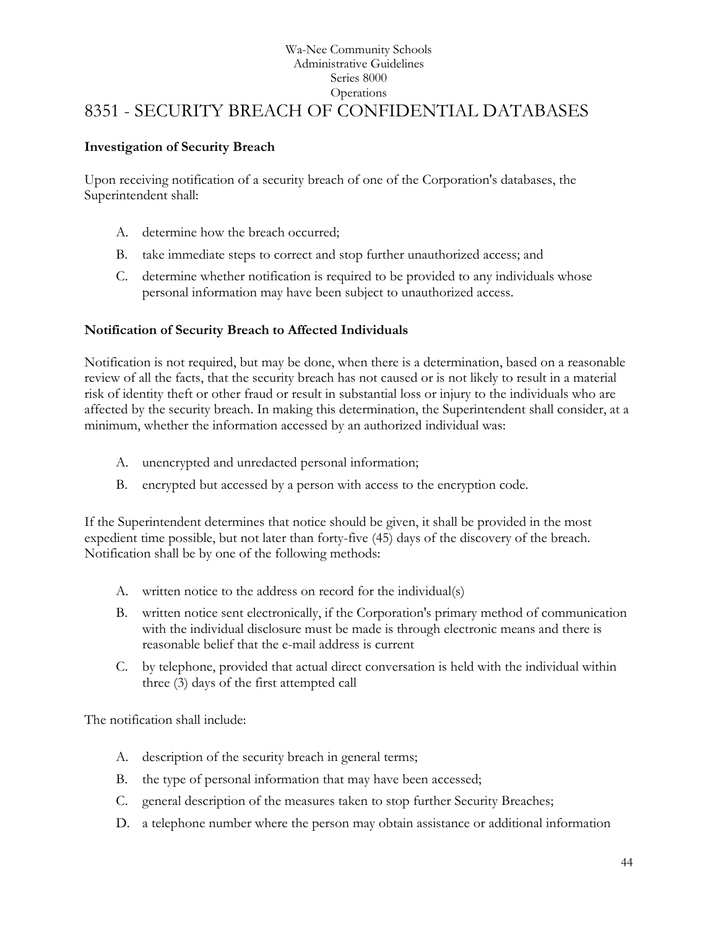#### Wa-Nee Community Schools Administrative Guidelines Series 8000 **Operations** 8351 - SECURITY BREACH OF CONFIDENTIAL DATABASES

## **Investigation of Security Breach**

Upon receiving notification of a security breach of one of the Corporation's databases, the Superintendent shall:

- A. determine how the breach occurred;
- B. take immediate steps to correct and stop further unauthorized access; and
- C. determine whether notification is required to be provided to any individuals whose personal information may have been subject to unauthorized access.

# **Notification of Security Breach to Affected Individuals**

Notification is not required, but may be done, when there is a determination, based on a reasonable review of all the facts, that the security breach has not caused or is not likely to result in a material risk of identity theft or other fraud or result in substantial loss or injury to the individuals who are affected by the security breach. In making this determination, the Superintendent shall consider, at a minimum, whether the information accessed by an authorized individual was:

- A. unencrypted and unredacted personal information;
- B. encrypted but accessed by a person with access to the encryption code.

If the Superintendent determines that notice should be given, it shall be provided in the most expedient time possible, but not later than forty-five (45) days of the discovery of the breach. Notification shall be by one of the following methods:

- A. written notice to the address on record for the individual(s)
- B. written notice sent electronically, if the Corporation's primary method of communication with the individual disclosure must be made is through electronic means and there is reasonable belief that the e-mail address is current
- C. by telephone, provided that actual direct conversation is held with the individual within three (3) days of the first attempted call

The notification shall include:

- A. description of the security breach in general terms;
- B. the type of personal information that may have been accessed;
- C. general description of the measures taken to stop further Security Breaches;
- D. a telephone number where the person may obtain assistance or additional information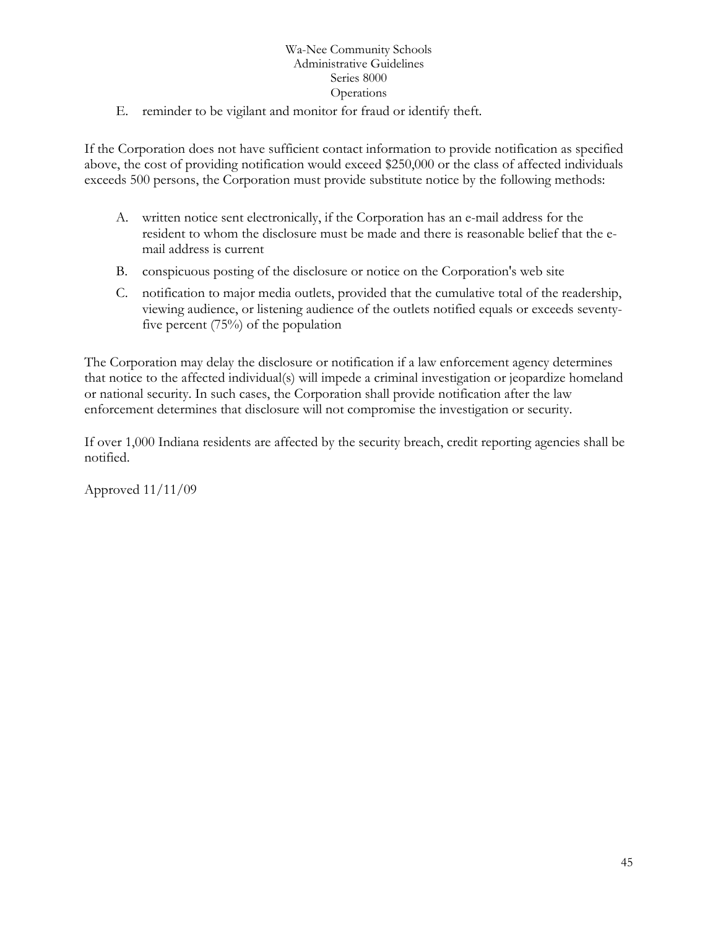E. reminder to be vigilant and monitor for fraud or identify theft.

If the Corporation does not have sufficient contact information to provide notification as specified above, the cost of providing notification would exceed \$250,000 or the class of affected individuals exceeds 500 persons, the Corporation must provide substitute notice by the following methods:

- A. written notice sent electronically, if the Corporation has an e-mail address for the resident to whom the disclosure must be made and there is reasonable belief that the email address is current
- B. conspicuous posting of the disclosure or notice on the Corporation's web site
- C. notification to major media outlets, provided that the cumulative total of the readership, viewing audience, or listening audience of the outlets notified equals or exceeds seventyfive percent (75%) of the population

The Corporation may delay the disclosure or notification if a law enforcement agency determines that notice to the affected individual(s) will impede a criminal investigation or jeopardize homeland or national security. In such cases, the Corporation shall provide notification after the law enforcement determines that disclosure will not compromise the investigation or security.

If over 1,000 Indiana residents are affected by the security breach, credit reporting agencies shall be notified.

Approved 11/11/09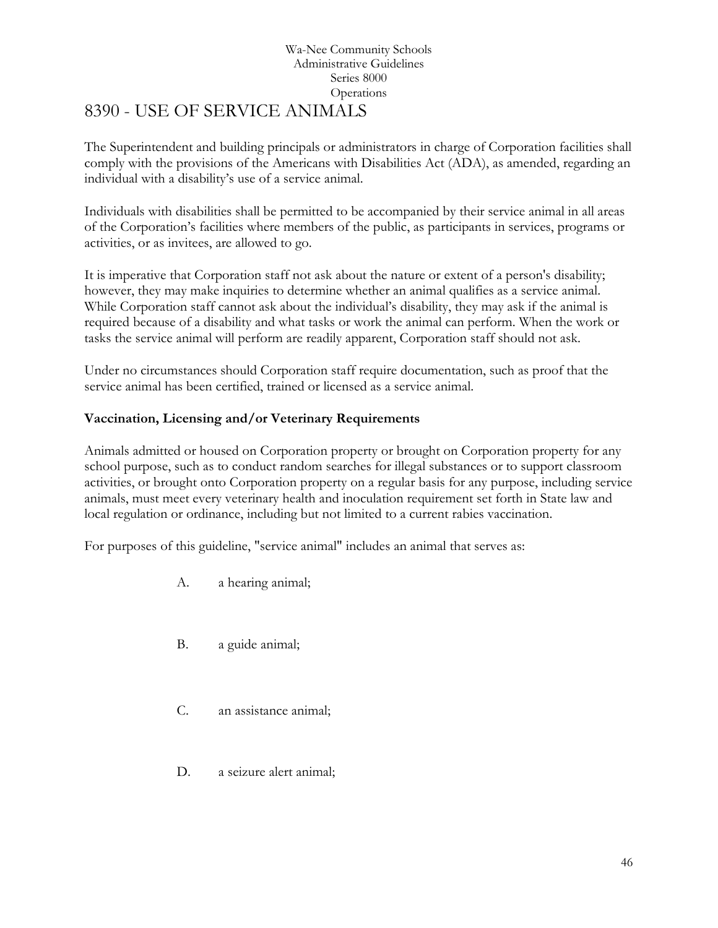#### Wa-Nee Community Schools Administrative Guidelines Series 8000 **Operations** [8390](http://www.neola.com/wanee-in/search/policies/po8390.htm) - USE OF SERVICE ANIMALS

The Superintendent and building principals or administrators in charge of Corporation facilities shall comply with the provisions of the Americans with Disabilities Act (ADA), as amended, regarding an individual with a disability's use of a service animal.

Individuals with disabilities shall be permitted to be accompanied by their service animal in all areas of the Corporation's facilities where members of the public, as participants in services, programs or activities, or as invitees, are allowed to go.

It is imperative that Corporation staff not ask about the nature or extent of a person's disability; however, they may make inquiries to determine whether an animal qualifies as a service animal. While Corporation staff cannot ask about the individual's disability, they may ask if the animal is required because of a disability and what tasks or work the animal can perform. When the work or tasks the service animal will perform are readily apparent, Corporation staff should not ask.

Under no circumstances should Corporation staff require documentation, such as proof that the service animal has been certified, trained or licensed as a service animal.

# **Vaccination, Licensing and/or Veterinary Requirements**

Animals admitted or housed on Corporation property or brought on Corporation property for any school purpose, such as to conduct random searches for illegal substances or to support classroom activities, or brought onto Corporation property on a regular basis for any purpose, including service animals, must meet every veterinary health and inoculation requirement set forth in State law and local regulation or ordinance, including but not limited to a current rabies vaccination.

For purposes of this guideline, "service animal" includes an animal that serves as:

- A. a hearing animal;
- B. a guide animal;
- C. an assistance animal;
- D. a seizure alert animal;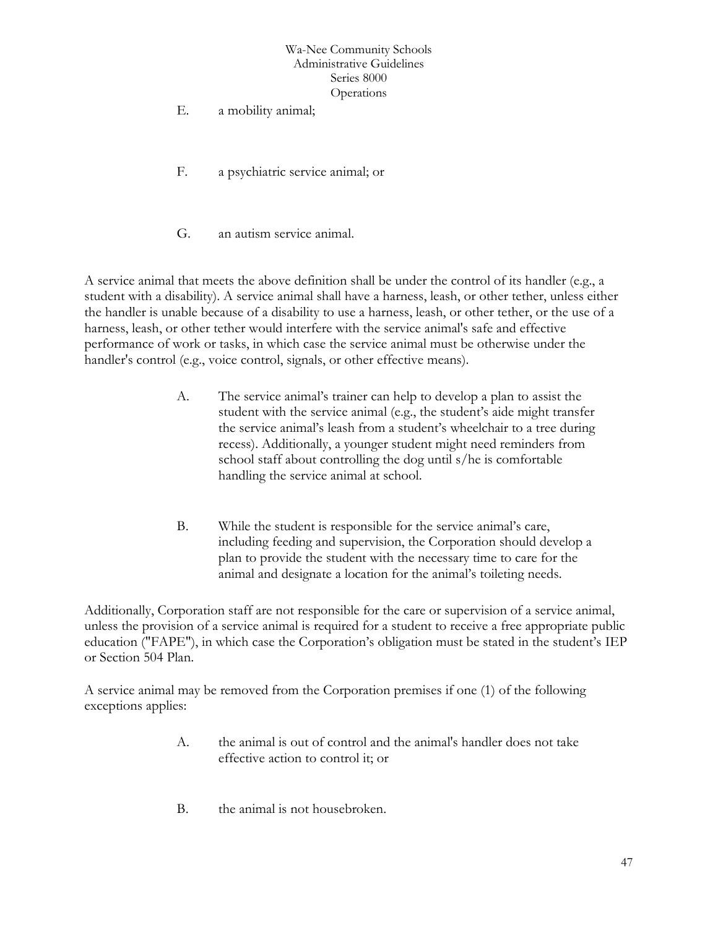E. a mobility animal;

- F. a psychiatric service animal; or
- G. an autism service animal.

A service animal that meets the above definition shall be under the control of its handler (e.g., a student with a disability). A service animal shall have a harness, leash, or other tether, unless either the handler is unable because of a disability to use a harness, leash, or other tether, or the use of a harness, leash, or other tether would interfere with the service animal's safe and effective performance of work or tasks, in which case the service animal must be otherwise under the handler's control (e.g., voice control, signals, or other effective means).

- A. The service animal's trainer can help to develop a plan to assist the student with the service animal (e.g., the student's aide might transfer the service animal's leash from a student's wheelchair to a tree during recess). Additionally, a younger student might need reminders from school staff about controlling the dog until s/he is comfortable handling the service animal at school.
- B. While the student is responsible for the service animal's care, including feeding and supervision, the Corporation should develop a plan to provide the student with the necessary time to care for the animal and designate a location for the animal's toileting needs.

Additionally, Corporation staff are not responsible for the care or supervision of a service animal, unless the provision of a service animal is required for a student to receive a free appropriate public education ("FAPE"), in which case the Corporation's obligation must be stated in the student's IEP or Section 504 Plan.

A service animal may be removed from the Corporation premises if one (1) of the following exceptions applies:

- A. the animal is out of control and the animal's handler does not take effective action to control it; or
- B. the animal is not housebroken.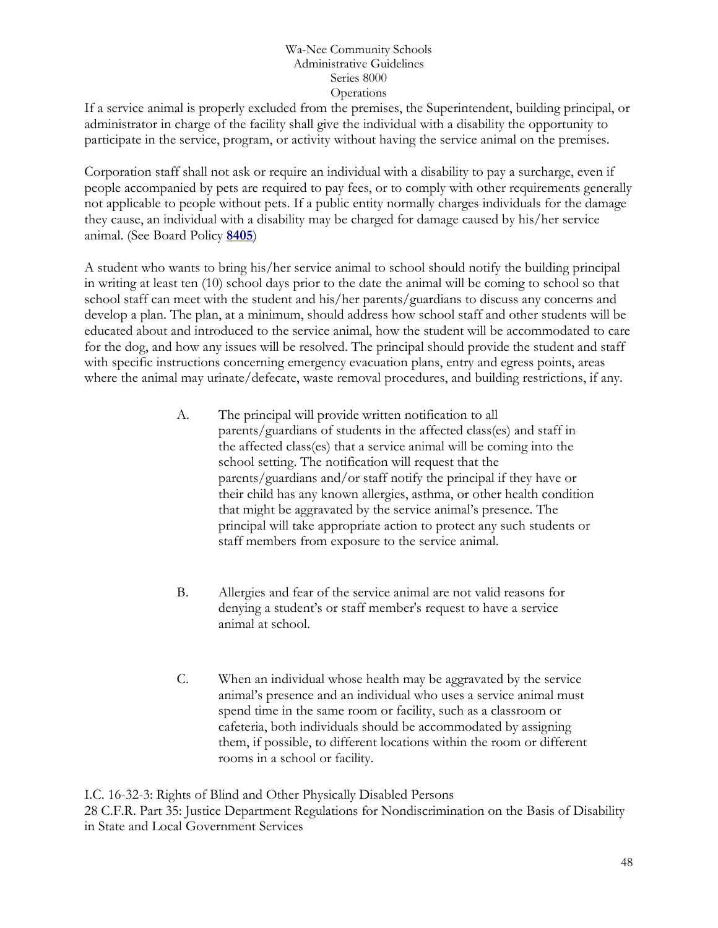If a service animal is properly excluded from the premises, the Superintendent, building principal, or administrator in charge of the facility shall give the individual with a disability the opportunity to participate in the service, program, or activity without having the service animal on the premises.

Corporation staff shall not ask or require an individual with a disability to pay a surcharge, even if people accompanied by pets are required to pay fees, or to comply with other requirements generally not applicable to people without pets. If a public entity normally charges individuals for the damage they cause, an individual with a disability may be charged for damage caused by his/her service animal. (See Board Policy **[8405](http://www.neola.com/wanee-in/search/policies/po8405.htm)**)

A student who wants to bring his/her service animal to school should notify the building principal in writing at least ten (10) school days prior to the date the animal will be coming to school so that school staff can meet with the student and his/her parents/guardians to discuss any concerns and develop a plan. The plan, at a minimum, should address how school staff and other students will be educated about and introduced to the service animal, how the student will be accommodated to care for the dog, and how any issues will be resolved. The principal should provide the student and staff with specific instructions concerning emergency evacuation plans, entry and egress points, areas where the animal may urinate/defecate, waste removal procedures, and building restrictions, if any.

- A. The principal will provide written notification to all parents/guardians of students in the affected class(es) and staff in the affected class(es) that a service animal will be coming into the school setting. The notification will request that the parents/guardians and/or staff notify the principal if they have or their child has any known allergies, asthma, or other health condition that might be aggravated by the service animal's presence. The principal will take appropriate action to protect any such students or staff members from exposure to the service animal.
- B. Allergies and fear of the service animal are not valid reasons for denying a student's or staff member's request to have a service animal at school.
- C. When an individual whose health may be aggravated by the service animal's presence and an individual who uses a service animal must spend time in the same room or facility, such as a classroom or cafeteria, both individuals should be accommodated by assigning them, if possible, to different locations within the room or different rooms in a school or facility.

I.C. 16-32-3: Rights of Blind and Other Physically Disabled Persons 28 C.F.R. Part 35: Justice Department Regulations for Nondiscrimination on the Basis of Disability in State and Local Government Services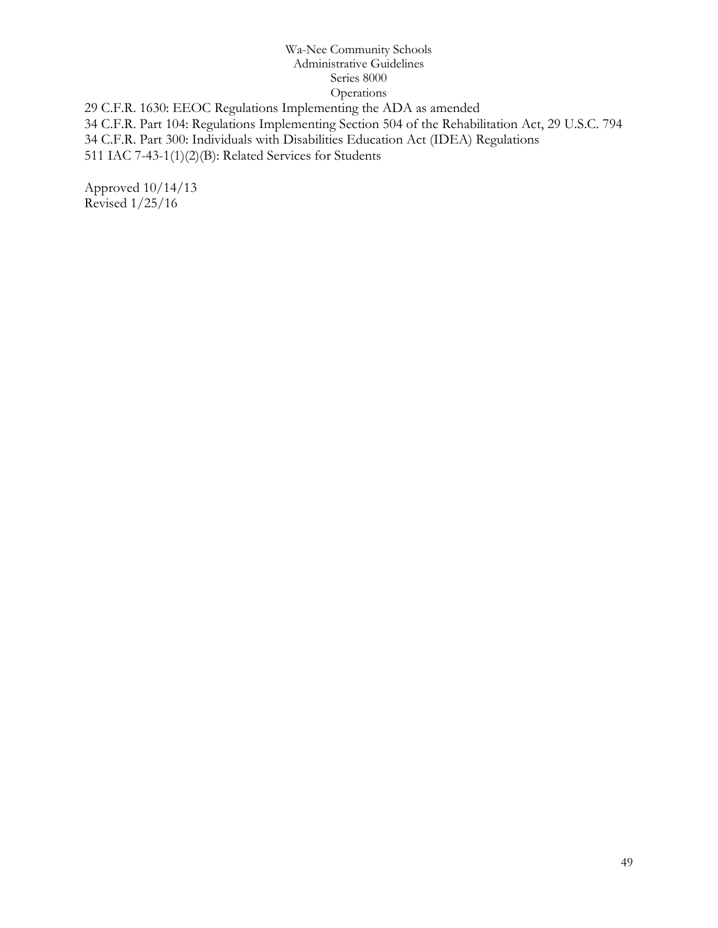29 C.F.R. 1630: EEOC Regulations Implementing the ADA as amended 34 C.F.R. Part 104: Regulations Implementing Section 504 of the Rehabilitation Act, 29 U.S.C. 794 34 C.F.R. Part 300: Individuals with Disabilities Education Act (IDEA) Regulations 511 IAC 7-43-1(1)(2)(B): Related Services for Students

Approved 10/14/13 Revised 1/25/16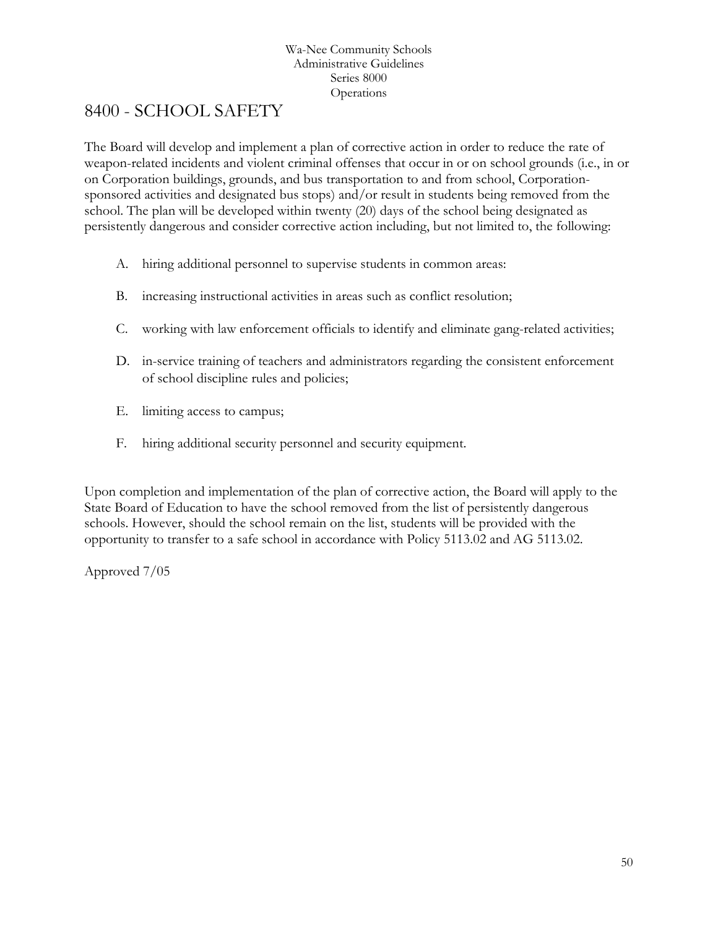# [8400](http://www.neola.com/wanee-in/search/policies/po8400.htm) - SCHOOL SAFETY

The Board will develop and implement a plan of corrective action in order to reduce the rate of weapon-related incidents and violent criminal offenses that occur in or on school grounds (i.e., in or on Corporation buildings, grounds, and bus transportation to and from school, Corporationsponsored activities and designated bus stops) and/or result in students being removed from the school. The plan will be developed within twenty (20) days of the school being designated as persistently dangerous and consider corrective action including, but not limited to, the following:

- A. hiring additional personnel to supervise students in common areas:
- B. increasing instructional activities in areas such as conflict resolution;
- C. working with law enforcement officials to identify and eliminate gang-related activities;
- D. in-service training of teachers and administrators regarding the consistent enforcement of school discipline rules and policies;
- E. limiting access to campus;
- F. hiring additional security personnel and security equipment.

Upon completion and implementation of the plan of corrective action, the Board will apply to the State Board of Education to have the school removed from the list of persistently dangerous schools. However, should the school remain on the list, students will be provided with the opportunity to transfer to a safe school in accordance with Policy 5113.02 and AG 5113.02.

Approved 7/05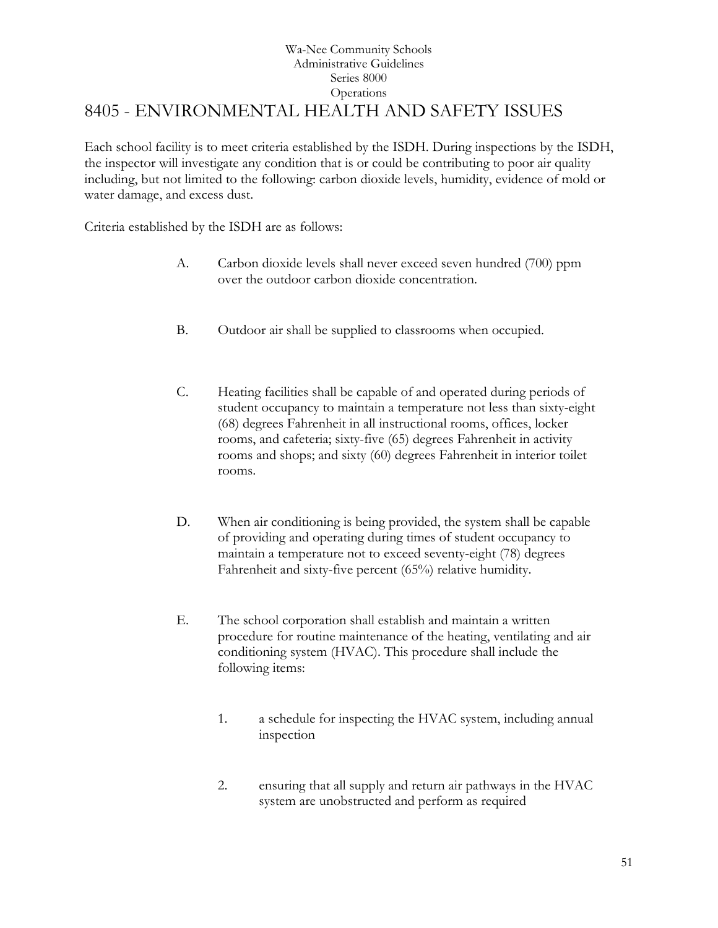### Wa-Nee Community Schools Administrative Guidelines Series 8000 **Operations** [8405](http://www.neola.com/wanee-in/search/policies/po8405.htm) - ENVIRONMENTAL HEALTH AND SAFETY ISSUES

Each school facility is to meet criteria established by the ISDH. During inspections by the ISDH, the inspector will investigate any condition that is or could be contributing to poor air quality including, but not limited to the following: carbon dioxide levels, humidity, evidence of mold or water damage, and excess dust.

Criteria established by the ISDH are as follows:

- A. Carbon dioxide levels shall never exceed seven hundred (700) ppm over the outdoor carbon dioxide concentration.
- B. Outdoor air shall be supplied to classrooms when occupied.
- C. Heating facilities shall be capable of and operated during periods of student occupancy to maintain a temperature not less than sixty-eight (68) degrees Fahrenheit in all instructional rooms, offices, locker rooms, and cafeteria; sixty-five (65) degrees Fahrenheit in activity rooms and shops; and sixty (60) degrees Fahrenheit in interior toilet rooms.
- D. When air conditioning is being provided, the system shall be capable of providing and operating during times of student occupancy to maintain a temperature not to exceed seventy-eight (78) degrees Fahrenheit and sixty-five percent (65%) relative humidity.
- E. The school corporation shall establish and maintain a written procedure for routine maintenance of the heating, ventilating and air conditioning system (HVAC). This procedure shall include the following items:
	- 1. a schedule for inspecting the HVAC system, including annual inspection
	- 2. ensuring that all supply and return air pathways in the HVAC system are unobstructed and perform as required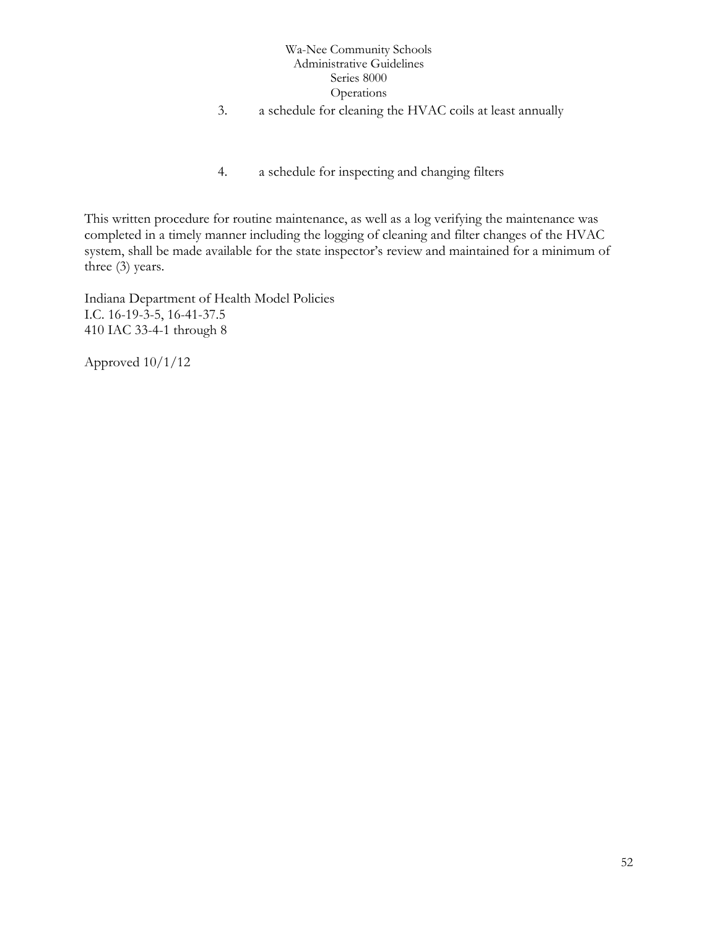3. a schedule for cleaning the HVAC coils at least annually

4. a schedule for inspecting and changing filters

This written procedure for routine maintenance, as well as a log verifying the maintenance was completed in a timely manner including the logging of cleaning and filter changes of the HVAC system, shall be made available for the state inspector's review and maintained for a minimum of three (3) years.

Indiana Department of Health Model Policies I.C. 16-19-3-5, 16-41-37.5 410 IAC 33-4-1 through 8

Approved 10/1/12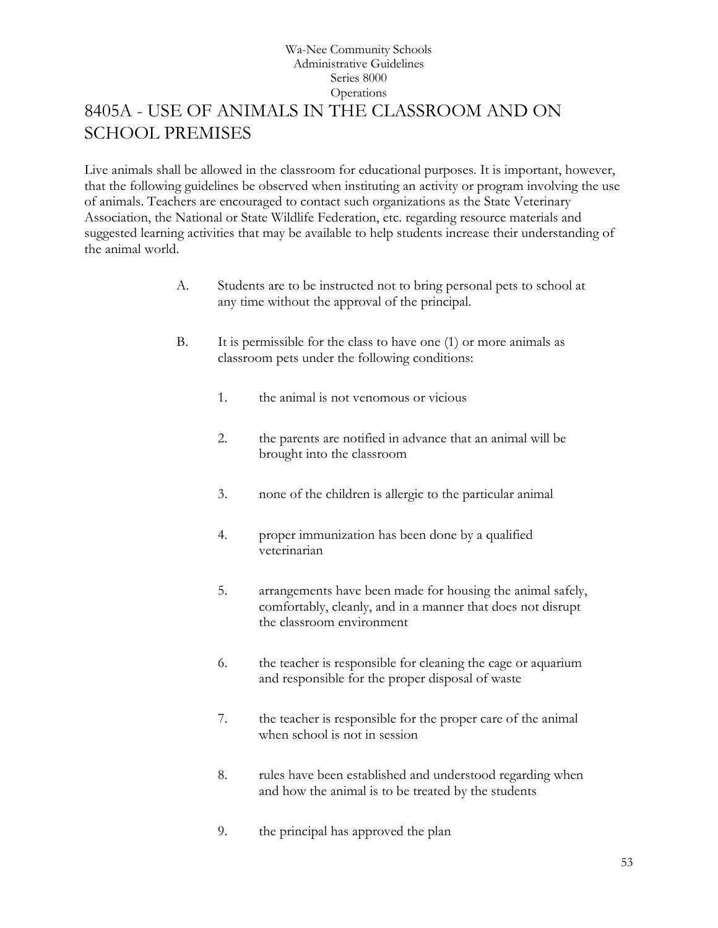# Wa-Nee Community Schools Administrative Guidelines Series 8000 **Operations** 8405A - USE OF ANIMALS IN THE CLASSROOM AND ON SCHOOL PREMISES

Live animals shall be allowed in the classroom for educational purposes. It is important, however, that the following guidelines be observed when instituting an activity or program involving the use of animals. Teachers are encouraged to contact such organizations as the State Veterinary Association, the National or State Wildlife Federation, etc. regarding resource materials and suggested learning activities that may be available to help students increase their understanding of the animal world.

- A. Students are to be instructed not to bring personal pets to school at any time without the approval of the principal.
- B. It is permissible for the class to have one (1) or more animals as classroom pets under the following conditions:
	- 1. the animal is not venomous or vicious
	- 2. the parents are notified in advance that an animal will be brought into the classroom
	- 3. none of the children is allergic to the particular animal
	- 4. proper immunization has been done by a qualified veterinarian
	- 5. arrangements have been made for housing the animal safely, comfortably, cleanly, and in a manner that does not disrupt the classroom environment
	- 6. the teacher is responsible for cleaning the cage or aquarium and responsible for the proper disposal of waste
	- 7. the teacher is responsible for the proper care of the animal when school is not in session
	- 8. rules have been established and understood regarding when and how the animal is to be treated by the students
	- 9. the principal has approved the plan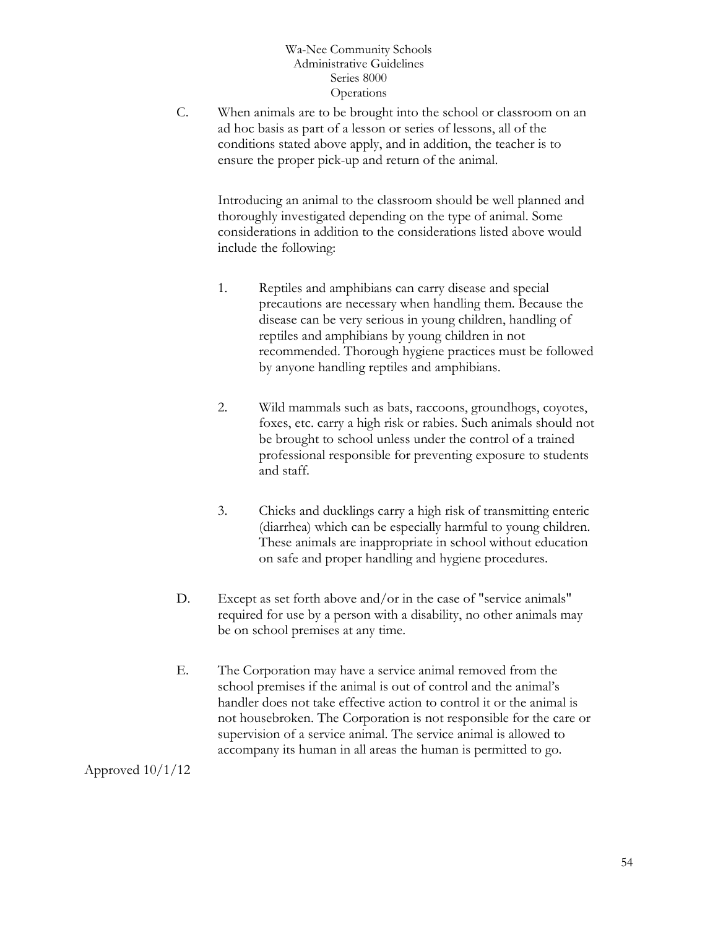C. When animals are to be brought into the school or classroom on an ad hoc basis as part of a lesson or series of lessons, all of the conditions stated above apply, and in addition, the teacher is to ensure the proper pick-up and return of the animal.

Introducing an animal to the classroom should be well planned and thoroughly investigated depending on the type of animal. Some considerations in addition to the considerations listed above would include the following:

- 1. Reptiles and amphibians can carry disease and special precautions are necessary when handling them. Because the disease can be very serious in young children, handling of reptiles and amphibians by young children in not recommended. Thorough hygiene practices must be followed by anyone handling reptiles and amphibians.
- 2. Wild mammals such as bats, raccoons, groundhogs, coyotes, foxes, etc. carry a high risk or rabies. Such animals should not be brought to school unless under the control of a trained professional responsible for preventing exposure to students and staff.
- 3. Chicks and ducklings carry a high risk of transmitting enteric (diarrhea) which can be especially harmful to young children. These animals are inappropriate in school without education on safe and proper handling and hygiene procedures.
- D. Except as set forth above and/or in the case of "service animals" required for use by a person with a disability, no other animals may be on school premises at any time.
- E. The Corporation may have a service animal removed from the school premises if the animal is out of control and the animal's handler does not take effective action to control it or the animal is not housebroken. The Corporation is not responsible for the care or supervision of a service animal. The service animal is allowed to accompany its human in all areas the human is permitted to go.

Approved 10/1/12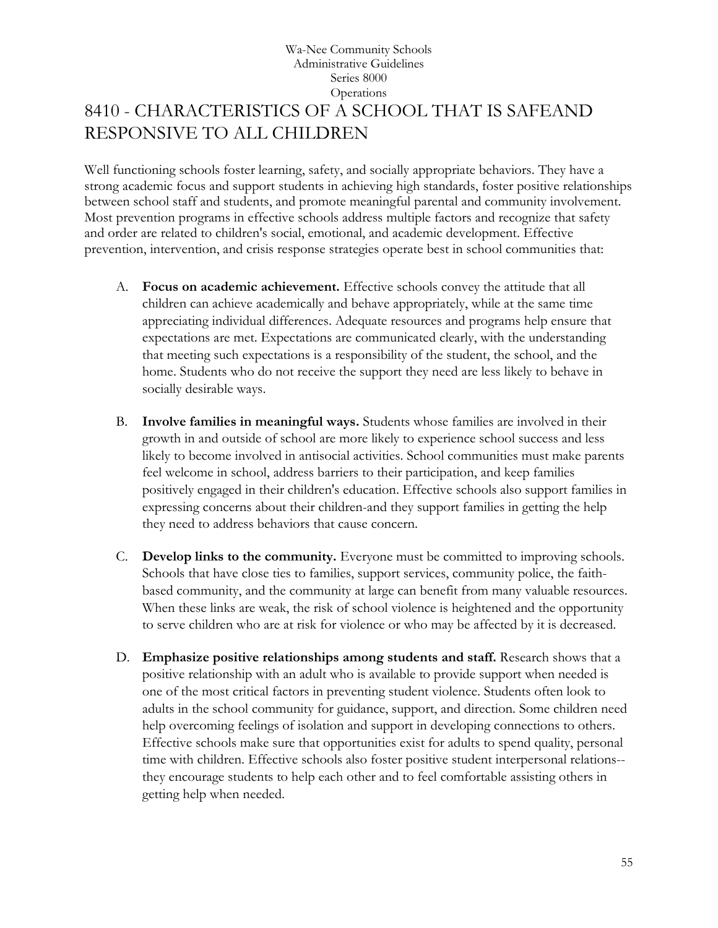# Wa-Nee Community Schools Administrative Guidelines Series 8000 **Operations** [8410](http://www.neola.com/wanee-in/search/policies/po8410.htm) - CHARACTERISTICS OF A SCHOOL THAT IS SAFEAND RESPONSIVE TO ALL CHILDREN

Well functioning schools foster learning, safety, and socially appropriate behaviors. They have a strong academic focus and support students in achieving high standards, foster positive relationships between school staff and students, and promote meaningful parental and community involvement. Most prevention programs in effective schools address multiple factors and recognize that safety and order are related to children's social, emotional, and academic development. Effective prevention, intervention, and crisis response strategies operate best in school communities that:

- A. **Focus on academic achievement.** Effective schools convey the attitude that all children can achieve academically and behave appropriately, while at the same time appreciating individual differences. Adequate resources and programs help ensure that expectations are met. Expectations are communicated clearly, with the understanding that meeting such expectations is a responsibility of the student, the school, and the home. Students who do not receive the support they need are less likely to behave in socially desirable ways.
- B. **Involve families in meaningful ways.** Students whose families are involved in their growth in and outside of school are more likely to experience school success and less likely to become involved in antisocial activities. School communities must make parents feel welcome in school, address barriers to their participation, and keep families positively engaged in their children's education. Effective schools also support families in expressing concerns about their children-and they support families in getting the help they need to address behaviors that cause concern.
- C. **Develop links to the community.** Everyone must be committed to improving schools. Schools that have close ties to families, support services, community police, the faithbased community, and the community at large can benefit from many valuable resources. When these links are weak, the risk of school violence is heightened and the opportunity to serve children who are at risk for violence or who may be affected by it is decreased.
- D. **Emphasize positive relationships among students and staff.** Research shows that a positive relationship with an adult who is available to provide support when needed is one of the most critical factors in preventing student violence. Students often look to adults in the school community for guidance, support, and direction. Some children need help overcoming feelings of isolation and support in developing connections to others. Effective schools make sure that opportunities exist for adults to spend quality, personal time with children. Effective schools also foster positive student interpersonal relations- they encourage students to help each other and to feel comfortable assisting others in getting help when needed.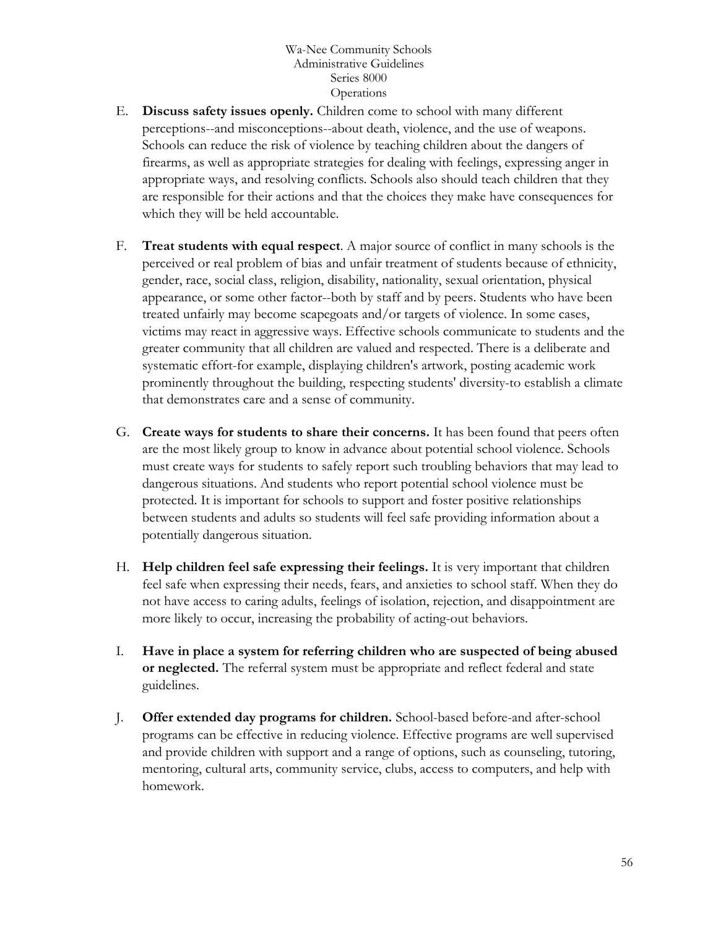- E. **Discuss safety issues openly.** Children come to school with many different perceptions--and misconceptions--about death, violence, and the use of weapons. Schools can reduce the risk of violence by teaching children about the dangers of firearms, as well as appropriate strategies for dealing with feelings, expressing anger in appropriate ways, and resolving conflicts. Schools also should teach children that they are responsible for their actions and that the choices they make have consequences for which they will be held accountable.
- F. **Treat students with equal respect**. A major source of conflict in many schools is the perceived or real problem of bias and unfair treatment of students because of ethnicity, gender, race, social class, religion, disability, nationality, sexual orientation, physical appearance, or some other factor--both by staff and by peers. Students who have been treated unfairly may become scapegoats and/or targets of violence. In some cases, victims may react in aggressive ways. Effective schools communicate to students and the greater community that all children are valued and respected. There is a deliberate and systematic effort-for example, displaying children's artwork, posting academic work prominently throughout the building, respecting students' diversity-to establish a climate that demonstrates care and a sense of community.
- G. **Create ways for students to share their concerns.** It has been found that peers often are the most likely group to know in advance about potential school violence. Schools must create ways for students to safely report such troubling behaviors that may lead to dangerous situations. And students who report potential school violence must be protected. It is important for schools to support and foster positive relationships between students and adults so students will feel safe providing information about a potentially dangerous situation.
- H. **Help children feel safe expressing their feelings.** It is very important that children feel safe when expressing their needs, fears, and anxieties to school staff. When they do not have access to caring adults, feelings of isolation, rejection, and disappointment are more likely to occur, increasing the probability of acting-out behaviors.
- I. **Have in place a system for referring children who are suspected of being abused or neglected.** The referral system must be appropriate and reflect federal and state guidelines.
- J. **Offer extended day programs for children.** School-based before-and after-school programs can be effective in reducing violence. Effective programs are well supervised and provide children with support and a range of options, such as counseling, tutoring, mentoring, cultural arts, community service, clubs, access to computers, and help with homework.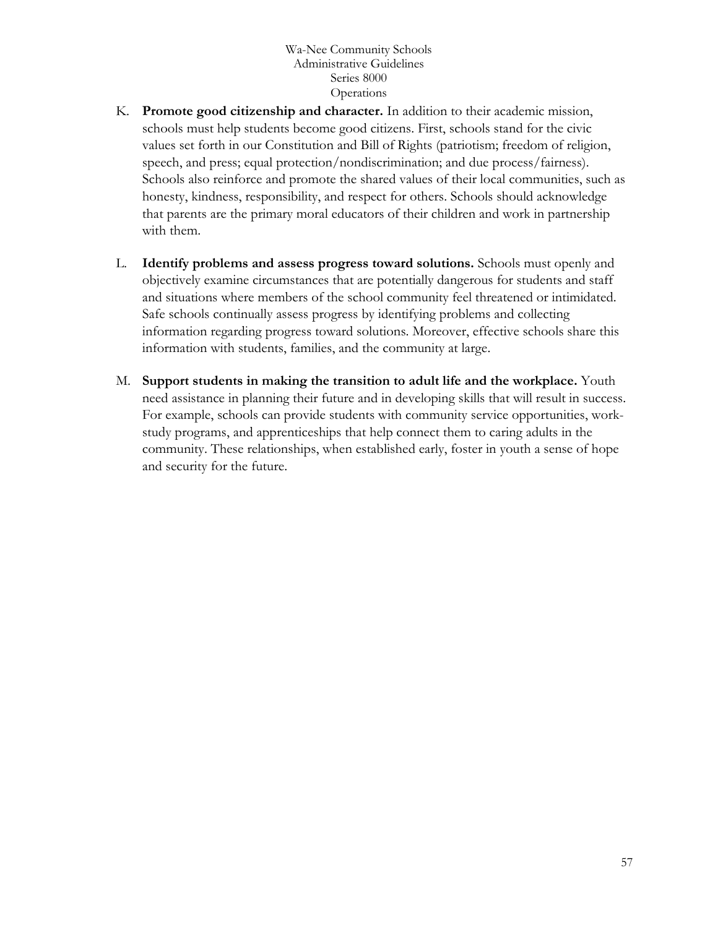- K. **Promote good citizenship and character.** In addition to their academic mission, schools must help students become good citizens. First, schools stand for the civic values set forth in our Constitution and Bill of Rights (patriotism; freedom of religion, speech, and press; equal protection/nondiscrimination; and due process/fairness). Schools also reinforce and promote the shared values of their local communities, such as honesty, kindness, responsibility, and respect for others. Schools should acknowledge that parents are the primary moral educators of their children and work in partnership with them.
- L. **Identify problems and assess progress toward solutions.** Schools must openly and objectively examine circumstances that are potentially dangerous for students and staff and situations where members of the school community feel threatened or intimidated. Safe schools continually assess progress by identifying problems and collecting information regarding progress toward solutions. Moreover, effective schools share this information with students, families, and the community at large.
- M. **Support students in making the transition to adult life and the workplace.** Youth need assistance in planning their future and in developing skills that will result in success. For example, schools can provide students with community service opportunities, workstudy programs, and apprenticeships that help connect them to caring adults in the community. These relationships, when established early, foster in youth a sense of hope and security for the future.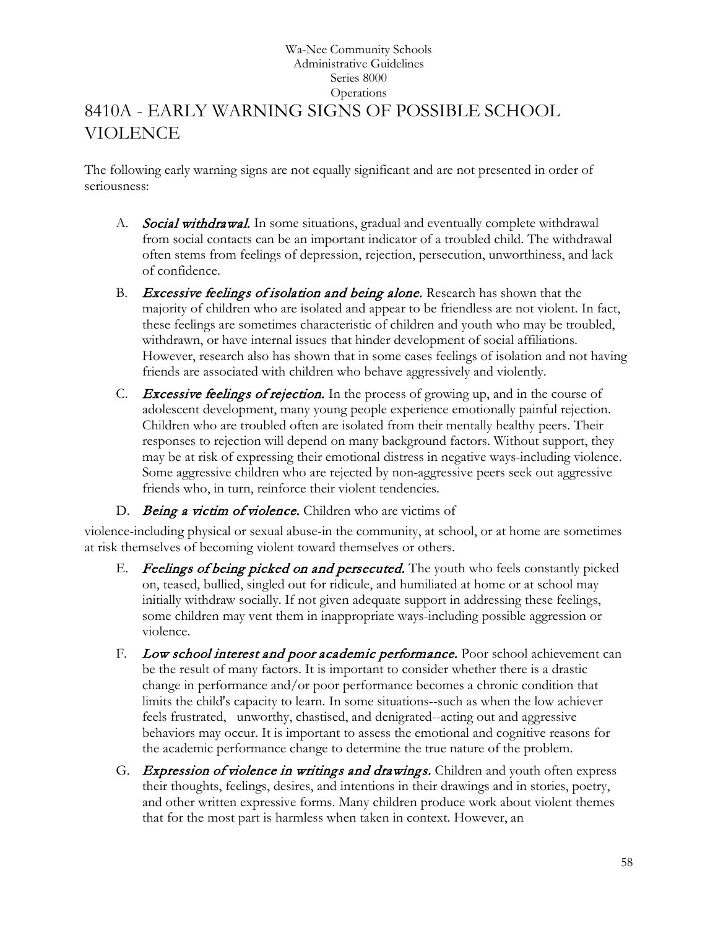# Wa-Nee Community Schools Administrative Guidelines Series 8000 **Operations** 8410A - EARLY WARNING SIGNS OF POSSIBLE SCHOOL VIOLENCE

The following early warning signs are not equally significant and are not presented in order of seriousness:

- A. Social withdrawal. In some situations, gradual and eventually complete withdrawal from social contacts can be an important indicator of a troubled child. The withdrawal often stems from feelings of depression, rejection, persecution, unworthiness, and lack of confidence.
- B. Excessive feelings of isolation and being alone. Research has shown that the majority of children who are isolated and appear to be friendless are not violent. In fact, these feelings are sometimes characteristic of children and youth who may be troubled, withdrawn, or have internal issues that hinder development of social affiliations. However, research also has shown that in some cases feelings of isolation and not having friends are associated with children who behave aggressively and violently.
- C. Excessive feelings of rejection. In the process of growing up, and in the course of adolescent development, many young people experience emotionally painful rejection. Children who are troubled often are isolated from their mentally healthy peers. Their responses to rejection will depend on many background factors. Without support, they may be at risk of expressing their emotional distress in negative ways-including violence. Some aggressive children who are rejected by non-aggressive peers seek out aggressive friends who, in turn, reinforce their violent tendencies.
- D. Being a victim of violence. Children who are victims of

violence-including physical or sexual abuse-in the community, at school, or at home are sometimes at risk themselves of becoming violent toward themselves or others.

- E. Feelings of being picked on and persecuted. The youth who feels constantly picked on, teased, bullied, singled out for ridicule, and humiliated at home or at school may initially withdraw socially. If not given adequate support in addressing these feelings, some children may vent them in inappropriate ways-including possible aggression or violence.
- F. Low school interest and poor academic performance. Poor school achievement can be the result of many factors. It is important to consider whether there is a drastic change in performance and/or poor performance becomes a chronic condition that limits the child's capacity to learn. In some situations--such as when the low achiever feels frustrated, unworthy, chastised, and denigrated--acting out and aggressive behaviors may occur. It is important to assess the emotional and cognitive reasons for the academic performance change to determine the true nature of the problem.
- G. Expression of violence in writings and drawings. Children and youth often express their thoughts, feelings, desires, and intentions in their drawings and in stories, poetry, and other written expressive forms. Many children produce work about violent themes that for the most part is harmless when taken in context. However, an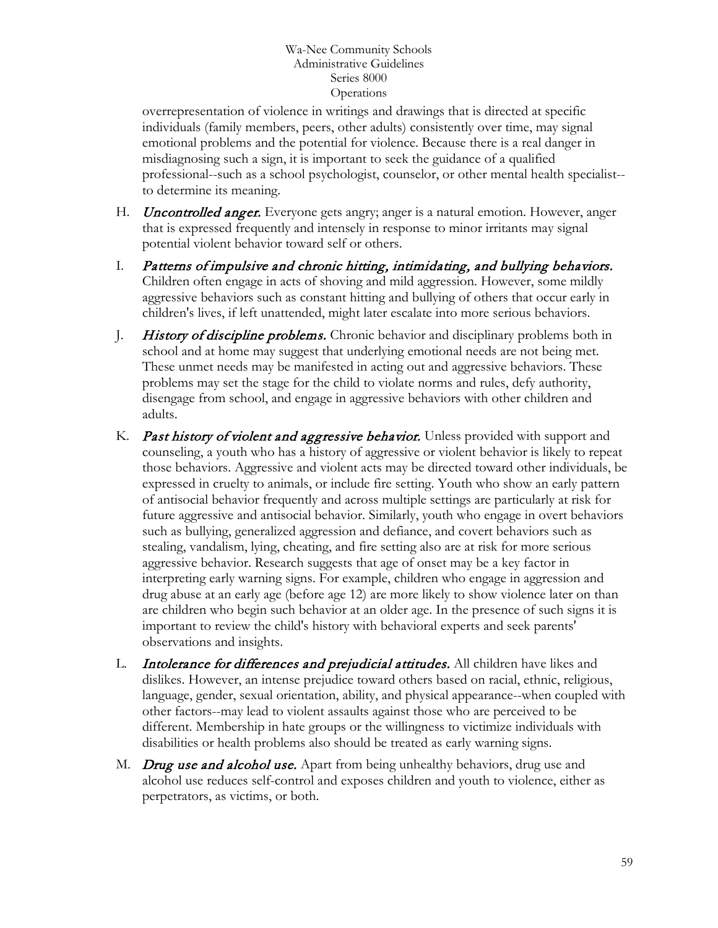overrepresentation of violence in writings and drawings that is directed at specific individuals (family members, peers, other adults) consistently over time, may signal emotional problems and the potential for violence. Because there is a real danger in misdiagnosing such a sign, it is important to seek the guidance of a qualified professional--such as a school psychologist, counselor, or other mental health specialist- to determine its meaning.

- H. *Uncontrolled anger*. Everyone gets angry; anger is a natural emotion. However, anger that is expressed frequently and intensely in response to minor irritants may signal potential violent behavior toward self or others.
- I. Patterns of impulsive and chronic hitting, intimidating, and bullying behaviors. Children often engage in acts of shoving and mild aggression. However, some mildly aggressive behaviors such as constant hitting and bullying of others that occur early in children's lives, if left unattended, might later escalate into more serious behaviors.
- J. History of discipline problems. Chronic behavior and disciplinary problems both in school and at home may suggest that underlying emotional needs are not being met. These unmet needs may be manifested in acting out and aggressive behaviors. These problems may set the stage for the child to violate norms and rules, defy authority, disengage from school, and engage in aggressive behaviors with other children and adults.
- K. Past history of violent and aggressive behavior. Unless provided with support and counseling, a youth who has a history of aggressive or violent behavior is likely to repeat those behaviors. Aggressive and violent acts may be directed toward other individuals, be expressed in cruelty to animals, or include fire setting. Youth who show an early pattern of antisocial behavior frequently and across multiple settings are particularly at risk for future aggressive and antisocial behavior. Similarly, youth who engage in overt behaviors such as bullying, generalized aggression and defiance, and covert behaviors such as stealing, vandalism, lying, cheating, and fire setting also are at risk for more serious aggressive behavior. Research suggests that age of onset may be a key factor in interpreting early warning signs. For example, children who engage in aggression and drug abuse at an early age (before age 12) are more likely to show violence later on than are children who begin such behavior at an older age. In the presence of such signs it is important to review the child's history with behavioral experts and seek parents' observations and insights.
- L. Intolerance for differences and prejudicial attitudes. All children have likes and dislikes. However, an intense prejudice toward others based on racial, ethnic, religious, language, gender, sexual orientation, ability, and physical appearance--when coupled with other factors--may lead to violent assaults against those who are perceived to be different. Membership in hate groups or the willingness to victimize individuals with disabilities or health problems also should be treated as early warning signs.
- M. *Drug use and alcohol use.* Apart from being unhealthy behaviors, drug use and alcohol use reduces self-control and exposes children and youth to violence, either as perpetrators, as victims, or both.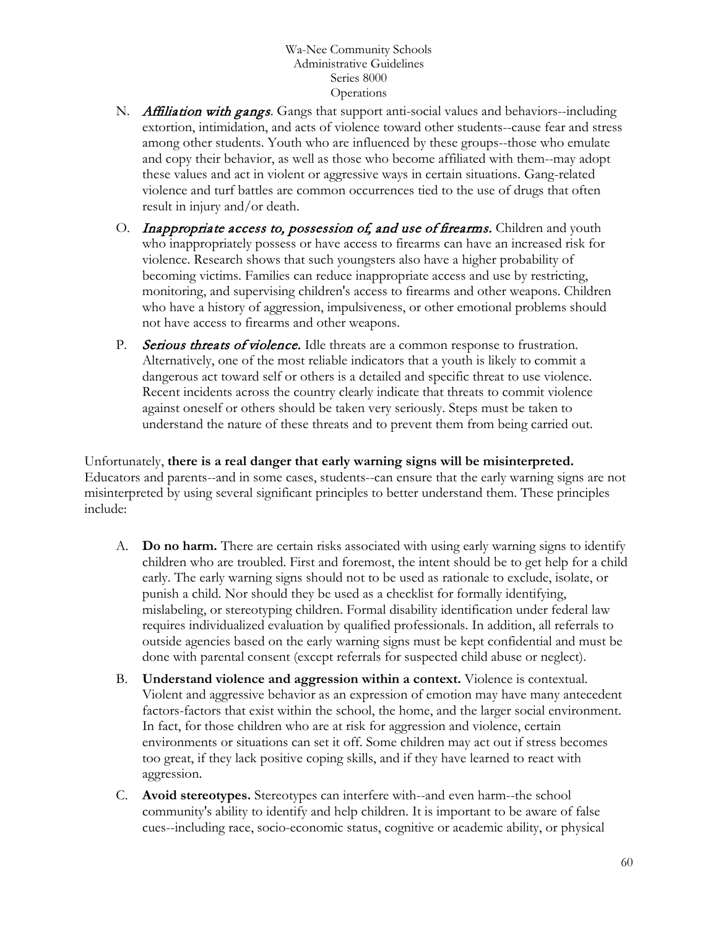- N. *Affiliation with gangs*. Gangs that support anti-social values and behaviors--including extortion, intimidation, and acts of violence toward other students--cause fear and stress among other students. Youth who are influenced by these groups--those who emulate and copy their behavior, as well as those who become affiliated with them--may adopt these values and act in violent or aggressive ways in certain situations. Gang-related violence and turf battles are common occurrences tied to the use of drugs that often result in injury and/or death.
- O. Inappropriate access to, possession of, and use of firearms. Children and youth who inappropriately possess or have access to firearms can have an increased risk for violence. Research shows that such youngsters also have a higher probability of becoming victims. Families can reduce inappropriate access and use by restricting, monitoring, and supervising children's access to firearms and other weapons. Children who have a history of aggression, impulsiveness, or other emotional problems should not have access to firearms and other weapons.
- P. Serious threats of violence. Idle threats are a common response to frustration. Alternatively, one of the most reliable indicators that a youth is likely to commit a dangerous act toward self or others is a detailed and specific threat to use violence. Recent incidents across the country clearly indicate that threats to commit violence against oneself or others should be taken very seriously. Steps must be taken to understand the nature of these threats and to prevent them from being carried out.

Unfortunately, **there is a real danger that early warning signs will be misinterpreted.** Educators and parents--and in some cases, students--can ensure that the early warning signs are not misinterpreted by using several significant principles to better understand them. These principles include:

- A. **Do no harm.** There are certain risks associated with using early warning signs to identify children who are troubled. First and foremost, the intent should be to get help for a child early. The early warning signs should not to be used as rationale to exclude, isolate, or punish a child. Nor should they be used as a checklist for formally identifying, mislabeling, or stereotyping children. Formal disability identification under federal law requires individualized evaluation by qualified professionals. In addition, all referrals to outside agencies based on the early warning signs must be kept confidential and must be done with parental consent (except referrals for suspected child abuse or neglect).
- B. **Understand violence and aggression within a context.** Violence is contextual. Violent and aggressive behavior as an expression of emotion may have many antecedent factors-factors that exist within the school, the home, and the larger social environment. In fact, for those children who are at risk for aggression and violence, certain environments or situations can set it off. Some children may act out if stress becomes too great, if they lack positive coping skills, and if they have learned to react with aggression.
- C. **Avoid stereotypes.** Stereotypes can interfere with--and even harm--the school community's ability to identify and help children. It is important to be aware of false cues--including race, socio-economic status, cognitive or academic ability, or physical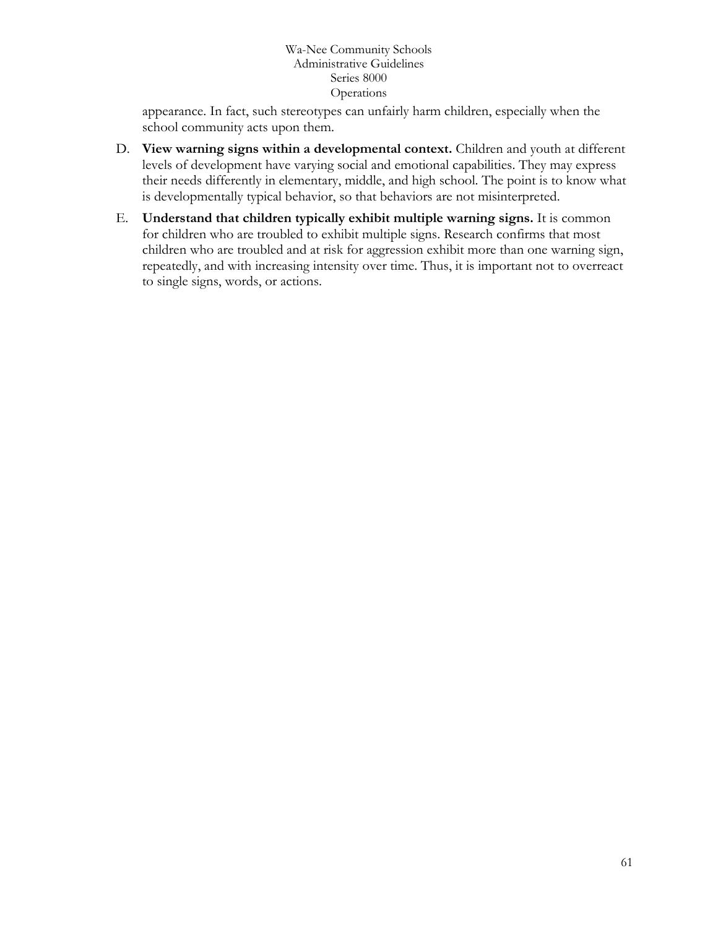appearance. In fact, such stereotypes can unfairly harm children, especially when the school community acts upon them.

- D. **View warning signs within a developmental context.** Children and youth at different levels of development have varying social and emotional capabilities. They may express their needs differently in elementary, middle, and high school. The point is to know what is developmentally typical behavior, so that behaviors are not misinterpreted.
- E. **Understand that children typically exhibit multiple warning signs.** It is common for children who are troubled to exhibit multiple signs. Research confirms that most children who are troubled and at risk for aggression exhibit more than one warning sign, repeatedly, and with increasing intensity over time. Thus, it is important not to overreact to single signs, words, or actions.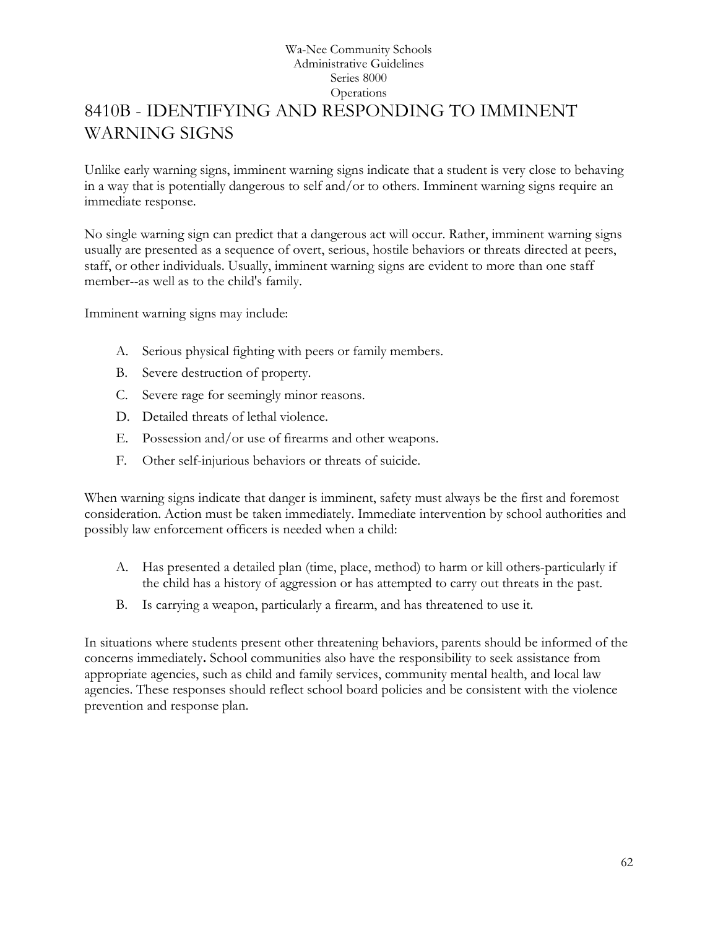# Wa-Nee Community Schools Administrative Guidelines Series 8000 **Operations** 8410B - IDENTIFYING AND RESPONDING TO IMMINENT WARNING SIGNS

Unlike early warning signs, imminent warning signs indicate that a student is very close to behaving in a way that is potentially dangerous to self and/or to others. Imminent warning signs require an immediate response.

No single warning sign can predict that a dangerous act will occur. Rather, imminent warning signs usually are presented as a sequence of overt, serious, hostile behaviors or threats directed at peers, staff, or other individuals. Usually, imminent warning signs are evident to more than one staff member--as well as to the child's family.

Imminent warning signs may include:

- A. Serious physical fighting with peers or family members.
- B. Severe destruction of property.
- C. Severe rage for seemingly minor reasons.
- D. Detailed threats of lethal violence.
- E. Possession and/or use of firearms and other weapons.
- F. Other self-injurious behaviors or threats of suicide.

When warning signs indicate that danger is imminent, safety must always be the first and foremost consideration. Action must be taken immediately. Immediate intervention by school authorities and possibly law enforcement officers is needed when a child:

- A. Has presented a detailed plan (time, place, method) to harm or kill others-particularly if the child has a history of aggression or has attempted to carry out threats in the past.
- B. Is carrying a weapon, particularly a firearm, and has threatened to use it.

In situations where students present other threatening behaviors, parents should be informed of the concerns immediately**.** School communities also have the responsibility to seek assistance from appropriate agencies, such as child and family services, community mental health, and local law agencies. These responses should reflect school board policies and be consistent with the violence prevention and response plan.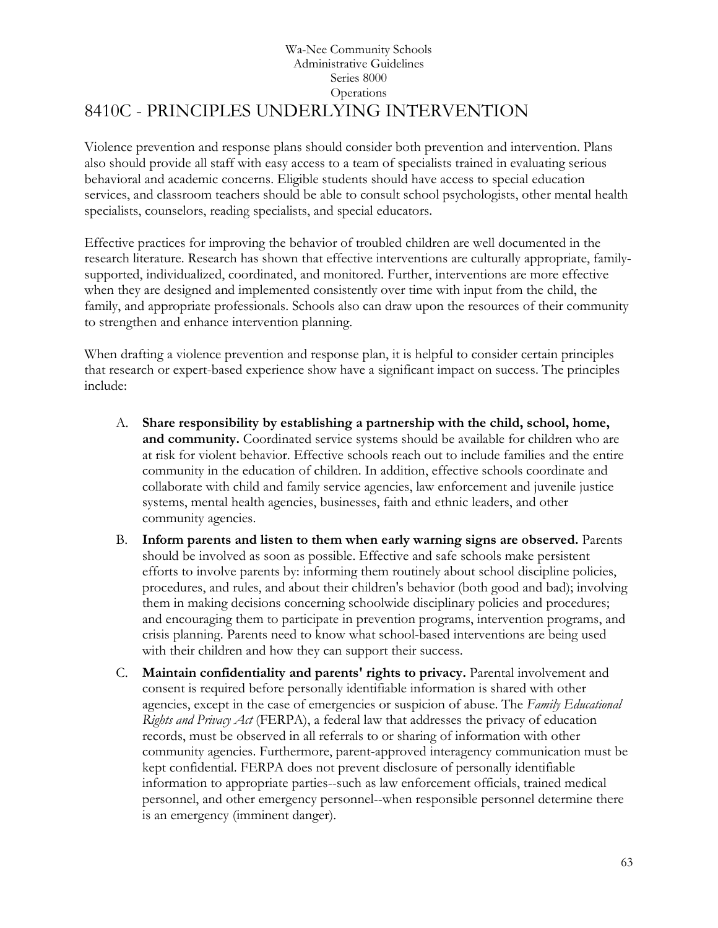### Wa-Nee Community Schools Administrative Guidelines Series 8000 **Operations** 8410C - PRINCIPLES UNDERLYING INTERVENTION

Violence prevention and response plans should consider both prevention and intervention. Plans also should provide all staff with easy access to a team of specialists trained in evaluating serious behavioral and academic concerns. Eligible students should have access to special education services, and classroom teachers should be able to consult school psychologists, other mental health specialists, counselors, reading specialists, and special educators.

Effective practices for improving the behavior of troubled children are well documented in the research literature. Research has shown that effective interventions are culturally appropriate, familysupported, individualized, coordinated, and monitored. Further, interventions are more effective when they are designed and implemented consistently over time with input from the child, the family, and appropriate professionals. Schools also can draw upon the resources of their community to strengthen and enhance intervention planning.

When drafting a violence prevention and response plan, it is helpful to consider certain principles that research or expert-based experience show have a significant impact on success. The principles include:

- A. **Share responsibility by establishing a partnership with the child, school, home, and community.** Coordinated service systems should be available for children who are at risk for violent behavior. Effective schools reach out to include families and the entire community in the education of children. In addition, effective schools coordinate and collaborate with child and family service agencies, law enforcement and juvenile justice systems, mental health agencies, businesses, faith and ethnic leaders, and other community agencies.
- B. **Inform parents and listen to them when early warning signs are observed.** Parents should be involved as soon as possible. Effective and safe schools make persistent efforts to involve parents by: informing them routinely about school discipline policies, procedures, and rules, and about their children's behavior (both good and bad); involving them in making decisions concerning schoolwide disciplinary policies and procedures; and encouraging them to participate in prevention programs, intervention programs, and crisis planning. Parents need to know what school-based interventions are being used with their children and how they can support their success.
- C. **Maintain confidentiality and parents' rights to privacy.** Parental involvement and consent is required before personally identifiable information is shared with other agencies, except in the case of emergencies or suspicion of abuse. The *Family Educational Rights and Privacy Act* (FERPA), a federal law that addresses the privacy of education records, must be observed in all referrals to or sharing of information with other community agencies. Furthermore, parent-approved interagency communication must be kept confidential. FERPA does not prevent disclosure of personally identifiable information to appropriate parties--such as law enforcement officials, trained medical personnel, and other emergency personnel--when responsible personnel determine there is an emergency (imminent danger).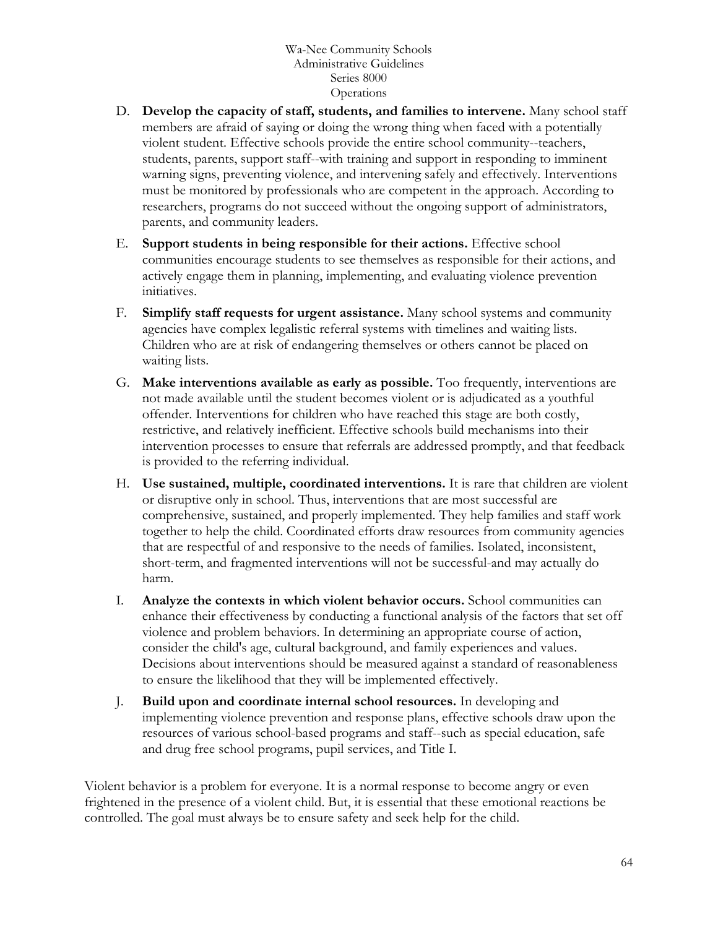- D. **Develop the capacity of staff, students, and families to intervene.** Many school staff members are afraid of saying or doing the wrong thing when faced with a potentially violent student. Effective schools provide the entire school community--teachers, students, parents, support staff--with training and support in responding to imminent warning signs, preventing violence, and intervening safely and effectively. Interventions must be monitored by professionals who are competent in the approach. According to researchers, programs do not succeed without the ongoing support of administrators, parents, and community leaders.
- E. **Support students in being responsible for their actions.** Effective school communities encourage students to see themselves as responsible for their actions, and actively engage them in planning, implementing, and evaluating violence prevention initiatives.
- F. **Simplify staff requests for urgent assistance.** Many school systems and community agencies have complex legalistic referral systems with timelines and waiting lists. Children who are at risk of endangering themselves or others cannot be placed on waiting lists.
- G. **Make interventions available as early as possible.** Too frequently, interventions are not made available until the student becomes violent or is adjudicated as a youthful offender. Interventions for children who have reached this stage are both costly, restrictive, and relatively inefficient. Effective schools build mechanisms into their intervention processes to ensure that referrals are addressed promptly, and that feedback is provided to the referring individual.
- H. **Use sustained, multiple, coordinated interventions.** It is rare that children are violent or disruptive only in school. Thus, interventions that are most successful are comprehensive, sustained, and properly implemented. They help families and staff work together to help the child. Coordinated efforts draw resources from community agencies that are respectful of and responsive to the needs of families. Isolated, inconsistent, short-term, and fragmented interventions will not be successful-and may actually do harm.
- I. **Analyze the contexts in which violent behavior occurs.** School communities can enhance their effectiveness by conducting a functional analysis of the factors that set off violence and problem behaviors. In determining an appropriate course of action, consider the child's age, cultural background, and family experiences and values. Decisions about interventions should be measured against a standard of reasonableness to ensure the likelihood that they will be implemented effectively.
- J. **Build upon and coordinate internal school resources.** In developing and implementing violence prevention and response plans, effective schools draw upon the resources of various school-based programs and staff--such as special education, safe and drug free school programs, pupil services, and Title I.

Violent behavior is a problem for everyone. It is a normal response to become angry or even frightened in the presence of a violent child. But, it is essential that these emotional reactions be controlled. The goal must always be to ensure safety and seek help for the child.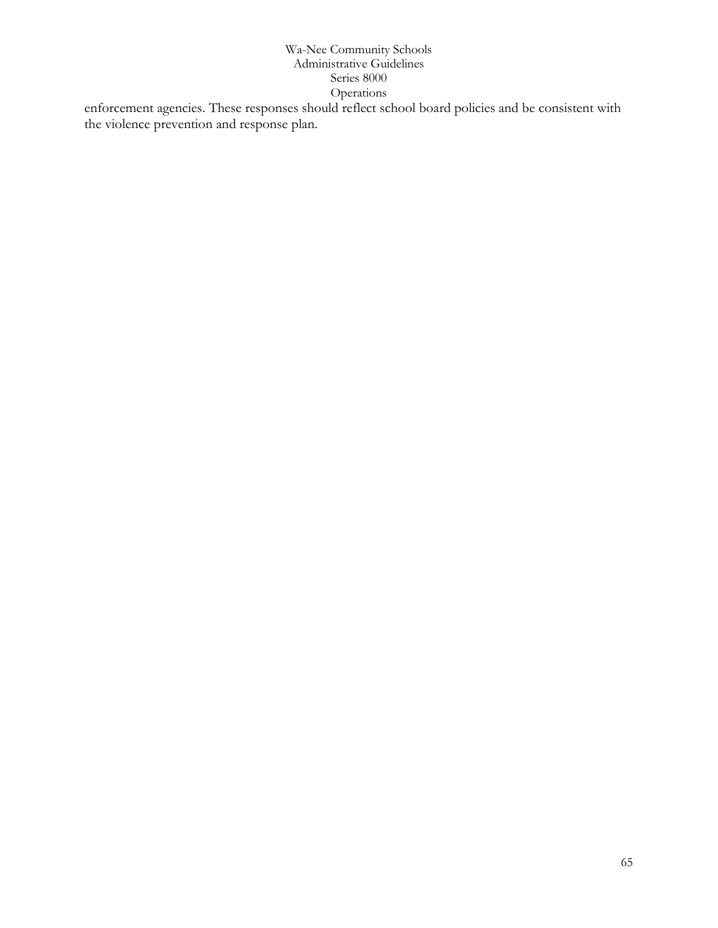enforcement agencies. These responses should reflect school board policies and be consistent with the violence prevention and response plan.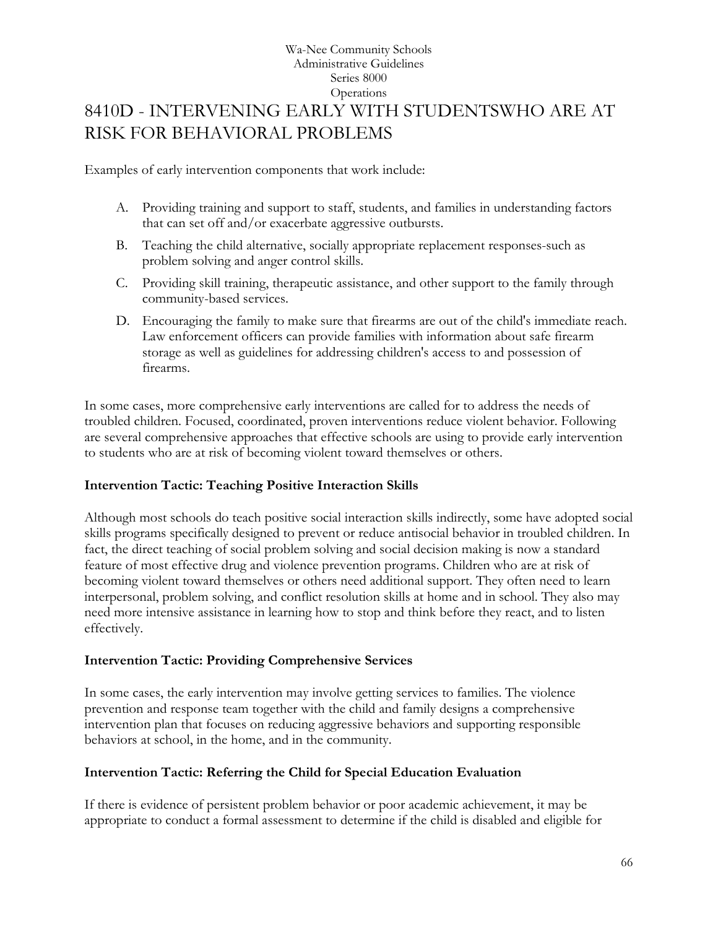# Wa-Nee Community Schools Administrative Guidelines Series 8000 **Operations** 8410D - INTERVENING EARLY WITH STUDENTSWHO ARE AT RISK FOR BEHAVIORAL PROBLEMS

Examples of early intervention components that work include:

- A. Providing training and support to staff, students, and families in understanding factors that can set off and/or exacerbate aggressive outbursts.
- B. Teaching the child alternative, socially appropriate replacement responses-such as problem solving and anger control skills.
- C. Providing skill training, therapeutic assistance, and other support to the family through community-based services.
- D. Encouraging the family to make sure that firearms are out of the child's immediate reach. Law enforcement officers can provide families with information about safe firearm storage as well as guidelines for addressing children's access to and possession of firearms.

In some cases, more comprehensive early interventions are called for to address the needs of troubled children. Focused, coordinated, proven interventions reduce violent behavior. Following are several comprehensive approaches that effective schools are using to provide early intervention to students who are at risk of becoming violent toward themselves or others.

# **Intervention Tactic: Teaching Positive Interaction Skills**

Although most schools do teach positive social interaction skills indirectly, some have adopted social skills programs specifically designed to prevent or reduce antisocial behavior in troubled children. In fact, the direct teaching of social problem solving and social decision making is now a standard feature of most effective drug and violence prevention programs. Children who are at risk of becoming violent toward themselves or others need additional support. They often need to learn interpersonal, problem solving, and conflict resolution skills at home and in school. They also may need more intensive assistance in learning how to stop and think before they react, and to listen effectively.

### **Intervention Tactic: Providing Comprehensive Services**

In some cases, the early intervention may involve getting services to families. The violence prevention and response team together with the child and family designs a comprehensive intervention plan that focuses on reducing aggressive behaviors and supporting responsible behaviors at school, in the home, and in the community.

### **Intervention Tactic: Referring the Child for Special Education Evaluation**

If there is evidence of persistent problem behavior or poor academic achievement, it may be appropriate to conduct a formal assessment to determine if the child is disabled and eligible for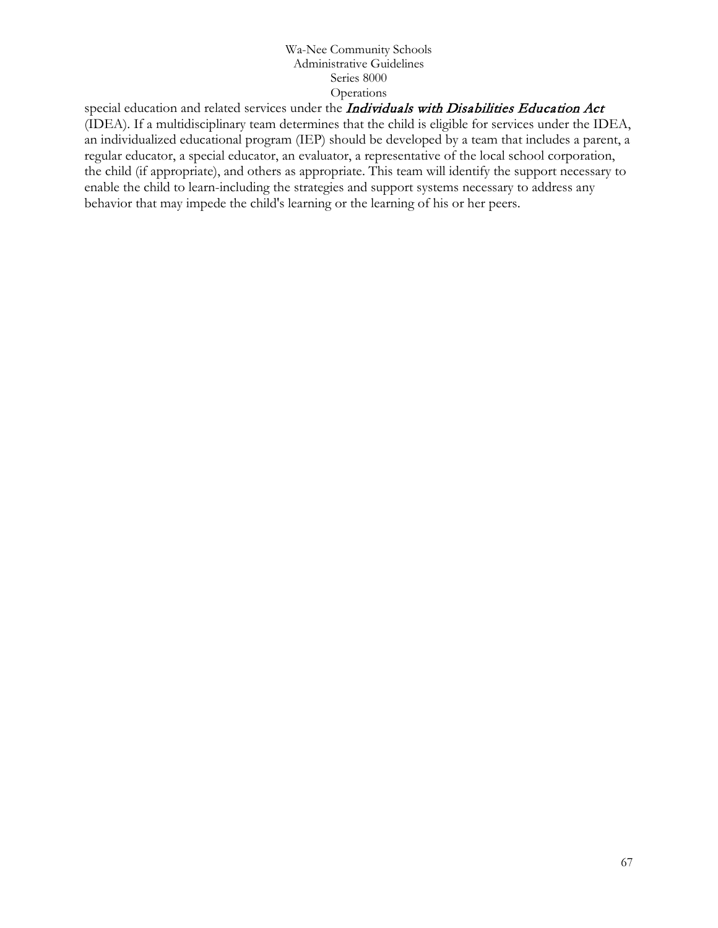special education and related services under the Individuals with Disabilities Education Act (IDEA). If a multidisciplinary team determines that the child is eligible for services under the IDEA, an individualized educational program (IEP) should be developed by a team that includes a parent, a regular educator, a special educator, an evaluator, a representative of the local school corporation, the child (if appropriate), and others as appropriate. This team will identify the support necessary to enable the child to learn-including the strategies and support systems necessary to address any behavior that may impede the child's learning or the learning of his or her peers.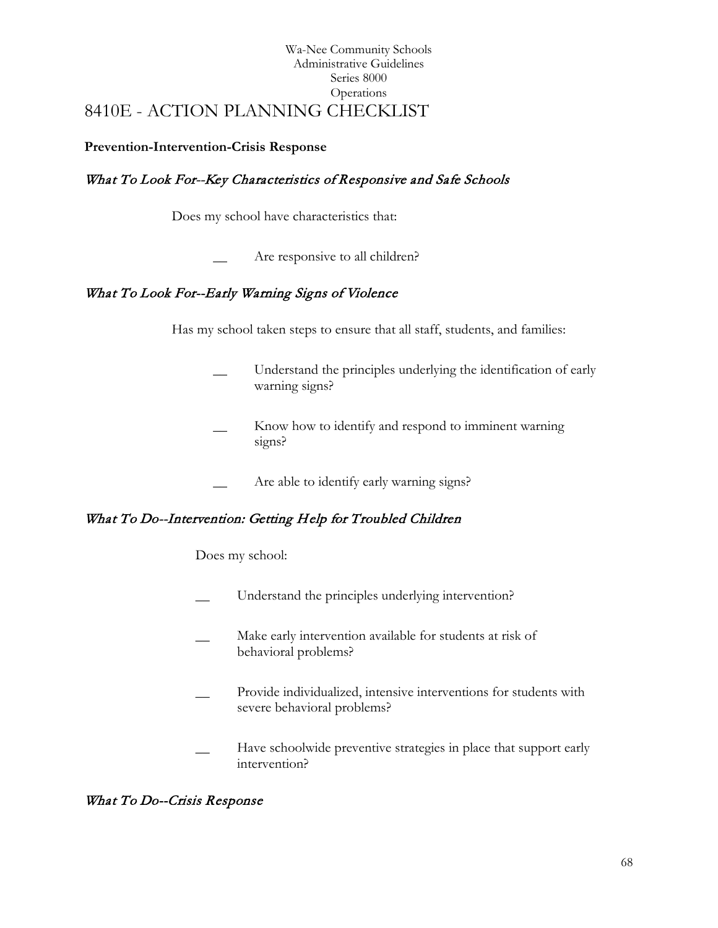### Wa-Nee Community Schools Administrative Guidelines Series 8000 **Operations** 8410E - ACTION PLANNING CHECKLIST

# **Prevention-Intervention-Crisis Response**

# What To Look For--Key Characteristics of Responsive and Safe Schools

Does my school have characteristics that:

Are responsive to all children?

# What To Look For--Early Warning Signs of Violence

Has my school taken steps to ensure that all staff, students, and families:

- Understand the principles underlying the identification of early warning signs?
- Know how to identify and respond to imminent warning signs?
- Are able to identify early warning signs?

# What To Do--Intervention: Getting Help for Troubled Children

Does my school:

- Understand the principles underlying intervention?
- Make early intervention available for students at risk of behavioral problems?
- Provide individualized, intensive interventions for students with severe behavioral problems?
- Have schoolwide preventive strategies in place that support early intervention?

### What To Do--Crisis Response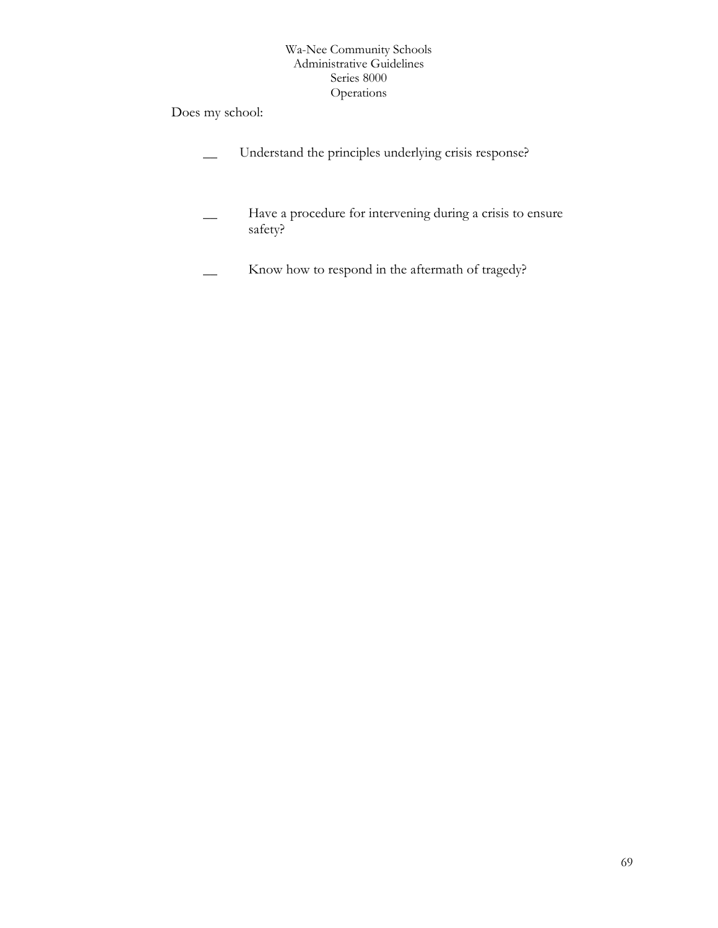Does my school:

- Understand the principles underlying crisis response?
- Have a procedure for intervening during a crisis to ensure safety?
- Know how to respond in the aftermath of tragedy?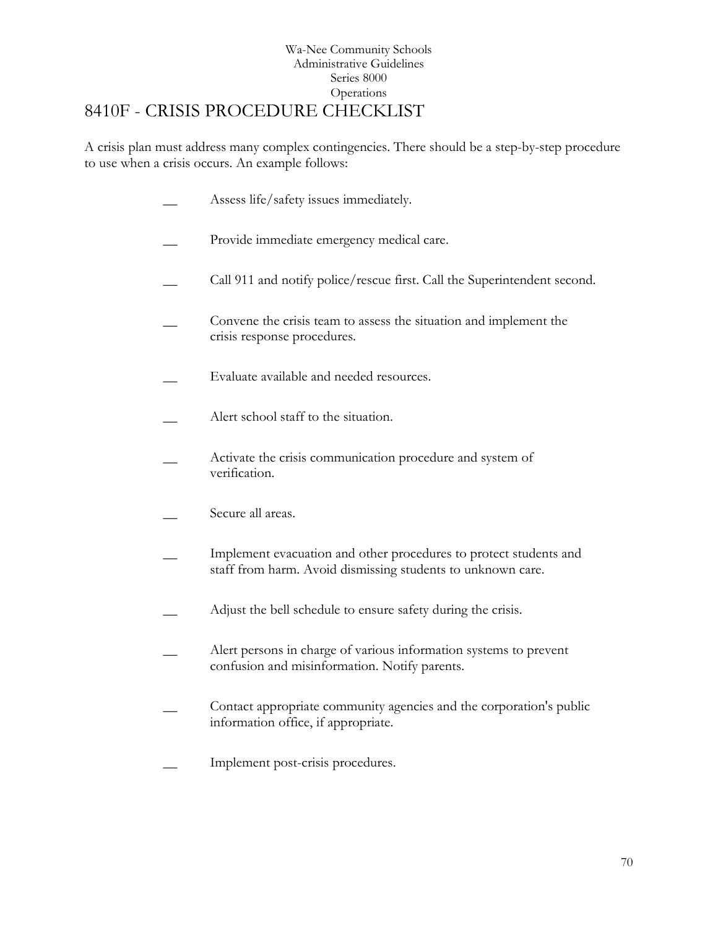### Wa-Nee Community Schools Administrative Guidelines Series 8000 **Operations** 8410F - CRISIS PROCEDURE CHECKLIST

A crisis plan must address many complex contingencies. There should be a step-by-step procedure to use when a crisis occurs. An example follows:

- Assess life/safety issues immediately.
- Provide immediate emergency medical care.
- Call 911 and notify police/rescue first. Call the Superintendent second.
- Convene the crisis team to assess the situation and implement the crisis response procedures.
- Evaluate available and needed resources.
- Alert school staff to the situation.
- Activate the crisis communication procedure and system of verification.
- Secure all areas.
- Implement evacuation and other procedures to protect students and staff from harm. Avoid dismissing students to unknown care.
- Adjust the bell schedule to ensure safety during the crisis.
- Alert persons in charge of various information systems to prevent confusion and misinformation. Notify parents.
- Contact appropriate community agencies and the corporation's public information office, if appropriate.
- Implement post-crisis procedures.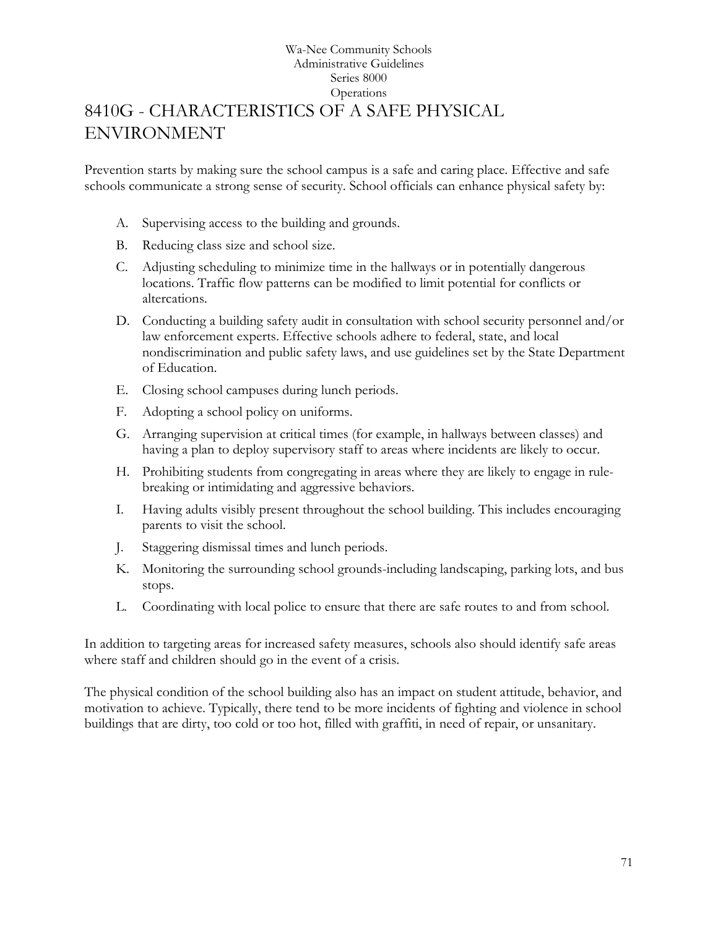# Wa-Nee Community Schools Administrative Guidelines Series 8000 **Operations** 8410G - CHARACTERISTICS OF A SAFE PHYSICAL ENVIRONMENT

Prevention starts by making sure the school campus is a safe and caring place. Effective and safe schools communicate a strong sense of security. School officials can enhance physical safety by:

- A. Supervising access to the building and grounds.
- B. Reducing class size and school size.
- C. Adjusting scheduling to minimize time in the hallways or in potentially dangerous locations. Traffic flow patterns can be modified to limit potential for conflicts or altercations.
- D. Conducting a building safety audit in consultation with school security personnel and/or law enforcement experts. Effective schools adhere to federal, state, and local nondiscrimination and public safety laws, and use guidelines set by the State Department of Education.
- E. Closing school campuses during lunch periods.
- F. Adopting a school policy on uniforms.
- G. Arranging supervision at critical times (for example, in hallways between classes) and having a plan to deploy supervisory staff to areas where incidents are likely to occur.
- H. Prohibiting students from congregating in areas where they are likely to engage in rulebreaking or intimidating and aggressive behaviors.
- I. Having adults visibly present throughout the school building. This includes encouraging parents to visit the school.
- J. Staggering dismissal times and lunch periods.
- K. Monitoring the surrounding school grounds-including landscaping, parking lots, and bus stops.
- L. Coordinating with local police to ensure that there are safe routes to and from school.

In addition to targeting areas for increased safety measures, schools also should identify safe areas where staff and children should go in the event of a crisis.

The physical condition of the school building also has an impact on student attitude, behavior, and motivation to achieve. Typically, there tend to be more incidents of fighting and violence in school buildings that are dirty, too cold or too hot, filled with graffiti, in need of repair, or unsanitary.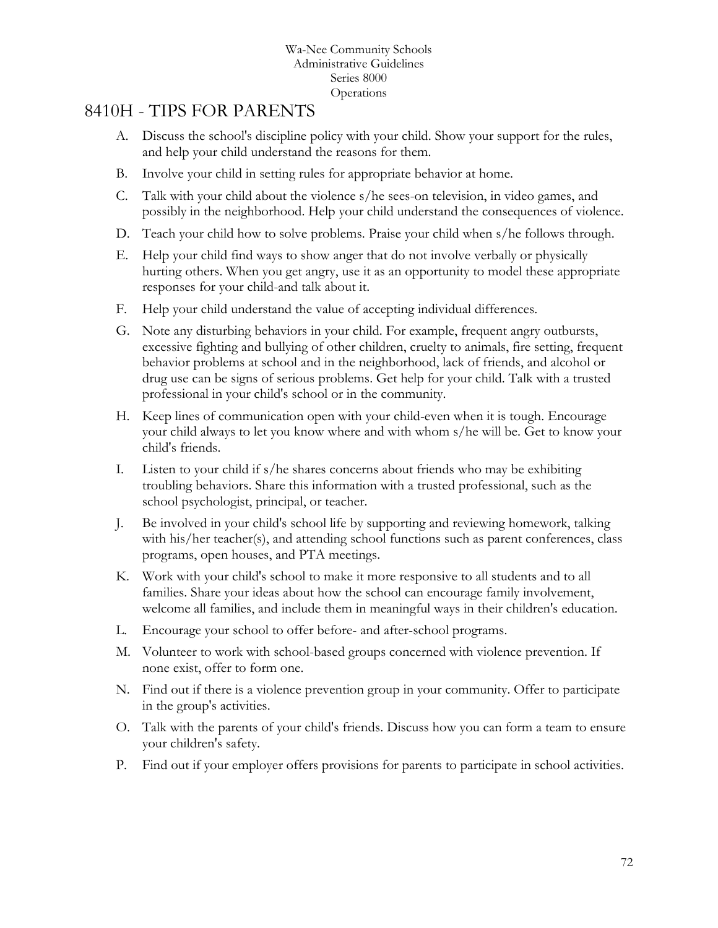# 8410H - TIPS FOR PARENTS

- A. Discuss the school's discipline policy with your child. Show your support for the rules, and help your child understand the reasons for them.
- B. Involve your child in setting rules for appropriate behavior at home.
- C. Talk with your child about the violence s/he sees-on television, in video games, and possibly in the neighborhood. Help your child understand the consequences of violence.
- D. Teach your child how to solve problems. Praise your child when s/he follows through.
- E. Help your child find ways to show anger that do not involve verbally or physically hurting others. When you get angry, use it as an opportunity to model these appropriate responses for your child-and talk about it.
- F. Help your child understand the value of accepting individual differences.
- G. Note any disturbing behaviors in your child. For example, frequent angry outbursts, excessive fighting and bullying of other children, cruelty to animals, fire setting, frequent behavior problems at school and in the neighborhood, lack of friends, and alcohol or drug use can be signs of serious problems. Get help for your child. Talk with a trusted professional in your child's school or in the community.
- H. Keep lines of communication open with your child-even when it is tough. Encourage your child always to let you know where and with whom s/he will be. Get to know your child's friends.
- I. Listen to your child if s/he shares concerns about friends who may be exhibiting troubling behaviors. Share this information with a trusted professional, such as the school psychologist, principal, or teacher.
- J. Be involved in your child's school life by supporting and reviewing homework, talking with his/her teacher(s), and attending school functions such as parent conferences, class programs, open houses, and PTA meetings.
- K. Work with your child's school to make it more responsive to all students and to all families. Share your ideas about how the school can encourage family involvement, welcome all families, and include them in meaningful ways in their children's education.
- L. Encourage your school to offer before- and after-school programs.
- M. Volunteer to work with school-based groups concerned with violence prevention. If none exist, offer to form one.
- N. Find out if there is a violence prevention group in your community. Offer to participate in the group's activities.
- O. Talk with the parents of your child's friends. Discuss how you can form a team to ensure your children's safety.
- P. Find out if your employer offers provisions for parents to participate in school activities.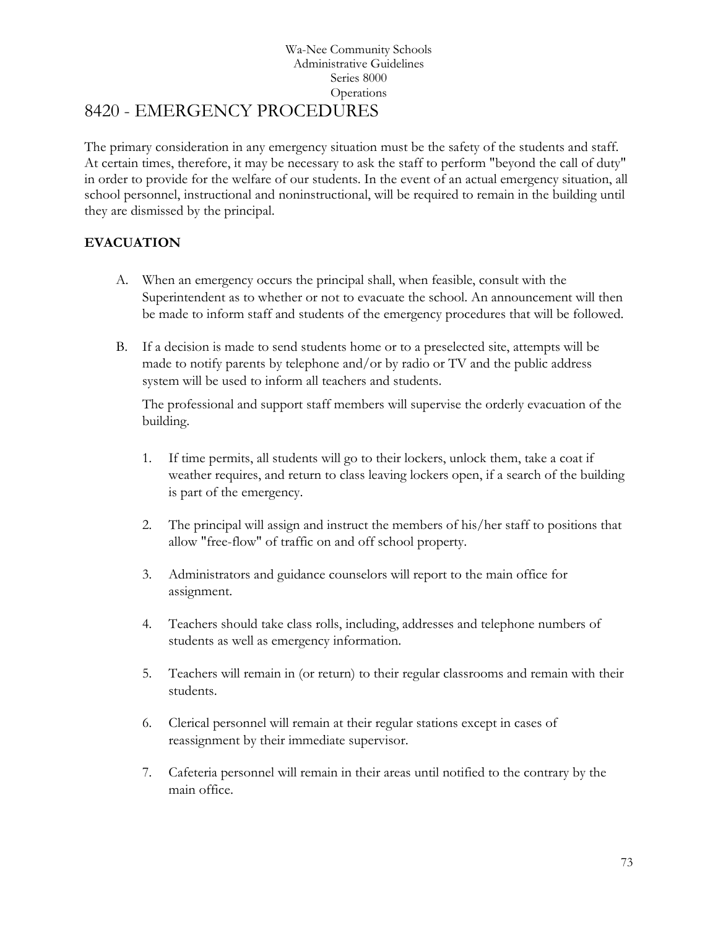### Wa-Nee Community Schools Administrative Guidelines Series 8000 **Operations** [8420](http://www.neola.com/wanee-in/search/policies/po8420.htm) - EMERGENCY PROCEDURES

The primary consideration in any emergency situation must be the safety of the students and staff. At certain times, therefore, it may be necessary to ask the staff to perform "beyond the call of duty" in order to provide for the welfare of our students. In the event of an actual emergency situation, all school personnel, instructional and noninstructional, will be required to remain in the building until they are dismissed by the principal.

### **EVACUATION**

- A. When an emergency occurs the principal shall, when feasible, consult with the Superintendent as to whether or not to evacuate the school. An announcement will then be made to inform staff and students of the emergency procedures that will be followed.
- B. If a decision is made to send students home or to a preselected site, attempts will be made to notify parents by telephone and/or by radio or TV and the public address system will be used to inform all teachers and students.

The professional and support staff members will supervise the orderly evacuation of the building.

- 1. If time permits, all students will go to their lockers, unlock them, take a coat if weather requires, and return to class leaving lockers open, if a search of the building is part of the emergency.
- 2. The principal will assign and instruct the members of his/her staff to positions that allow "free-flow" of traffic on and off school property.
- 3. Administrators and guidance counselors will report to the main office for assignment.
- 4. Teachers should take class rolls, including, addresses and telephone numbers of students as well as emergency information.
- 5. Teachers will remain in (or return) to their regular classrooms and remain with their students.
- 6. Clerical personnel will remain at their regular stations except in cases of reassignment by their immediate supervisor.
- 7. Cafeteria personnel will remain in their areas until notified to the contrary by the main office.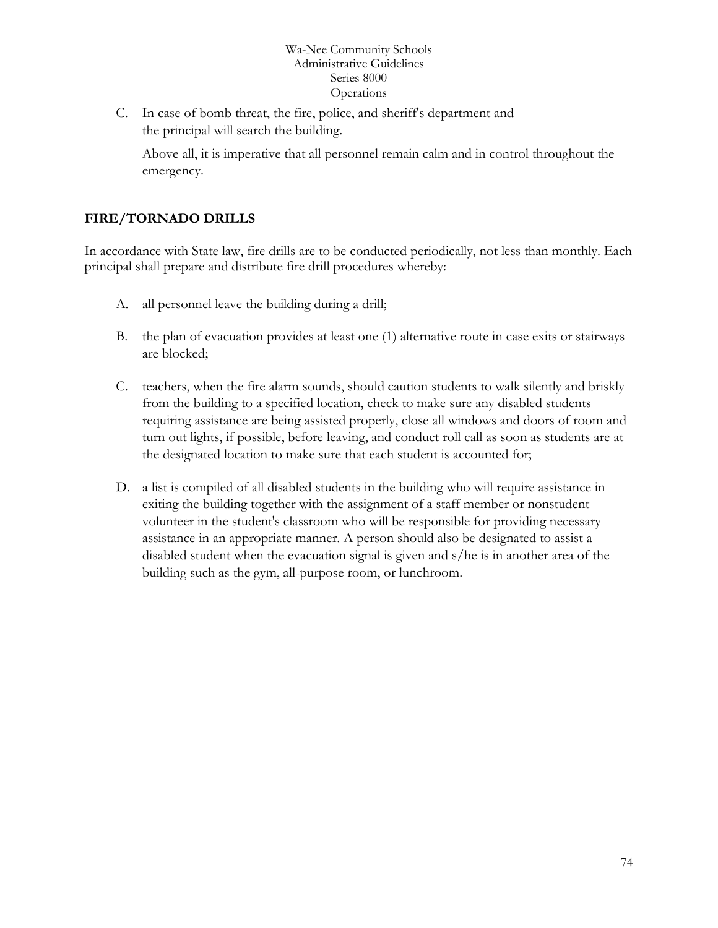C. In case of bomb threat, the fire, police, and sheriff's department and the principal will search the building.

Above all, it is imperative that all personnel remain calm and in control throughout the emergency.

### **FIRE/TORNADO DRILLS**

In accordance with State law, fire drills are to be conducted periodically, not less than monthly. Each principal shall prepare and distribute fire drill procedures whereby:

- A. all personnel leave the building during a drill;
- B. the plan of evacuation provides at least one (1) alternative route in case exits or stairways are blocked;
- C. teachers, when the fire alarm sounds, should caution students to walk silently and briskly from the building to a specified location, check to make sure any disabled students requiring assistance are being assisted properly, close all windows and doors of room and turn out lights, if possible, before leaving, and conduct roll call as soon as students are at the designated location to make sure that each student is accounted for;
- D. a list is compiled of all disabled students in the building who will require assistance in exiting the building together with the assignment of a staff member or nonstudent volunteer in the student's classroom who will be responsible for providing necessary assistance in an appropriate manner. A person should also be designated to assist a disabled student when the evacuation signal is given and s/he is in another area of the building such as the gym, all-purpose room, or lunchroom.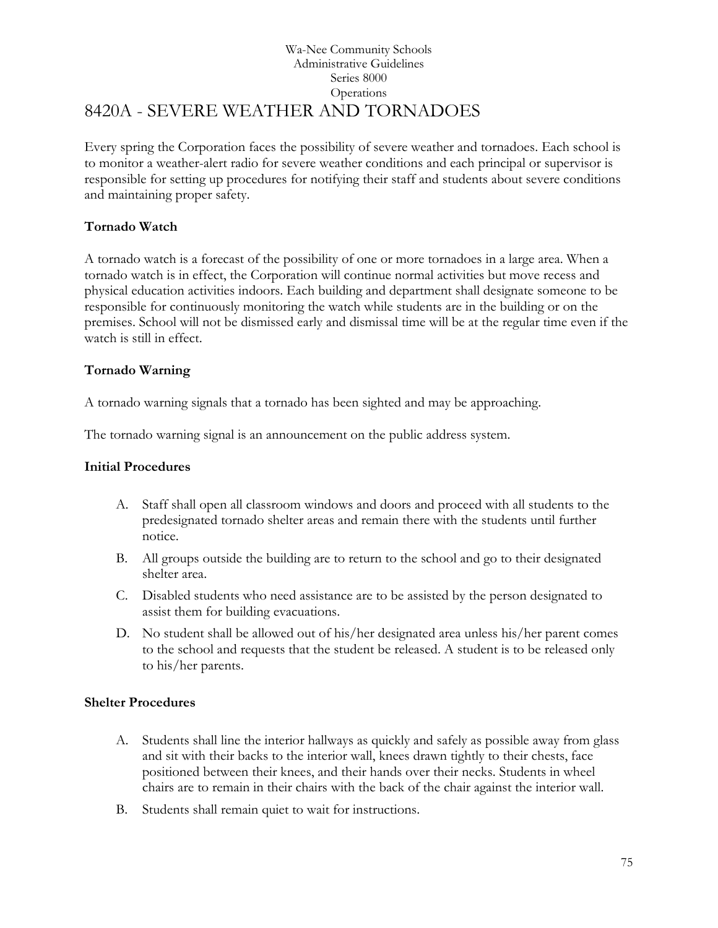### Wa-Nee Community Schools Administrative Guidelines Series 8000 **Operations** 8420A - SEVERE WEATHER AND TORNADOES

Every spring the Corporation faces the possibility of severe weather and tornadoes. Each school is to monitor a weather-alert radio for severe weather conditions and each principal or supervisor is responsible for setting up procedures for notifying their staff and students about severe conditions and maintaining proper safety.

### **Tornado Watch**

A tornado watch is a forecast of the possibility of one or more tornadoes in a large area. When a tornado watch is in effect, the Corporation will continue normal activities but move recess and physical education activities indoors. Each building and department shall designate someone to be responsible for continuously monitoring the watch while students are in the building or on the premises. School will not be dismissed early and dismissal time will be at the regular time even if the watch is still in effect.

### **Tornado Warning**

A tornado warning signals that a tornado has been sighted and may be approaching.

The tornado warning signal is an announcement on the public address system.

### **Initial Procedures**

- A. Staff shall open all classroom windows and doors and proceed with all students to the predesignated tornado shelter areas and remain there with the students until further notice.
- B. All groups outside the building are to return to the school and go to their designated shelter area.
- C. Disabled students who need assistance are to be assisted by the person designated to assist them for building evacuations.
- D. No student shall be allowed out of his/her designated area unless his/her parent comes to the school and requests that the student be released. A student is to be released only to his/her parents.

#### **Shelter Procedures**

- A. Students shall line the interior hallways as quickly and safely as possible away from glass and sit with their backs to the interior wall, knees drawn tightly to their chests, face positioned between their knees, and their hands over their necks. Students in wheel chairs are to remain in their chairs with the back of the chair against the interior wall.
- B. Students shall remain quiet to wait for instructions.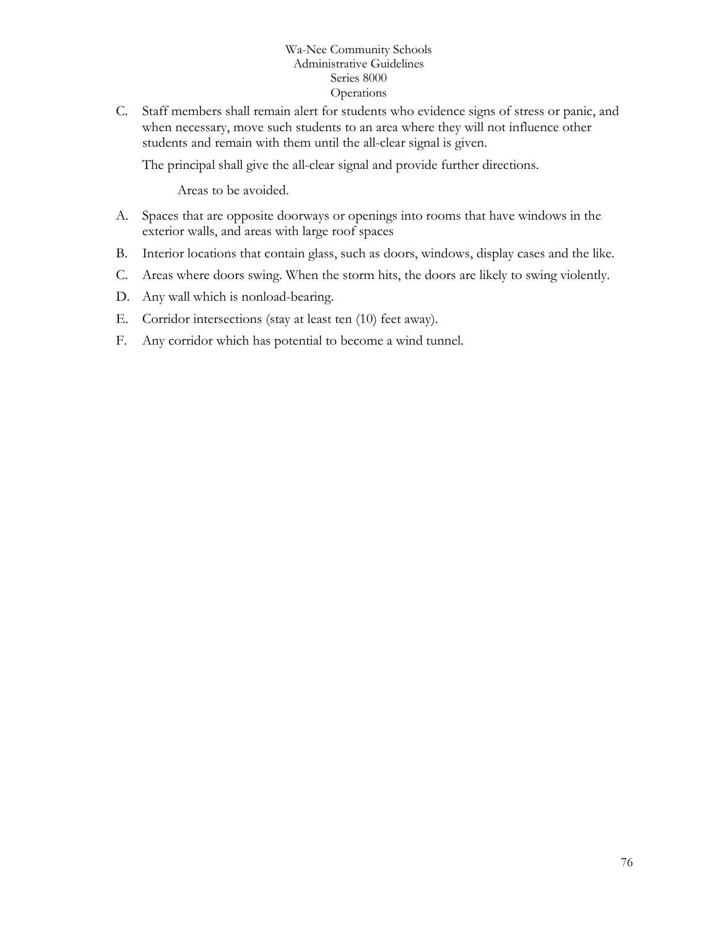C. Staff members shall remain alert for students who evidence signs of stress or panic, and when necessary, move such students to an area where they will not influence other students and remain with them until the all-clear signal is given.

The principal shall give the all-clear signal and provide further directions.

Areas to be avoided.

- A. Spaces that are opposite doorways or openings into rooms that have windows in the exterior walls, and areas with large roof spaces
- B. Interior locations that contain glass, such as doors, windows, display cases and the like.
- C. Areas where doors swing. When the storm hits, the doors are likely to swing violently.
- D. Any wall which is nonload-bearing.
- E. Corridor intersections (stay at least ten (10) feet away).
- F. Any corridor which has potential to become a wind tunnel.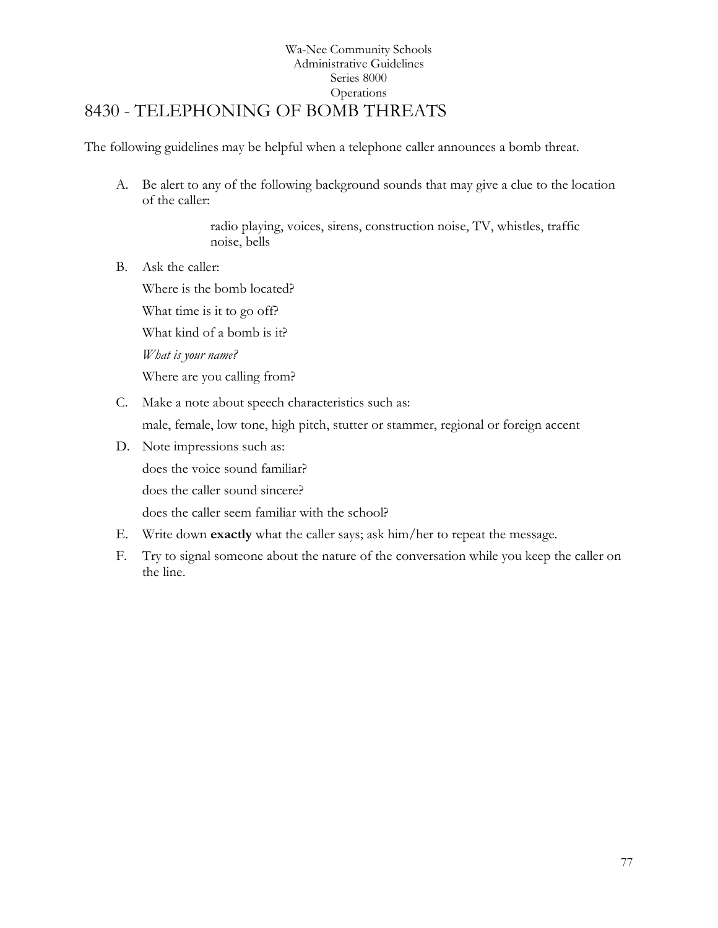### Wa-Nee Community Schools Administrative Guidelines Series 8000 **Operations** 8430 - TELEPHONING OF BOMB THREATS

The following guidelines may be helpful when a telephone caller announces a bomb threat.

A. Be alert to any of the following background sounds that may give a clue to the location of the caller:

> radio playing, voices, sirens, construction noise, TV, whistles, traffic noise, bells

B. Ask the caller:

Where is the bomb located?

What time is it to go off?

What kind of a bomb is it?

*What is your name?*

Where are you calling from?

- C. Make a note about speech characteristics such as: male, female, low tone, high pitch, stutter or stammer, regional or foreign accent
- D. Note impressions such as: does the voice sound familiar? does the caller sound sincere? does the caller seem familiar with the school?
- E. Write down **exactly** what the caller says; ask him/her to repeat the message.
- F. Try to signal someone about the nature of the conversation while you keep the caller on the line.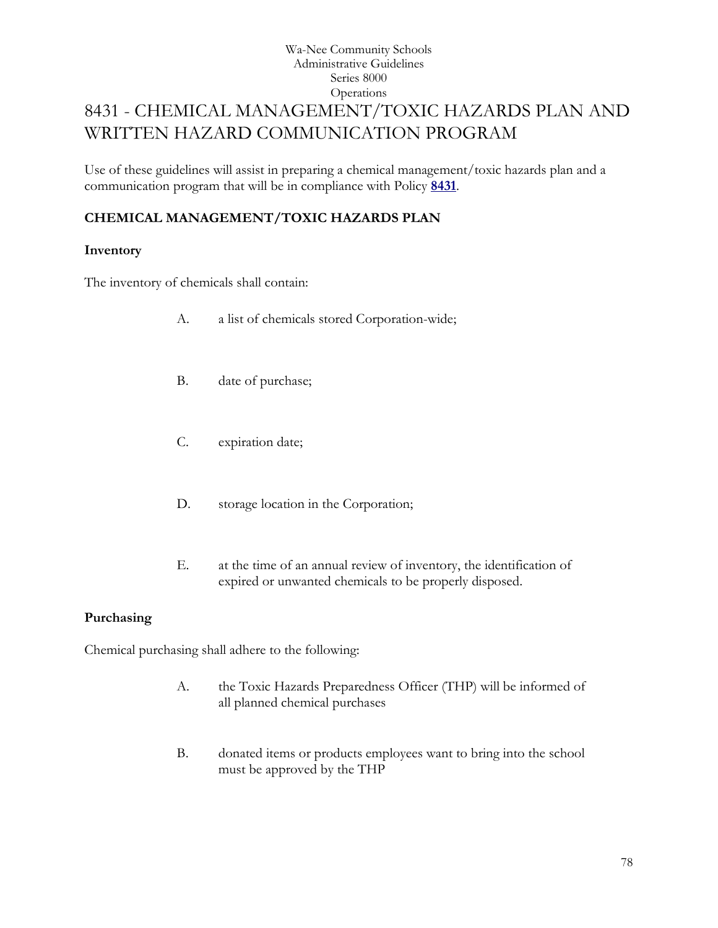### Wa-Nee Community Schools Administrative Guidelines Series 8000 **Operations** [8431](http://www.neola.com/wanee-in/search/policies/po8431.htm) - CHEMICAL MANAGEMENT/TOXIC HAZARDS PLAN AND WRITTEN HAZARD COMMUNICATION PROGRAM

Use of these guidelines will assist in preparing a chemical management/toxic hazards plan and a communication program that will be in compliance with Policy **[8431](http://www.neola.com/wanee-in/search/policies/po8431.htm)**.

### **CHEMICAL MANAGEMENT/TOXIC HAZARDS PLAN**

### **Inventory**

The inventory of chemicals shall contain:

- A. a list of chemicals stored Corporation-wide;
- B. date of purchase;
- C. expiration date;
- D. storage location in the Corporation;
- E. at the time of an annual review of inventory, the identification of expired or unwanted chemicals to be properly disposed.

### **Purchasing**

Chemical purchasing shall adhere to the following:

- A. the Toxic Hazards Preparedness Officer (THP) will be informed of all planned chemical purchases
- B. donated items or products employees want to bring into the school must be approved by the THP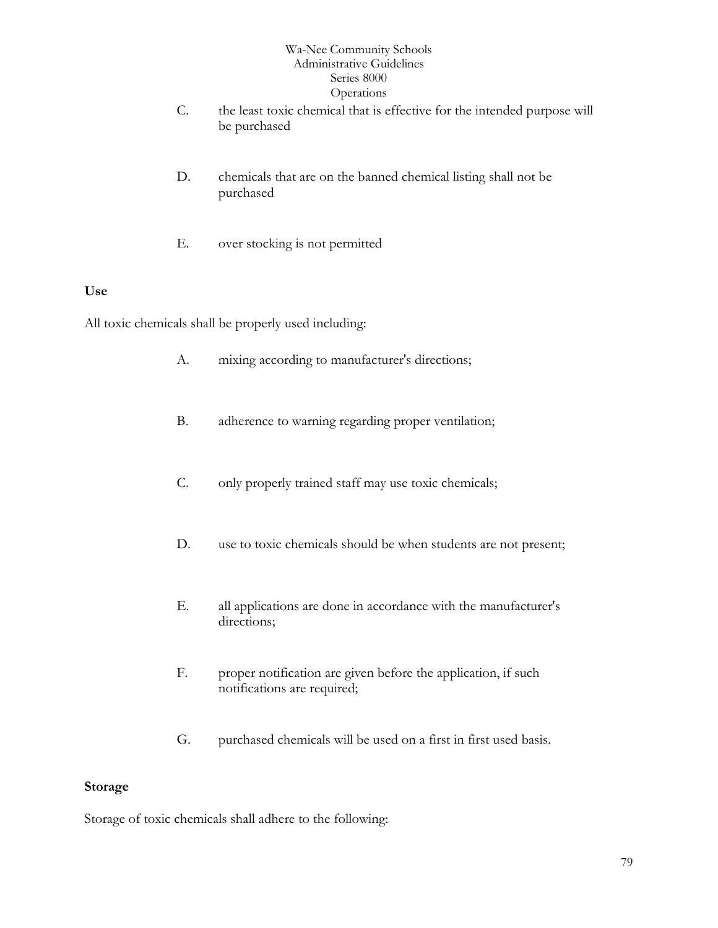- C. the least toxic chemical that is effective for the intended purpose will be purchased
- D. chemicals that are on the banned chemical listing shall not be purchased
- E. over stocking is not permitted

### **Use**

All toxic chemicals shall be properly used including:

- A. mixing according to manufacturer's directions;
- B. adherence to warning regarding proper ventilation;
- C. only properly trained staff may use toxic chemicals;
- D. use to toxic chemicals should be when students are not present;
- E. all applications are done in accordance with the manufacturer's directions;
- F. proper notification are given before the application, if such notifications are required;
- G. purchased chemicals will be used on a first in first used basis.

### **Storage**

Storage of toxic chemicals shall adhere to the following: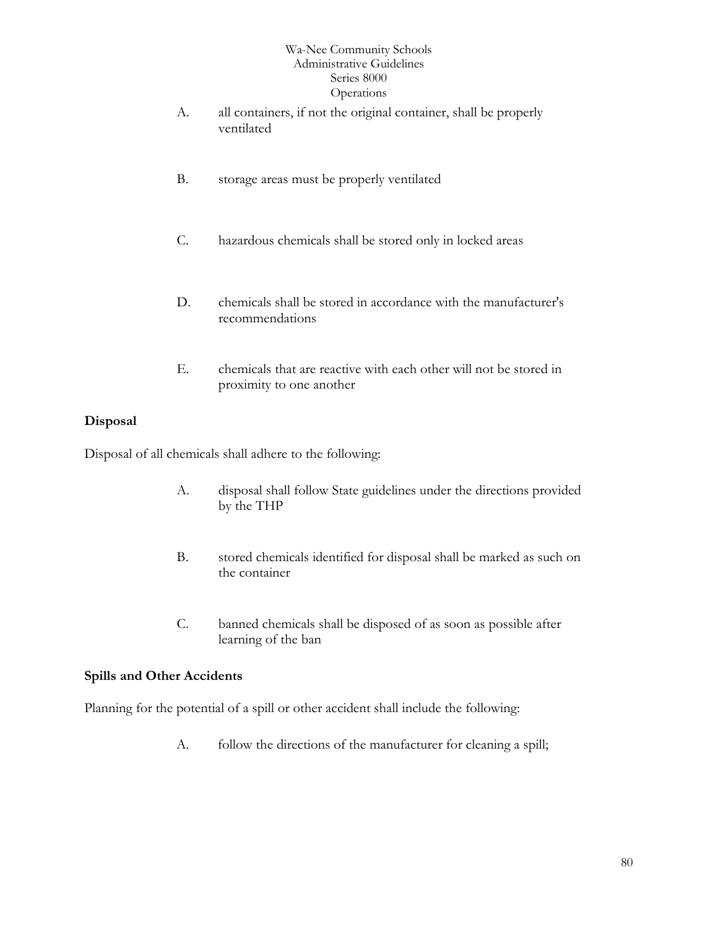- A. all containers, if not the original container, shall be properly ventilated
- B. storage areas must be properly ventilated
- C. hazardous chemicals shall be stored only in locked areas
- D. chemicals shall be stored in accordance with the manufacturer's recommendations
- E. chemicals that are reactive with each other will not be stored in proximity to one another

### **Disposal**

Disposal of all chemicals shall adhere to the following:

- A. disposal shall follow State guidelines under the directions provided by the THP
- B. stored chemicals identified for disposal shall be marked as such on the container
- C. banned chemicals shall be disposed of as soon as possible after learning of the ban

### **Spills and Other Accidents**

Planning for the potential of a spill or other accident shall include the following:

A. follow the directions of the manufacturer for cleaning a spill;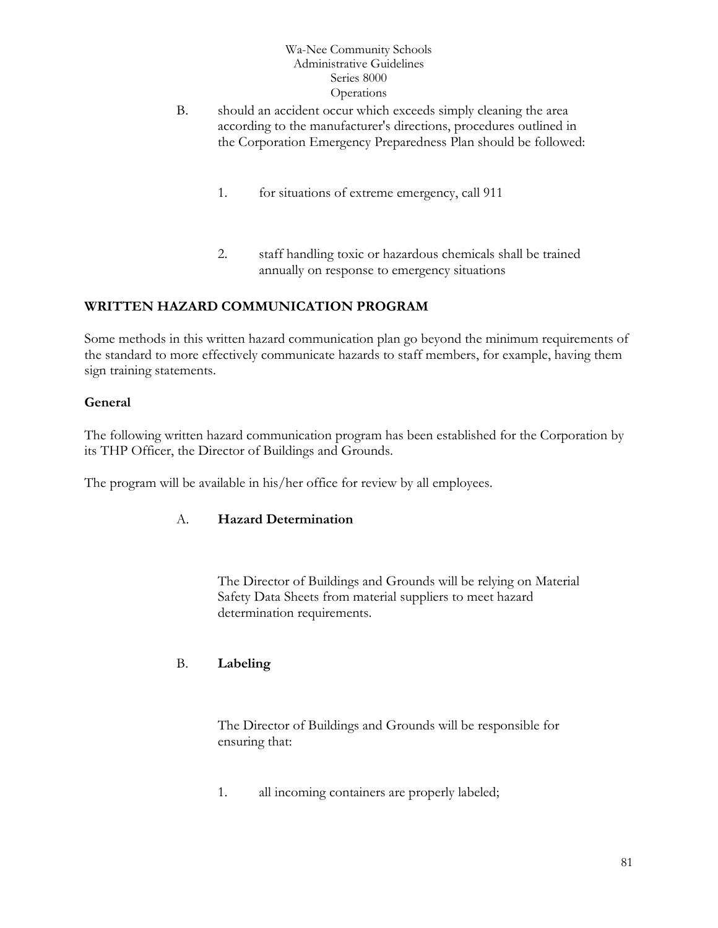- B. should an accident occur which exceeds simply cleaning the area according to the manufacturer's directions, procedures outlined in the Corporation Emergency Preparedness Plan should be followed:
	- 1. for situations of extreme emergency, call 911
	- 2. staff handling toxic or hazardous chemicals shall be trained annually on response to emergency situations

### **WRITTEN HAZARD COMMUNICATION PROGRAM**

Some methods in this written hazard communication plan go beyond the minimum requirements of the standard to more effectively communicate hazards to staff members, for example, having them sign training statements.

### **General**

The following written hazard communication program has been established for the Corporation by its THP Officer, the Director of Buildings and Grounds.

The program will be available in his/her office for review by all employees.

### A. **Hazard Determination**

The Director of Buildings and Grounds will be relying on Material Safety Data Sheets from material suppliers to meet hazard determination requirements.

### B. **Labeling**

The Director of Buildings and Grounds will be responsible for ensuring that:

1. all incoming containers are properly labeled;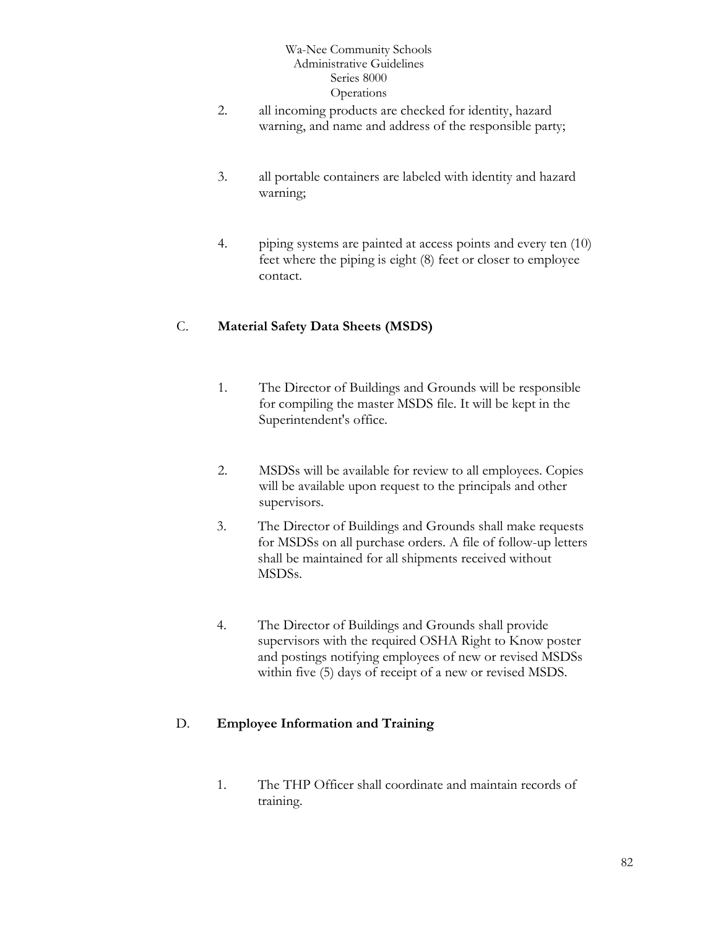- 2. all incoming products are checked for identity, hazard warning, and name and address of the responsible party;
- 3. all portable containers are labeled with identity and hazard warning;
- 4. piping systems are painted at access points and every ten (10) feet where the piping is eight (8) feet or closer to employee contact.

### C. **Material Safety Data Sheets (MSDS)**

- 1. The Director of Buildings and Grounds will be responsible for compiling the master MSDS file. It will be kept in the Superintendent's office.
- 2. MSDSs will be available for review to all employees. Copies will be available upon request to the principals and other supervisors.
- 3. The Director of Buildings and Grounds shall make requests for MSDSs on all purchase orders. A file of follow-up letters shall be maintained for all shipments received without MSDSs.
- 4. The Director of Buildings and Grounds shall provide supervisors with the required OSHA Right to Know poster and postings notifying employees of new or revised MSDSs within five (5) days of receipt of a new or revised MSDS.

### D. **Employee Information and Training**

1. The THP Officer shall coordinate and maintain records of training.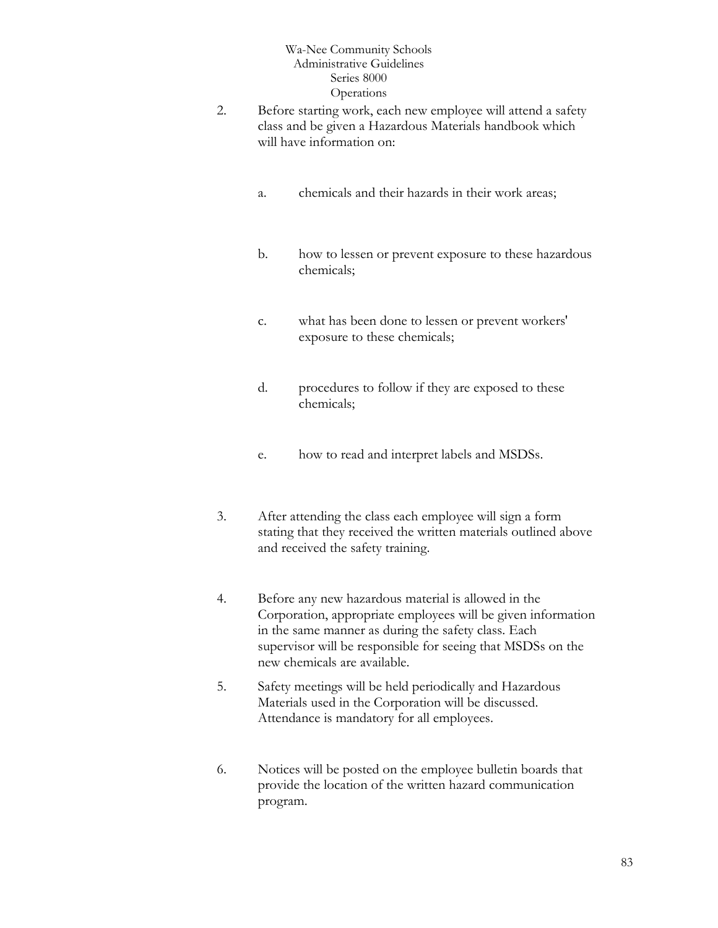- 2. Before starting work, each new employee will attend a safety class and be given a Hazardous Materials handbook which will have information on:
	- a. chemicals and their hazards in their work areas;
	- b. how to lessen or prevent exposure to these hazardous chemicals;
	- c. what has been done to lessen or prevent workers' exposure to these chemicals;
	- d. procedures to follow if they are exposed to these chemicals;
	- e. how to read and interpret labels and MSDSs.
- 3. After attending the class each employee will sign a form stating that they received the written materials outlined above and received the safety training.
- 4. Before any new hazardous material is allowed in the Corporation, appropriate employees will be given information in the same manner as during the safety class. Each supervisor will be responsible for seeing that MSDSs on the new chemicals are available.
- 5. Safety meetings will be held periodically and Hazardous Materials used in the Corporation will be discussed. Attendance is mandatory for all employees.
- 6. Notices will be posted on the employee bulletin boards that provide the location of the written hazard communication program.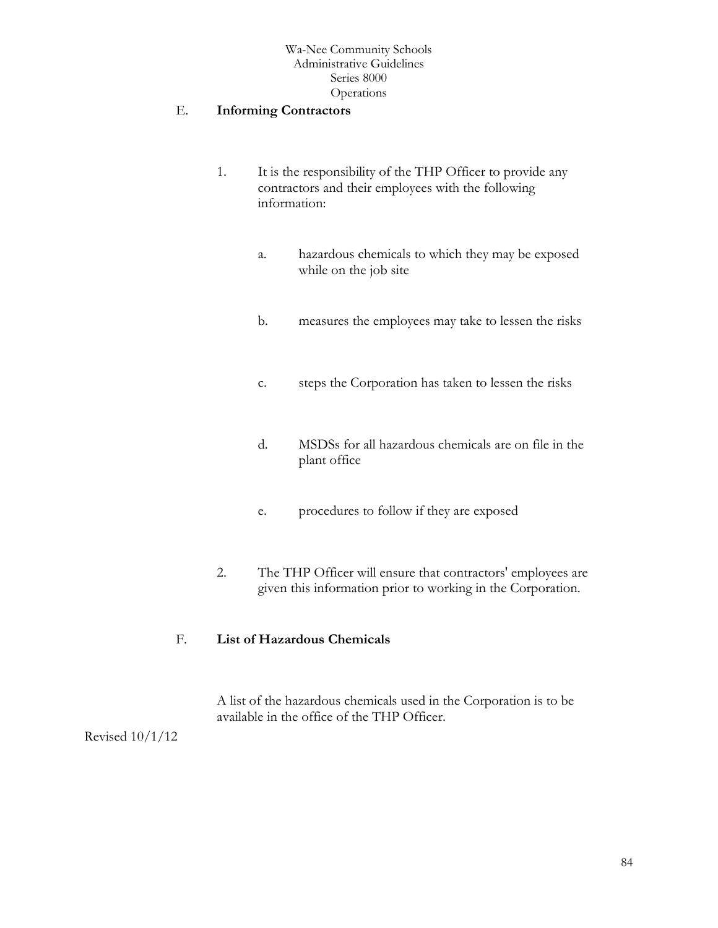### E. **Informing Contractors**

- 1. It is the responsibility of the THP Officer to provide any contractors and their employees with the following information:
	- a. hazardous chemicals to which they may be exposed while on the job site
	- b. measures the employees may take to lessen the risks
	- c. steps the Corporation has taken to lessen the risks
	- d. MSDSs for all hazardous chemicals are on file in the plant office
	- e. procedures to follow if they are exposed
- 2. The THP Officer will ensure that contractors' employees are given this information prior to working in the Corporation.

### F. **List of Hazardous Chemicals**

A list of the hazardous chemicals used in the Corporation is to be available in the office of the THP Officer.

Revised 10/1/12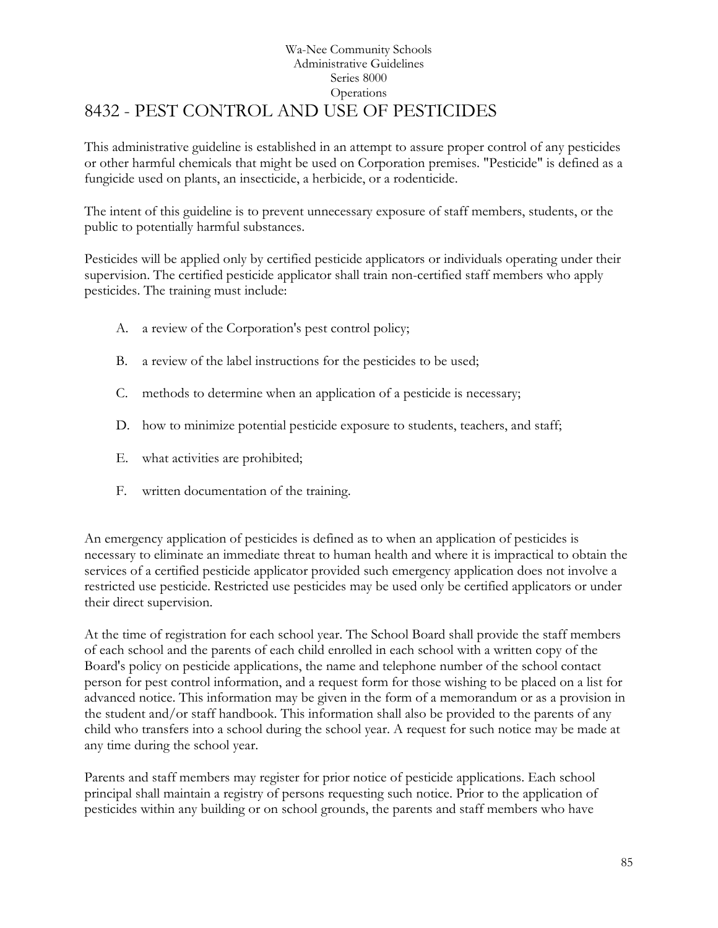### Wa-Nee Community Schools Administrative Guidelines Series 8000 **Operations** [8432](http://www.neola.com/wanee-in/search/policies/po8432.htm) - PEST CONTROL AND USE OF PESTICIDES

This administrative guideline is established in an attempt to assure proper control of any pesticides or other harmful chemicals that might be used on Corporation premises. "Pesticide" is defined as a fungicide used on plants, an insecticide, a herbicide, or a rodenticide.

The intent of this guideline is to prevent unnecessary exposure of staff members, students, or the public to potentially harmful substances.

Pesticides will be applied only by certified pesticide applicators or individuals operating under their supervision. The certified pesticide applicator shall train non-certified staff members who apply pesticides. The training must include:

- A. a review of the Corporation's pest control policy;
- B. a review of the label instructions for the pesticides to be used;
- C. methods to determine when an application of a pesticide is necessary;
- D. how to minimize potential pesticide exposure to students, teachers, and staff;
- E. what activities are prohibited;
- F. written documentation of the training.

An emergency application of pesticides is defined as to when an application of pesticides is necessary to eliminate an immediate threat to human health and where it is impractical to obtain the services of a certified pesticide applicator provided such emergency application does not involve a restricted use pesticide. Restricted use pesticides may be used only be certified applicators or under their direct supervision.

At the time of registration for each school year. The School Board shall provide the staff members of each school and the parents of each child enrolled in each school with a written copy of the Board's policy on pesticide applications, the name and telephone number of the school contact person for pest control information, and a request form for those wishing to be placed on a list for advanced notice. This information may be given in the form of a memorandum or as a provision in the student and/or staff handbook. This information shall also be provided to the parents of any child who transfers into a school during the school year. A request for such notice may be made at any time during the school year.

Parents and staff members may register for prior notice of pesticide applications. Each school principal shall maintain a registry of persons requesting such notice. Prior to the application of pesticides within any building or on school grounds, the parents and staff members who have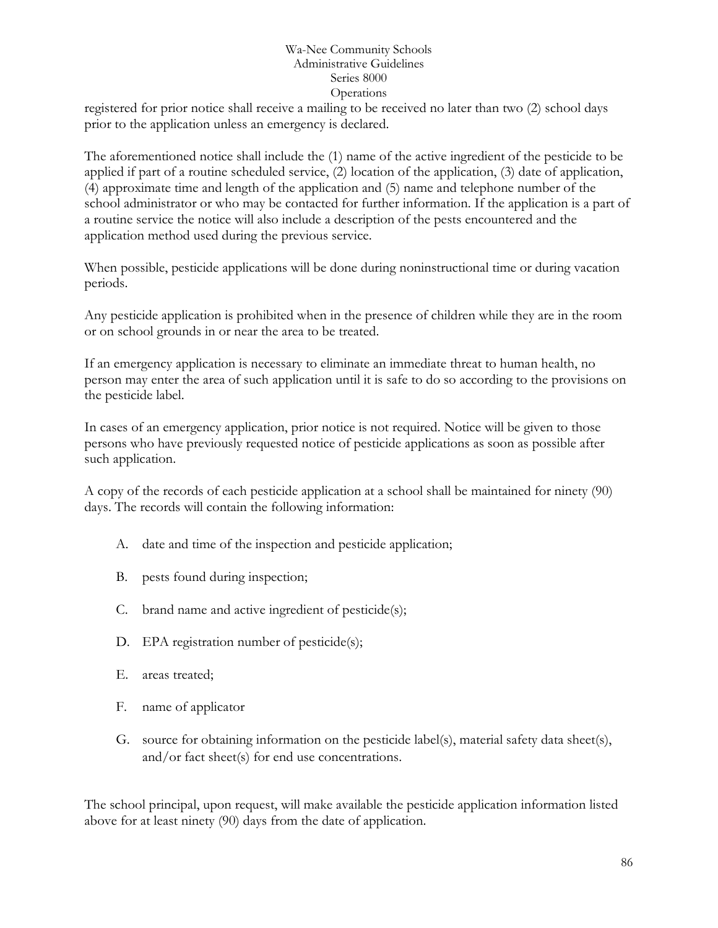registered for prior notice shall receive a mailing to be received no later than two (2) school days prior to the application unless an emergency is declared.

The aforementioned notice shall include the (1) name of the active ingredient of the pesticide to be applied if part of a routine scheduled service, (2) location of the application, (3) date of application, (4) approximate time and length of the application and (5) name and telephone number of the school administrator or who may be contacted for further information. If the application is a part of a routine service the notice will also include a description of the pests encountered and the application method used during the previous service.

When possible, pesticide applications will be done during noninstructional time or during vacation periods.

Any pesticide application is prohibited when in the presence of children while they are in the room or on school grounds in or near the area to be treated.

If an emergency application is necessary to eliminate an immediate threat to human health, no person may enter the area of such application until it is safe to do so according to the provisions on the pesticide label.

In cases of an emergency application, prior notice is not required. Notice will be given to those persons who have previously requested notice of pesticide applications as soon as possible after such application.

A copy of the records of each pesticide application at a school shall be maintained for ninety (90) days. The records will contain the following information:

- A. date and time of the inspection and pesticide application;
- B. pests found during inspection;
- C. brand name and active ingredient of pesticide(s);
- D. EPA registration number of pesticide(s);
- E. areas treated;
- F. name of applicator
- G. source for obtaining information on the pesticide label(s), material safety data sheet(s), and/or fact sheet(s) for end use concentrations.

The school principal, upon request, will make available the pesticide application information listed above for at least ninety (90) days from the date of application.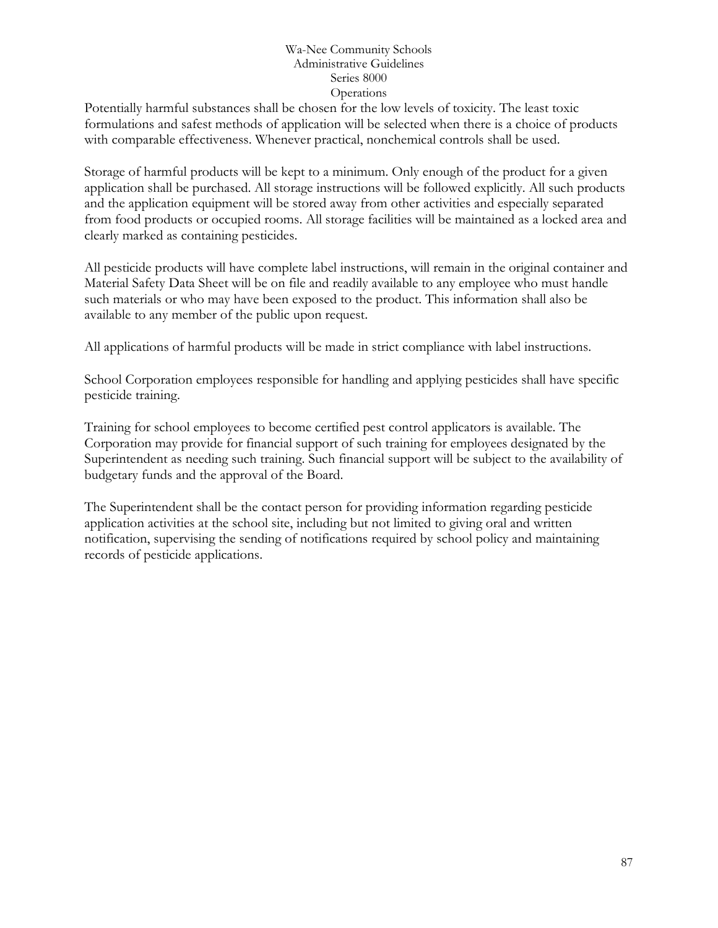Potentially harmful substances shall be chosen for the low levels of toxicity. The least toxic formulations and safest methods of application will be selected when there is a choice of products with comparable effectiveness. Whenever practical, nonchemical controls shall be used.

Storage of harmful products will be kept to a minimum. Only enough of the product for a given application shall be purchased. All storage instructions will be followed explicitly. All such products and the application equipment will be stored away from other activities and especially separated from food products or occupied rooms. All storage facilities will be maintained as a locked area and clearly marked as containing pesticides.

All pesticide products will have complete label instructions, will remain in the original container and Material Safety Data Sheet will be on file and readily available to any employee who must handle such materials or who may have been exposed to the product. This information shall also be available to any member of the public upon request.

All applications of harmful products will be made in strict compliance with label instructions.

School Corporation employees responsible for handling and applying pesticides shall have specific pesticide training.

Training for school employees to become certified pest control applicators is available. The Corporation may provide for financial support of such training for employees designated by the Superintendent as needing such training. Such financial support will be subject to the availability of budgetary funds and the approval of the Board.

The Superintendent shall be the contact person for providing information regarding pesticide application activities at the school site, including but not limited to giving oral and written notification, supervising the sending of notifications required by school policy and maintaining records of pesticide applications.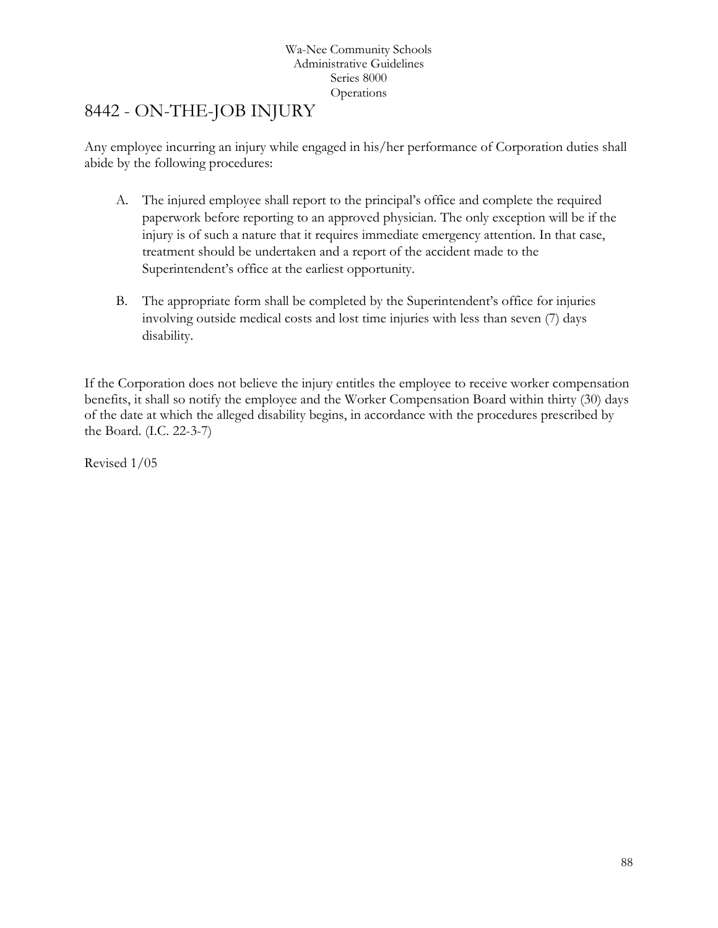# [8442](http://www.neola.com/wanee-in/search/policies/po8442.htm) - ON-THE-JOB INJURY

Any employee incurring an injury while engaged in his/her performance of Corporation duties shall abide by the following procedures:

- A. The injured employee shall report to the principal's office and complete the required paperwork before reporting to an approved physician. The only exception will be if the injury is of such a nature that it requires immediate emergency attention. In that case, treatment should be undertaken and a report of the accident made to the Superintendent's office at the earliest opportunity.
- B. The appropriate form shall be completed by the Superintendent's office for injuries involving outside medical costs and lost time injuries with less than seven (7) days disability.

If the Corporation does not believe the injury entitles the employee to receive worker compensation benefits, it shall so notify the employee and the Worker Compensation Board within thirty (30) days of the date at which the alleged disability begins, in accordance with the procedures prescribed by the Board. (I.C. 22-3-7)

Revised 1/05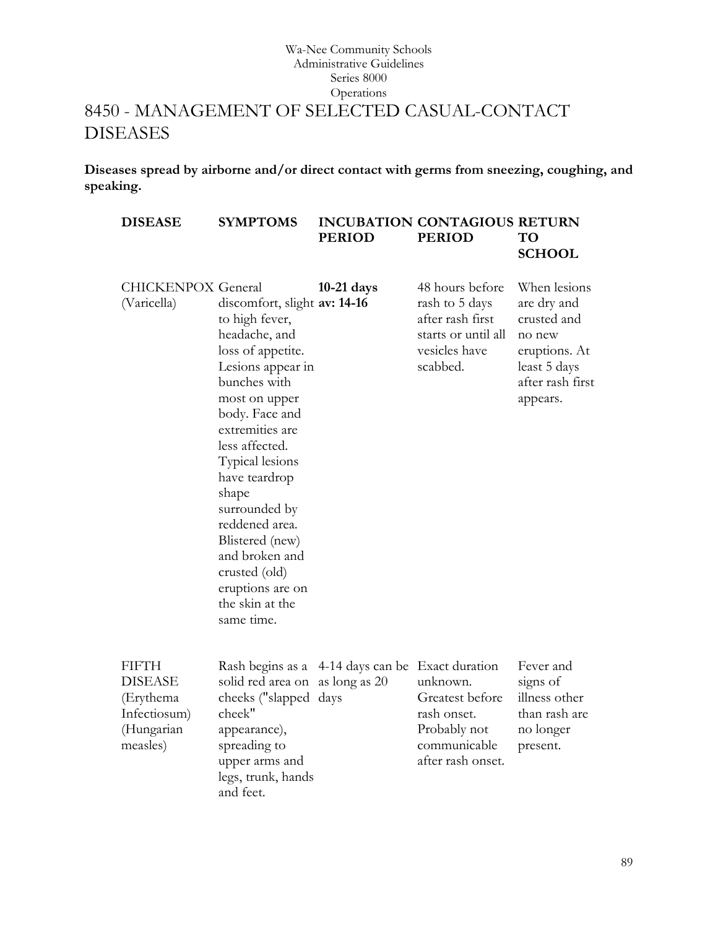### Wa-Nee Community Schools Administrative Guidelines Series 8000 Operations [8450](http://www.neola.com/wanee-in/search/policies/po8450.htm) - MANAGEMENT OF SELECTED CASUAL-CONTACT DISEASES

**Diseases spread by airborne and/or direct contact with germs from sneezing, coughing, and speaking.**

| <b>DISEASE</b>                                                                        | <b>SYMPTOMS</b>                                                                                                                                                                                                                                                                                                                                                                              | <b>PERIOD</b>                                    | <b>INCUBATION CONTAGIOUS RETURN</b><br><b>PERIOD</b>                                                      | TO<br><b>SCHOOL</b>                                                                                                   |
|---------------------------------------------------------------------------------------|----------------------------------------------------------------------------------------------------------------------------------------------------------------------------------------------------------------------------------------------------------------------------------------------------------------------------------------------------------------------------------------------|--------------------------------------------------|-----------------------------------------------------------------------------------------------------------|-----------------------------------------------------------------------------------------------------------------------|
| <b>CHICKENPOX General</b><br>(Varicella)                                              | discomfort, slight av: 14-16<br>to high fever,<br>headache, and<br>loss of appetite.<br>Lesions appear in<br>bunches with<br>most on upper<br>body. Face and<br>extremities are<br>less affected.<br>Typical lesions<br>have teardrop<br>shape<br>surrounded by<br>reddened area.<br>Blistered (new)<br>and broken and<br>crusted (old)<br>eruptions are on<br>the skin at the<br>same time. | $10-21$ days                                     | 48 hours before<br>rash to 5 days<br>after rash first<br>starts or until all<br>vesicles have<br>scabbed. | When lesions<br>are dry and<br>crusted and<br>no new<br>eruptions. At<br>least 5 days<br>after rash first<br>appears. |
| <b>FIFTH</b><br><b>DISEASE</b><br>(Erythema<br>Infectiosum)<br>(Hungarian<br>measles) | solid red area on as long as 20<br>cheeks ("slapped days<br>cheek"<br>appearance),<br>spreading to<br>upper arms and<br>legs, trunk, hands<br>and feet.                                                                                                                                                                                                                                      | Rash begins as a 4-14 days can be Exact duration | unknown.<br>Greatest before<br>rash onset.<br>Probably not<br>communicable<br>after rash onset.           | Fever and<br>signs of<br>illness other<br>than rash are<br>no longer<br>present.                                      |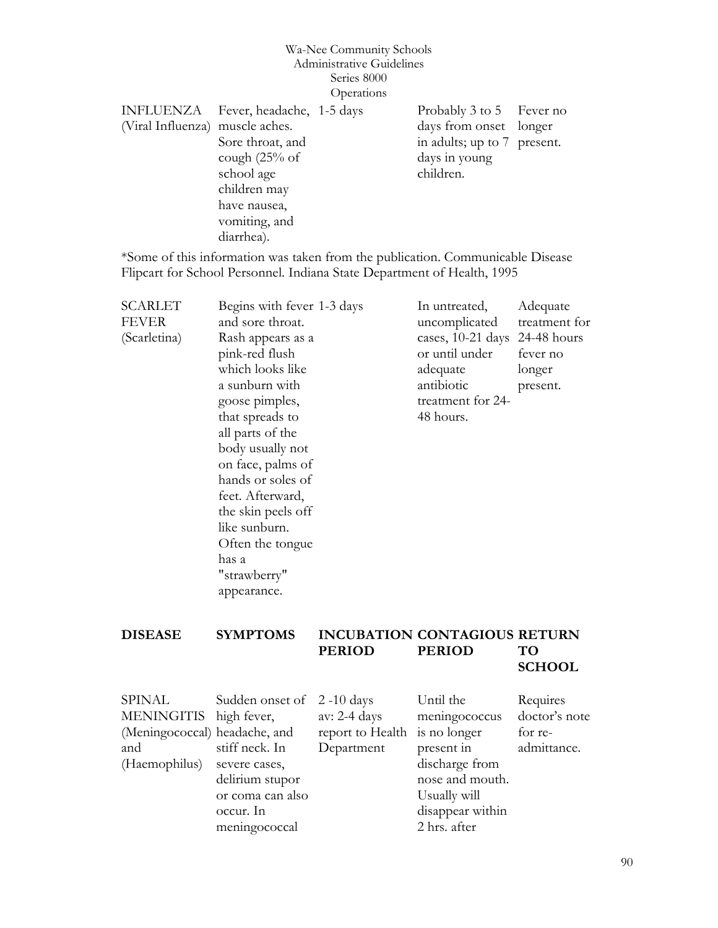|                                 | INFLUENZA Fever, headache, 1-5 days | Probably 3 to 5 Fever no    |  |
|---------------------------------|-------------------------------------|-----------------------------|--|
| (Viral Influenza) muscle aches. |                                     | days from onset longer      |  |
|                                 | Sore throat, and                    | in adults; up to 7 present. |  |
|                                 | cough $(25%$ of                     | days in young               |  |
| school age<br>children may      |                                     | children.                   |  |
|                                 |                                     |                             |  |
|                                 | have nausea,                        |                             |  |
|                                 | vomiting, and                       |                             |  |
|                                 | diarrhea).                          |                             |  |

\*Some of this information was taken from the publication. Communicable Disease Flipcart for School Personnel. Indiana State Department of Health, 1995

| <b>SCARLET</b> | Begins with fever 1-3 days | In untreated,                   | Adequate      |  |  |
|----------------|----------------------------|---------------------------------|---------------|--|--|
| <b>FEVER</b>   | and sore throat.           | uncomplicated                   | treatment for |  |  |
| (Scarletina)   | Rash appears as a          | cases, $10-21$ days 24-48 hours |               |  |  |
|                | pink-red flush             | or until under                  | fever no      |  |  |
|                | which looks like           | adequate                        | longer        |  |  |
|                | a sunburn with             | antibiotic                      | present.      |  |  |
|                | goose pimples,             | treatment for 24-               |               |  |  |
|                | that spreads to            | 48 hours.                       |               |  |  |
|                | all parts of the           |                                 |               |  |  |
|                | body usually not           |                                 |               |  |  |
|                | on face, palms of          |                                 |               |  |  |
|                | hands or soles of          |                                 |               |  |  |
|                | feet. Afterward,           |                                 |               |  |  |
|                | the skin peels off         |                                 |               |  |  |
|                | like sunburn.              |                                 |               |  |  |
|                | Often the tongue           |                                 |               |  |  |
|                | has a                      |                                 |               |  |  |
|                | "strawberry"               |                                 |               |  |  |
|                | appearance.                |                                 |               |  |  |

#### **DISEASE SYMPTOMS INCUBATION CONTAGIOUS RETURN PERIOD PERIOD TO SCHOOL**

| <b>SPINAL</b><br>MENINGITIS high fever,<br>(Meningococcal) headache, and<br>and<br>(Haemophilus) | Sudden onset of 2 -10 days<br>stiff neck. In<br>severe cases,<br>delirium stupor<br>or coma can also<br>occur. In | av: 2-4 days<br>report to Health is no longer<br>Department | Until the<br>meningococcus<br>present in<br>discharge from<br>nose and mouth.<br>Usually will<br>disappear within | Requires<br>doctor's note<br>for re-<br>admittance. |
|--------------------------------------------------------------------------------------------------|-------------------------------------------------------------------------------------------------------------------|-------------------------------------------------------------|-------------------------------------------------------------------------------------------------------------------|-----------------------------------------------------|
|                                                                                                  | meningococcal                                                                                                     |                                                             | 2 hrs. after                                                                                                      |                                                     |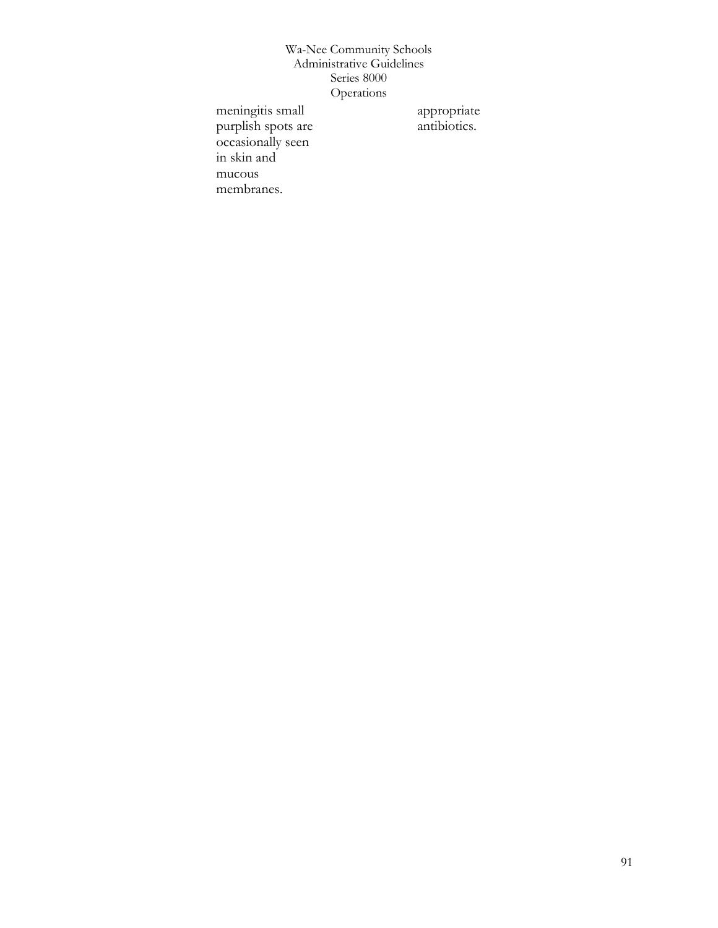meningitis small purplish spots are occasionally seen in skin and mucous membranes.

appropriate antibiotics.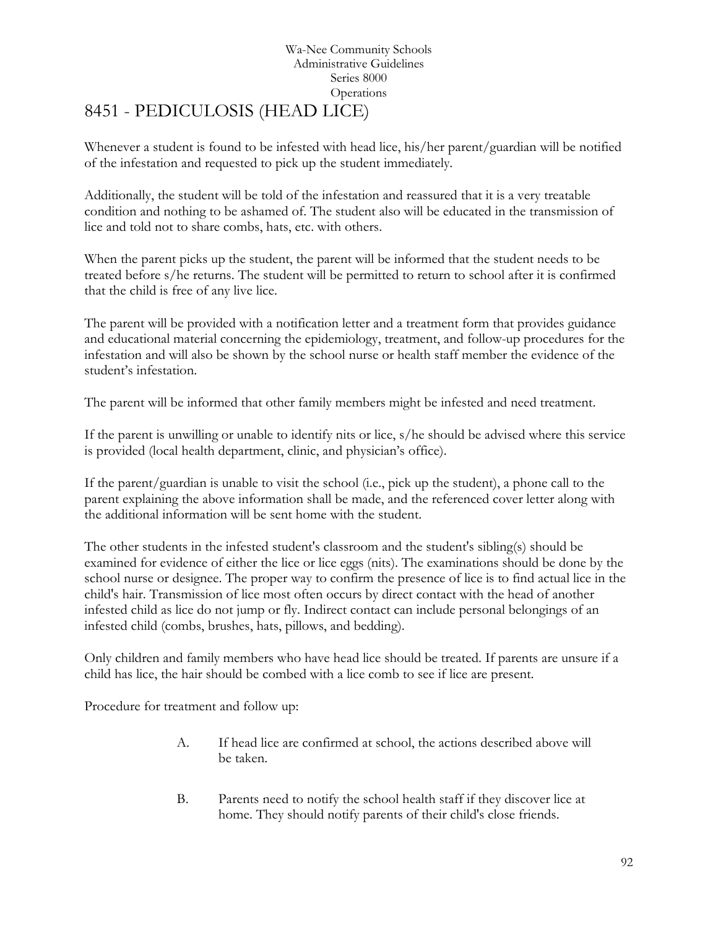#### Wa-Nee Community Schools Administrative Guidelines Series 8000 **Operations** 8451 - PEDICULOSIS (HEAD LICE)

Whenever a student is found to be infested with head lice, his/her parent/guardian will be notified of the infestation and requested to pick up the student immediately.

Additionally, the student will be told of the infestation and reassured that it is a very treatable condition and nothing to be ashamed of. The student also will be educated in the transmission of lice and told not to share combs, hats, etc. with others.

When the parent picks up the student, the parent will be informed that the student needs to be treated before s/he returns. The student will be permitted to return to school after it is confirmed that the child is free of any live lice.

The parent will be provided with a notification letter and a treatment form that provides guidance and educational material concerning the epidemiology, treatment, and follow-up procedures for the infestation and will also be shown by the school nurse or health staff member the evidence of the student's infestation.

The parent will be informed that other family members might be infested and need treatment.

If the parent is unwilling or unable to identify nits or lice, s/he should be advised where this service is provided (local health department, clinic, and physician's office).

If the parent/guardian is unable to visit the school (i.e., pick up the student), a phone call to the parent explaining the above information shall be made, and the referenced cover letter along with the additional information will be sent home with the student.

The other students in the infested student's classroom and the student's sibling(s) should be examined for evidence of either the lice or lice eggs (nits). The examinations should be done by the school nurse or designee. The proper way to confirm the presence of lice is to find actual lice in the child's hair. Transmission of lice most often occurs by direct contact with the head of another infested child as lice do not jump or fly. Indirect contact can include personal belongings of an infested child (combs, brushes, hats, pillows, and bedding).

Only children and family members who have head lice should be treated. If parents are unsure if a child has lice, the hair should be combed with a lice comb to see if lice are present.

Procedure for treatment and follow up:

- A. If head lice are confirmed at school, the actions described above will be taken.
- B. Parents need to notify the school health staff if they discover lice at home. They should notify parents of their child's close friends.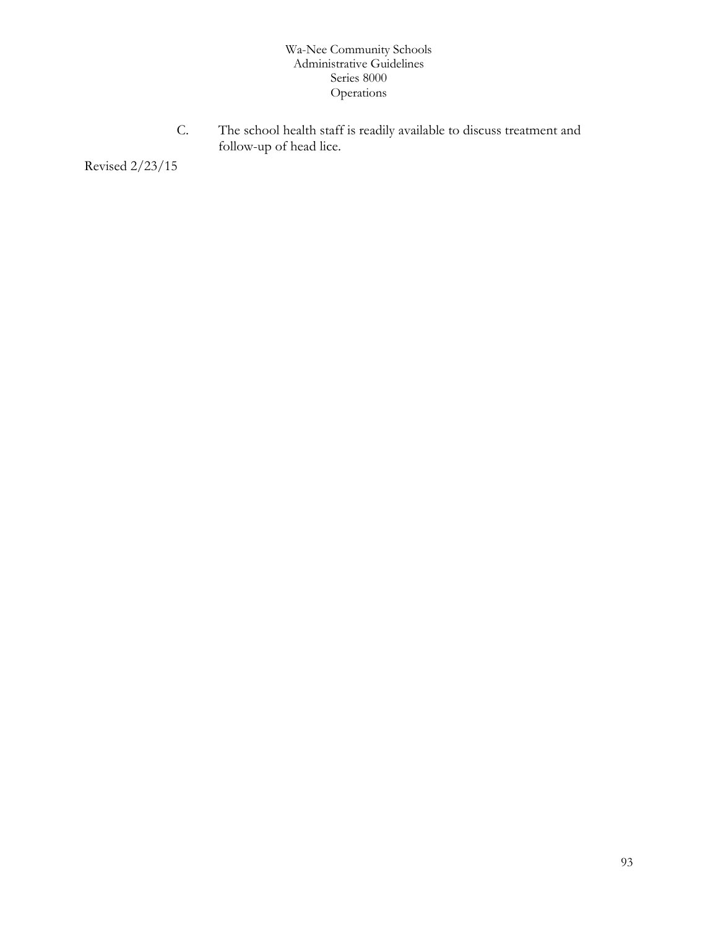C. The school health staff is readily available to discuss treatment and follow-up of head lice.

Revised 2/23/15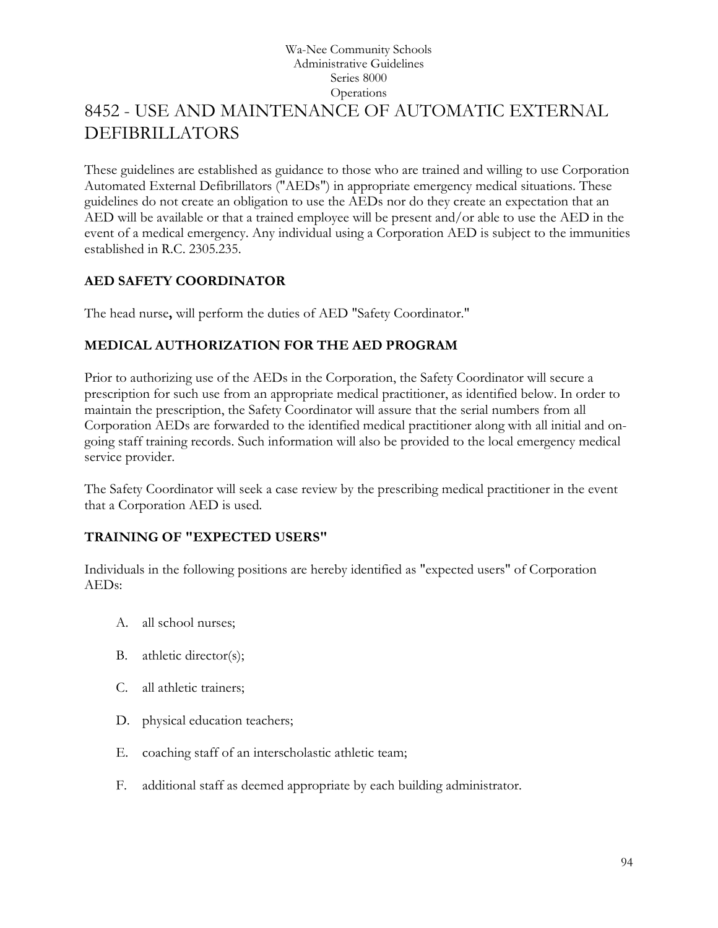### Wa-Nee Community Schools Administrative Guidelines Series 8000 **Operations** [8452](http://www.neola.com/wanee-in/search/policies/po8452.htm) - USE AND MAINTENANCE OF AUTOMATIC EXTERNAL DEFIBRILLATORS

These guidelines are established as guidance to those who are trained and willing to use Corporation Automated External Defibrillators ("AEDs") in appropriate emergency medical situations. These guidelines do not create an obligation to use the AEDs nor do they create an expectation that an AED will be available or that a trained employee will be present and/or able to use the AED in the event of a medical emergency. Any individual using a Corporation AED is subject to the immunities established in R.C. 2305.235.

### **AED SAFETY COORDINATOR**

The head nurse**,** will perform the duties of AED "Safety Coordinator."

### **MEDICAL AUTHORIZATION FOR THE AED PROGRAM**

Prior to authorizing use of the AEDs in the Corporation, the Safety Coordinator will secure a prescription for such use from an appropriate medical practitioner, as identified below. In order to maintain the prescription, the Safety Coordinator will assure that the serial numbers from all Corporation AEDs are forwarded to the identified medical practitioner along with all initial and ongoing staff training records. Such information will also be provided to the local emergency medical service provider.

The Safety Coordinator will seek a case review by the prescribing medical practitioner in the event that a Corporation AED is used.

### **TRAINING OF "EXPECTED USERS"**

Individuals in the following positions are hereby identified as "expected users" of Corporation AEDs:

- A. all school nurses;
- B. athletic director(s);
- C. all athletic trainers;
- D. physical education teachers;
- E. coaching staff of an interscholastic athletic team;
- F. additional staff as deemed appropriate by each building administrator.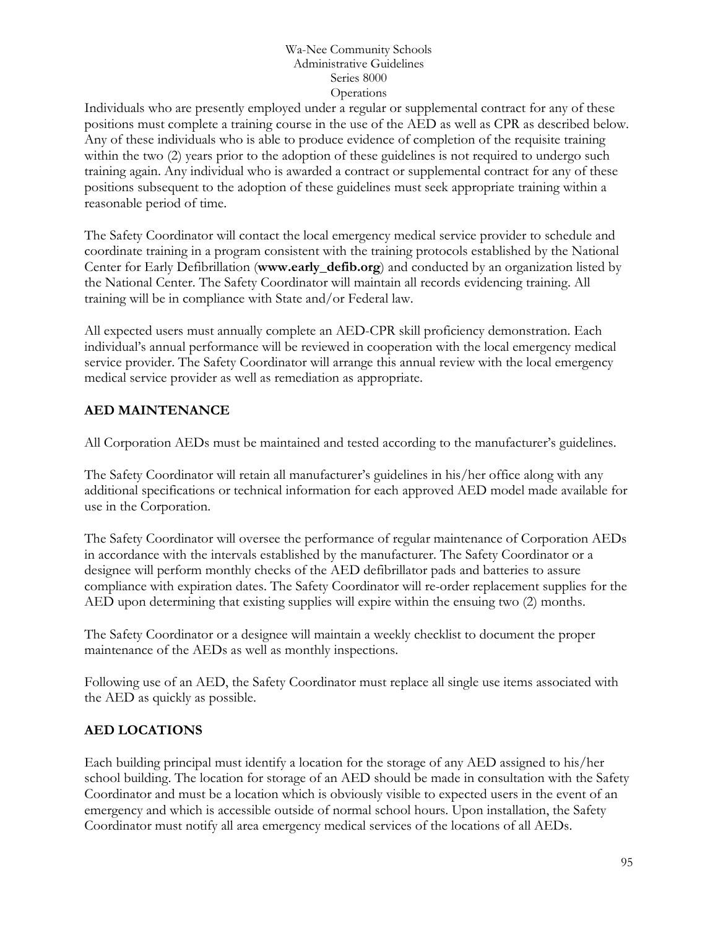Individuals who are presently employed under a regular or supplemental contract for any of these positions must complete a training course in the use of the AED as well as CPR as described below. Any of these individuals who is able to produce evidence of completion of the requisite training within the two (2) years prior to the adoption of these guidelines is not required to undergo such training again. Any individual who is awarded a contract or supplemental contract for any of these positions subsequent to the adoption of these guidelines must seek appropriate training within a reasonable period of time.

The Safety Coordinator will contact the local emergency medical service provider to schedule and coordinate training in a program consistent with the training protocols established by the National Center for Early Defibrillation (**www.early\_defib.org**) and conducted by an organization listed by the National Center. The Safety Coordinator will maintain all records evidencing training. All training will be in compliance with State and/or Federal law.

All expected users must annually complete an AED-CPR skill proficiency demonstration. Each individual's annual performance will be reviewed in cooperation with the local emergency medical service provider. The Safety Coordinator will arrange this annual review with the local emergency medical service provider as well as remediation as appropriate.

### **AED MAINTENANCE**

All Corporation AEDs must be maintained and tested according to the manufacturer's guidelines.

The Safety Coordinator will retain all manufacturer's guidelines in his/her office along with any additional specifications or technical information for each approved AED model made available for use in the Corporation.

The Safety Coordinator will oversee the performance of regular maintenance of Corporation AEDs in accordance with the intervals established by the manufacturer. The Safety Coordinator or a designee will perform monthly checks of the AED defibrillator pads and batteries to assure compliance with expiration dates. The Safety Coordinator will re-order replacement supplies for the AED upon determining that existing supplies will expire within the ensuing two (2) months.

The Safety Coordinator or a designee will maintain a weekly checklist to document the proper maintenance of the AEDs as well as monthly inspections.

Following use of an AED, the Safety Coordinator must replace all single use items associated with the AED as quickly as possible.

### **AED LOCATIONS**

Each building principal must identify a location for the storage of any AED assigned to his/her school building. The location for storage of an AED should be made in consultation with the Safety Coordinator and must be a location which is obviously visible to expected users in the event of an emergency and which is accessible outside of normal school hours. Upon installation, the Safety Coordinator must notify all area emergency medical services of the locations of all AEDs.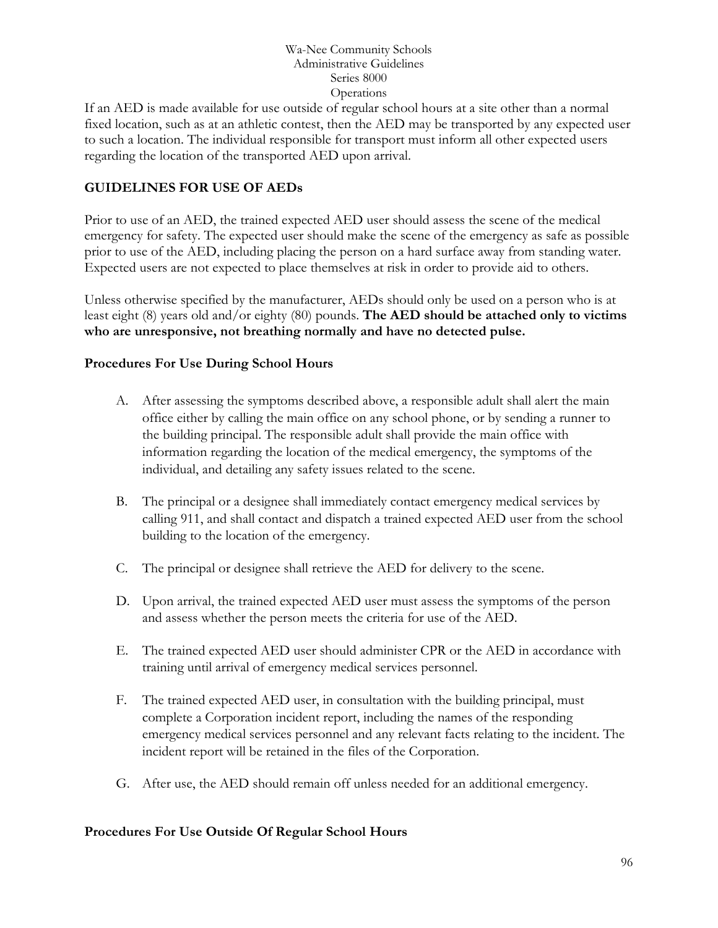If an AED is made available for use outside of regular school hours at a site other than a normal fixed location, such as at an athletic contest, then the AED may be transported by any expected user to such a location. The individual responsible for transport must inform all other expected users regarding the location of the transported AED upon arrival.

### **GUIDELINES FOR USE OF AEDs**

Prior to use of an AED, the trained expected AED user should assess the scene of the medical emergency for safety. The expected user should make the scene of the emergency as safe as possible prior to use of the AED, including placing the person on a hard surface away from standing water. Expected users are not expected to place themselves at risk in order to provide aid to others.

Unless otherwise specified by the manufacturer, AEDs should only be used on a person who is at least eight (8) years old and/or eighty (80) pounds. **The AED should be attached only to victims who are unresponsive, not breathing normally and have no detected pulse.**

### **Procedures For Use During School Hours**

- A. After assessing the symptoms described above, a responsible adult shall alert the main office either by calling the main office on any school phone, or by sending a runner to the building principal. The responsible adult shall provide the main office with information regarding the location of the medical emergency, the symptoms of the individual, and detailing any safety issues related to the scene.
- B. The principal or a designee shall immediately contact emergency medical services by calling 911, and shall contact and dispatch a trained expected AED user from the school building to the location of the emergency.
- C. The principal or designee shall retrieve the AED for delivery to the scene.
- D. Upon arrival, the trained expected AED user must assess the symptoms of the person and assess whether the person meets the criteria for use of the AED.
- E. The trained expected AED user should administer CPR or the AED in accordance with training until arrival of emergency medical services personnel.
- F. The trained expected AED user, in consultation with the building principal, must complete a Corporation incident report, including the names of the responding emergency medical services personnel and any relevant facts relating to the incident. The incident report will be retained in the files of the Corporation.
- G. After use, the AED should remain off unless needed for an additional emergency.

### **Procedures For Use Outside Of Regular School Hours**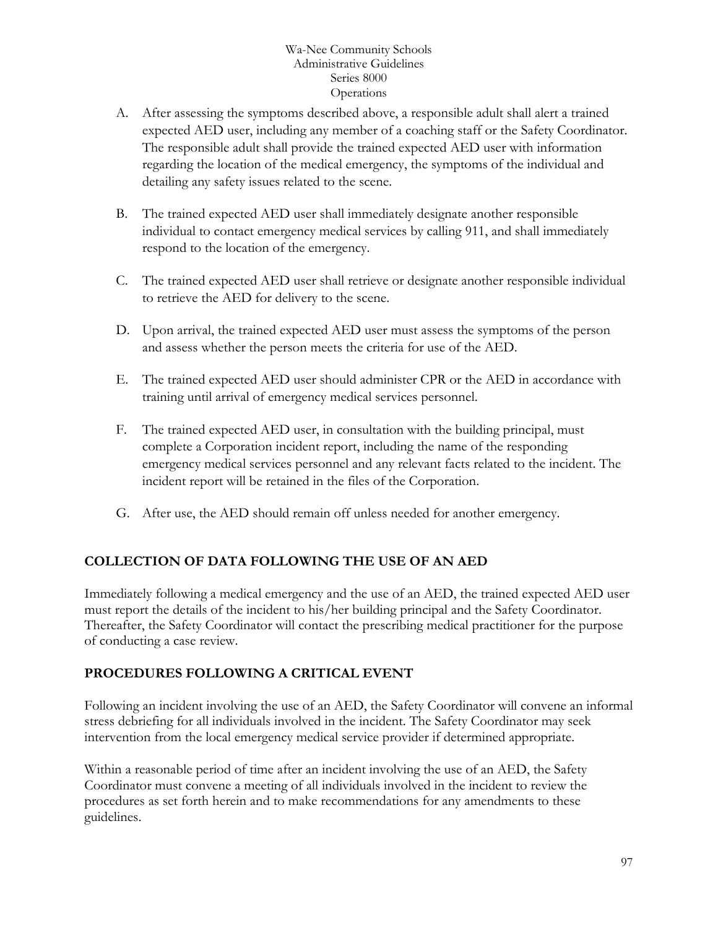- A. After assessing the symptoms described above, a responsible adult shall alert a trained expected AED user, including any member of a coaching staff or the Safety Coordinator. The responsible adult shall provide the trained expected AED user with information regarding the location of the medical emergency, the symptoms of the individual and detailing any safety issues related to the scene.
- B. The trained expected AED user shall immediately designate another responsible individual to contact emergency medical services by calling 911, and shall immediately respond to the location of the emergency.
- C. The trained expected AED user shall retrieve or designate another responsible individual to retrieve the AED for delivery to the scene.
- D. Upon arrival, the trained expected AED user must assess the symptoms of the person and assess whether the person meets the criteria for use of the AED.
- E. The trained expected AED user should administer CPR or the AED in accordance with training until arrival of emergency medical services personnel.
- F. The trained expected AED user, in consultation with the building principal, must complete a Corporation incident report, including the name of the responding emergency medical services personnel and any relevant facts related to the incident. The incident report will be retained in the files of the Corporation.
- G. After use, the AED should remain off unless needed for another emergency.

## **COLLECTION OF DATA FOLLOWING THE USE OF AN AED**

Immediately following a medical emergency and the use of an AED, the trained expected AED user must report the details of the incident to his/her building principal and the Safety Coordinator. Thereafter, the Safety Coordinator will contact the prescribing medical practitioner for the purpose of conducting a case review.

### **PROCEDURES FOLLOWING A CRITICAL EVENT**

Following an incident involving the use of an AED, the Safety Coordinator will convene an informal stress debriefing for all individuals involved in the incident. The Safety Coordinator may seek intervention from the local emergency medical service provider if determined appropriate.

Within a reasonable period of time after an incident involving the use of an AED, the Safety Coordinator must convene a meeting of all individuals involved in the incident to review the procedures as set forth herein and to make recommendations for any amendments to these guidelines.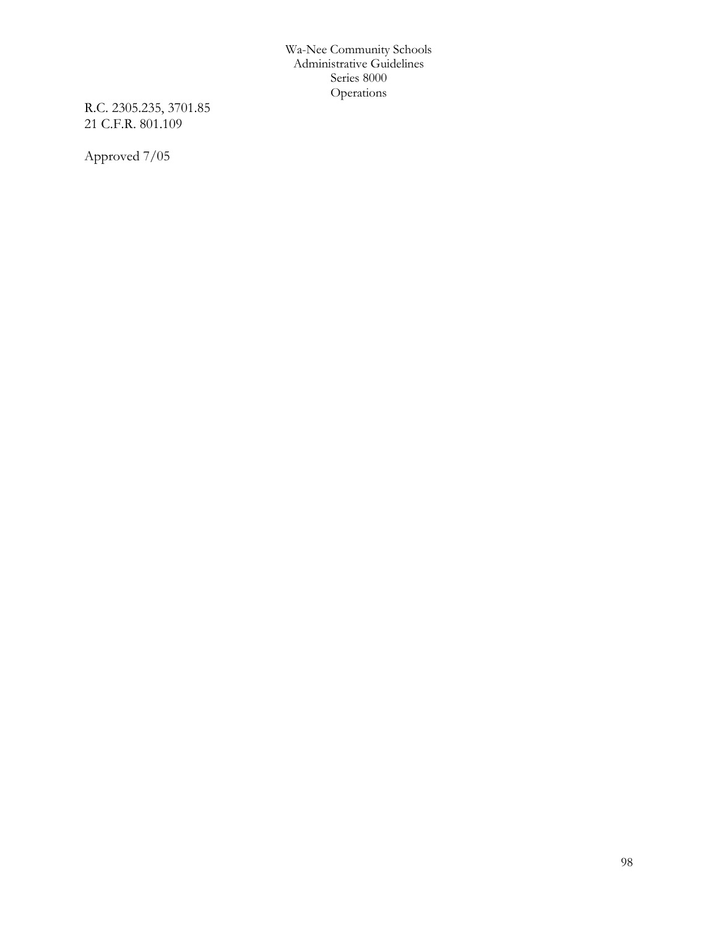R.C. 2305.235, 3701.85 21 C.F.R. 801.109

Approved 7/05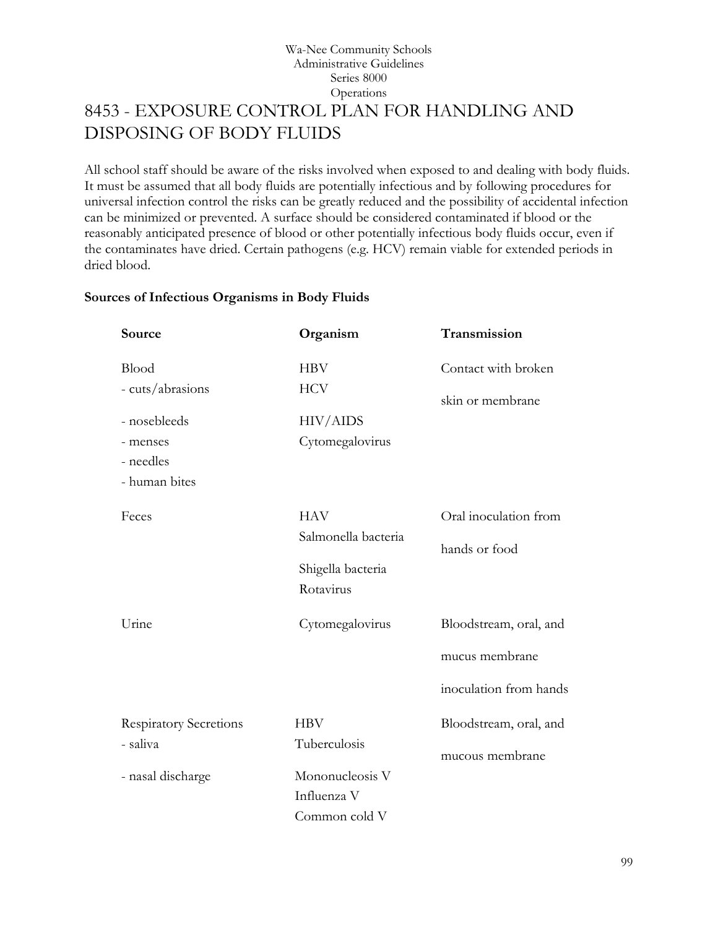## Wa-Nee Community Schools Administrative Guidelines Series 8000 **Operations** [8453](http://www.neola.com/wanee-in/search/policies/po8453.htm) - EXPOSURE CONTROL PLAN FOR HANDLING AND DISPOSING OF BODY FLUIDS

All school staff should be aware of the risks involved when exposed to and dealing with body fluids. It must be assumed that all body fluids are potentially infectious and by following procedures for universal infection control the risks can be greatly reduced and the possibility of accidental infection can be minimized or prevented. A surface should be considered contaminated if blood or the reasonably anticipated presence of blood or other potentially infectious body fluids occur, even if the contaminates have dried. Certain pathogens (e.g. HCV) remain viable for extended periods in dried blood.

### **Sources of Infectious Organisms in Body Fluids**

| Source                                    | Organism                                                            | Transmission                                                       |
|-------------------------------------------|---------------------------------------------------------------------|--------------------------------------------------------------------|
| Blood                                     | <b>HBV</b>                                                          | Contact with broken                                                |
| - cuts/abrasions                          | <b>HCV</b>                                                          | skin or membrane                                                   |
| - nosebleeds                              | <b>HIV/AIDS</b>                                                     |                                                                    |
| - menses<br>- needles<br>- human bites    | Cytomegalovirus                                                     |                                                                    |
| Feces                                     | <b>HAV</b><br>Salmonella bacteria<br>Shigella bacteria<br>Rotavirus | Oral inoculation from<br>hands or food                             |
| Urine                                     | Cytomegalovirus                                                     | Bloodstream, oral, and<br>mucus membrane<br>inoculation from hands |
| <b>Respiratory Secretions</b><br>- saliva | <b>HBV</b><br>Tuberculosis                                          | Bloodstream, oral, and<br>mucous membrane                          |
| - nasal discharge                         | Mononucleosis V<br>Influenza V<br>Common cold V                     |                                                                    |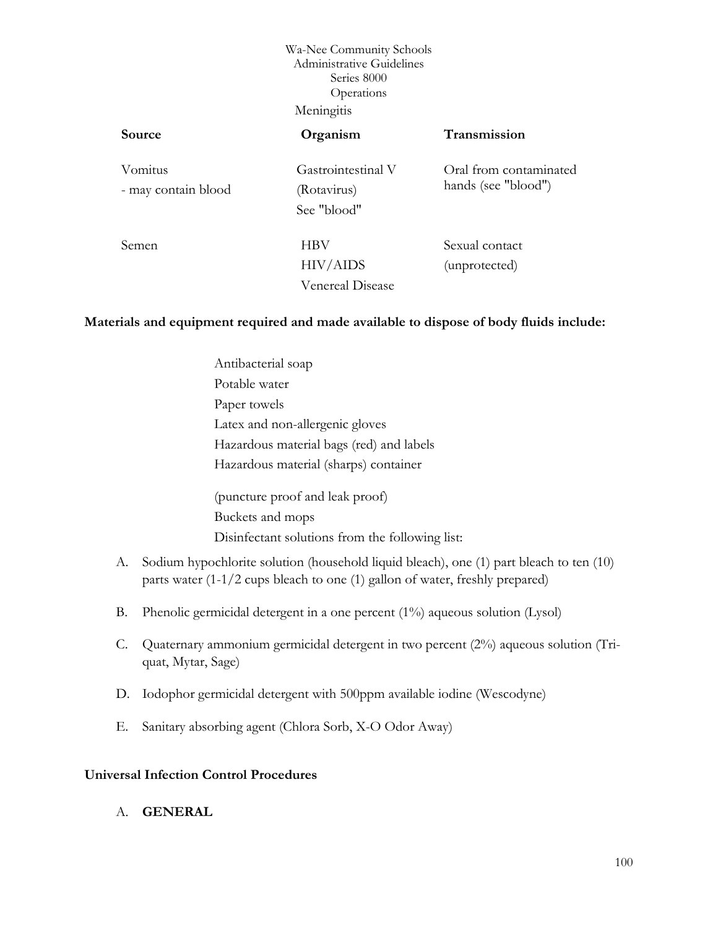| Source                         | Organism                                          | Transmission                                  |
|--------------------------------|---------------------------------------------------|-----------------------------------------------|
| Vomitus<br>- may contain blood | Gastrointestinal V<br>(Rotavirus)<br>See "blood"  | Oral from contaminated<br>hands (see "blood") |
| Semen                          | <b>HBV</b><br><b>HIV/AIDS</b><br>Venereal Disease | Sexual contact<br>(unprotected)               |

### **Materials and equipment required and made available to dispose of body fluids include:**

Antibacterial soap Potable water Paper towels Latex and non-allergenic gloves Hazardous material bags (red) and labels Hazardous material (sharps) container

(puncture proof and leak proof) Buckets and mops Disinfectant solutions from the following list:

- A. Sodium hypochlorite solution (household liquid bleach), one (1) part bleach to ten (10) parts water (1-1/2 cups bleach to one (1) gallon of water, freshly prepared)
- B. Phenolic germicidal detergent in a one percent (1%) aqueous solution (Lysol)
- C. Quaternary ammonium germicidal detergent in two percent (2%) aqueous solution (Triquat, Mytar, Sage)
- D. Iodophor germicidal detergent with 500ppm available iodine (Wescodyne)
- E. Sanitary absorbing agent (Chlora Sorb, X-O Odor Away)

### **Universal Infection Control Procedures**

A. **GENERAL**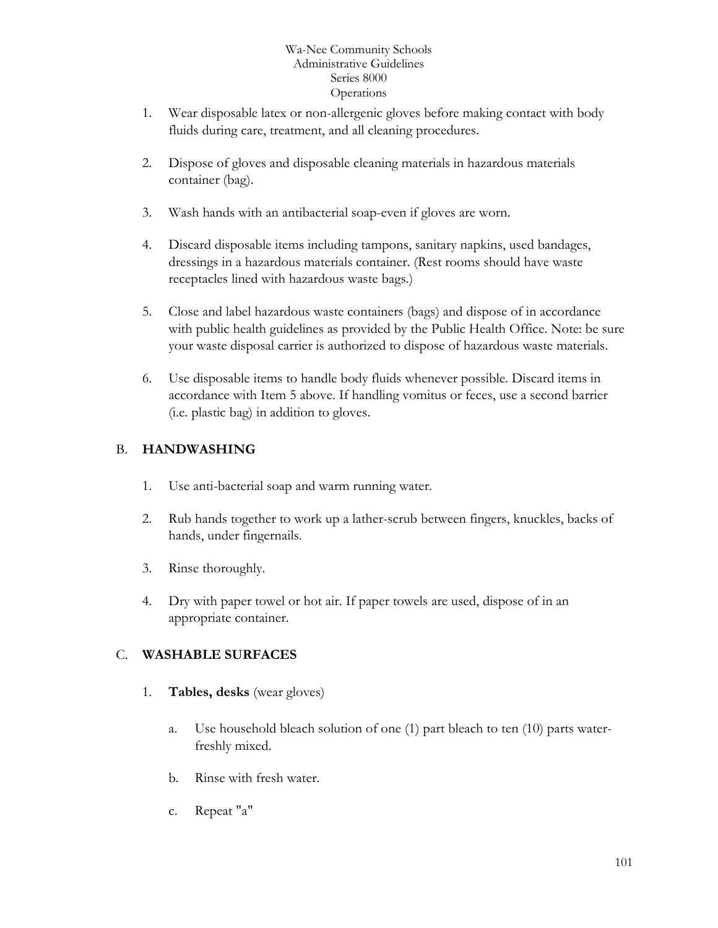- 1. Wear disposable latex or non-allergenic gloves before making contact with body fluids during care, treatment, and all cleaning procedures.
- 2. Dispose of gloves and disposable cleaning materials in hazardous materials container (bag).
- 3. Wash hands with an antibacterial soap-even if gloves are worn.
- 4. Discard disposable items including tampons, sanitary napkins, used bandages, dressings in a hazardous materials container. (Rest rooms should have waste receptacles lined with hazardous waste bags.)
- 5. Close and label hazardous waste containers (bags) and dispose of in accordance with public health guidelines as provided by the Public Health Office. Note: be sure your waste disposal carrier is authorized to dispose of hazardous waste materials.
- 6. Use disposable items to handle body fluids whenever possible. Discard items in accordance with Item 5 above. If handling vomitus or feces, use a second barrier (i.e. plastic bag) in addition to gloves.

### B. **HANDWASHING**

- 1. Use anti-bacterial soap and warm running water.
- 2. Rub hands together to work up a lather-scrub between fingers, knuckles, backs of hands, under fingernails.
- 3. Rinse thoroughly.
- 4. Dry with paper towel or hot air. If paper towels are used, dispose of in an appropriate container.

### C. **WASHABLE SURFACES**

- 1. **Tables, desks** (wear gloves)
	- a. Use household bleach solution of one (1) part bleach to ten (10) parts waterfreshly mixed.
	- b. Rinse with fresh water.
	- c. Repeat "a"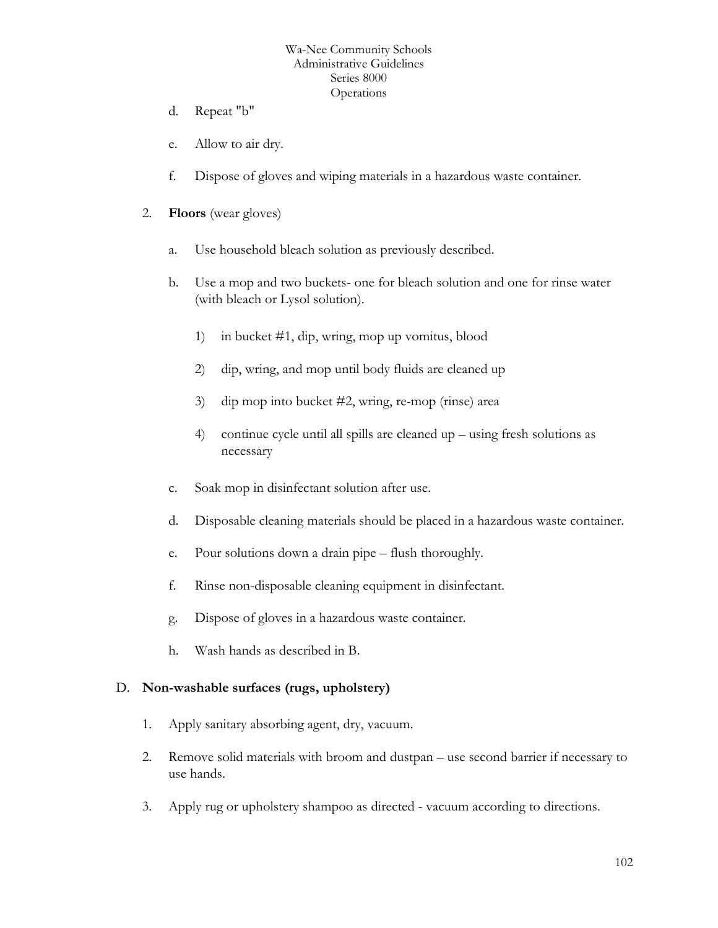- d. Repeat "b"
- e. Allow to air dry.
- f. Dispose of gloves and wiping materials in a hazardous waste container.
- 2. **Floors** (wear gloves)
	- a. Use household bleach solution as previously described.
	- b. Use a mop and two buckets- one for bleach solution and one for rinse water (with bleach or Lysol solution).
		- 1) in bucket #1, dip, wring, mop up vomitus, blood
		- 2) dip, wring, and mop until body fluids are cleaned up
		- 3) dip mop into bucket #2, wring, re-mop (rinse) area
		- 4) continue cycle until all spills are cleaned up using fresh solutions as necessary
	- c. Soak mop in disinfectant solution after use.
	- d. Disposable cleaning materials should be placed in a hazardous waste container.
	- e. Pour solutions down a drain pipe flush thoroughly.
	- f. Rinse non-disposable cleaning equipment in disinfectant.
	- g. Dispose of gloves in a hazardous waste container.
	- h. Wash hands as described in B.

#### D. **Non-washable surfaces (rugs, upholstery)**

- 1. Apply sanitary absorbing agent, dry, vacuum.
- 2. Remove solid materials with broom and dustpan use second barrier if necessary to use hands.
- 3. Apply rug or upholstery shampoo as directed vacuum according to directions.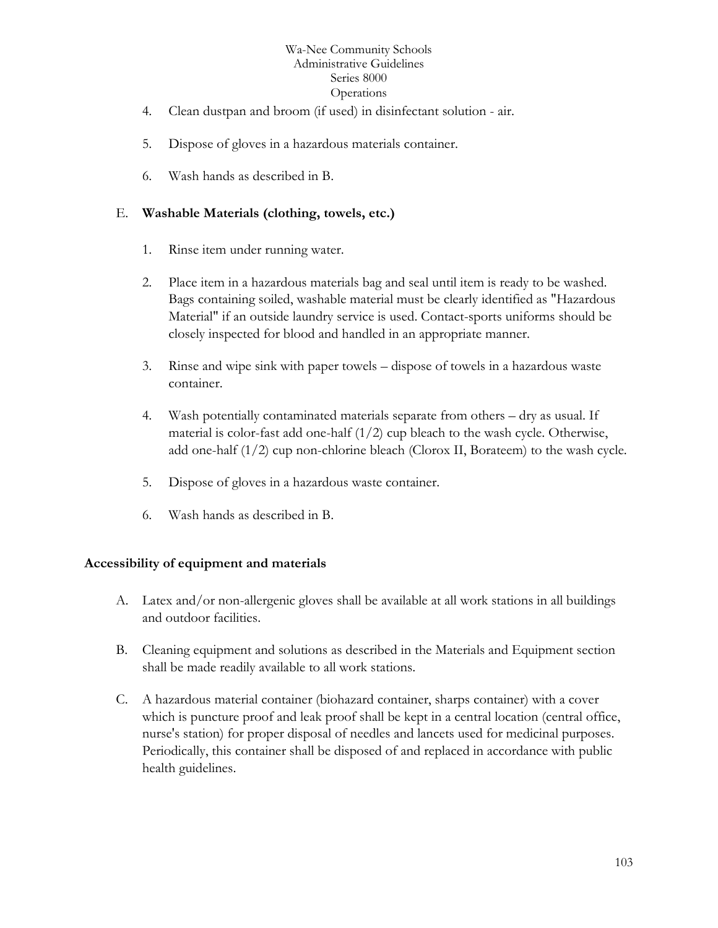- 4. Clean dustpan and broom (if used) in disinfectant solution air.
- 5. Dispose of gloves in a hazardous materials container.
- 6. Wash hands as described in B.

### E. **Washable Materials (clothing, towels, etc.)**

- 1. Rinse item under running water.
- 2. Place item in a hazardous materials bag and seal until item is ready to be washed. Bags containing soiled, washable material must be clearly identified as "Hazardous Material" if an outside laundry service is used. Contact-sports uniforms should be closely inspected for blood and handled in an appropriate manner.
- 3. Rinse and wipe sink with paper towels dispose of towels in a hazardous waste container.
- 4. Wash potentially contaminated materials separate from others dry as usual. If material is color-fast add one-half  $(1/2)$  cup bleach to the wash cycle. Otherwise, add one-half  $(1/2)$  cup non-chlorine bleach (Clorox II, Borateem) to the wash cycle.
- 5. Dispose of gloves in a hazardous waste container.
- 6. Wash hands as described in B.

#### **Accessibility of equipment and materials**

- A. Latex and/or non-allergenic gloves shall be available at all work stations in all buildings and outdoor facilities.
- B. Cleaning equipment and solutions as described in the Materials and Equipment section shall be made readily available to all work stations.
- C. A hazardous material container (biohazard container, sharps container) with a cover which is puncture proof and leak proof shall be kept in a central location (central office, nurse's station) for proper disposal of needles and lancets used for medicinal purposes. Periodically, this container shall be disposed of and replaced in accordance with public health guidelines.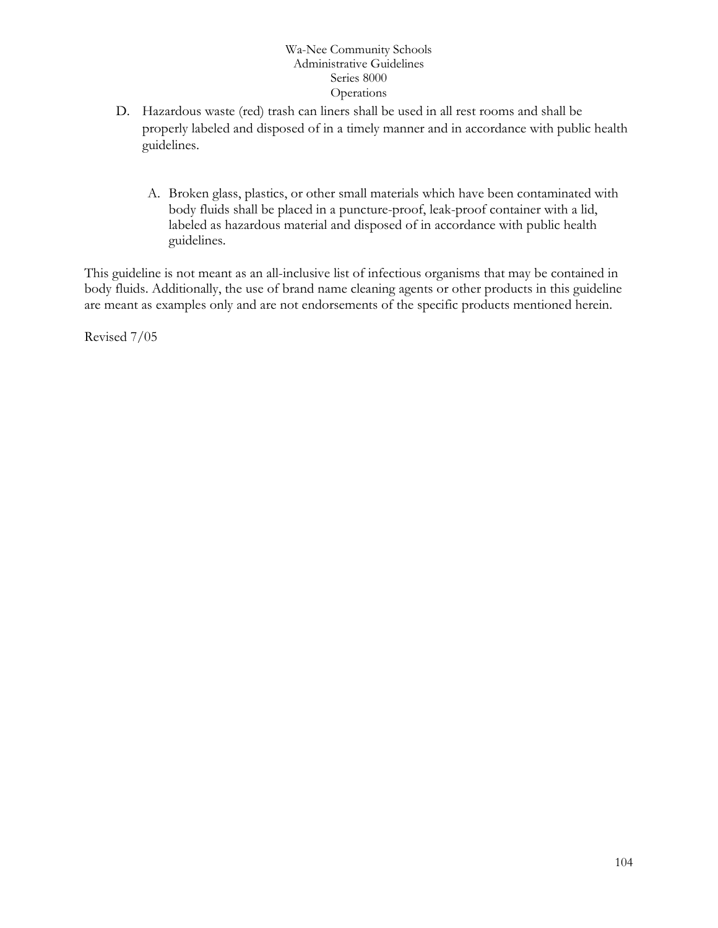- D. Hazardous waste (red) trash can liners shall be used in all rest rooms and shall be properly labeled and disposed of in a timely manner and in accordance with public health guidelines.
	- A. Broken glass, plastics, or other small materials which have been contaminated with body fluids shall be placed in a puncture-proof, leak-proof container with a lid, labeled as hazardous material and disposed of in accordance with public health guidelines.

This guideline is not meant as an all-inclusive list of infectious organisms that may be contained in body fluids. Additionally, the use of brand name cleaning agents or other products in this guideline are meant as examples only and are not endorsements of the specific products mentioned herein.

Revised 7/05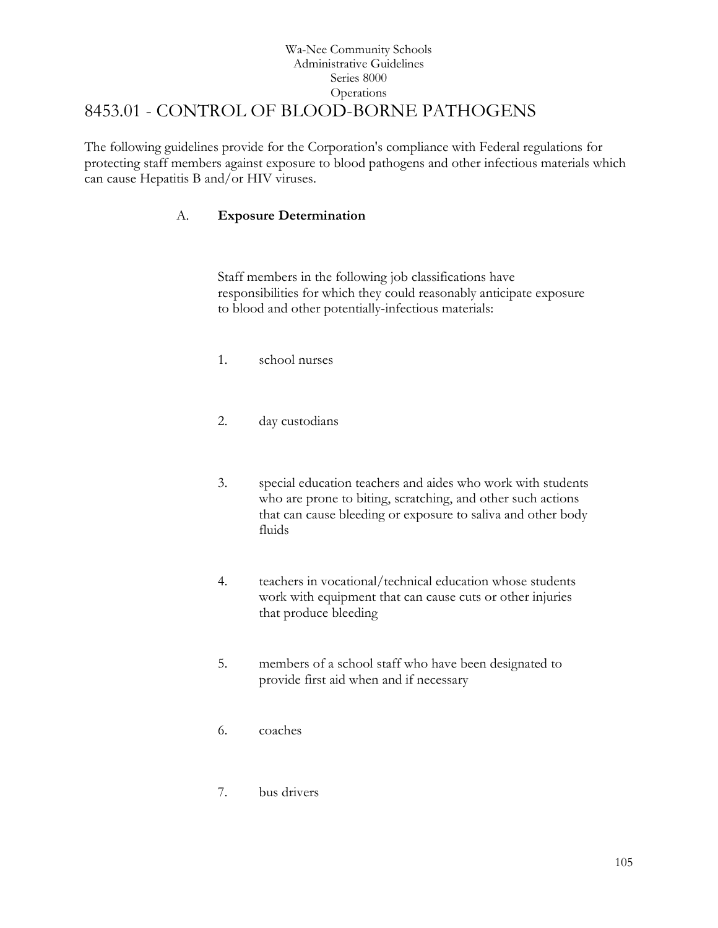### Wa-Nee Community Schools Administrative Guidelines Series 8000 **Operations** [8453.01](http://www.neola.com/wanee-in/search/policies/po8453.01.htm) - CONTROL OF BLOOD-BORNE PATHOGENS

The following guidelines provide for the Corporation's compliance with Federal regulations for protecting staff members against exposure to blood pathogens and other infectious materials which can cause Hepatitis B and/or HIV viruses.

### A. **Exposure Determination**

Staff members in the following job classifications have responsibilities for which they could reasonably anticipate exposure to blood and other potentially-infectious materials:

- 1. school nurses
- 2. day custodians
- 3. special education teachers and aides who work with students who are prone to biting, scratching, and other such actions that can cause bleeding or exposure to saliva and other body fluids
- 4. teachers in vocational/technical education whose students work with equipment that can cause cuts or other injuries that produce bleeding
- 5. members of a school staff who have been designated to provide first aid when and if necessary
- 6. coaches
- 7. bus drivers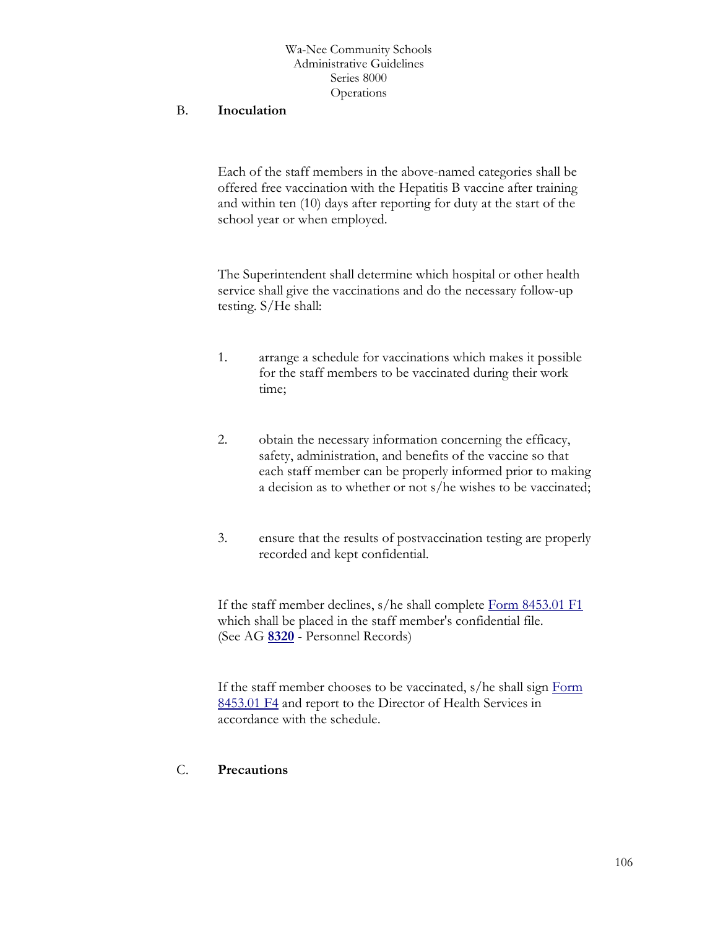### B. **Inoculation**

Each of the staff members in the above-named categories shall be offered free vaccination with the Hepatitis B vaccine after training and within ten (10) days after reporting for duty at the start of the school year or when employed.

The Superintendent shall determine which hospital or other health service shall give the vaccinations and do the necessary follow-up testing. S/He shall:

- 1. arrange a schedule for vaccinations which makes it possible for the staff members to be vaccinated during their work time;
- 2. obtain the necessary information concerning the efficacy, safety, administration, and benefits of the vaccine so that each staff member can be properly informed prior to making a decision as to whether or not s/he wishes to be vaccinated;
- 3. ensure that the results of postvaccination testing are properly recorded and kept confidential.

If the staff member declines, s/he shall complete [Form 8453.01 F1](http://www.neola.com/wanee-in/search/forms/fm8453.01F1.pdf) which shall be placed in the staff member's confidential file. (See AG **[8320](http://www.neola.com/wanee-in/search/ag/ag8320.htm)** - Personnel Records)

If the staff member chooses to be vaccinated, s/he shall sign Form [8453.01 F4](http://www.neola.com/wanee-in/search/forms/fm8453.01F4.pdf) and report to the Director of Health Services in accordance with the schedule.

#### C. **Precautions**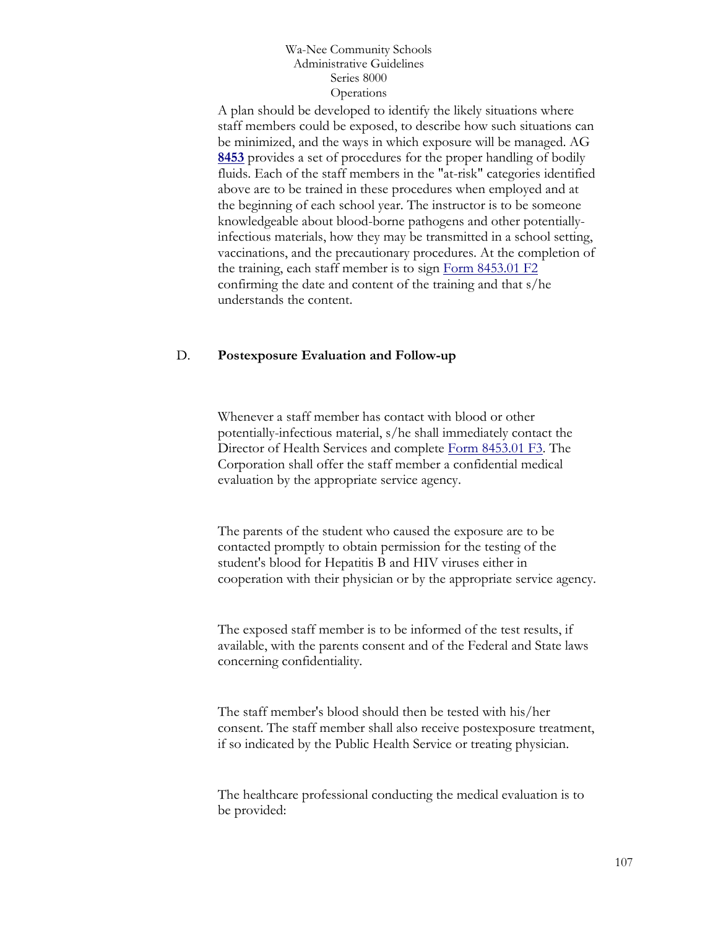A plan should be developed to identify the likely situations where staff members could be exposed, to describe how such situations can be minimized, and the ways in which exposure will be managed. AG **[8453](http://www.neola.com/wanee-in/search/ag/ag8453.htm)** provides a set of procedures for the proper handling of bodily fluids. Each of the staff members in the "at-risk" categories identified above are to be trained in these procedures when employed and at the beginning of each school year. The instructor is to be someone knowledgeable about blood-borne pathogens and other potentiallyinfectious materials, how they may be transmitted in a school setting, vaccinations, and the precautionary procedures. At the completion of the training, each staff member is to sign [Form 8453.01 F2](http://www.neola.com/wanee-in/search/forms/fm8453.01F2.pdf) confirming the date and content of the training and that s/he understands the content.

### D. **Postexposure Evaluation and Follow-up**

Whenever a staff member has contact with blood or other potentially-infectious material, s/he shall immediately contact the Director of Health Services and complete [Form 8453.01 F3.](http://www.neola.com/wanee-in/search/forms/fm8453.01F3.pdf) The Corporation shall offer the staff member a confidential medical evaluation by the appropriate service agency.

The parents of the student who caused the exposure are to be contacted promptly to obtain permission for the testing of the student's blood for Hepatitis B and HIV viruses either in cooperation with their physician or by the appropriate service agency.

The exposed staff member is to be informed of the test results, if available, with the parents consent and of the Federal and State laws concerning confidentiality.

The staff member's blood should then be tested with his/her consent. The staff member shall also receive postexposure treatment, if so indicated by the Public Health Service or treating physician.

The healthcare professional conducting the medical evaluation is to be provided: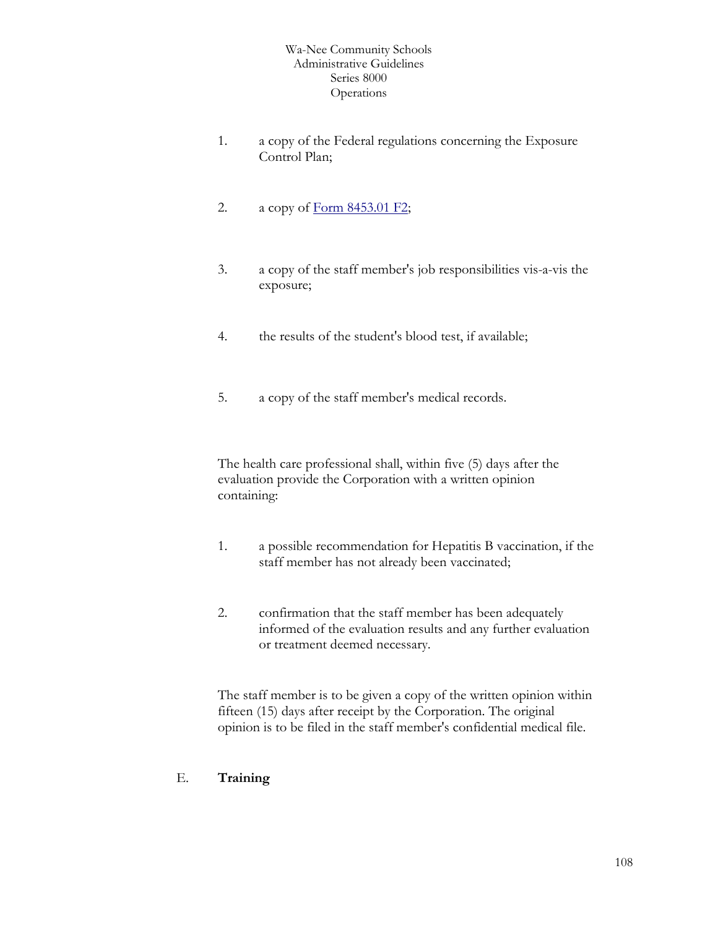- 1. a copy of the Federal regulations concerning the Exposure Control Plan;
- 2. a copy of [Form 8453.01 F2;](http://www.neola.com/wanee-in/search/forms/fm8453.01F2.pdf)
- 3. a copy of the staff member's job responsibilities vis-a-vis the exposure;
- 4. the results of the student's blood test, if available;
- 5. a copy of the staff member's medical records.

The health care professional shall, within five (5) days after the evaluation provide the Corporation with a written opinion containing:

- 1. a possible recommendation for Hepatitis B vaccination, if the staff member has not already been vaccinated;
- 2. confirmation that the staff member has been adequately informed of the evaluation results and any further evaluation or treatment deemed necessary.

The staff member is to be given a copy of the written opinion within fifteen (15) days after receipt by the Corporation. The original opinion is to be filed in the staff member's confidential medical file.

#### E. **Training**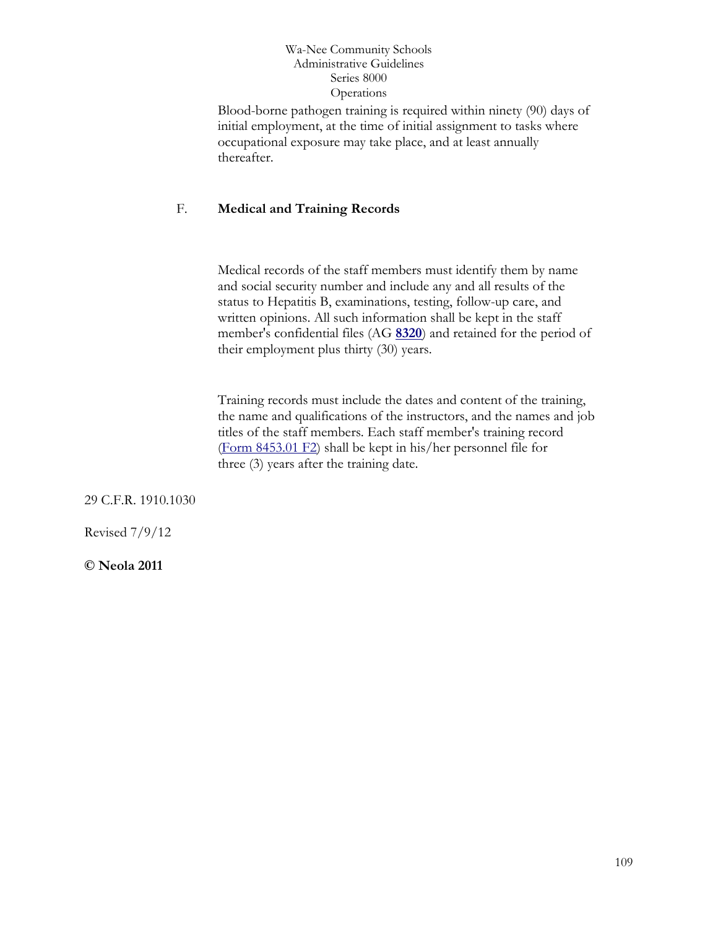Blood-borne pathogen training is required within ninety (90) days of initial employment, at the time of initial assignment to tasks where occupational exposure may take place, and at least annually thereafter.

### F. **Medical and Training Records**

Medical records of the staff members must identify them by name and social security number and include any and all results of the status to Hepatitis B, examinations, testing, follow-up care, and written opinions. All such information shall be kept in the staff member's confidential files (AG **[8320](http://www.neola.com/wanee-in/search/ag/ag8320.htm)**) and retained for the period of their employment plus thirty (30) years.

Training records must include the dates and content of the training, the name and qualifications of the instructors, and the names and job titles of the staff members. Each staff member's training record [\(Form 8453.01 F2\)](http://www.neola.com/wanee-in/search/forms/fm8453.01F2.pdf) shall be kept in his/her personnel file for three (3) years after the training date.

29 C.F.R. 1910.1030

Revised 7/9/12

**© Neola 2011**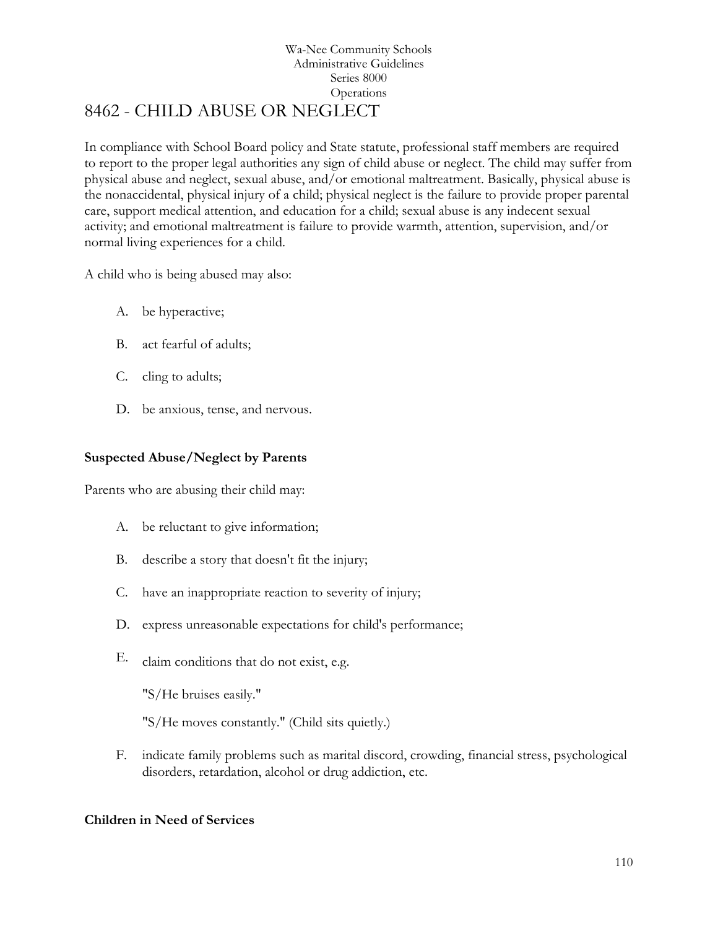#### Wa-Nee Community Schools Administrative Guidelines Series 8000 **Operations** [8462](http://www.neola.com/wanee-in/search/policies/po8462.htm) - CHILD ABUSE OR NEGLECT

In compliance with School Board policy and State statute, professional staff members are required to report to the proper legal authorities any sign of child abuse or neglect. The child may suffer from physical abuse and neglect, sexual abuse, and/or emotional maltreatment. Basically, physical abuse is the nonaccidental, physical injury of a child; physical neglect is the failure to provide proper parental care, support medical attention, and education for a child; sexual abuse is any indecent sexual activity; and emotional maltreatment is failure to provide warmth, attention, supervision, and/or normal living experiences for a child.

A child who is being abused may also:

- A. be hyperactive;
- B. act fearful of adults;
- C. cling to adults;
- D. be anxious, tense, and nervous.

#### **Suspected Abuse/Neglect by Parents**

Parents who are abusing their child may:

- A. be reluctant to give information;
- B. describe a story that doesn't fit the injury;
- C. have an inappropriate reaction to severity of injury;
- D. express unreasonable expectations for child's performance;
- E. claim conditions that do not exist, e.g.

"S/He bruises easily."

"S/He moves constantly." (Child sits quietly.)

F. indicate family problems such as marital discord, crowding, financial stress, psychological disorders, retardation, alcohol or drug addiction, etc.

#### **Children in Need of Services**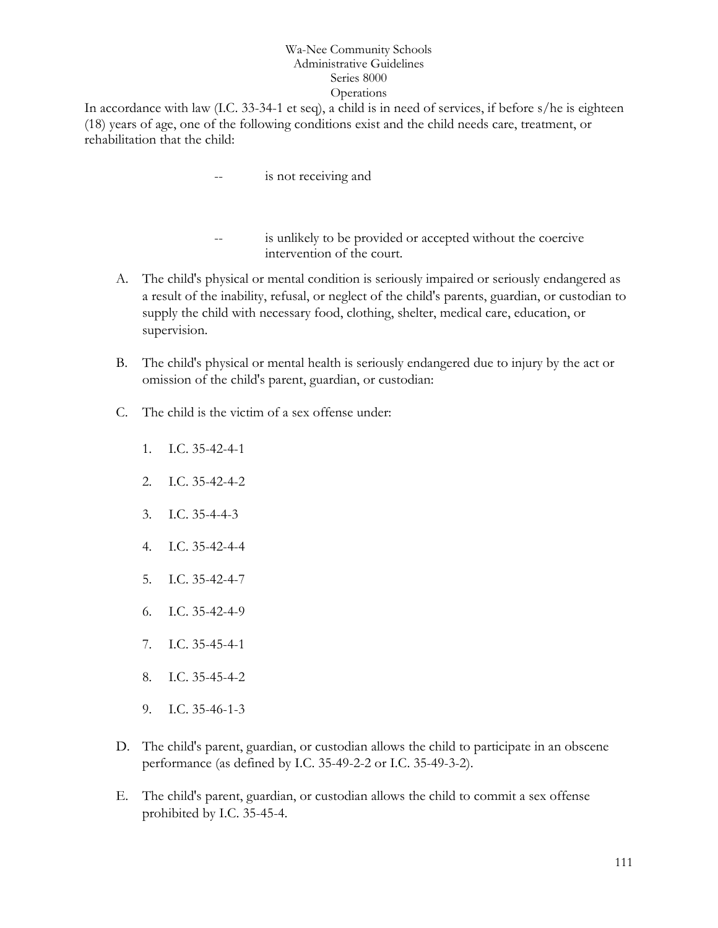In accordance with law (I.C. 33-34-1 et seq), a child is in need of services, if before s/he is eighteen (18) years of age, one of the following conditions exist and the child needs care, treatment, or rehabilitation that the child:

is not receiving and

is unlikely to be provided or accepted without the coercive intervention of the court.

- A. The child's physical or mental condition is seriously impaired or seriously endangered as a result of the inability, refusal, or neglect of the child's parents, guardian, or custodian to supply the child with necessary food, clothing, shelter, medical care, education, or supervision.
- B. The child's physical or mental health is seriously endangered due to injury by the act or omission of the child's parent, guardian, or custodian:
- C. The child is the victim of a sex offense under:
	- 1. I.C. 35-42-4-1
	- 2. I.C. 35-42-4-2
	- 3. I.C. 35-4-4-3
	- 4. I.C. 35-42-4-4
	- 5. I.C. 35-42-4-7
	- 6. I.C. 35-42-4-9
	- 7. I.C. 35-45-4-1
	- 8. I.C. 35-45-4-2
	- 9. I.C. 35-46-1-3
- D. The child's parent, guardian, or custodian allows the child to participate in an obscene performance (as defined by I.C. 35-49-2-2 or I.C. 35-49-3-2).
- E. The child's parent, guardian, or custodian allows the child to commit a sex offense prohibited by I.C. 35-45-4.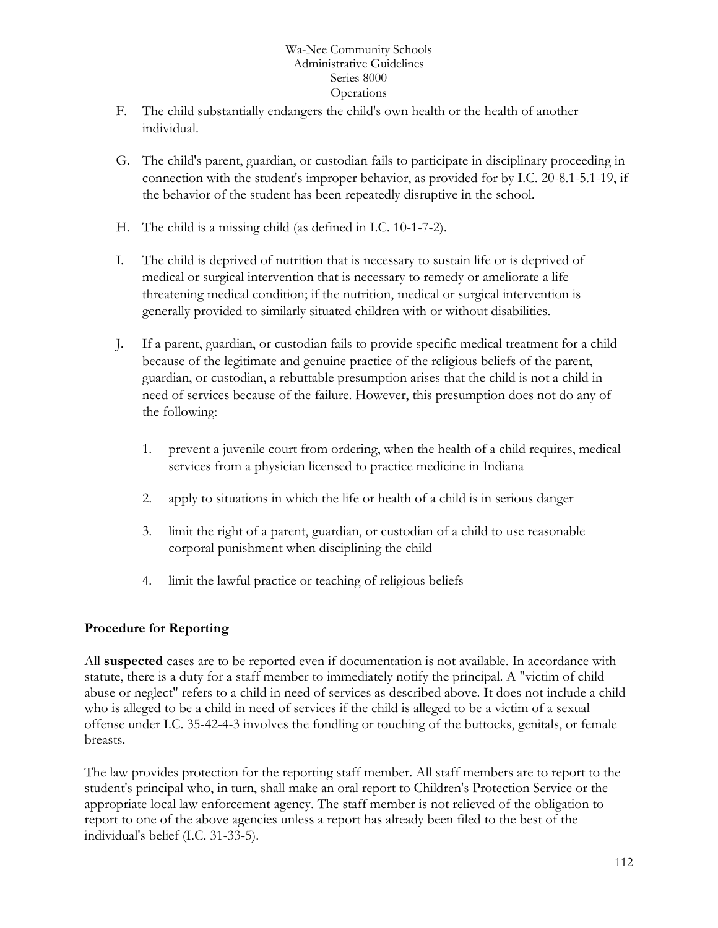- F. The child substantially endangers the child's own health or the health of another individual.
- G. The child's parent, guardian, or custodian fails to participate in disciplinary proceeding in connection with the student's improper behavior, as provided for by I.C. 20-8.1-5.1-19, if the behavior of the student has been repeatedly disruptive in the school.
- H. The child is a missing child (as defined in I.C. 10-1-7-2).
- I. The child is deprived of nutrition that is necessary to sustain life or is deprived of medical or surgical intervention that is necessary to remedy or ameliorate a life threatening medical condition; if the nutrition, medical or surgical intervention is generally provided to similarly situated children with or without disabilities.
- J. If a parent, guardian, or custodian fails to provide specific medical treatment for a child because of the legitimate and genuine practice of the religious beliefs of the parent, guardian, or custodian, a rebuttable presumption arises that the child is not a child in need of services because of the failure. However, this presumption does not do any of the following:
	- 1. prevent a juvenile court from ordering, when the health of a child requires, medical services from a physician licensed to practice medicine in Indiana
	- 2. apply to situations in which the life or health of a child is in serious danger
	- 3. limit the right of a parent, guardian, or custodian of a child to use reasonable corporal punishment when disciplining the child
	- 4. limit the lawful practice or teaching of religious beliefs

### **Procedure for Reporting**

All **suspected** cases are to be reported even if documentation is not available. In accordance with statute, there is a duty for a staff member to immediately notify the principal. A "victim of child abuse or neglect" refers to a child in need of services as described above. It does not include a child who is alleged to be a child in need of services if the child is alleged to be a victim of a sexual offense under I.C. 35-42-4-3 involves the fondling or touching of the buttocks, genitals, or female breasts.

The law provides protection for the reporting staff member. All staff members are to report to the student's principal who, in turn, shall make an oral report to Children's Protection Service or the appropriate local law enforcement agency. The staff member is not relieved of the obligation to report to one of the above agencies unless a report has already been filed to the best of the individual's belief (I.C. 31-33-5).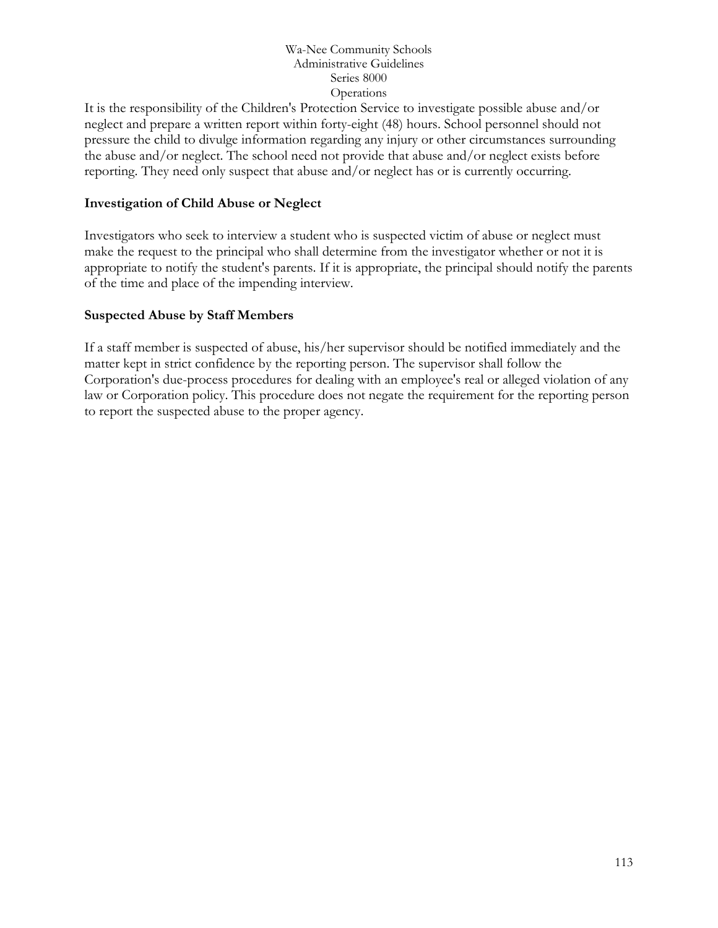It is the responsibility of the Children's Protection Service to investigate possible abuse and/or neglect and prepare a written report within forty-eight (48) hours. School personnel should not pressure the child to divulge information regarding any injury or other circumstances surrounding the abuse and/or neglect. The school need not provide that abuse and/or neglect exists before reporting. They need only suspect that abuse and/or neglect has or is currently occurring.

### **Investigation of Child Abuse or Neglect**

Investigators who seek to interview a student who is suspected victim of abuse or neglect must make the request to the principal who shall determine from the investigator whether or not it is appropriate to notify the student's parents. If it is appropriate, the principal should notify the parents of the time and place of the impending interview.

### **Suspected Abuse by Staff Members**

If a staff member is suspected of abuse, his/her supervisor should be notified immediately and the matter kept in strict confidence by the reporting person. The supervisor shall follow the Corporation's due-process procedures for dealing with an employee's real or alleged violation of any law or Corporation policy. This procedure does not negate the requirement for the reporting person to report the suspected abuse to the proper agency.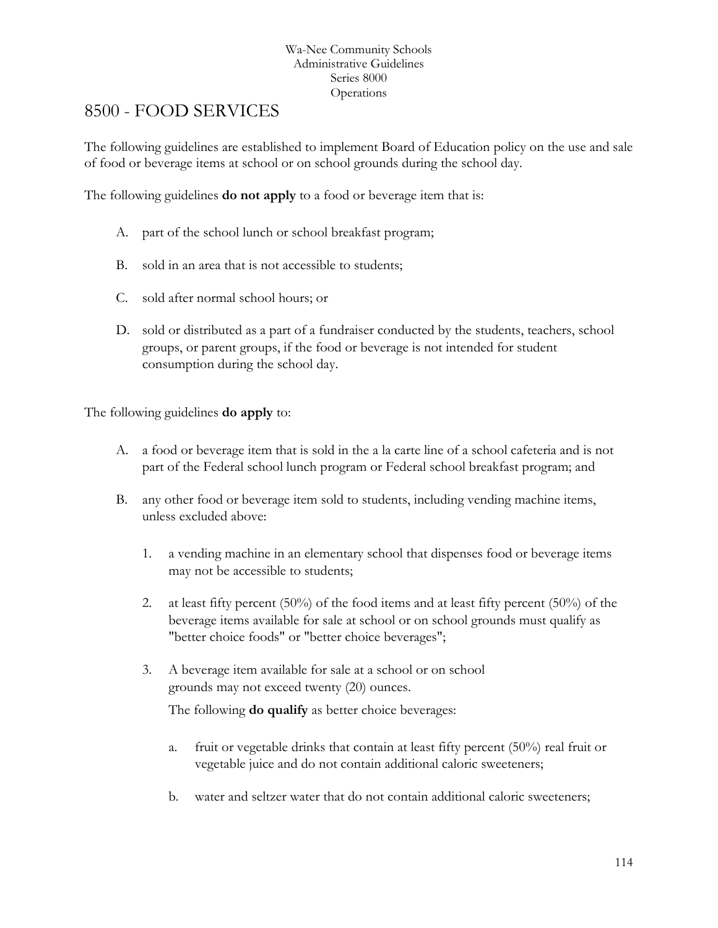# [8500](http://www.neola.com/wanee-in/search/policies/po8500.htm) - FOOD SERVICES

The following guidelines are established to implement Board of Education policy on the use and sale of food or beverage items at school or on school grounds during the school day.

The following guidelines **do not apply** to a food or beverage item that is:

- A. part of the school lunch or school breakfast program;
- B. sold in an area that is not accessible to students;
- C. sold after normal school hours; or
- D. sold or distributed as a part of a fundraiser conducted by the students, teachers, school groups, or parent groups, if the food or beverage is not intended for student consumption during the school day.

The following guidelines **do apply** to:

- A. a food or beverage item that is sold in the a la carte line of a school cafeteria and is not part of the Federal school lunch program or Federal school breakfast program; and
- B. any other food or beverage item sold to students, including vending machine items, unless excluded above:
	- 1. a vending machine in an elementary school that dispenses food or beverage items may not be accessible to students;
	- 2. at least fifty percent (50%) of the food items and at least fifty percent (50%) of the beverage items available for sale at school or on school grounds must qualify as "better choice foods" or "better choice beverages";
	- 3. A beverage item available for sale at a school or on school grounds may not exceed twenty (20) ounces.

The following **do qualify** as better choice beverages:

- a. fruit or vegetable drinks that contain at least fifty percent (50%) real fruit or vegetable juice and do not contain additional caloric sweeteners;
- b. water and seltzer water that do not contain additional caloric sweeteners;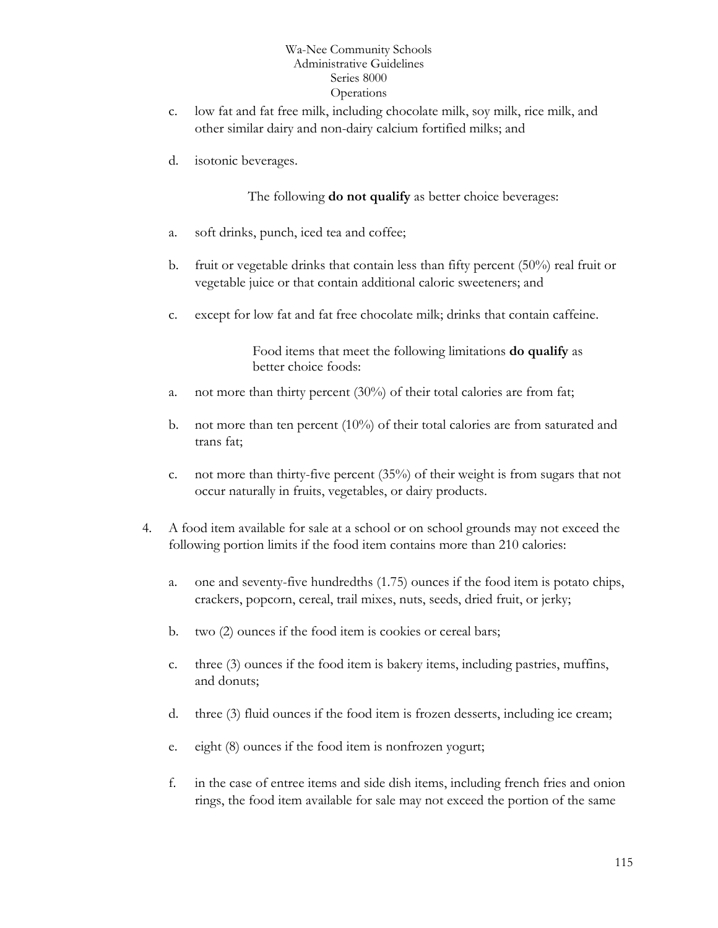- c. low fat and fat free milk, including chocolate milk, soy milk, rice milk, and other similar dairy and non-dairy calcium fortified milks; and
- d. isotonic beverages.

### The following **do not qualify** as better choice beverages:

- a. soft drinks, punch, iced tea and coffee;
- b. fruit or vegetable drinks that contain less than fifty percent (50%) real fruit or vegetable juice or that contain additional caloric sweeteners; and
- c. except for low fat and fat free chocolate milk; drinks that contain caffeine.

Food items that meet the following limitations **do qualify** as better choice foods:

- a. not more than thirty percent (30%) of their total calories are from fat;
- b. not more than ten percent (10%) of their total calories are from saturated and trans fat;
- c. not more than thirty-five percent (35%) of their weight is from sugars that not occur naturally in fruits, vegetables, or dairy products.
- 4. A food item available for sale at a school or on school grounds may not exceed the following portion limits if the food item contains more than 210 calories:
	- a. one and seventy-five hundredths (1.75) ounces if the food item is potato chips, crackers, popcorn, cereal, trail mixes, nuts, seeds, dried fruit, or jerky;
	- b. two (2) ounces if the food item is cookies or cereal bars;
	- c. three (3) ounces if the food item is bakery items, including pastries, muffins, and donuts;
	- d. three (3) fluid ounces if the food item is frozen desserts, including ice cream;
	- e. eight (8) ounces if the food item is nonfrozen yogurt;
	- f. in the case of entree items and side dish items, including french fries and onion rings, the food item available for sale may not exceed the portion of the same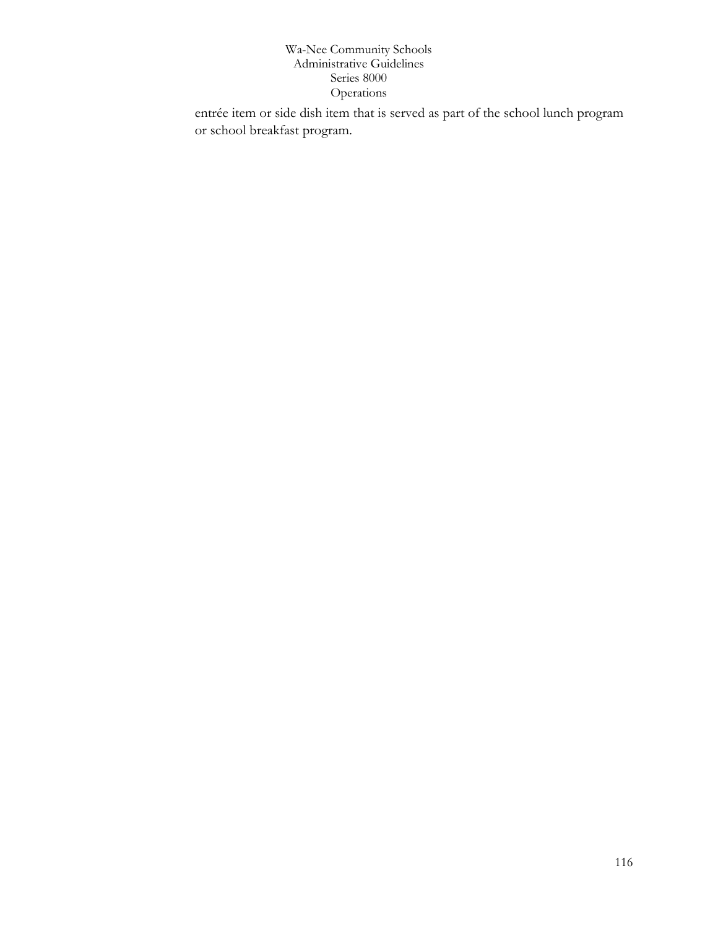entrée item or side dish item that is served as part of the school lunch program or school breakfast program.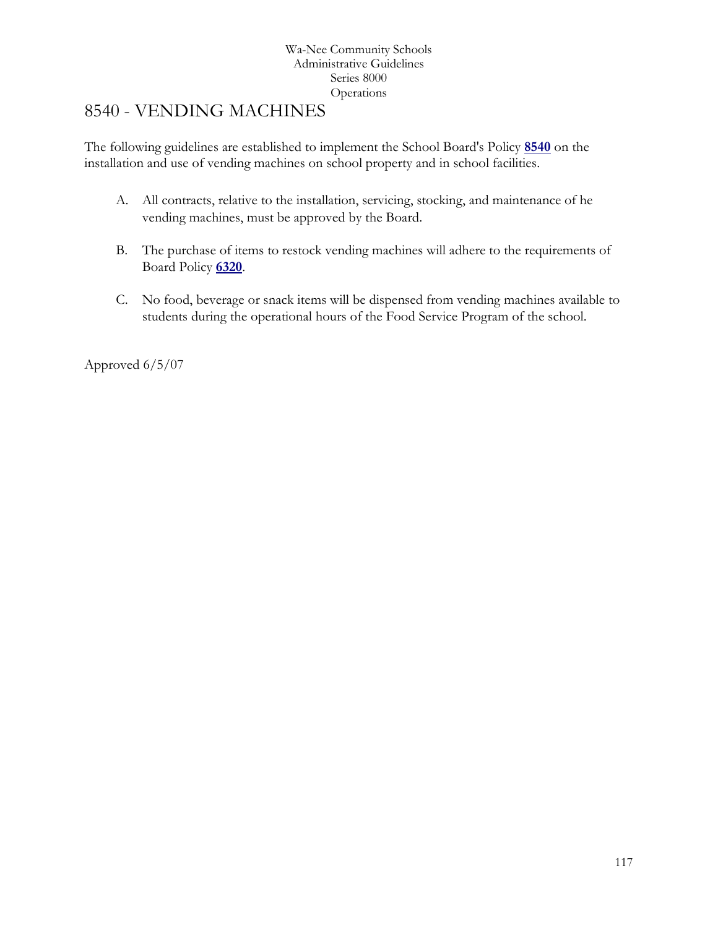# [8540](http://www.neola.com/wanee-in/search/policies/po8540.htm) - VENDING MACHINES

The following guidelines are established to implement the School Board's Policy **[8540](http://www.neola.com/wanee-in/search/policies/po8540.htm)** on the installation and use of vending machines on school property and in school facilities.

- A. All contracts, relative to the installation, servicing, stocking, and maintenance of he vending machines, must be approved by the Board.
- B. The purchase of items to restock vending machines will adhere to the requirements of Board Policy **[6320](http://www.neola.com/wanee-in/search/policies/po6320.htm)**.
- C. No food, beverage or snack items will be dispensed from vending machines available to students during the operational hours of the Food Service Program of the school.

Approved 6/5/07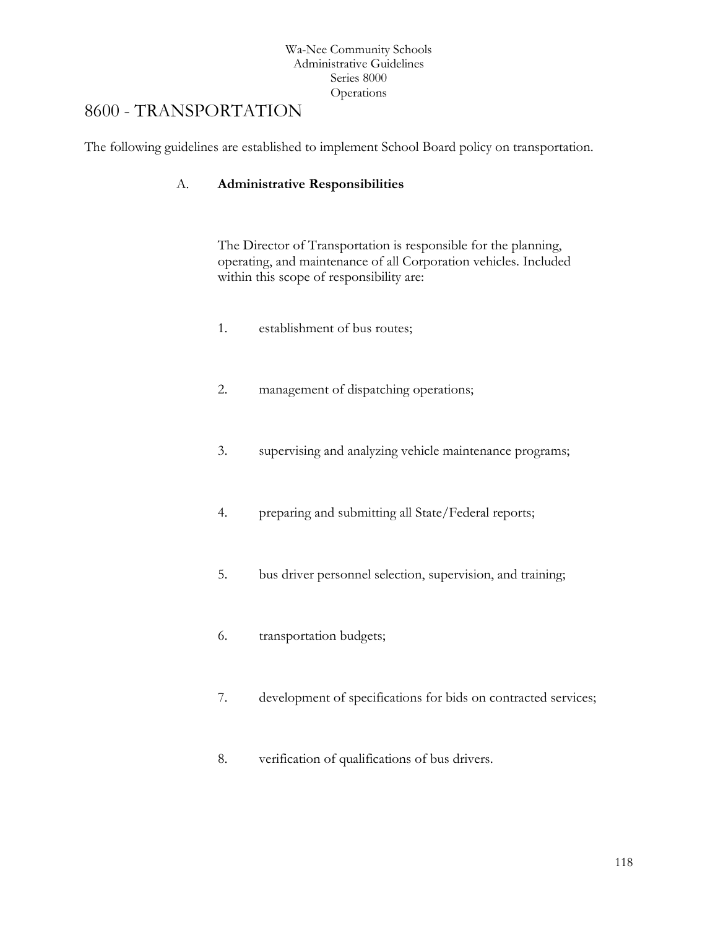# [8600](http://www.neola.com/wanee-in/search/policies/po8600.htm) - TRANSPORTATION

The following guidelines are established to implement School Board policy on transportation.

### A. **Administrative Responsibilities**

The Director of Transportation is responsible for the planning, operating, and maintenance of all Corporation vehicles. Included within this scope of responsibility are:

- 1. establishment of bus routes;
- 2. management of dispatching operations;
- 3. supervising and analyzing vehicle maintenance programs;
- 4. preparing and submitting all State/Federal reports;
- 5. bus driver personnel selection, supervision, and training;
- 6. transportation budgets;
- 7. development of specifications for bids on contracted services;
- 8. verification of qualifications of bus drivers.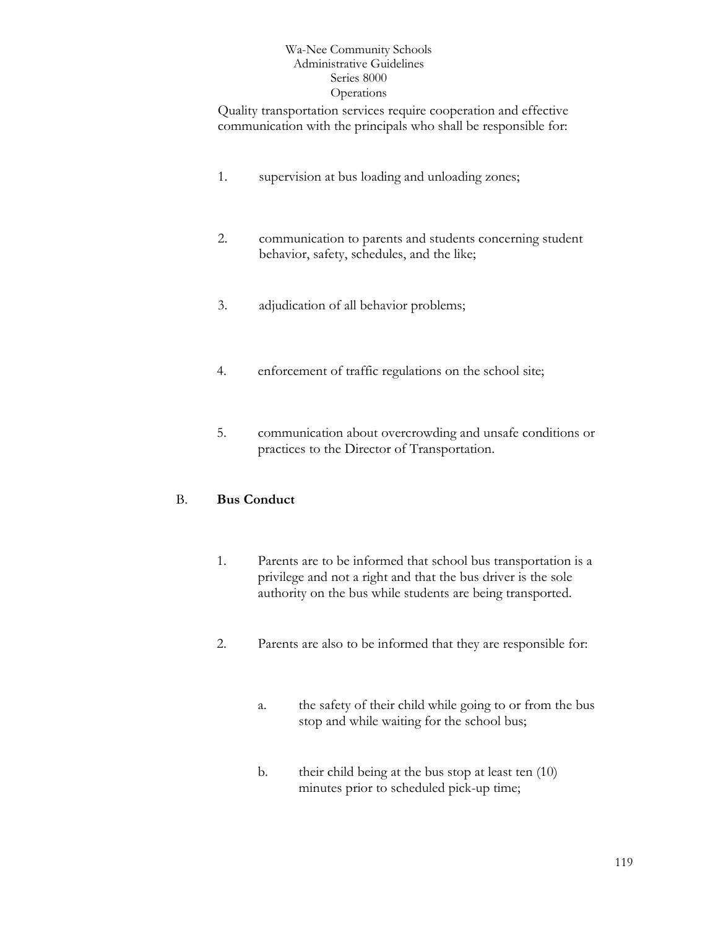Quality transportation services require cooperation and effective communication with the principals who shall be responsible for:

- 1. supervision at bus loading and unloading zones;
- 2. communication to parents and students concerning student behavior, safety, schedules, and the like;
- 3. adjudication of all behavior problems;
- 4. enforcement of traffic regulations on the school site;
- 5. communication about overcrowding and unsafe conditions or practices to the Director of Transportation.

### B. **Bus Conduct**

- 1. Parents are to be informed that school bus transportation is a privilege and not a right and that the bus driver is the sole authority on the bus while students are being transported.
- 2. Parents are also to be informed that they are responsible for:
	- a. the safety of their child while going to or from the bus stop and while waiting for the school bus;
	- b. their child being at the bus stop at least ten (10) minutes prior to scheduled pick-up time;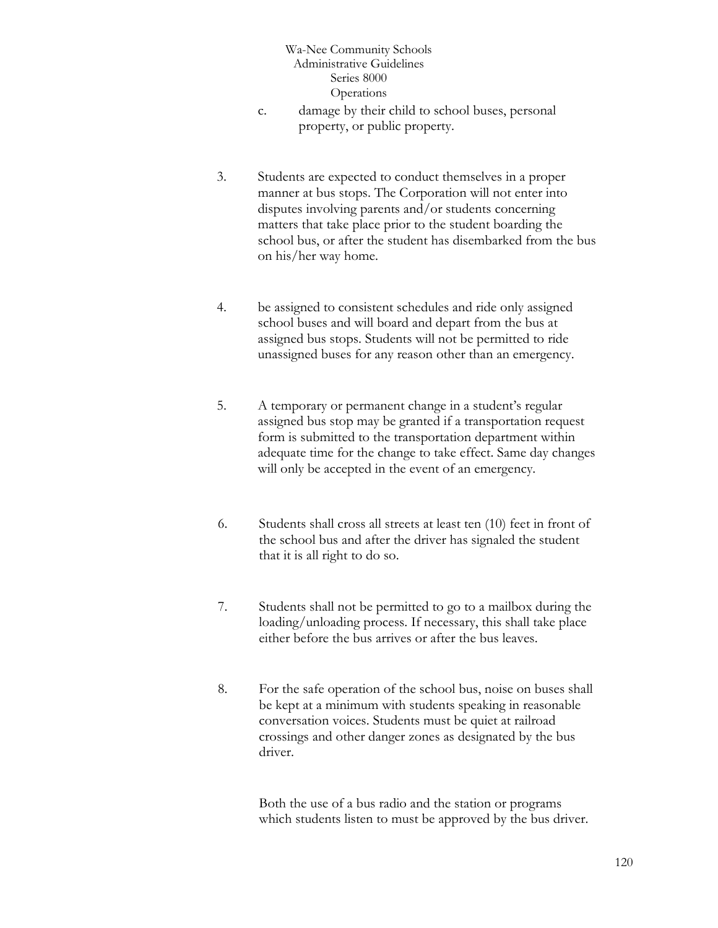- c. damage by their child to school buses, personal property, or public property.
- 3. Students are expected to conduct themselves in a proper manner at bus stops. The Corporation will not enter into disputes involving parents and/or students concerning matters that take place prior to the student boarding the school bus, or after the student has disembarked from the bus on his/her way home.
- 4. be assigned to consistent schedules and ride only assigned school buses and will board and depart from the bus at assigned bus stops. Students will not be permitted to ride unassigned buses for any reason other than an emergency.
- 5. A temporary or permanent change in a student's regular assigned bus stop may be granted if a transportation request form is submitted to the transportation department within adequate time for the change to take effect. Same day changes will only be accepted in the event of an emergency.
- 6. Students shall cross all streets at least ten (10) feet in front of the school bus and after the driver has signaled the student that it is all right to do so.
- 7. Students shall not be permitted to go to a mailbox during the loading/unloading process. If necessary, this shall take place either before the bus arrives or after the bus leaves.
- 8. For the safe operation of the school bus, noise on buses shall be kept at a minimum with students speaking in reasonable conversation voices. Students must be quiet at railroad crossings and other danger zones as designated by the bus driver.

Both the use of a bus radio and the station or programs which students listen to must be approved by the bus driver.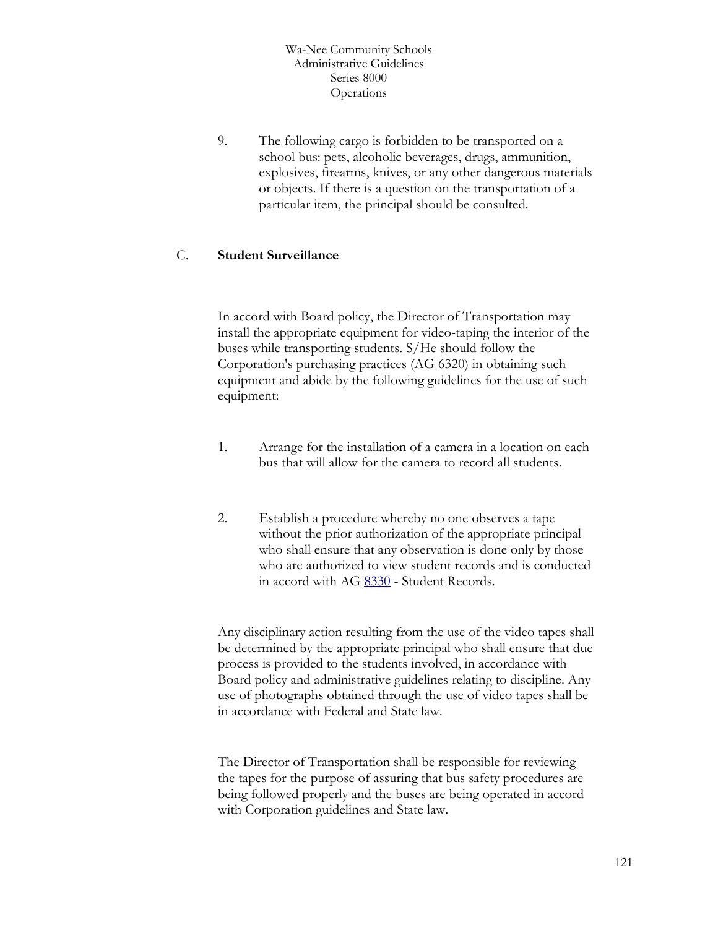9. The following cargo is forbidden to be transported on a school bus: pets, alcoholic beverages, drugs, ammunition, explosives, firearms, knives, or any other dangerous materials or objects. If there is a question on the transportation of a particular item, the principal should be consulted.

#### C. **Student Surveillance**

In accord with Board policy, the Director of Transportation may install the appropriate equipment for video-taping the interior of the buses while transporting students. S/He should follow the Corporation's purchasing practices (AG 6320) in obtaining such equipment and abide by the following guidelines for the use of such equipment:

- 1. Arrange for the installation of a camera in a location on each bus that will allow for the camera to record all students.
- 2. Establish a procedure whereby no one observes a tape without the prior authorization of the appropriate principal who shall ensure that any observation is done only by those who are authorized to view student records and is conducted in accord with AG [8330](http://www.neola.com/wanee-in/search/ag/ag8330.htm) - Student Records.

Any disciplinary action resulting from the use of the video tapes shall be determined by the appropriate principal who shall ensure that due process is provided to the students involved, in accordance with Board policy and administrative guidelines relating to discipline. Any use of photographs obtained through the use of video tapes shall be in accordance with Federal and State law.

The Director of Transportation shall be responsible for reviewing the tapes for the purpose of assuring that bus safety procedures are being followed properly and the buses are being operated in accord with Corporation guidelines and State law.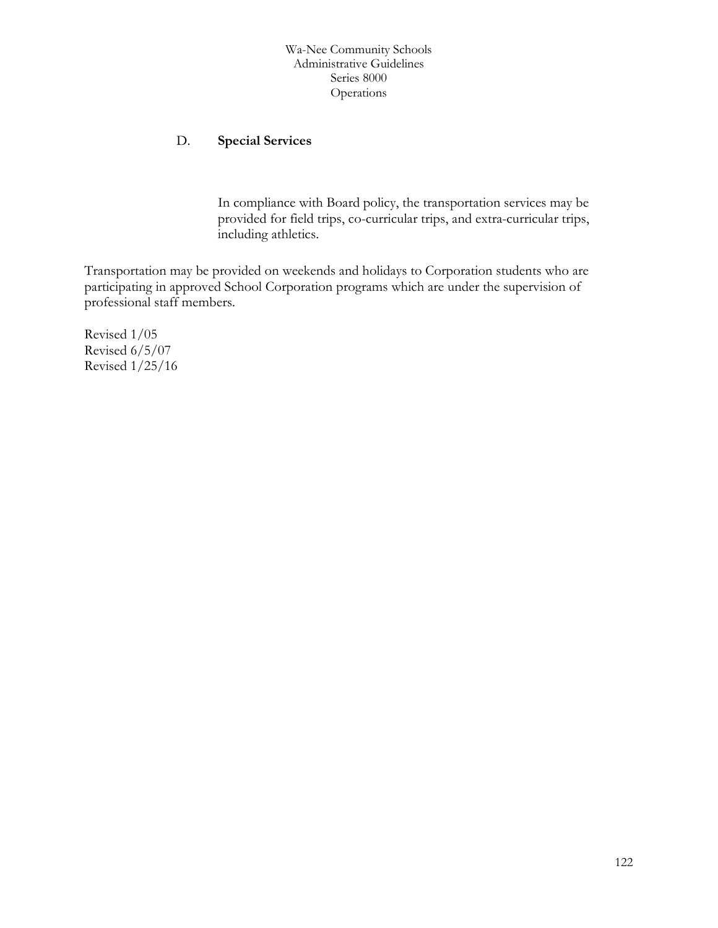### D. **Special Services**

In compliance with Board policy, the transportation services may be provided for field trips, co-curricular trips, and extra-curricular trips, including athletics.

Transportation may be provided on weekends and holidays to Corporation students who are participating in approved School Corporation programs which are under the supervision of professional staff members.

Revised 1/05 Revised 6/5/07 Revised 1/25/16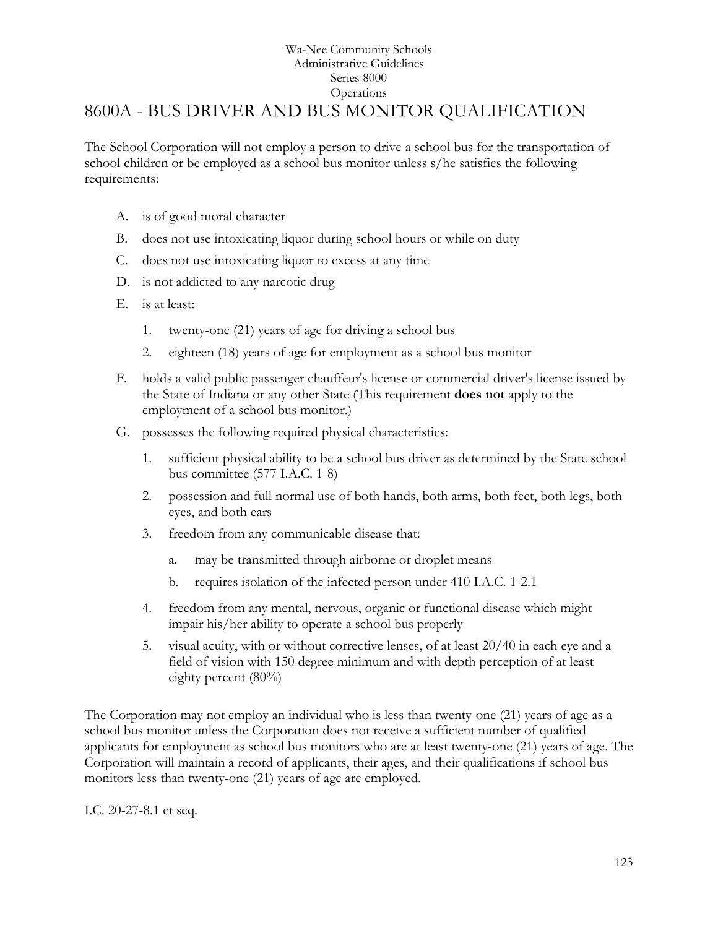### Wa-Nee Community Schools Administrative Guidelines Series 8000 **Operations** 8600A - BUS DRIVER AND BUS MONITOR QUALIFICATION

The School Corporation will not employ a person to drive a school bus for the transportation of school children or be employed as a school bus monitor unless s/he satisfies the following requirements:

- A. is of good moral character
- B. does not use intoxicating liquor during school hours or while on duty
- C. does not use intoxicating liquor to excess at any time
- D. is not addicted to any narcotic drug
- E. is at least:
	- 1. twenty-one (21) years of age for driving a school bus
	- 2. eighteen (18) years of age for employment as a school bus monitor
- F. holds a valid public passenger chauffeur's license or commercial driver's license issued by the State of Indiana or any other State (This requirement **does not** apply to the employment of a school bus monitor.)
- G. possesses the following required physical characteristics:
	- 1. sufficient physical ability to be a school bus driver as determined by the State school bus committee (577 I.A.C. 1-8)
	- 2. possession and full normal use of both hands, both arms, both feet, both legs, both eyes, and both ears
	- 3. freedom from any communicable disease that:
		- a. may be transmitted through airborne or droplet means
		- b. requires isolation of the infected person under 410 I.A.C. 1-2.1
	- 4. freedom from any mental, nervous, organic or functional disease which might impair his/her ability to operate a school bus properly
	- 5. visual acuity, with or without corrective lenses, of at least 20/40 in each eye and a field of vision with 150 degree minimum and with depth perception of at least eighty percent (80%)

The Corporation may not employ an individual who is less than twenty-one (21) years of age as a school bus monitor unless the Corporation does not receive a sufficient number of qualified applicants for employment as school bus monitors who are at least twenty-one (21) years of age. The Corporation will maintain a record of applicants, their ages, and their qualifications if school bus monitors less than twenty-one (21) years of age are employed.

I.C. 20-27-8.1 et seq.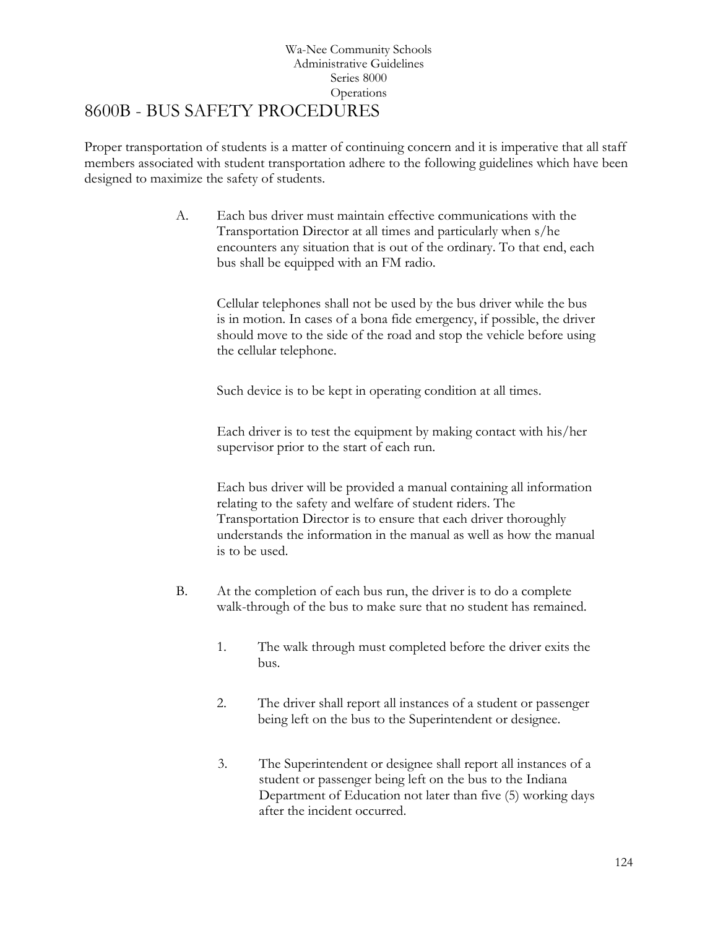#### Wa-Nee Community Schools Administrative Guidelines Series 8000 **Operations** 8600B - BUS SAFETY PROCEDURES

Proper transportation of students is a matter of continuing concern and it is imperative that all staff members associated with student transportation adhere to the following guidelines which have been designed to maximize the safety of students.

> A. Each bus driver must maintain effective communications with the Transportation Director at all times and particularly when s/he encounters any situation that is out of the ordinary. To that end, each bus shall be equipped with an FM radio.

Cellular telephones shall not be used by the bus driver while the bus is in motion. In cases of a bona fide emergency, if possible, the driver should move to the side of the road and stop the vehicle before using the cellular telephone.

Such device is to be kept in operating condition at all times.

Each driver is to test the equipment by making contact with his/her supervisor prior to the start of each run.

Each bus driver will be provided a manual containing all information relating to the safety and welfare of student riders. The Transportation Director is to ensure that each driver thoroughly understands the information in the manual as well as how the manual is to be used.

- B. At the completion of each bus run, the driver is to do a complete walk-through of the bus to make sure that no student has remained.
	- 1. The walk through must completed before the driver exits the bus.
	- 2. The driver shall report all instances of a student or passenger being left on the bus to the Superintendent or designee.
	- 3. The Superintendent or designee shall report all instances of a student or passenger being left on the bus to the Indiana Department of Education not later than five (5) working days after the incident occurred.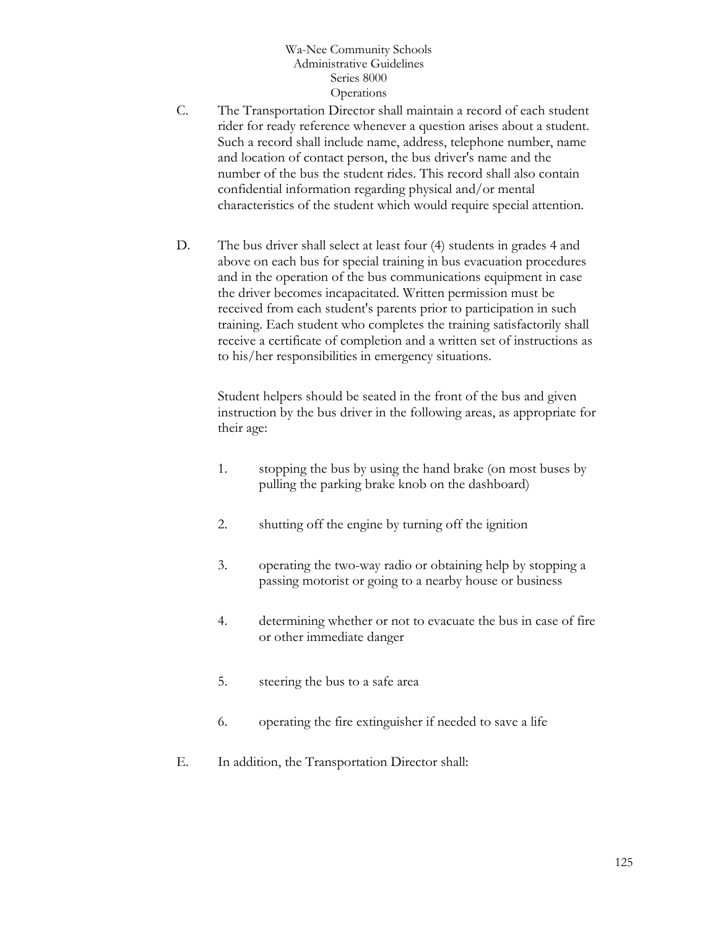- C. The Transportation Director shall maintain a record of each student rider for ready reference whenever a question arises about a student. Such a record shall include name, address, telephone number, name and location of contact person, the bus driver's name and the number of the bus the student rides. This record shall also contain confidential information regarding physical and/or mental characteristics of the student which would require special attention.
- D. The bus driver shall select at least four (4) students in grades 4 and above on each bus for special training in bus evacuation procedures and in the operation of the bus communications equipment in case the driver becomes incapacitated. Written permission must be received from each student's parents prior to participation in such training. Each student who completes the training satisfactorily shall receive a certificate of completion and a written set of instructions as to his/her responsibilities in emergency situations.

Student helpers should be seated in the front of the bus and given instruction by the bus driver in the following areas, as appropriate for their age:

- 1. stopping the bus by using the hand brake (on most buses by pulling the parking brake knob on the dashboard)
- 2. shutting off the engine by turning off the ignition
- 3. operating the two-way radio or obtaining help by stopping a passing motorist or going to a nearby house or business
- 4. determining whether or not to evacuate the bus in case of fire or other immediate danger
- 5. steering the bus to a safe area
- 6. operating the fire extinguisher if needed to save a life
- E. In addition, the Transportation Director shall: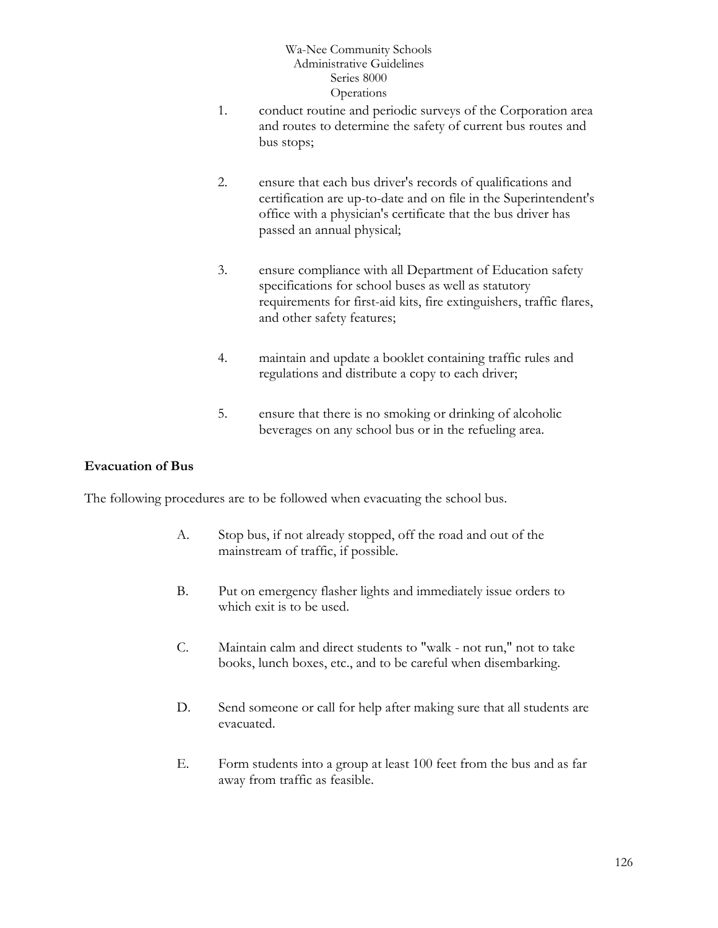- 1. conduct routine and periodic surveys of the Corporation area and routes to determine the safety of current bus routes and bus stops;
- 2. ensure that each bus driver's records of qualifications and certification are up-to-date and on file in the Superintendent's office with a physician's certificate that the bus driver has passed an annual physical;
- 3. ensure compliance with all Department of Education safety specifications for school buses as well as statutory requirements for first-aid kits, fire extinguishers, traffic flares, and other safety features;
- 4. maintain and update a booklet containing traffic rules and regulations and distribute a copy to each driver;
- 5. ensure that there is no smoking or drinking of alcoholic beverages on any school bus or in the refueling area.

### **Evacuation of Bus**

The following procedures are to be followed when evacuating the school bus.

- A. Stop bus, if not already stopped, off the road and out of the mainstream of traffic, if possible.
- B. Put on emergency flasher lights and immediately issue orders to which exit is to be used.
- C. Maintain calm and direct students to "walk not run," not to take books, lunch boxes, etc., and to be careful when disembarking.
- D. Send someone or call for help after making sure that all students are evacuated.
- E. Form students into a group at least 100 feet from the bus and as far away from traffic as feasible.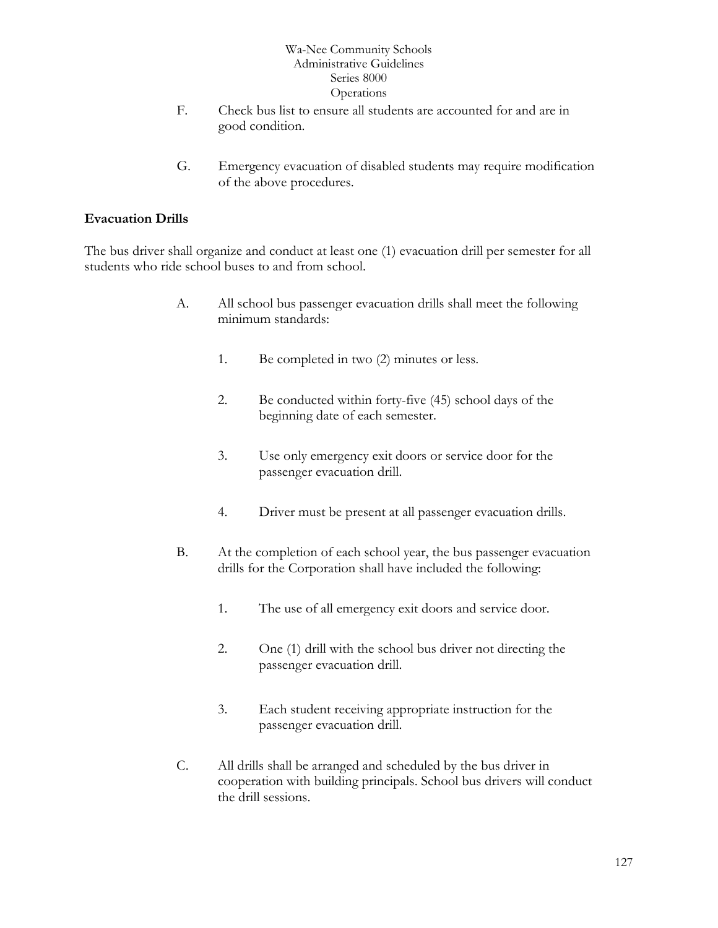- F. Check bus list to ensure all students are accounted for and are in good condition.
- G. Emergency evacuation of disabled students may require modification of the above procedures.

### **Evacuation Drills**

The bus driver shall organize and conduct at least one (1) evacuation drill per semester for all students who ride school buses to and from school.

- A. All school bus passenger evacuation drills shall meet the following minimum standards:
	- 1. Be completed in two (2) minutes or less.
	- 2. Be conducted within forty-five (45) school days of the beginning date of each semester.
	- 3. Use only emergency exit doors or service door for the passenger evacuation drill.
	- 4. Driver must be present at all passenger evacuation drills.
- B. At the completion of each school year, the bus passenger evacuation drills for the Corporation shall have included the following:
	- 1. The use of all emergency exit doors and service door.
	- 2. One (1) drill with the school bus driver not directing the passenger evacuation drill.
	- 3. Each student receiving appropriate instruction for the passenger evacuation drill.
- C. All drills shall be arranged and scheduled by the bus driver in cooperation with building principals. School bus drivers will conduct the drill sessions.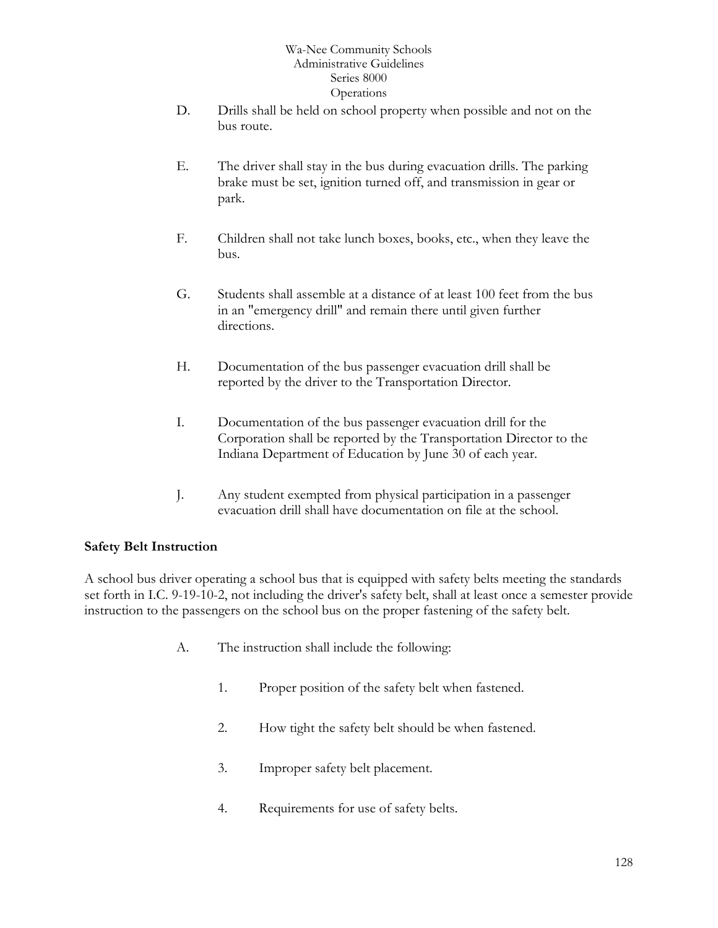- D. Drills shall be held on school property when possible and not on the bus route.
- E. The driver shall stay in the bus during evacuation drills. The parking brake must be set, ignition turned off, and transmission in gear or park.
- F. Children shall not take lunch boxes, books, etc., when they leave the bus.
- G. Students shall assemble at a distance of at least 100 feet from the bus in an "emergency drill" and remain there until given further directions.
- H. Documentation of the bus passenger evacuation drill shall be reported by the driver to the Transportation Director.
- I. Documentation of the bus passenger evacuation drill for the Corporation shall be reported by the Transportation Director to the Indiana Department of Education by June 30 of each year.
- J. Any student exempted from physical participation in a passenger evacuation drill shall have documentation on file at the school.

### **Safety Belt Instruction**

A school bus driver operating a school bus that is equipped with safety belts meeting the standards set forth in I.C. 9-19-10-2, not including the driver's safety belt, shall at least once a semester provide instruction to the passengers on the school bus on the proper fastening of the safety belt.

- A. The instruction shall include the following:
	- 1. Proper position of the safety belt when fastened.
	- 2. How tight the safety belt should be when fastened.
	- 3. Improper safety belt placement.
	- 4. Requirements for use of safety belts.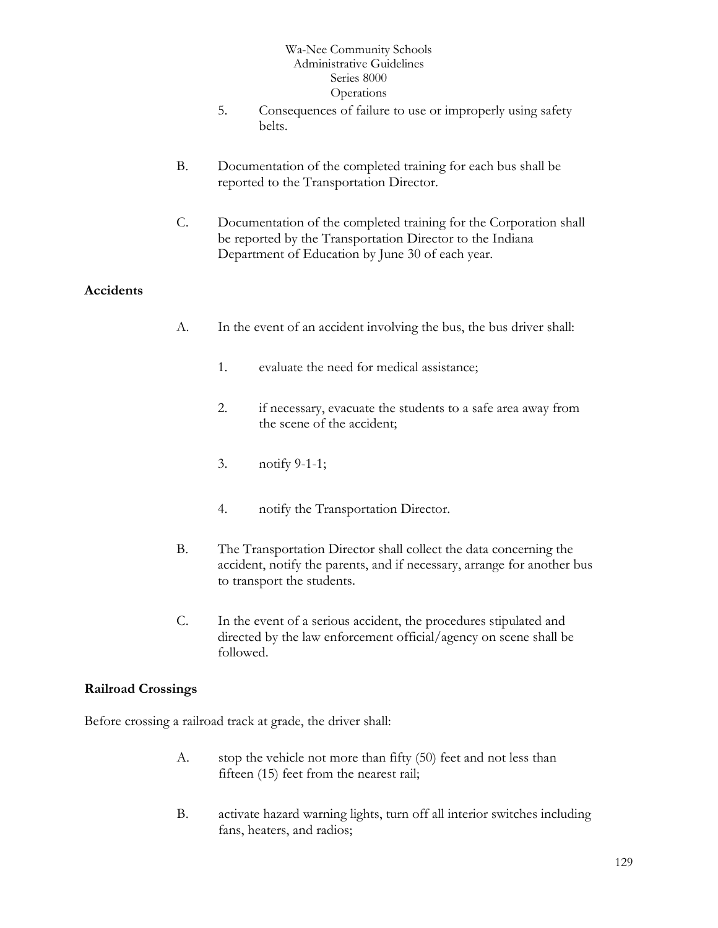- 5. Consequences of failure to use or improperly using safety belts.
- B. Documentation of the completed training for each bus shall be reported to the Transportation Director.
- C. Documentation of the completed training for the Corporation shall be reported by the Transportation Director to the Indiana Department of Education by June 30 of each year.

### **Accidents**

- A. In the event of an accident involving the bus, the bus driver shall:
	- 1. evaluate the need for medical assistance;
	- 2. if necessary, evacuate the students to a safe area away from the scene of the accident;
	- 3. notify 9-1-1;
	- 4. notify the Transportation Director.
- B. The Transportation Director shall collect the data concerning the accident, notify the parents, and if necessary, arrange for another bus to transport the students.
- C. In the event of a serious accident, the procedures stipulated and directed by the law enforcement official/agency on scene shall be followed.

### **Railroad Crossings**

Before crossing a railroad track at grade, the driver shall:

- A. stop the vehicle not more than fifty (50) feet and not less than fifteen (15) feet from the nearest rail;
- B. activate hazard warning lights, turn off all interior switches including fans, heaters, and radios;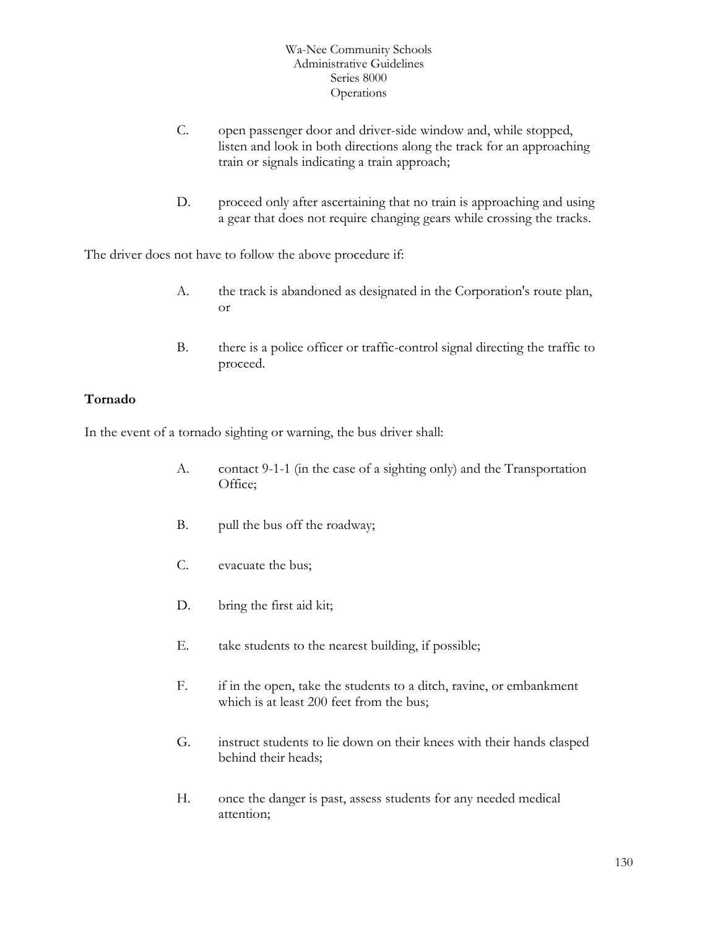- C. open passenger door and driver-side window and, while stopped, listen and look in both directions along the track for an approaching train or signals indicating a train approach;
- D. proceed only after ascertaining that no train is approaching and using a gear that does not require changing gears while crossing the tracks.

The driver does not have to follow the above procedure if:

- A. the track is abandoned as designated in the Corporation's route plan, or
- B. there is a police officer or traffic-control signal directing the traffic to proceed.

### **Tornado**

In the event of a tornado sighting or warning, the bus driver shall:

- A. contact 9-1-1 (in the case of a sighting only) and the Transportation Office;
- B. pull the bus off the roadway;
- C. evacuate the bus;
- D. bring the first aid kit;
- E. take students to the nearest building, if possible;
- F. if in the open, take the students to a ditch, ravine, or embankment which is at least 200 feet from the bus;
- G. instruct students to lie down on their knees with their hands clasped behind their heads;
- H. once the danger is past, assess students for any needed medical attention;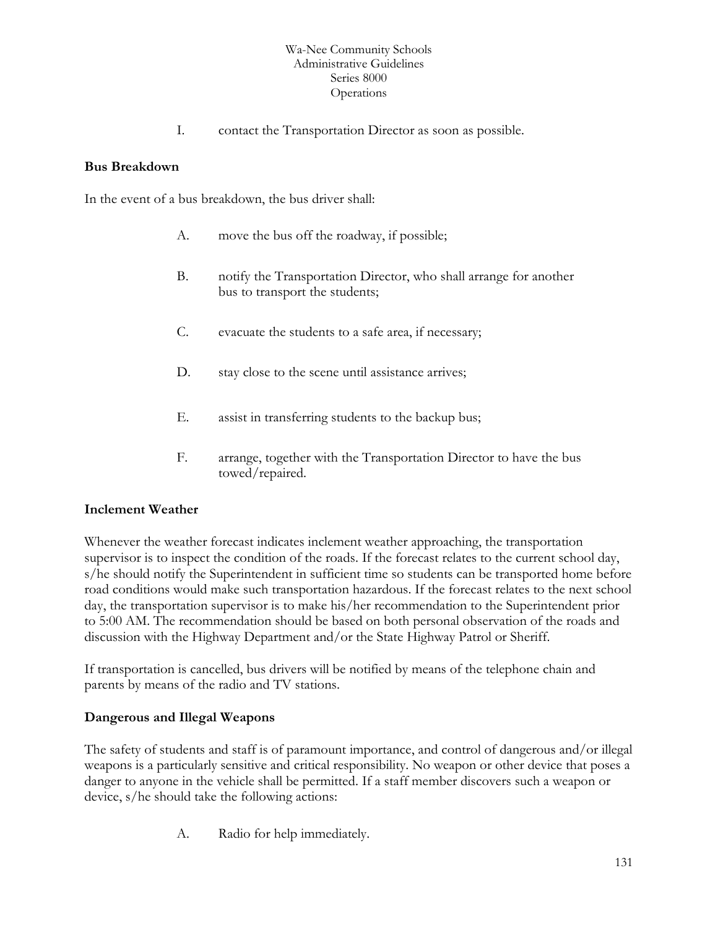I. contact the Transportation Director as soon as possible.

### **Bus Breakdown**

In the event of a bus breakdown, the bus driver shall:

- A. move the bus off the roadway, if possible;
- B. notify the Transportation Director, who shall arrange for another bus to transport the students;
- C. evacuate the students to a safe area, if necessary;
- D. stay close to the scene until assistance arrives;
- E. assist in transferring students to the backup bus;
- F. arrange, together with the Transportation Director to have the bus towed/repaired.

### **Inclement Weather**

Whenever the weather forecast indicates inclement weather approaching, the transportation supervisor is to inspect the condition of the roads. If the forecast relates to the current school day, s/he should notify the Superintendent in sufficient time so students can be transported home before road conditions would make such transportation hazardous. If the forecast relates to the next school day, the transportation supervisor is to make his/her recommendation to the Superintendent prior to 5:00 AM. The recommendation should be based on both personal observation of the roads and discussion with the Highway Department and/or the State Highway Patrol or Sheriff.

If transportation is cancelled, bus drivers will be notified by means of the telephone chain and parents by means of the radio and TV stations.

### **Dangerous and Illegal Weapons**

The safety of students and staff is of paramount importance, and control of dangerous and/or illegal weapons is a particularly sensitive and critical responsibility. No weapon or other device that poses a danger to anyone in the vehicle shall be permitted. If a staff member discovers such a weapon or device, s/he should take the following actions:

A. Radio for help immediately.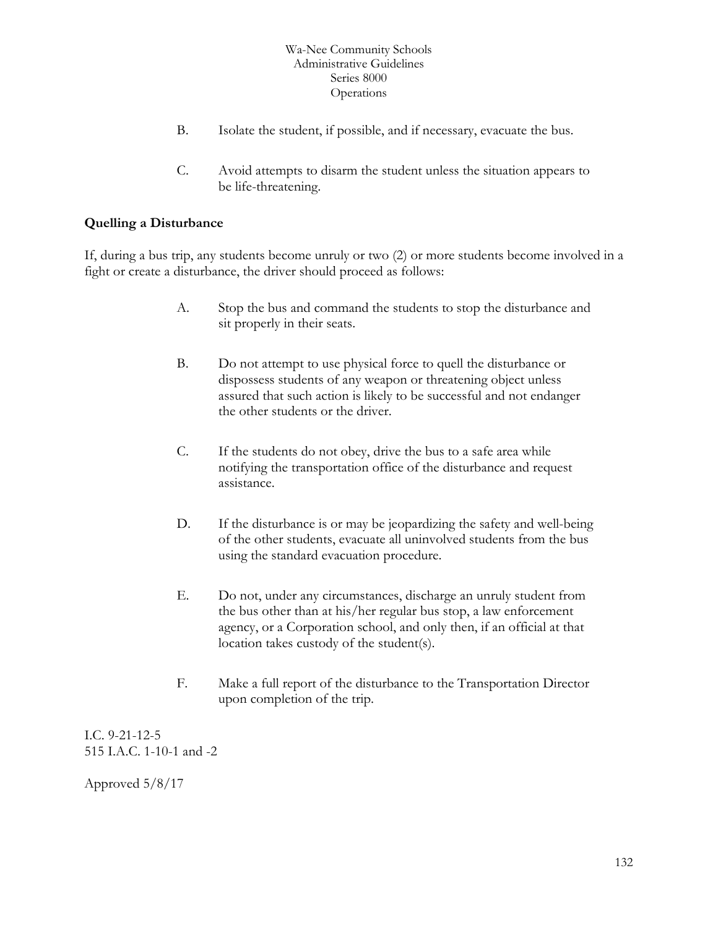- B. Isolate the student, if possible, and if necessary, evacuate the bus.
- C. Avoid attempts to disarm the student unless the situation appears to be life-threatening.

### **Quelling a Disturbance**

If, during a bus trip, any students become unruly or two (2) or more students become involved in a fight or create a disturbance, the driver should proceed as follows:

- A. Stop the bus and command the students to stop the disturbance and sit properly in their seats.
- B. Do not attempt to use physical force to quell the disturbance or dispossess students of any weapon or threatening object unless assured that such action is likely to be successful and not endanger the other students or the driver.
- C. If the students do not obey, drive the bus to a safe area while notifying the transportation office of the disturbance and request assistance.
- D. If the disturbance is or may be jeopardizing the safety and well-being of the other students, evacuate all uninvolved students from the bus using the standard evacuation procedure.
- E. Do not, under any circumstances, discharge an unruly student from the bus other than at his/her regular bus stop, a law enforcement agency, or a Corporation school, and only then, if an official at that location takes custody of the student(s).
- F. Make a full report of the disturbance to the Transportation Director upon completion of the trip.

I.C. 9-21-12-5 515 I.A.C. 1-10-1 and -2

Approved 5/8/17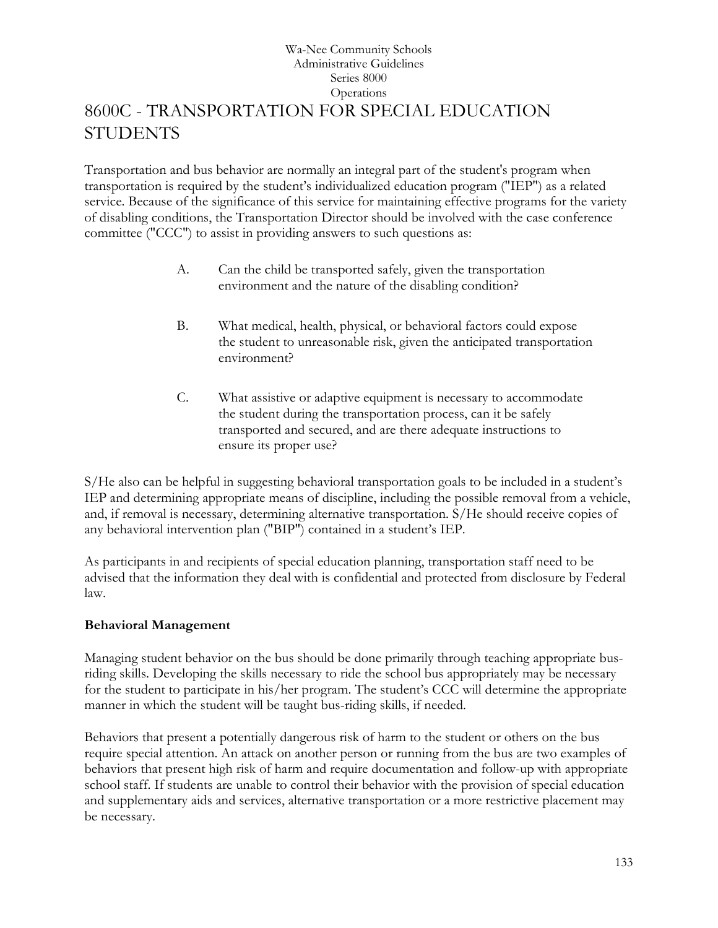## Wa-Nee Community Schools Administrative Guidelines Series 8000 **Operations** 8600C - TRANSPORTATION FOR SPECIAL EDUCATION **STUDENTS**

Transportation and bus behavior are normally an integral part of the student's program when transportation is required by the student's individualized education program ("IEP") as a related service. Because of the significance of this service for maintaining effective programs for the variety of disabling conditions, the Transportation Director should be involved with the case conference committee ("CCC") to assist in providing answers to such questions as:

- A. Can the child be transported safely, given the transportation environment and the nature of the disabling condition?
- B. What medical, health, physical, or behavioral factors could expose the student to unreasonable risk, given the anticipated transportation environment?
- C. What assistive or adaptive equipment is necessary to accommodate the student during the transportation process, can it be safely transported and secured, and are there adequate instructions to ensure its proper use?

S/He also can be helpful in suggesting behavioral transportation goals to be included in a student's IEP and determining appropriate means of discipline, including the possible removal from a vehicle, and, if removal is necessary, determining alternative transportation. S/He should receive copies of any behavioral intervention plan ("BIP") contained in a student's IEP.

As participants in and recipients of special education planning, transportation staff need to be advised that the information they deal with is confidential and protected from disclosure by Federal law.

### **Behavioral Management**

Managing student behavior on the bus should be done primarily through teaching appropriate busriding skills. Developing the skills necessary to ride the school bus appropriately may be necessary for the student to participate in his/her program. The student's CCC will determine the appropriate manner in which the student will be taught bus-riding skills, if needed.

Behaviors that present a potentially dangerous risk of harm to the student or others on the bus require special attention. An attack on another person or running from the bus are two examples of behaviors that present high risk of harm and require documentation and follow-up with appropriate school staff. If students are unable to control their behavior with the provision of special education and supplementary aids and services, alternative transportation or a more restrictive placement may be necessary.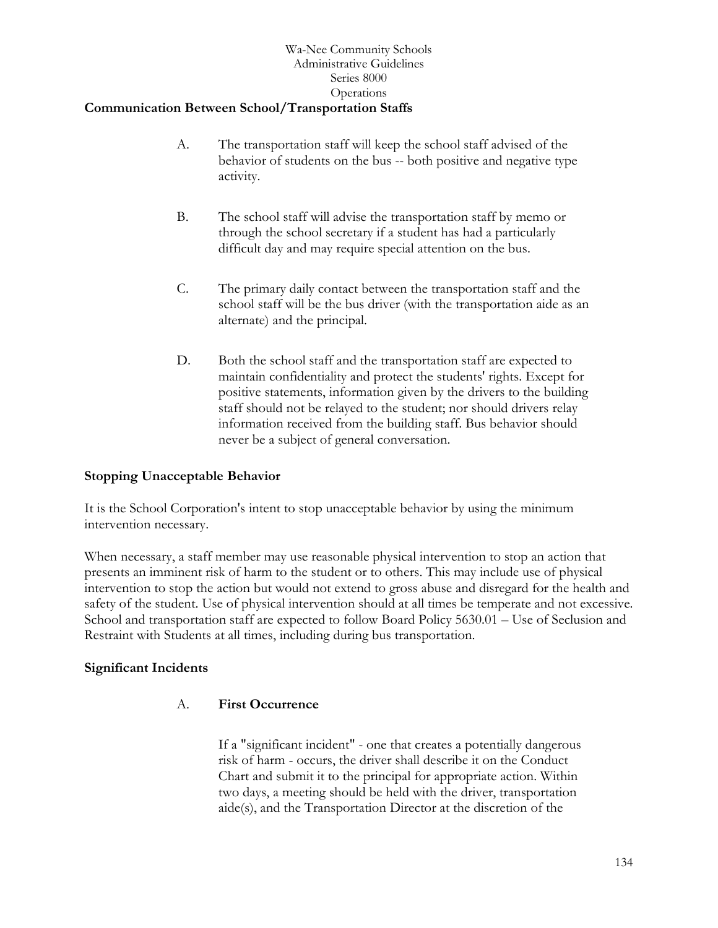### **Communication Between School/Transportation Staffs**

- A. The transportation staff will keep the school staff advised of the behavior of students on the bus -- both positive and negative type activity.
- B. The school staff will advise the transportation staff by memo or through the school secretary if a student has had a particularly difficult day and may require special attention on the bus.
- C. The primary daily contact between the transportation staff and the school staff will be the bus driver (with the transportation aide as an alternate) and the principal.
- D. Both the school staff and the transportation staff are expected to maintain confidentiality and protect the students' rights. Except for positive statements, information given by the drivers to the building staff should not be relayed to the student; nor should drivers relay information received from the building staff. Bus behavior should never be a subject of general conversation.

### **Stopping Unacceptable Behavior**

It is the School Corporation's intent to stop unacceptable behavior by using the minimum intervention necessary.

When necessary, a staff member may use reasonable physical intervention to stop an action that presents an imminent risk of harm to the student or to others. This may include use of physical intervention to stop the action but would not extend to gross abuse and disregard for the health and safety of the student. Use of physical intervention should at all times be temperate and not excessive. School and transportation staff are expected to follow Board Policy 5630.01 – Use of Seclusion and Restraint with Students at all times, including during bus transportation.

### **Significant Incidents**

### A. **First Occurrence**

If a "significant incident" - one that creates a potentially dangerous risk of harm - occurs, the driver shall describe it on the Conduct Chart and submit it to the principal for appropriate action. Within two days, a meeting should be held with the driver, transportation aide(s), and the Transportation Director at the discretion of the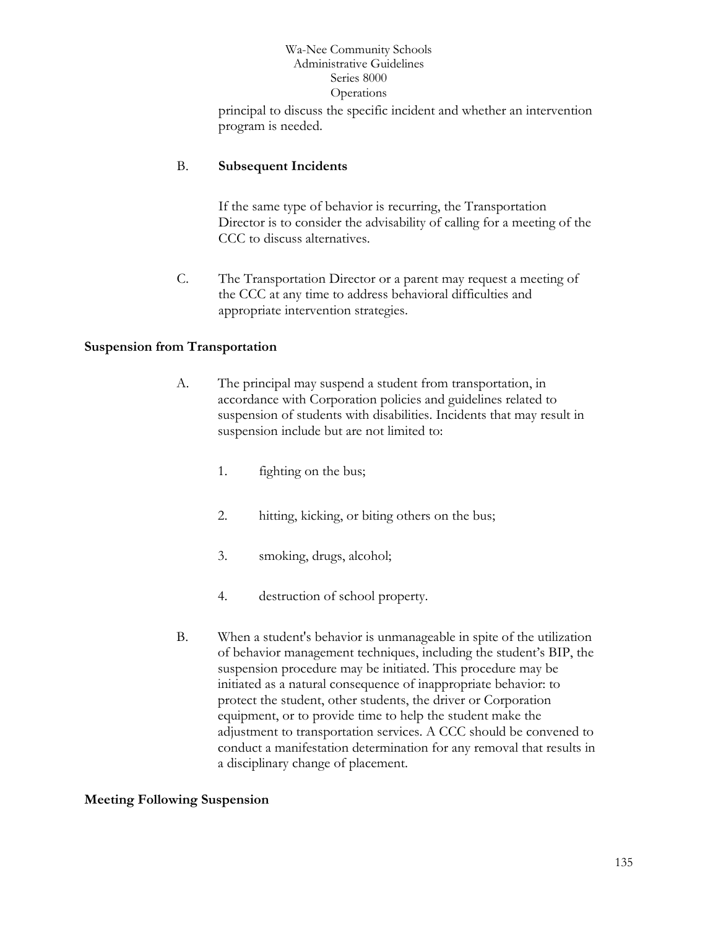principal to discuss the specific incident and whether an intervention program is needed.

### B. **Subsequent Incidents**

If the same type of behavior is recurring, the Transportation Director is to consider the advisability of calling for a meeting of the CCC to discuss alternatives.

C. The Transportation Director or a parent may request a meeting of the CCC at any time to address behavioral difficulties and appropriate intervention strategies.

#### **Suspension from Transportation**

- A. The principal may suspend a student from transportation, in accordance with Corporation policies and guidelines related to suspension of students with disabilities. Incidents that may result in suspension include but are not limited to:
	- 1. fighting on the bus;
	- 2. hitting, kicking, or biting others on the bus;
	- 3. smoking, drugs, alcohol;
	- 4. destruction of school property.
- B. When a student's behavior is unmanageable in spite of the utilization of behavior management techniques, including the student's BIP, the suspension procedure may be initiated. This procedure may be initiated as a natural consequence of inappropriate behavior: to protect the student, other students, the driver or Corporation equipment, or to provide time to help the student make the adjustment to transportation services. A CCC should be convened to conduct a manifestation determination for any removal that results in a disciplinary change of placement.

#### **Meeting Following Suspension**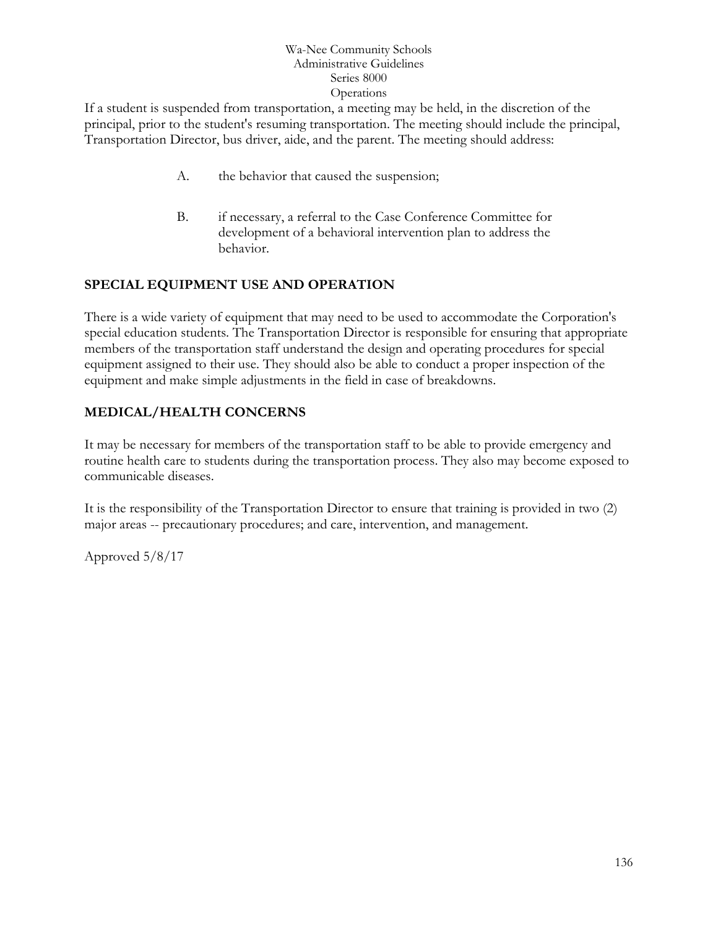If a student is suspended from transportation, a meeting may be held, in the discretion of the principal, prior to the student's resuming transportation. The meeting should include the principal, Transportation Director, bus driver, aide, and the parent. The meeting should address:

- A. the behavior that caused the suspension;
- B. if necessary, a referral to the Case Conference Committee for development of a behavioral intervention plan to address the behavior.

### **SPECIAL EQUIPMENT USE AND OPERATION**

There is a wide variety of equipment that may need to be used to accommodate the Corporation's special education students. The Transportation Director is responsible for ensuring that appropriate members of the transportation staff understand the design and operating procedures for special equipment assigned to their use. They should also be able to conduct a proper inspection of the equipment and make simple adjustments in the field in case of breakdowns.

### **MEDICAL/HEALTH CONCERNS**

It may be necessary for members of the transportation staff to be able to provide emergency and routine health care to students during the transportation process. They also may become exposed to communicable diseases.

It is the responsibility of the Transportation Director to ensure that training is provided in two (2) major areas -- precautionary procedures; and care, intervention, and management.

Approved 5/8/17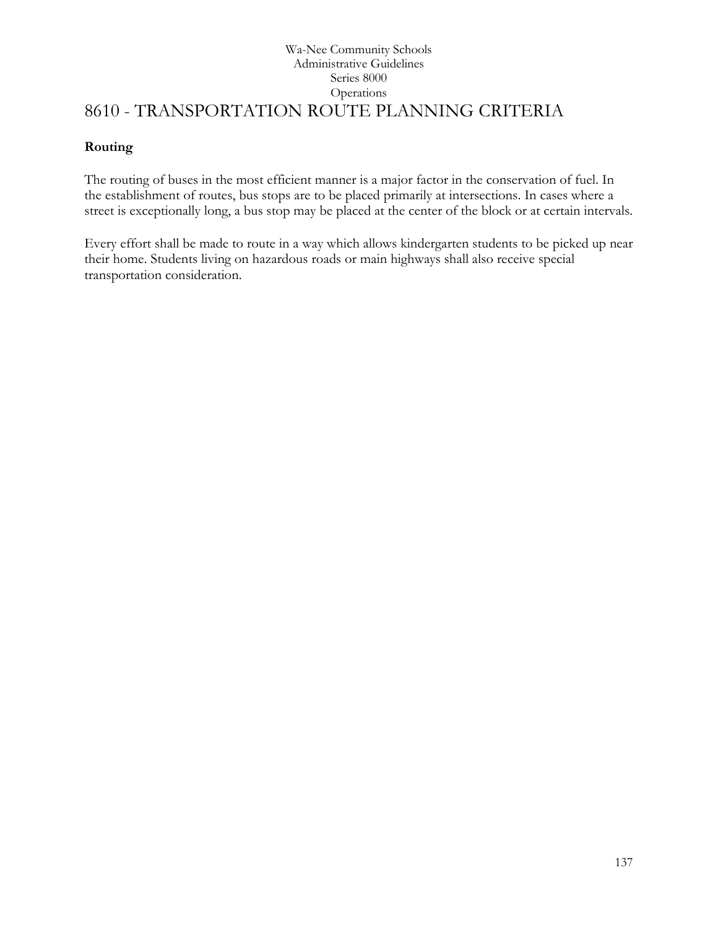### Wa-Nee Community Schools Administrative Guidelines Series 8000 **Operations** 8610 - TRANSPORTATION ROUTE PLANNING CRITERIA

### **Routing**

The routing of buses in the most efficient manner is a major factor in the conservation of fuel. In the establishment of routes, bus stops are to be placed primarily at intersections. In cases where a street is exceptionally long, a bus stop may be placed at the center of the block or at certain intervals.

Every effort shall be made to route in a way which allows kindergarten students to be picked up near their home. Students living on hazardous roads or main highways shall also receive special transportation consideration.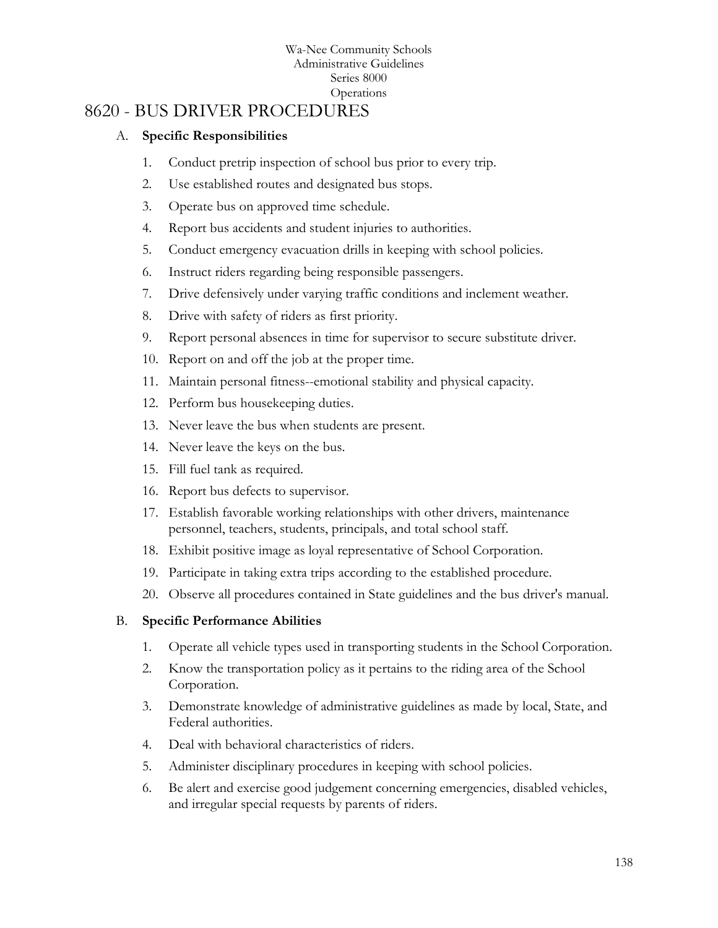# 8620 - BUS DRIVER PROCEDURES

### A. **Specific Responsibilities**

- 1. Conduct pretrip inspection of school bus prior to every trip.
- 2. Use established routes and designated bus stops.
- 3. Operate bus on approved time schedule.
- 4. Report bus accidents and student injuries to authorities.
- 5. Conduct emergency evacuation drills in keeping with school policies.
- 6. Instruct riders regarding being responsible passengers.
- 7. Drive defensively under varying traffic conditions and inclement weather.
- 8. Drive with safety of riders as first priority.
- 9. Report personal absences in time for supervisor to secure substitute driver.
- 10. Report on and off the job at the proper time.
- 11. Maintain personal fitness--emotional stability and physical capacity.
- 12. Perform bus housekeeping duties.
- 13. Never leave the bus when students are present.
- 14. Never leave the keys on the bus.
- 15. Fill fuel tank as required.
- 16. Report bus defects to supervisor.
- 17. Establish favorable working relationships with other drivers, maintenance personnel, teachers, students, principals, and total school staff.
- 18. Exhibit positive image as loyal representative of School Corporation.
- 19. Participate in taking extra trips according to the established procedure.
- 20. Observe all procedures contained in State guidelines and the bus driver's manual.

### B. **Specific Performance Abilities**

- 1. Operate all vehicle types used in transporting students in the School Corporation.
- 2. Know the transportation policy as it pertains to the riding area of the School Corporation.
- 3. Demonstrate knowledge of administrative guidelines as made by local, State, and Federal authorities.
- 4. Deal with behavioral characteristics of riders.
- 5. Administer disciplinary procedures in keeping with school policies.
- 6. Be alert and exercise good judgement concerning emergencies, disabled vehicles, and irregular special requests by parents of riders.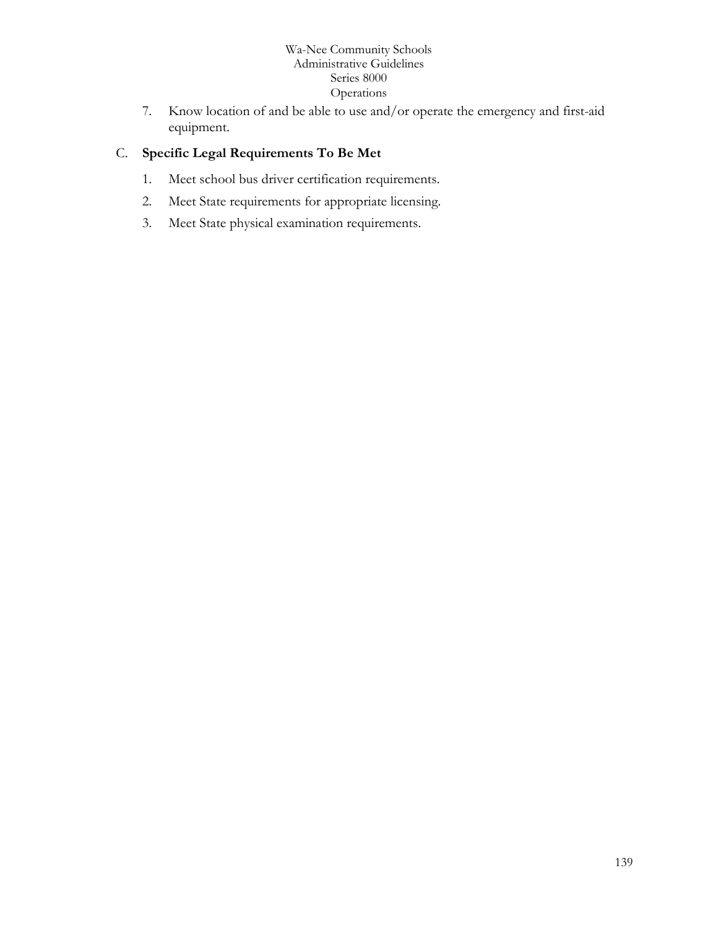7. Know location of and be able to use and/or operate the emergency and first-aid equipment.

## C. **Specific Legal Requirements To Be Met**

- 1. Meet school bus driver certification requirements.
- 2. Meet State requirements for appropriate licensing.
- 3. Meet State physical examination requirements.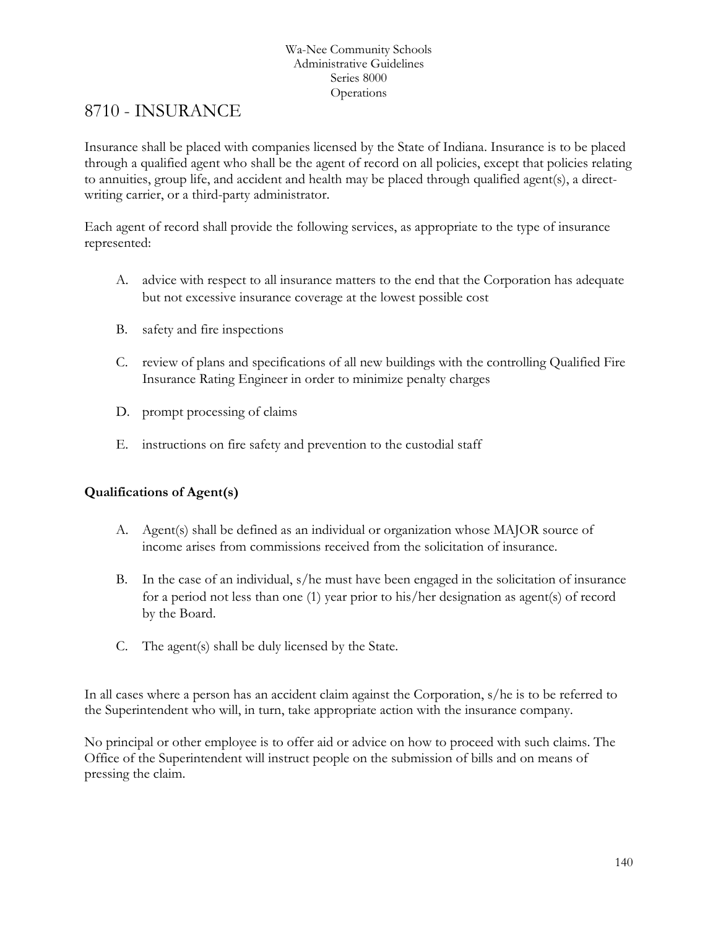# [8710](http://www.neola.com/wanee-in/search/policies/po8710.htm) - INSURANCE

Insurance shall be placed with companies licensed by the State of Indiana. Insurance is to be placed through a qualified agent who shall be the agent of record on all policies, except that policies relating to annuities, group life, and accident and health may be placed through qualified agent(s), a directwriting carrier, or a third-party administrator.

Each agent of record shall provide the following services, as appropriate to the type of insurance represented:

- A. advice with respect to all insurance matters to the end that the Corporation has adequate but not excessive insurance coverage at the lowest possible cost
- B. safety and fire inspections
- C. review of plans and specifications of all new buildings with the controlling Qualified Fire Insurance Rating Engineer in order to minimize penalty charges
- D. prompt processing of claims
- E. instructions on fire safety and prevention to the custodial staff

### **Qualifications of Agent(s)**

- A. Agent(s) shall be defined as an individual or organization whose MAJOR source of income arises from commissions received from the solicitation of insurance.
- B. In the case of an individual, s/he must have been engaged in the solicitation of insurance for a period not less than one (1) year prior to his/her designation as agent(s) of record by the Board.
- C. The agent(s) shall be duly licensed by the State.

In all cases where a person has an accident claim against the Corporation, s/he is to be referred to the Superintendent who will, in turn, take appropriate action with the insurance company.

No principal or other employee is to offer aid or advice on how to proceed with such claims. The Office of the Superintendent will instruct people on the submission of bills and on means of pressing the claim.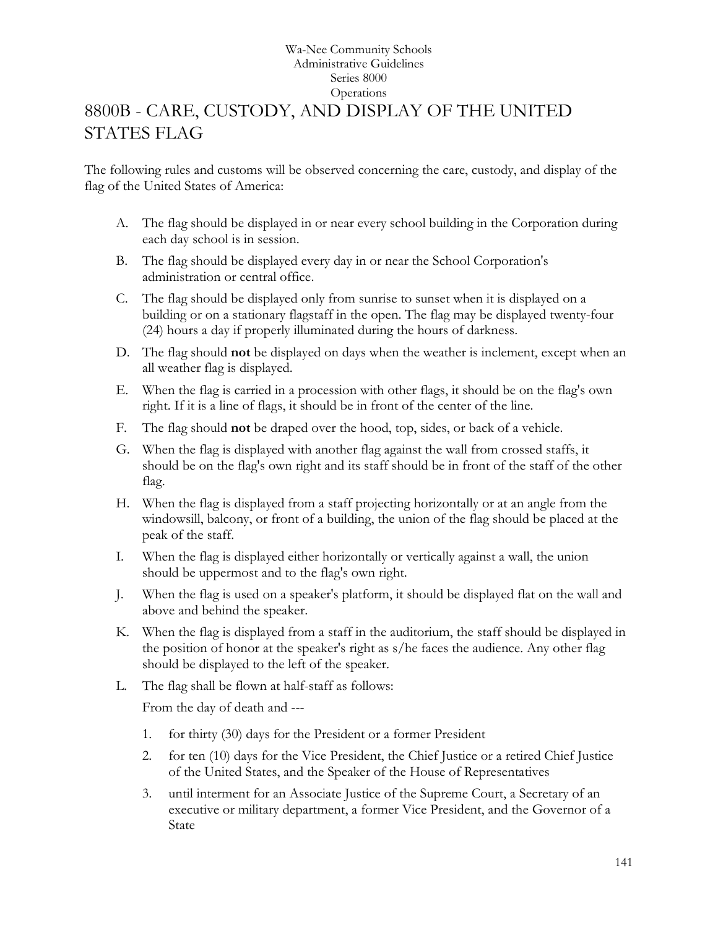## Wa-Nee Community Schools Administrative Guidelines Series 8000 **Operations** 8800B - CARE, CUSTODY, AND DISPLAY OF THE UNITED STATES FLAG

The following rules and customs will be observed concerning the care, custody, and display of the flag of the United States of America:

- A. The flag should be displayed in or near every school building in the Corporation during each day school is in session.
- B. The flag should be displayed every day in or near the School Corporation's administration or central office.
- C. The flag should be displayed only from sunrise to sunset when it is displayed on a building or on a stationary flagstaff in the open. The flag may be displayed twenty-four (24) hours a day if properly illuminated during the hours of darkness.
- D. The flag should **not** be displayed on days when the weather is inclement, except when an all weather flag is displayed.
- E. When the flag is carried in a procession with other flags, it should be on the flag's own right. If it is a line of flags, it should be in front of the center of the line.
- F. The flag should **not** be draped over the hood, top, sides, or back of a vehicle.
- G. When the flag is displayed with another flag against the wall from crossed staffs, it should be on the flag's own right and its staff should be in front of the staff of the other flag.
- H. When the flag is displayed from a staff projecting horizontally or at an angle from the windowsill, balcony, or front of a building, the union of the flag should be placed at the peak of the staff.
- I. When the flag is displayed either horizontally or vertically against a wall, the union should be uppermost and to the flag's own right.
- J. When the flag is used on a speaker's platform, it should be displayed flat on the wall and above and behind the speaker.
- K. When the flag is displayed from a staff in the auditorium, the staff should be displayed in the position of honor at the speaker's right as s/he faces the audience. Any other flag should be displayed to the left of the speaker.
- L. The flag shall be flown at half-staff as follows:

From the day of death and ---

- 1. for thirty (30) days for the President or a former President
- 2. for ten (10) days for the Vice President, the Chief Justice or a retired Chief Justice of the United States, and the Speaker of the House of Representatives
- 3. until interment for an Associate Justice of the Supreme Court, a Secretary of an executive or military department, a former Vice President, and the Governor of a State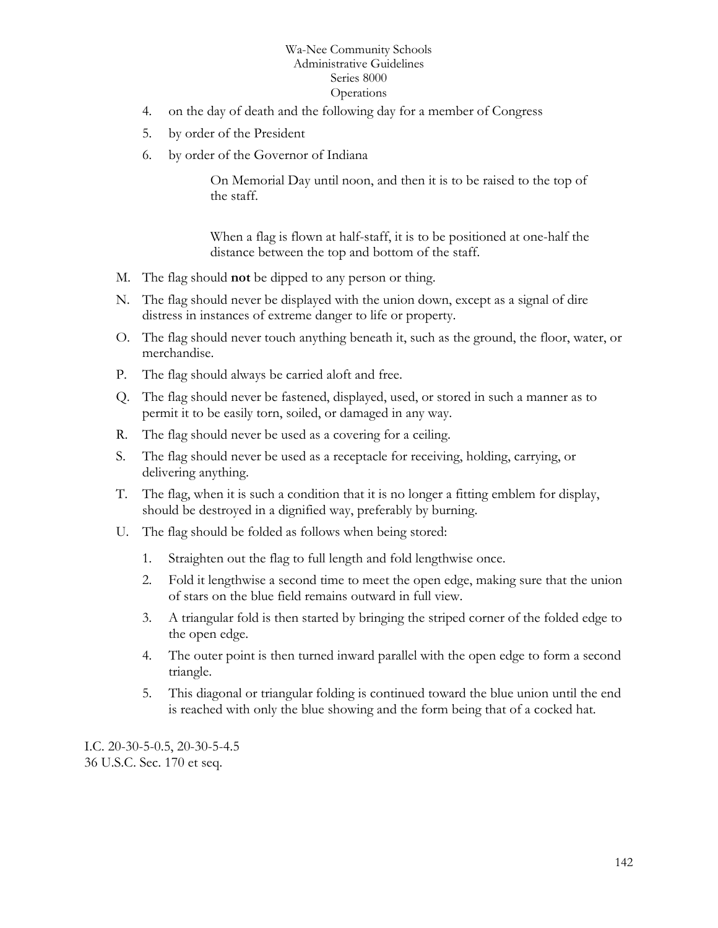- 4. on the day of death and the following day for a member of Congress
- 5. by order of the President
- 6. by order of the Governor of Indiana

On Memorial Day until noon, and then it is to be raised to the top of the staff.

When a flag is flown at half-staff, it is to be positioned at one-half the distance between the top and bottom of the staff.

- M. The flag should **not** be dipped to any person or thing.
- N. The flag should never be displayed with the union down, except as a signal of dire distress in instances of extreme danger to life or property.
- O. The flag should never touch anything beneath it, such as the ground, the floor, water, or merchandise.
- P. The flag should always be carried aloft and free.
- Q. The flag should never be fastened, displayed, used, or stored in such a manner as to permit it to be easily torn, soiled, or damaged in any way.
- R. The flag should never be used as a covering for a ceiling.
- S. The flag should never be used as a receptacle for receiving, holding, carrying, or delivering anything.
- T. The flag, when it is such a condition that it is no longer a fitting emblem for display, should be destroyed in a dignified way, preferably by burning.
- U. The flag should be folded as follows when being stored:
	- 1. Straighten out the flag to full length and fold lengthwise once.
	- 2. Fold it lengthwise a second time to meet the open edge, making sure that the union of stars on the blue field remains outward in full view.
	- 3. A triangular fold is then started by bringing the striped corner of the folded edge to the open edge.
	- 4. The outer point is then turned inward parallel with the open edge to form a second triangle.
	- 5. This diagonal or triangular folding is continued toward the blue union until the end is reached with only the blue showing and the form being that of a cocked hat.

I.C. 20-30-5-0.5, 20-30-5-4.5 36 U.S.C. Sec. 170 et seq.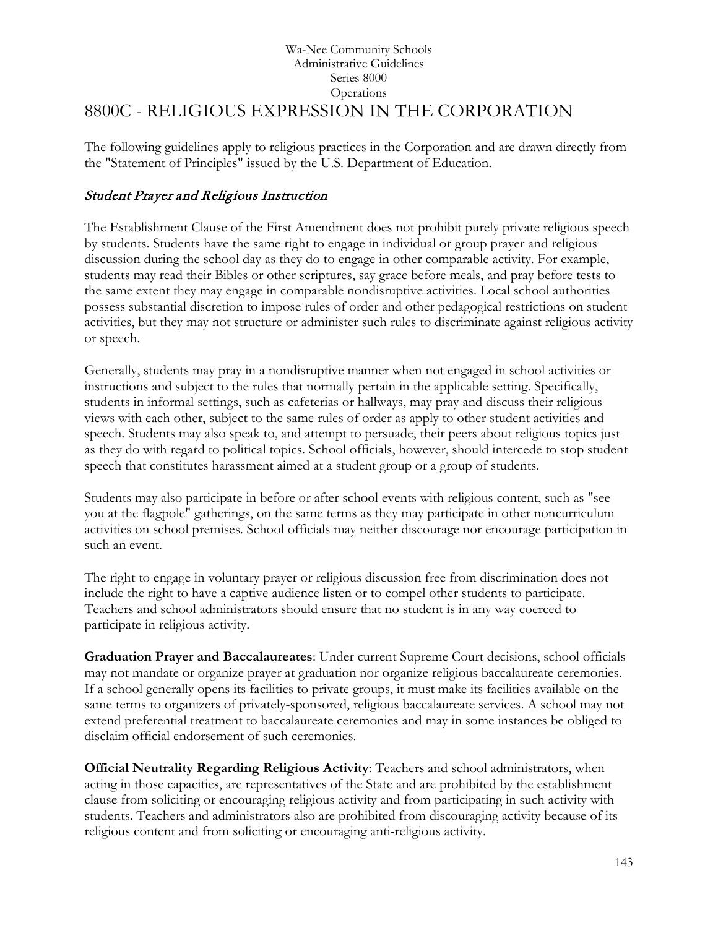### Wa-Nee Community Schools Administrative Guidelines Series 8000 **Operations** 8800C - RELIGIOUS EXPRESSION IN THE CORPORATION

The following guidelines apply to religious practices in the Corporation and are drawn directly from the "Statement of Principles" issued by the U.S. Department of Education.

## Student Prayer and Religious Instruction

The Establishment Clause of the First Amendment does not prohibit purely private religious speech by students. Students have the same right to engage in individual or group prayer and religious discussion during the school day as they do to engage in other comparable activity. For example, students may read their Bibles or other scriptures, say grace before meals, and pray before tests to the same extent they may engage in comparable nondisruptive activities. Local school authorities possess substantial discretion to impose rules of order and other pedagogical restrictions on student activities, but they may not structure or administer such rules to discriminate against religious activity or speech.

Generally, students may pray in a nondisruptive manner when not engaged in school activities or instructions and subject to the rules that normally pertain in the applicable setting. Specifically, students in informal settings, such as cafeterias or hallways, may pray and discuss their religious views with each other, subject to the same rules of order as apply to other student activities and speech. Students may also speak to, and attempt to persuade, their peers about religious topics just as they do with regard to political topics. School officials, however, should intercede to stop student speech that constitutes harassment aimed at a student group or a group of students.

Students may also participate in before or after school events with religious content, such as "see you at the flagpole" gatherings, on the same terms as they may participate in other noncurriculum activities on school premises. School officials may neither discourage nor encourage participation in such an event.

The right to engage in voluntary prayer or religious discussion free from discrimination does not include the right to have a captive audience listen or to compel other students to participate. Teachers and school administrators should ensure that no student is in any way coerced to participate in religious activity.

**Graduation Prayer and Baccalaureates**: Under current Supreme Court decisions, school officials may not mandate or organize prayer at graduation nor organize religious baccalaureate ceremonies. If a school generally opens its facilities to private groups, it must make its facilities available on the same terms to organizers of privately-sponsored, religious baccalaureate services. A school may not extend preferential treatment to baccalaureate ceremonies and may in some instances be obliged to disclaim official endorsement of such ceremonies.

**Official Neutrality Regarding Religious Activity**: Teachers and school administrators, when acting in those capacities, are representatives of the State and are prohibited by the establishment clause from soliciting or encouraging religious activity and from participating in such activity with students. Teachers and administrators also are prohibited from discouraging activity because of its religious content and from soliciting or encouraging anti-religious activity.